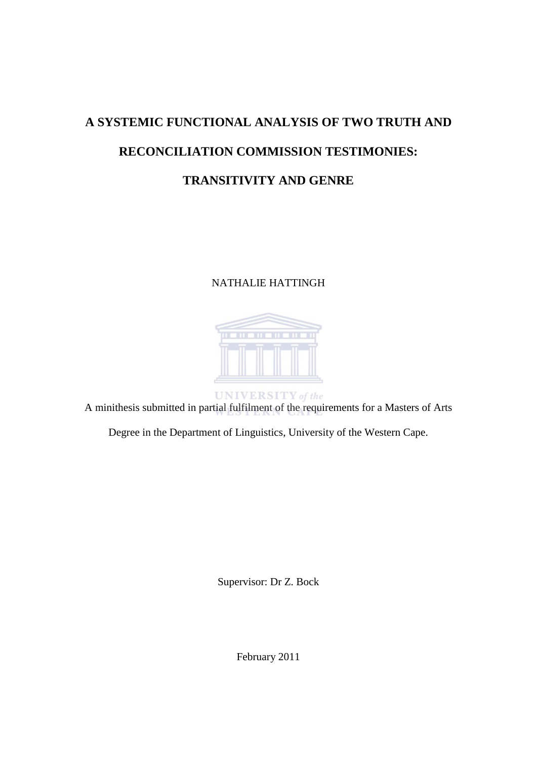# <span id="page-0-0"></span>**A SYSTEMIC FUNCTIONAL ANALYSIS OF TWO TRUTH AND RECONCILIATION COMMISSION TESTIMONIES: TRANSITIVITY AND GENRE**

# NATHALIE HATTINGH



A minithesis submitted in partial fulfilment of the requirements for a Masters of Arts

Degree in the Department of Linguistics, University of the Western Cape.

Supervisor: Dr Z. Bock

February 2011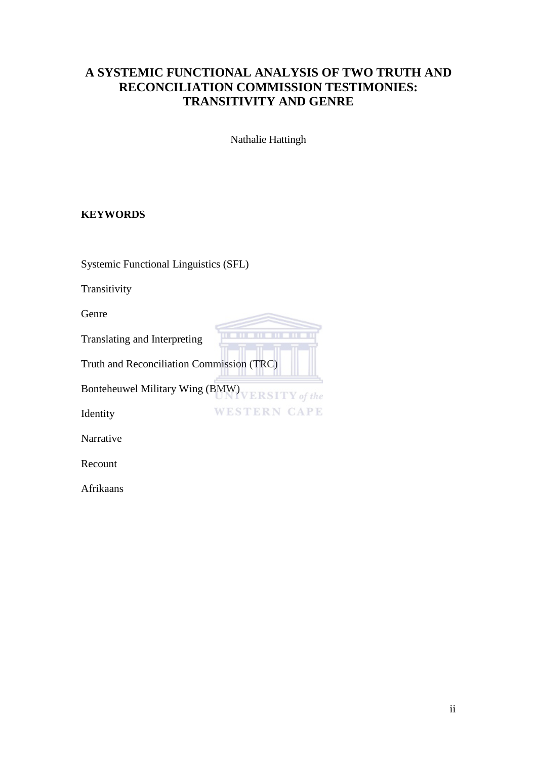# **A SYSTEMIC FUNCTIONAL ANALYSIS OF TWO TRUTH AND RECONCILIATION COMMISSION TESTIMONIES: TRANSITIVITY AND GENRE**

Nathalie Hattingh

m

**WESTERN CAPE** 

# <span id="page-1-0"></span>**KEYWORDS**

Systemic Functional Linguistics (SFL)

Transitivity

Genre

Translating and Interpreting

Truth and Reconciliation Commission (TRC)

Bonteheuwel Military Wing (BMW) VERSITY of the

Identity

Narrative

Recount

Afrikaans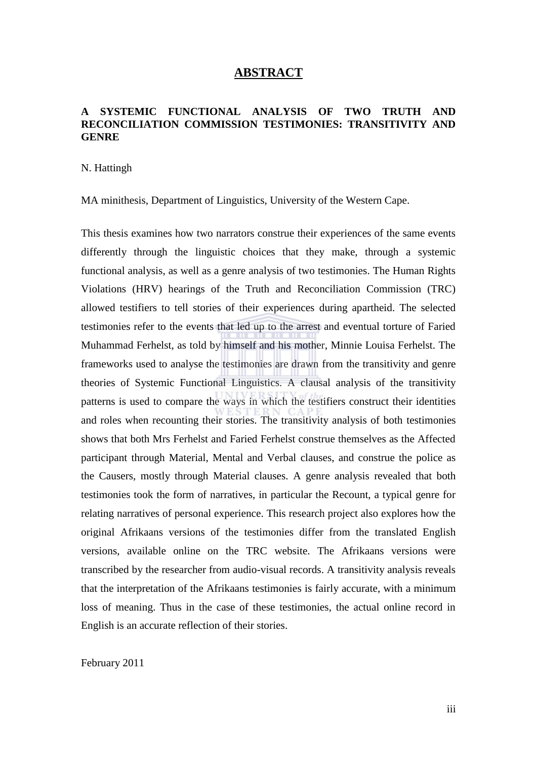# **ABSTRACT**

## <span id="page-2-0"></span>**A SYSTEMIC FUNCTIONAL ANALYSIS OF TWO TRUTH AND RECONCILIATION COMMISSION TESTIMONIES: TRANSITIVITY AND GENRE**

#### N. Hattingh

MA minithesis, Department of Linguistics, University of the Western Cape.

<span id="page-2-1"></span>This thesis examines how two narrators construe their experiences of the same events differently through the linguistic choices that they make, through a systemic functional analysis, as well as a genre analysis of two testimonies. The Human Rights Violations (HRV) hearings of the Truth and Reconciliation Commission (TRC) allowed testifiers to tell stories of their experiences during apartheid. The selected testimonies refer to the events that led up to the arrest and eventual torture of Faried Muhammad Ferhelst, as told by himself and his mother, Minnie Louisa Ferhelst. The frameworks used to analyse the testimonies are drawn from the transitivity and genre theories of Systemic Functional Linguistics. A clausal analysis of the transitivity patterns is used to compare the ways in which the testifiers construct their identities and roles when recounting their stories. The transitivity analysis of both testimonies shows that both Mrs Ferhelst and Faried Ferhelst construe themselves as the Affected participant through Material, Mental and Verbal clauses, and construe the police as the Causers, mostly through Material clauses. A genre analysis revealed that both testimonies took the form of narratives, in particular the Recount, a typical genre for relating narratives of personal experience. This research project also explores how the original Afrikaans versions of the testimonies differ from the translated English versions, available online on the TRC website. The Afrikaans versions were transcribed by the researcher from audio-visual records. A transitivity analysis reveals that the interpretation of the Afrikaans testimonies is fairly accurate, with a minimum loss of meaning. Thus in the case of these testimonies, the actual online record in English is an accurate reflection of their stories.

February 2011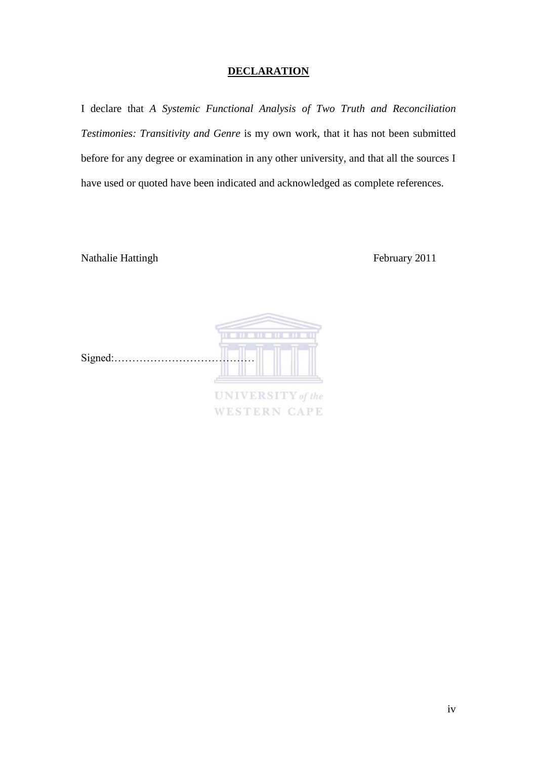# **DECLARATION**

I declare that *A Systemic Functional Analysis of Two Truth and Reconciliation Testimonies: Transitivity and Genre* is my own work, that it has not been submitted before for any degree or examination in any other university, and that all the sources I have used or quoted have been indicated and acknowledged as complete references.

**WESTERN CAPE** 

Nathalie Hattingh February 2011

| Signed: |                          |
|---------|--------------------------|
|         |                          |
|         | <b>UNIVERSITY</b> of the |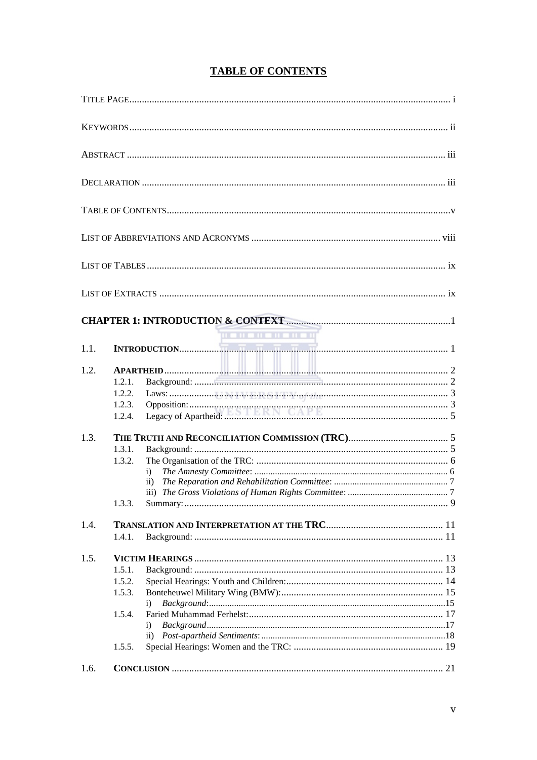<span id="page-4-0"></span>

|      | <b>THE HENER HENE</b>                                                                                                                                                                                                                                                                                                                                                                                                                                                                                                                                                                                                      |  |
|------|----------------------------------------------------------------------------------------------------------------------------------------------------------------------------------------------------------------------------------------------------------------------------------------------------------------------------------------------------------------------------------------------------------------------------------------------------------------------------------------------------------------------------------------------------------------------------------------------------------------------------|--|
| 1.1. | $\boxed{\textbf{INTRODUCTION}}.\quad \boxed{\textcolor{blue}{\overbrace{\textbf{INTRODUCTION}}}}\quad \boxed{\textcolor{blue}{\overbrace{\textbf{MT1}}}}\quad \boxed{\textcolor{blue}{\overbrace{\textbf{MT1}}}}\quad \boxed{\textcolor{blue}{\overbrace{\textbf{MT1}}}}\quad \boxed{\textcolor{blue}{\overbrace{\textbf{MT1}}}}\quad \boxed{\textcolor{blue}{\overbrace{\textbf{MT1}}}}\quad \boxed{\textcolor{blue}{\overbrace{\textbf{MT2}}}}\quad \boxed{\textcolor{blue}{\overbrace{\textbf{MT2}}}}\quad \boxed{\textcolor{blue}{\overbrace{\textbf{MT1}}}}\quad \boxed{\textcolor{blue}{\overbrace{\textbf{MT2}}}}\$ |  |
| 1.2. | 1.2.1.<br>1.2.2.<br>1.2.3.<br>1.2.4.                                                                                                                                                                                                                                                                                                                                                                                                                                                                                                                                                                                       |  |
| 1.3. | 1.3.1.<br>1.3.2.<br>i)<br>$\mathbf{ii}$<br>1.3.3.                                                                                                                                                                                                                                                                                                                                                                                                                                                                                                                                                                          |  |
| 1.4. | 1.4.1.                                                                                                                                                                                                                                                                                                                                                                                                                                                                                                                                                                                                                     |  |
| 1.5. | 1.5.1.<br>1.5.2.<br>1.5.3.<br>$\mathbf{i}$<br>1.5.4.<br>$\mathbf{i}$<br>$\mathbf{ii}$<br>1.5.5.                                                                                                                                                                                                                                                                                                                                                                                                                                                                                                                            |  |
| 1.6. |                                                                                                                                                                                                                                                                                                                                                                                                                                                                                                                                                                                                                            |  |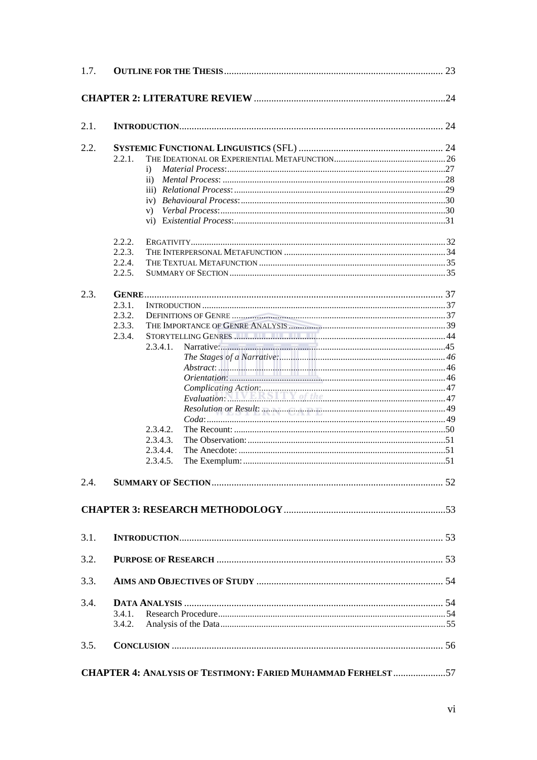| 1.7. |                                                                                                  |  |
|------|--------------------------------------------------------------------------------------------------|--|
|      |                                                                                                  |  |
| 2.1. |                                                                                                  |  |
| 2.2. | 2.2.1.<br>$\ddot{1}$<br>$\rm ii)$<br>V)                                                          |  |
|      | 2.2.2.<br>2.2.3.<br>2.2.4.<br>2.2.5.                                                             |  |
| 2.3. | 2.3.1.<br>2.3.2.<br>2.3.3.<br>2.3.4.<br>2.3.4.1.<br>2.3.4.2.<br>2.3.4.3.<br>2.3.4.4.<br>2.3.4.5. |  |
| 2.4. |                                                                                                  |  |
|      |                                                                                                  |  |
| 3.1. |                                                                                                  |  |
| 3.2. |                                                                                                  |  |
| 3.3. |                                                                                                  |  |
| 3.4. | 3.4.1.<br>3.4.2.                                                                                 |  |
| 3.5. |                                                                                                  |  |
|      | <b>CHAPTER 4: ANALYSIS OF TESTIMONY: FARIED MUHAMMAD FERHELST 57</b>                             |  |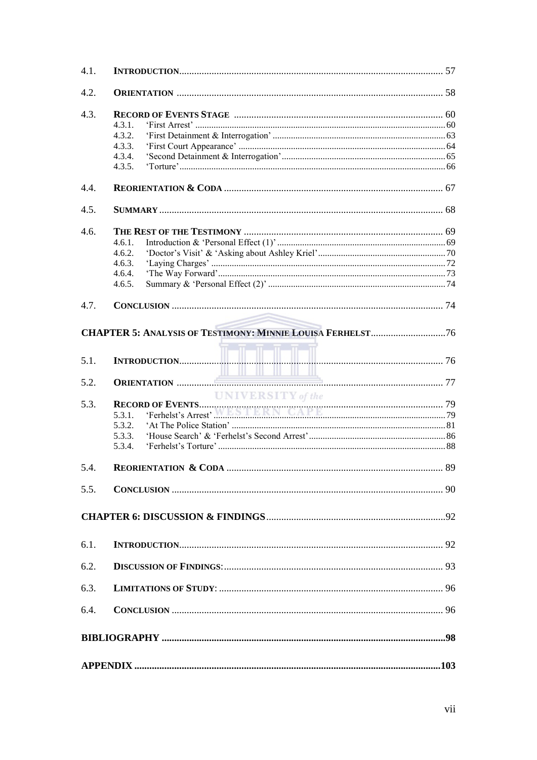| 4.1. |                   |  |
|------|-------------------|--|
| 4.2. |                   |  |
| 4.3. |                   |  |
|      | 4.3.1.            |  |
|      | 4.3.2.            |  |
|      | 4.3.3.            |  |
|      |                   |  |
|      | 4.3.4.<br>4.3.5.  |  |
|      |                   |  |
| 4.4. |                   |  |
| 4.5. |                   |  |
| 4.6. |                   |  |
|      | 4.6.1.            |  |
|      | 4.6.2.            |  |
|      | 4.6.3.            |  |
|      | 4.6.4.            |  |
|      | 4.6.5.            |  |
|      |                   |  |
| 4.7. |                   |  |
|      |                   |  |
|      |                   |  |
|      |                   |  |
| 5.1. |                   |  |
|      |                   |  |
| 5.2. |                   |  |
|      | UNIVERSITY of the |  |
| 5.3. |                   |  |
|      |                   |  |
|      | 5.3.2.            |  |
|      | 5.3.3.            |  |
|      |                   |  |
|      | 5.3.4.            |  |
| 5.4. |                   |  |
|      |                   |  |
| 5.5. |                   |  |
|      |                   |  |
|      |                   |  |
|      |                   |  |
| 6.1. |                   |  |
|      |                   |  |
| 6.2. |                   |  |
| 6.3. |                   |  |
|      |                   |  |
| 6.4. |                   |  |
|      |                   |  |
|      |                   |  |
|      |                   |  |
|      |                   |  |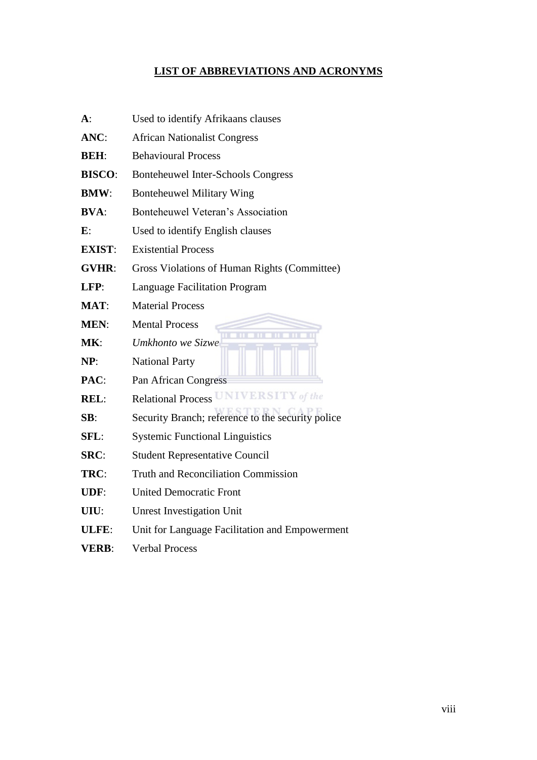# <span id="page-7-0"></span>**LIST OF ABBREVIATIONS AND ACRONYMS**

| $A$ :          | Used to identify Afrikaans clauses                |
|----------------|---------------------------------------------------|
| ANC:           | <b>African Nationalist Congress</b>               |
| <b>BEH:</b>    | <b>Behavioural Process</b>                        |
| <b>BISCO:</b>  | <b>Bonteheuwel Inter-Schools Congress</b>         |
| <b>BMW:</b>    | <b>Bonteheuwel Military Wing</b>                  |
| <b>BVA:</b>    | Bonteheuwel Veteran's Association                 |
| $\mathbf{E}$ : | Used to identify English clauses                  |
| <b>EXIST:</b>  | <b>Existential Process</b>                        |
| <b>GVHR:</b>   | Gross Violations of Human Rights (Committee)      |
| LFP:           | <b>Language Facilitation Program</b>              |
| MAT:           | <b>Material Process</b>                           |
| <b>MEN:</b>    | <b>Mental Process</b>                             |
| MK:            | Umkhonto we Sizwe                                 |
| NP:            | <b>National Party</b>                             |
| PAC:           | Pan African Congress                              |
| <b>REL:</b>    | <b>Relational Process UNIVERSITY</b> of the       |
| SB:            | Security Branch; reference to the security police |
| SFL:           | <b>Systemic Functional Linguistics</b>            |
| SRC:           | <b>Student Representative Council</b>             |
| TRC:           | <b>Truth and Reconciliation Commission</b>        |
| UDF:           | <b>United Democratic Front</b>                    |
| UIU:           | <b>Unrest Investigation Unit</b>                  |
| ULFE:          | Unit for Language Facilitation and Empowerment    |
| <b>VERB:</b>   | <b>Verbal Process</b>                             |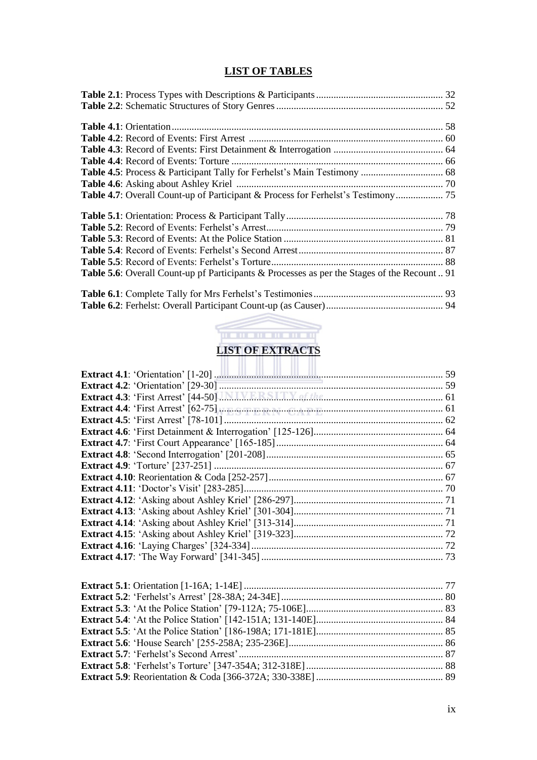# **LIST OF TABLES**

<span id="page-8-0"></span>

| <b>Table 5.6</b> : Overall Count-up pf Participants & Processes as per the Stages of the Recount  91 |  |
|------------------------------------------------------------------------------------------------------|--|
|                                                                                                      |  |
|                                                                                                      |  |



<span id="page-8-1"></span>

| Extract 4.3: 'First Arrest' [44-50] J.M.I.V.E.R.S.I.T.Y. of the manufacture of 1 |  |
|----------------------------------------------------------------------------------|--|
|                                                                                  |  |
|                                                                                  |  |
|                                                                                  |  |
|                                                                                  |  |
|                                                                                  |  |
|                                                                                  |  |
|                                                                                  |  |
|                                                                                  |  |
|                                                                                  |  |
|                                                                                  |  |
|                                                                                  |  |
|                                                                                  |  |
|                                                                                  |  |
|                                                                                  |  |
|                                                                                  |  |
|                                                                                  |  |
|                                                                                  |  |
|                                                                                  |  |
|                                                                                  |  |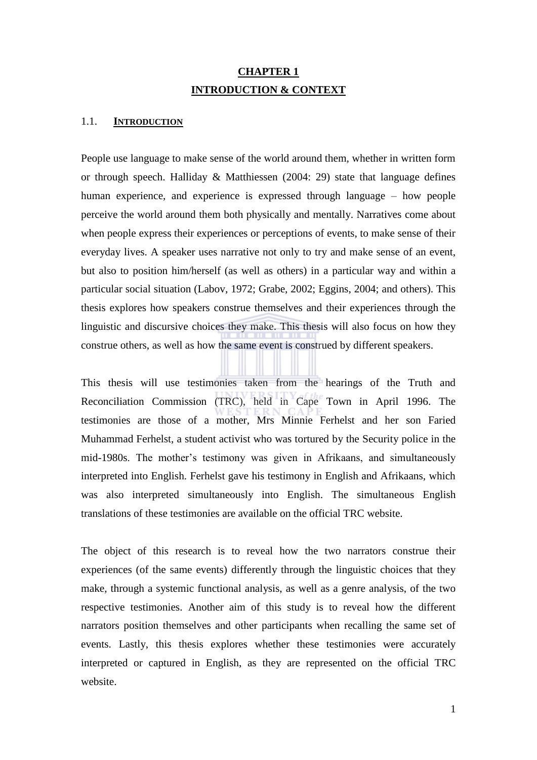# **CHAPTER 1 INTRODUCTION & CONTEXT**

#### <span id="page-9-1"></span><span id="page-9-0"></span>1.1. **INTRODUCTION**

People use language to make sense of the world around them, whether in written form or through speech. Halliday  $\&$  Matthiessen (2004: 29) state that language defines human experience, and experience is expressed through language – how people perceive the world around them both physically and mentally. Narratives come about when people express their experiences or perceptions of events, to make sense of their everyday lives. A speaker uses narrative not only to try and make sense of an event, but also to position him/herself (as well as others) in a particular way and within a particular social situation (Labov, 1972; Grabe, 2002; Eggins, 2004; and others). This thesis explores how speakers construe themselves and their experiences through the linguistic and discursive choices they make. This thesis will also focus on how they construe others, as well as how the same event is construed by different speakers.

This thesis will use testimonies taken from the hearings of the Truth and Reconciliation Commission (TRC), held in Cape Town in April 1996. The testimonies are those of a mother, Mrs Minnie Ferhelst and her son Faried Muhammad Ferhelst, a student activist who was tortured by the Security police in the mid-1980s. The mother's testimony was given in Afrikaans, and simultaneously interpreted into English. Ferhelst gave his testimony in English and Afrikaans, which was also interpreted simultaneously into English. The simultaneous English translations of these testimonies are available on the official TRC website.

The object of this research is to reveal how the two narrators construe their experiences (of the same events) differently through the linguistic choices that they make, through a systemic functional analysis, as well as a genre analysis, of the two respective testimonies. Another aim of this study is to reveal how the different narrators position themselves and other participants when recalling the same set of events. Lastly, this thesis explores whether these testimonies were accurately interpreted or captured in English, as they are represented on the official TRC website.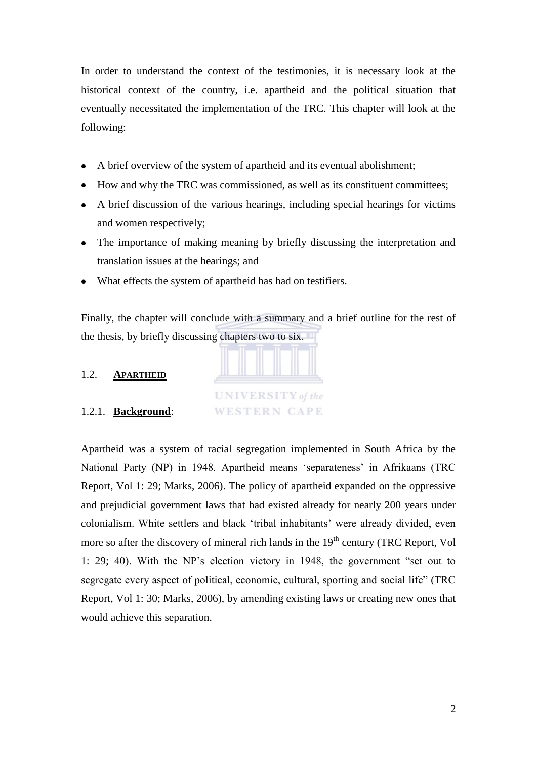In order to understand the context of the testimonies, it is necessary look at the historical context of the country, i.e. apartheid and the political situation that eventually necessitated the implementation of the TRC. This chapter will look at the following:

- A brief overview of the system of apartheid and its eventual abolishment;  $\bullet$
- How and why the TRC was commissioned, as well as its constituent committees;
- A brief discussion of the various hearings, including special hearings for victims and women respectively;
- The importance of making meaning by briefly discussing the interpretation and translation issues at the hearings; and
- What effects the system of apartheid has had on testifiers.

Finally, the chapter will conclude with a summary and a brief outline for the rest of the thesis, by briefly discussing chapters two to six.

<span id="page-10-0"></span>

<span id="page-10-1"></span>Apartheid was a system of racial segregation implemented in South Africa by the National Party (NP) in 1948. Apartheid means 'separateness' in Afrikaans (TRC Report, Vol 1: 29; Marks, 2006). The policy of apartheid expanded on the oppressive and prejudicial government laws that had existed already for nearly 200 years under colonialism. White settlers and black ‗tribal inhabitants' were already divided, even more so after the discovery of mineral rich lands in the 19<sup>th</sup> century (TRC Report, Vol 1: 29; 40). With the NP's election victory in 1948, the government "set out to segregate every aspect of political, economic, cultural, sporting and social life" (TRC) Report, Vol 1: 30; Marks, 2006), by amending existing laws or creating new ones that would achieve this separation.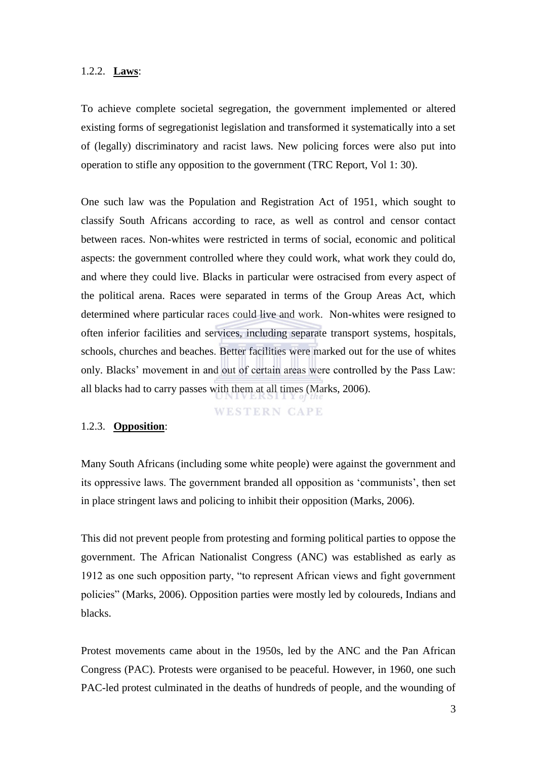#### <span id="page-11-0"></span>1.2.2. **Laws**:

To achieve complete societal segregation, the government implemented or altered existing forms of segregationist legislation and transformed it systematically into a set of (legally) discriminatory and racist laws. New policing forces were also put into operation to stifle any opposition to the government (TRC Report, Vol 1: 30).

One such law was the Population and Registration Act of 1951, which sought to classify South Africans according to race, as well as control and censor contact between races. Non-whites were restricted in terms of social, economic and political aspects: the government controlled where they could work, what work they could do, and where they could live. Blacks in particular were ostracised from every aspect of the political arena. Races were separated in terms of the Group Areas Act, which determined where particular races could live and work. Non-whites were resigned to often inferior facilities and services, including separate transport systems, hospitals, schools, churches and beaches. Better facilities were marked out for the use of whites only. Blacks' movement in and out of certain areas were controlled by the Pass Law: all blacks had to carry passes with them at all times (Marks, 2006).

#### **WESTERN CAPE**

#### <span id="page-11-1"></span>1.2.3. **Opposition**:

Many South Africans (including some white people) were against the government and its oppressive laws. The government branded all opposition as 'communists', then set in place stringent laws and policing to inhibit their opposition (Marks, 2006).

This did not prevent people from protesting and forming political parties to oppose the government. The African Nationalist Congress (ANC) was established as early as 1912 as one such opposition party, "to represent African views and fight government policies‖ (Marks, 2006). Opposition parties were mostly led by coloureds, Indians and blacks.

Protest movements came about in the 1950s, led by the ANC and the Pan African Congress (PAC). Protests were organised to be peaceful. However, in 1960, one such PAC-led protest culminated in the deaths of hundreds of people, and the wounding of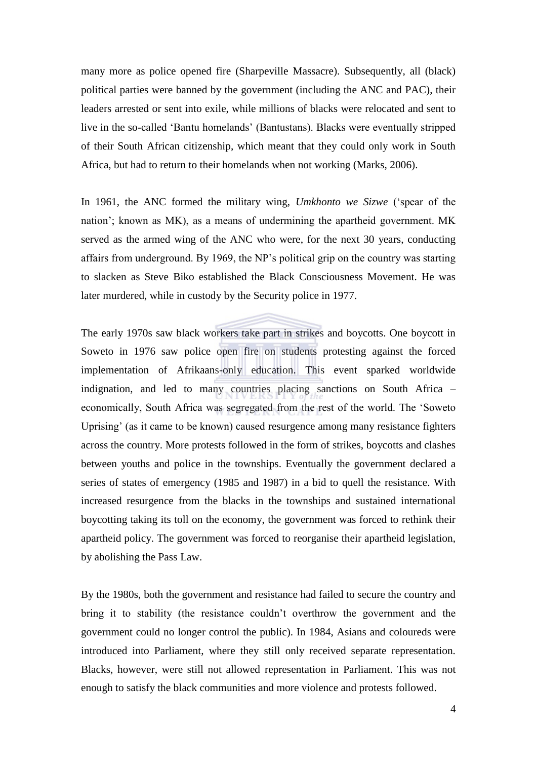many more as police opened fire (Sharpeville Massacre). Subsequently, all (black) political parties were banned by the government (including the ANC and PAC), their leaders arrested or sent into exile, while millions of blacks were relocated and sent to live in the so-called ‗Bantu homelands' (Bantustans). Blacks were eventually stripped of their South African citizenship, which meant that they could only work in South Africa, but had to return to their homelands when not working (Marks, 2006).

In 1961, the ANC formed the military wing, *Umkhonto we Sizwe* ('spear of the nation'; known as MK), as a means of undermining the apartheid government. MK served as the armed wing of the ANC who were, for the next 30 years, conducting affairs from underground. By 1969, the NP's political grip on the country was starting to slacken as Steve Biko established the Black Consciousness Movement. He was later murdered, while in custody by the Security police in 1977.

The early 1970s saw black workers take part in strikes and boycotts. One boycott in Soweto in 1976 saw police open fire on students protesting against the forced implementation of Afrikaans-only education. This event sparked worldwide indignation, and led to many countries placing sanctions on South Africa – economically, South Africa was segregated from the rest of the world. The 'Soweto Uprising' (as it came to be known) caused resurgence among many resistance fighters across the country. More protests followed in the form of strikes, boycotts and clashes between youths and police in the townships. Eventually the government declared a series of states of emergency (1985 and 1987) in a bid to quell the resistance. With increased resurgence from the blacks in the townships and sustained international boycotting taking its toll on the economy, the government was forced to rethink their apartheid policy. The government was forced to reorganise their apartheid legislation, by abolishing the Pass Law.

By the 1980s, both the government and resistance had failed to secure the country and bring it to stability (the resistance couldn't overthrow the government and the government could no longer control the public). In 1984, Asians and coloureds were introduced into Parliament, where they still only received separate representation. Blacks, however, were still not allowed representation in Parliament. This was not enough to satisfy the black communities and more violence and protests followed.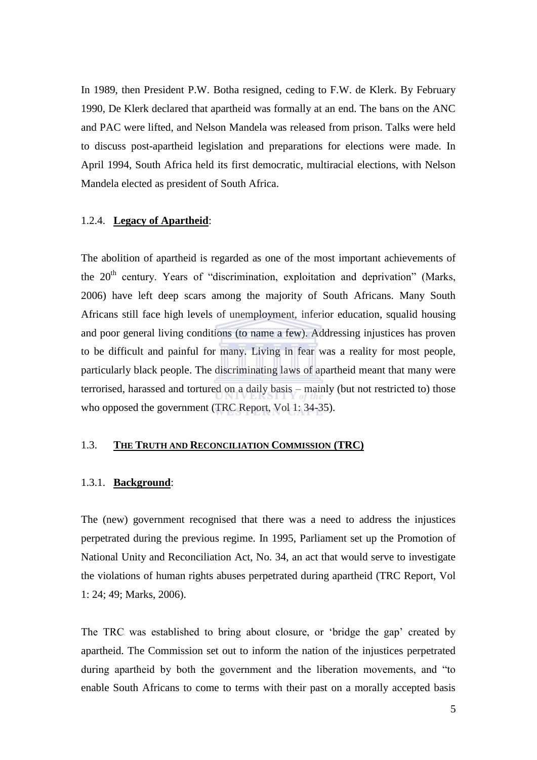In 1989, then President P.W. Botha resigned, ceding to F.W. de Klerk. By February 1990, De Klerk declared that apartheid was formally at an end. The bans on the ANC and PAC were lifted, and Nelson Mandela was released from prison. Talks were held to discuss post-apartheid legislation and preparations for elections were made. In April 1994, South Africa held its first democratic, multiracial elections, with Nelson Mandela elected as president of South Africa.

#### <span id="page-13-0"></span>1.2.4. **Legacy of Apartheid**:

The abolition of apartheid is regarded as one of the most important achievements of the 20<sup>th</sup> century. Years of "discrimination, exploitation and deprivation" (Marks, 2006) have left deep scars among the majority of South Africans. Many South Africans still face high levels of unemployment, inferior education, squalid housing and poor general living conditions (to name a few). Addressing injustices has proven to be difficult and painful for many. Living in fear was a reality for most people, particularly black people. The discriminating laws of apartheid meant that many were terrorised, harassed and tortured on a daily basis – mainly (but not restricted to) those who opposed the government (TRC Report, Vol 1: 34-35).

# <span id="page-13-1"></span>1.3. **THE TRUTH AND RECONCILIATION COMMISSION (TRC)**

#### <span id="page-13-2"></span>1.3.1. **Background**:

The (new) government recognised that there was a need to address the injustices perpetrated during the previous regime. In 1995, Parliament set up the Promotion of National Unity and Reconciliation Act, No. 34, an act that would serve to investigate the violations of human rights abuses perpetrated during apartheid (TRC Report, Vol 1: 24; 49; Marks, 2006).

The TRC was established to bring about closure, or ‗bridge the gap' created by apartheid. The Commission set out to inform the nation of the injustices perpetrated during apartheid by both the government and the liberation movements, and "to enable South Africans to come to terms with their past on a morally accepted basis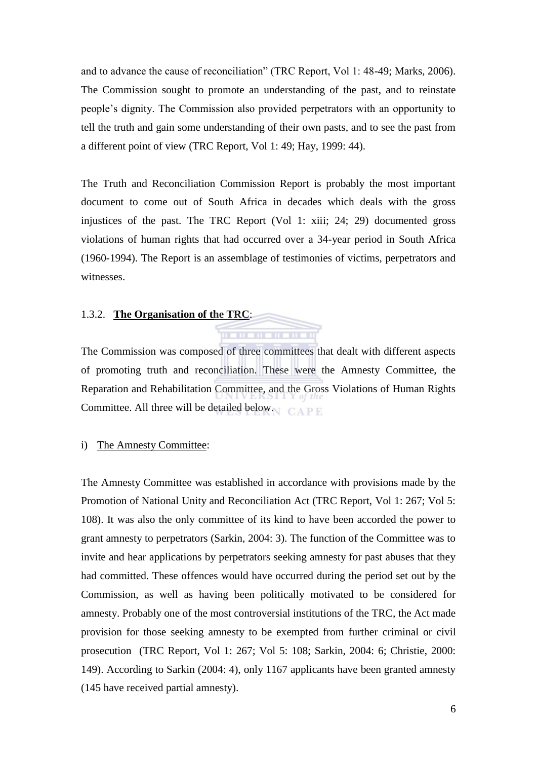and to advance the cause of reconciliation" (TRC Report, Vol 1: 48-49; Marks, 2006). The Commission sought to promote an understanding of the past, and to reinstate people's dignity. The Commission also provided perpetrators with an opportunity to tell the truth and gain some understanding of their own pasts, and to see the past from a different point of view (TRC Report, Vol 1: 49; Hay, 1999: 44).

The Truth and Reconciliation Commission Report is probably the most important document to come out of South Africa in decades which deals with the gross injustices of the past. The TRC Report (Vol 1: xiii; 24; 29) documented gross violations of human rights that had occurred over a 34-year period in South Africa (1960-1994). The Report is an assemblage of testimonies of victims, perpetrators and witnesses.

#### <span id="page-14-0"></span>1.3.2. **The Organisation of the TRC**:

The Commission was composed of three committees that dealt with different aspects of promoting truth and reconciliation. These were the Amnesty Committee, the Reparation and Rehabilitation Committee, and the Gross Violations of Human Rights Committee. All three will be detailed below.

#### <span id="page-14-1"></span>i) The Amnesty Committee:

The Amnesty Committee was established in accordance with provisions made by the Promotion of National Unity and Reconciliation Act (TRC Report, Vol 1: 267; Vol 5: 108). It was also the only committee of its kind to have been accorded the power to grant amnesty to perpetrators (Sarkin, 2004: 3). The function of the Committee was to invite and hear applications by perpetrators seeking amnesty for past abuses that they had committed. These offences would have occurred during the period set out by the Commission, as well as having been politically motivated to be considered for amnesty. Probably one of the most controversial institutions of the TRC, the Act made provision for those seeking amnesty to be exempted from further criminal or civil prosecution (TRC Report, Vol 1: 267; Vol 5: 108; Sarkin, 2004: 6; Christie, 2000: 149). According to Sarkin (2004: 4), only 1167 applicants have been granted amnesty (145 have received partial amnesty).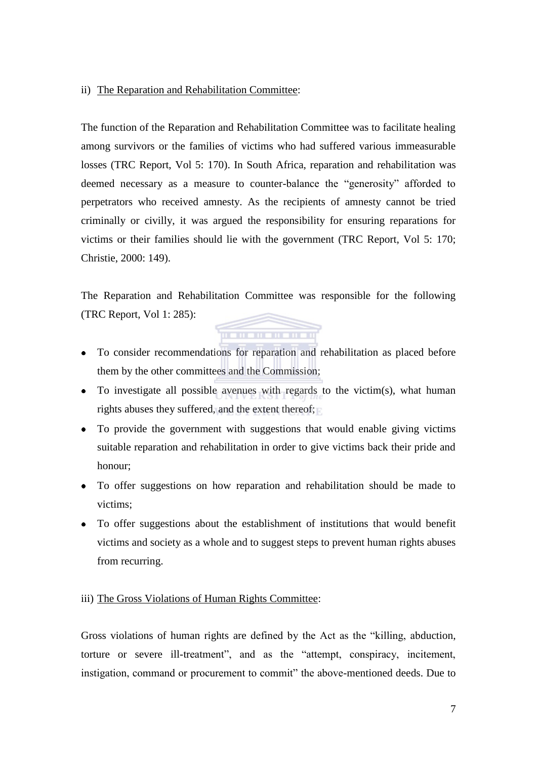## <span id="page-15-0"></span>ii) The Reparation and Rehabilitation Committee:

The function of the Reparation and Rehabilitation Committee was to facilitate healing among survivors or the families of victims who had suffered various immeasurable losses (TRC Report, Vol 5: 170). In South Africa, reparation and rehabilitation was deemed necessary as a measure to counter-balance the "generosity" afforded to perpetrators who received amnesty. As the recipients of amnesty cannot be tried criminally or civilly, it was argued the responsibility for ensuring reparations for victims or their families should lie with the government (TRC Report, Vol 5: 170; Christie, 2000: 149).

The Reparation and Rehabilitation Committee was responsible for the following (TRC Report, Vol 1: 285):

<u>n a ma ma ma ma m</u>

- To consider recommendations for reparation and rehabilitation as placed before them by the other committees and the Commission;
- To investigate all possible avenues with regards to the victim(s), what human rights abuses they suffered, and the extent thereof;
- To provide the government with suggestions that would enable giving victims suitable reparation and rehabilitation in order to give victims back their pride and honour;
- To offer suggestions on how reparation and rehabilitation should be made to victims;
- To offer suggestions about the establishment of institutions that would benefit victims and society as a whole and to suggest steps to prevent human rights abuses from recurring.

## <span id="page-15-1"></span>iii) The Gross Violations of Human Rights Committee:

Gross violations of human rights are defined by the Act as the "killing, abduction, torture or severe ill-treatment", and as the "attempt, conspiracy, incitement, instigation, command or procurement to commit" the above-mentioned deeds. Due to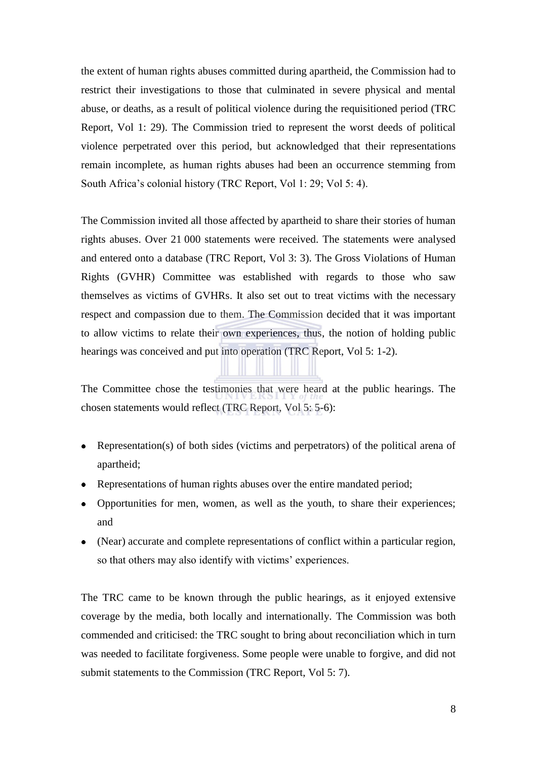the extent of human rights abuses committed during apartheid, the Commission had to restrict their investigations to those that culminated in severe physical and mental abuse, or deaths, as a result of political violence during the requisitioned period (TRC Report, Vol 1: 29). The Commission tried to represent the worst deeds of political violence perpetrated over this period, but acknowledged that their representations remain incomplete, as human rights abuses had been an occurrence stemming from South Africa's colonial history (TRC Report, Vol 1: 29; Vol 5: 4).

The Commission invited all those affected by apartheid to share their stories of human rights abuses. Over 21 000 statements were received. The statements were analysed and entered onto a database (TRC Report, Vol 3: 3). The Gross Violations of Human Rights (GVHR) Committee was established with regards to those who saw themselves as victims of GVHRs. It also set out to treat victims with the necessary respect and compassion due to them. The Commission decided that it was important to allow victims to relate their own experiences, thus, the notion of holding public hearings was conceived and put into operation (TRC Report, Vol 5: 1-2).

The Committee chose the testimonies that were heard at the public hearings. The chosen statements would reflect (TRC Report, Vol 5: 5-6):

- Representation(s) of both sides (victims and perpetrators) of the political arena of apartheid;
- Representations of human rights abuses over the entire mandated period;
- Opportunities for men, women, as well as the youth, to share their experiences; and
- (Near) accurate and complete representations of conflict within a particular region, so that others may also identify with victims' experiences.

The TRC came to be known through the public hearings, as it enjoyed extensive coverage by the media, both locally and internationally. The Commission was both commended and criticised: the TRC sought to bring about reconciliation which in turn was needed to facilitate forgiveness. Some people were unable to forgive, and did not submit statements to the Commission (TRC Report, Vol 5: 7).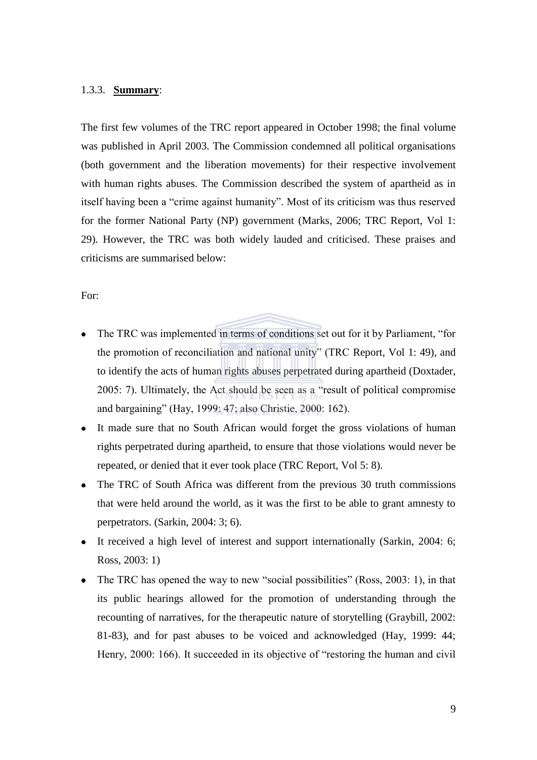#### <span id="page-17-0"></span>1.3.3. **Summary**:

The first few volumes of the TRC report appeared in October 1998; the final volume was published in April 2003. The Commission condemned all political organisations (both government and the liberation movements) for their respective involvement with human rights abuses. The Commission described the system of apartheid as in itself having been a "crime against humanity". Most of its criticism was thus reserved for the former National Party (NP) government (Marks, 2006; TRC Report, Vol 1: 29). However, the TRC was both widely lauded and criticised. These praises and criticisms are summarised below:

## For:

- The TRC was implemented in terms of conditions set out for it by Parliament, "for the promotion of reconciliation and national unity" (TRC Report, Vol 1: 49), and to identify the acts of human rights abuses perpetrated during apartheid (Doxtader, 2005: 7). Ultimately, the Act should be seen as a "result of political compromise and bargaining" (Hay, 1999: 47; also Christie, 2000: 162).
- $\bullet$ It made sure that no South African would forget the gross violations of human rights perpetrated during apartheid, to ensure that those violations would never be repeated, or denied that it ever took place (TRC Report, Vol 5: 8).
- The TRC of South Africa was different from the previous 30 truth commissions that were held around the world, as it was the first to be able to grant amnesty to perpetrators. (Sarkin, 2004: 3; 6).
- It received a high level of interest and support internationally (Sarkin, 2004: 6; Ross, 2003: 1)
- The TRC has opened the way to new "social possibilities" (Ross,  $2003: 1$ ), in that  $\bullet$ its public hearings allowed for the promotion of understanding through the recounting of narratives, for the therapeutic nature of storytelling (Graybill, 2002: 81-83), and for past abuses to be voiced and acknowledged (Hay, 1999: 44; Henry, 2000: 166). It succeeded in its objective of "restoring the human and civil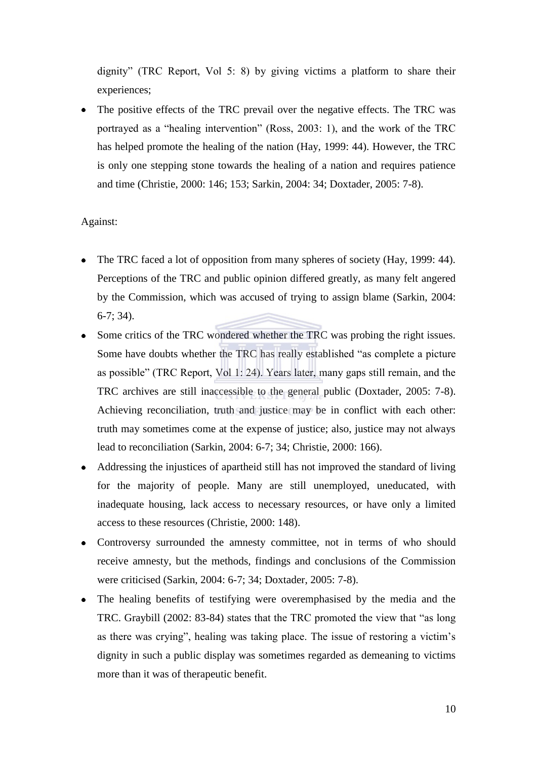dignity" (TRC Report, Vol 5: 8) by giving victims a platform to share their experiences;

The positive effects of the TRC prevail over the negative effects. The TRC was portrayed as a "healing intervention" (Ross, 2003: 1), and the work of the TRC has helped promote the healing of the nation (Hay, 1999: 44). However, the TRC is only one stepping stone towards the healing of a nation and requires patience and time (Christie, 2000: 146; 153; Sarkin, 2004: 34; Doxtader, 2005: 7-8).

# Against:

- $\bullet$ The TRC faced a lot of opposition from many spheres of society (Hay, 1999: 44). Perceptions of the TRC and public opinion differed greatly, as many felt angered by the Commission, which was accused of trying to assign blame (Sarkin, 2004: 6-7; 34).
- Some critics of the TRC wondered whether the TRC was probing the right issues. Some have doubts whether the TRC has really established "as complete a picture as possible" (TRC Report, Vol 1: 24). Years later, many gaps still remain, and the TRC archives are still inaccessible to the general public (Doxtader, 2005: 7-8). Achieving reconciliation, truth and justice may be in conflict with each other: truth may sometimes come at the expense of justice; also, justice may not always lead to reconciliation (Sarkin, 2004: 6-7; 34; Christie, 2000: 166).
- Addressing the injustices of apartheid still has not improved the standard of living for the majority of people. Many are still unemployed, uneducated, with inadequate housing, lack access to necessary resources, or have only a limited access to these resources (Christie, 2000: 148).
- Controversy surrounded the amnesty committee, not in terms of who should receive amnesty, but the methods, findings and conclusions of the Commission were criticised (Sarkin, 2004: 6-7; 34; Doxtader, 2005: 7-8).
- The healing benefits of testifying were overemphasised by the media and the TRC. Graybill  $(2002: 83-84)$  states that the TRC promoted the view that "as long" as there was crying", healing was taking place. The issue of restoring a victim's dignity in such a public display was sometimes regarded as demeaning to victims more than it was of therapeutic benefit.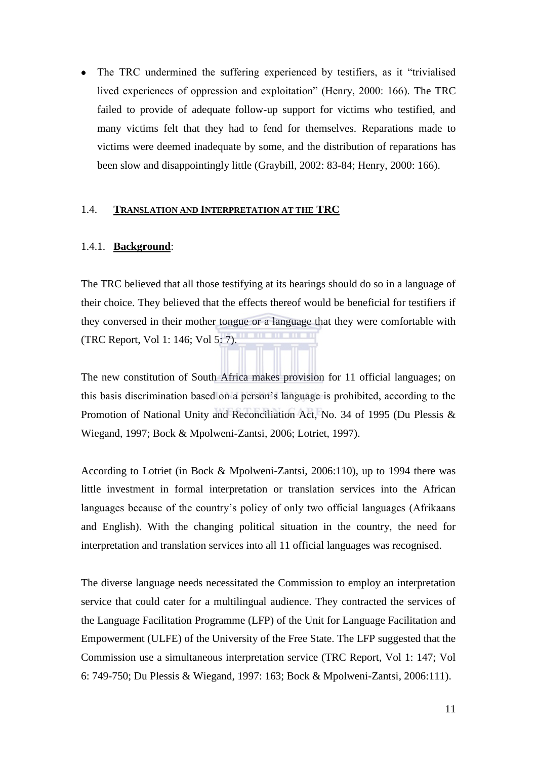The TRC undermined the suffering experienced by testifiers, as it "trivialised  $\bullet$ lived experiences of oppression and exploitation" (Henry, 2000: 166). The TRC failed to provide of adequate follow-up support for victims who testified, and many victims felt that they had to fend for themselves. Reparations made to victims were deemed inadequate by some, and the distribution of reparations has been slow and disappointingly little (Graybill, 2002: 83-84; Henry, 2000: 166).

#### <span id="page-19-0"></span>1.4. **TRANSLATION AND INTERPRETATION AT THE TRC**

#### <span id="page-19-1"></span>1.4.1. **Background**:

The TRC believed that all those testifying at its hearings should do so in a language of their choice. They believed that the effects thereof would be beneficial for testifiers if they conversed in their mother tongue or a language that they were comfortable with (TRC Report, Vol 1: 146; Vol 5: 7).

The new constitution of South Africa makes provision for 11 official languages; on this basis discrimination based on a person's language is prohibited, according to the Promotion of National Unity and Reconciliation Act, No. 34 of 1995 (Du Plessis & Wiegand, 1997; Bock & Mpolweni-Zantsi, 2006; Lotriet, 1997).

According to Lotriet (in Bock & Mpolweni-Zantsi, 2006:110), up to 1994 there was little investment in formal interpretation or translation services into the African languages because of the country's policy of only two official languages (Afrikaans and English). With the changing political situation in the country, the need for interpretation and translation services into all 11 official languages was recognised.

The diverse language needs necessitated the Commission to employ an interpretation service that could cater for a multilingual audience. They contracted the services of the Language Facilitation Programme (LFP) of the Unit for Language Facilitation and Empowerment (ULFE) of the University of the Free State. The LFP suggested that the Commission use a simultaneous interpretation service (TRC Report, Vol 1: 147; Vol 6: 749-750; Du Plessis & Wiegand, 1997: 163; Bock & Mpolweni-Zantsi, 2006:111).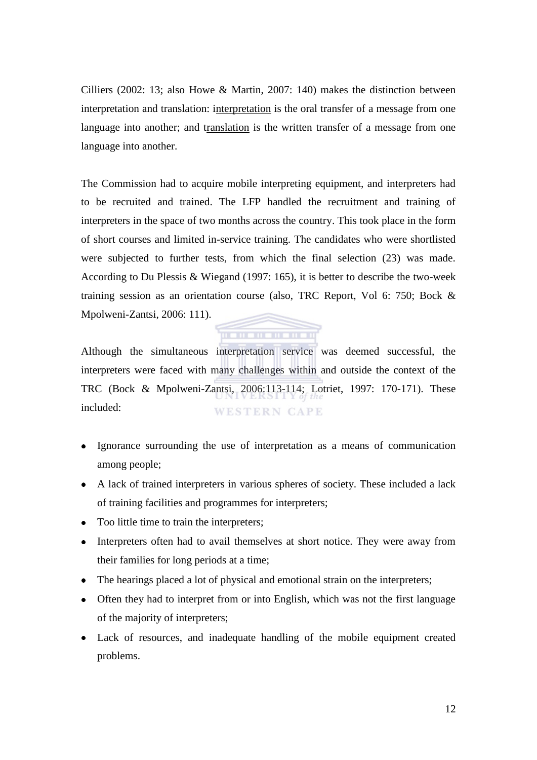Cilliers (2002: 13; also Howe & Martin, 2007: 140) makes the distinction between interpretation and translation: interpretation is the oral transfer of a message from one language into another; and translation is the written transfer of a message from one language into another.

The Commission had to acquire mobile interpreting equipment, and interpreters had to be recruited and trained. The LFP handled the recruitment and training of interpreters in the space of two months across the country. This took place in the form of short courses and limited in-service training. The candidates who were shortlisted were subjected to further tests, from which the final selection (23) was made. According to Du Plessis & Wiegand (1997: 165), it is better to describe the two-week training session as an orientation course (also, TRC Report, Vol 6: 750; Bock & Mpolweni-Zantsi, 2006: 111).

# . . . . . . . . . .

Although the simultaneous interpretation service was deemed successful, the interpreters were faced with many challenges within and outside the context of the TRC (Bock & Mpolweni-Zantsi, 2006:113-114; Lotriet, 1997: 170-171). These included: **WESTERN CAPE** 

- Ignorance surrounding the use of interpretation as a means of communication among people;
- A lack of trained interpreters in various spheres of society. These included a lack of training facilities and programmes for interpreters;
- Too little time to train the interpreters;
- Interpreters often had to avail themselves at short notice. They were away from their families for long periods at a time;
- The hearings placed a lot of physical and emotional strain on the interpreters;
- Often they had to interpret from or into English, which was not the first language of the majority of interpreters;
- Lack of resources, and inadequate handling of the mobile equipment created problems.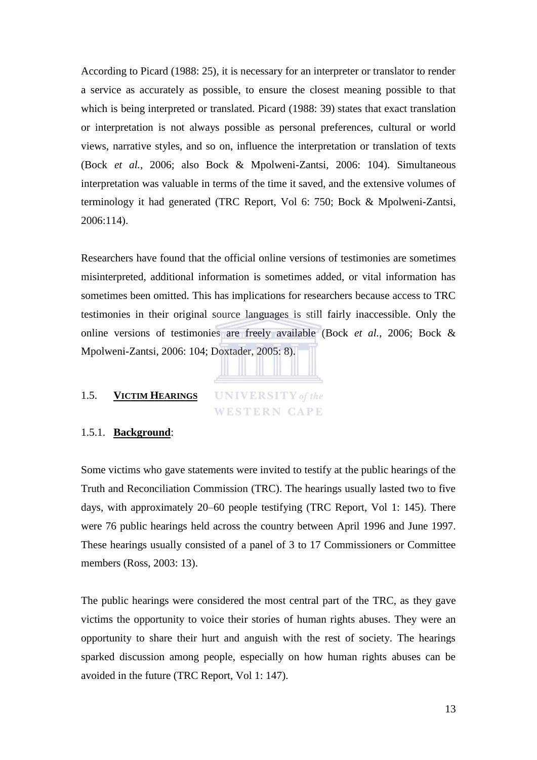According to Picard (1988: 25), it is necessary for an interpreter or translator to render a service as accurately as possible, to ensure the closest meaning possible to that which is being interpreted or translated. Picard (1988: 39) states that exact translation or interpretation is not always possible as personal preferences, cultural or world views, narrative styles, and so on, influence the interpretation or translation of texts (Bock *et al.*, 2006; also Bock & Mpolweni-Zantsi, 2006: 104). Simultaneous interpretation was valuable in terms of the time it saved, and the extensive volumes of terminology it had generated (TRC Report, Vol 6: 750; Bock & Mpolweni-Zantsi, 2006:114).

Researchers have found that the official online versions of testimonies are sometimes misinterpreted, additional information is sometimes added, or vital information has sometimes been omitted. This has implications for researchers because access to TRC testimonies in their original source languages is still fairly inaccessible. Only the online versions of testimonies are freely available (Bock *et al.*, 2006; Bock & Mpolweni-Zantsi, 2006: 104; Doxtader, 2005: 8).

#### <span id="page-21-0"></span>1.5. **VICTIM HEARINGS**

**UNIVERSITY** of the WESTERN CAPE

#### <span id="page-21-1"></span>1.5.1. **Background**:

Some victims who gave statements were invited to testify at the public hearings of the Truth and Reconciliation Commission (TRC). The hearings usually lasted two to five days, with approximately 20–60 people testifying (TRC Report, Vol 1: 145). There were 76 public hearings held across the country between April 1996 and June 1997. These hearings usually consisted of a panel of 3 to 17 Commissioners or Committee members (Ross, 2003: 13).

The public hearings were considered the most central part of the TRC, as they gave victims the opportunity to voice their stories of human rights abuses. They were an opportunity to share their hurt and anguish with the rest of society. The hearings sparked discussion among people, especially on how human rights abuses can be avoided in the future (TRC Report, Vol 1: 147).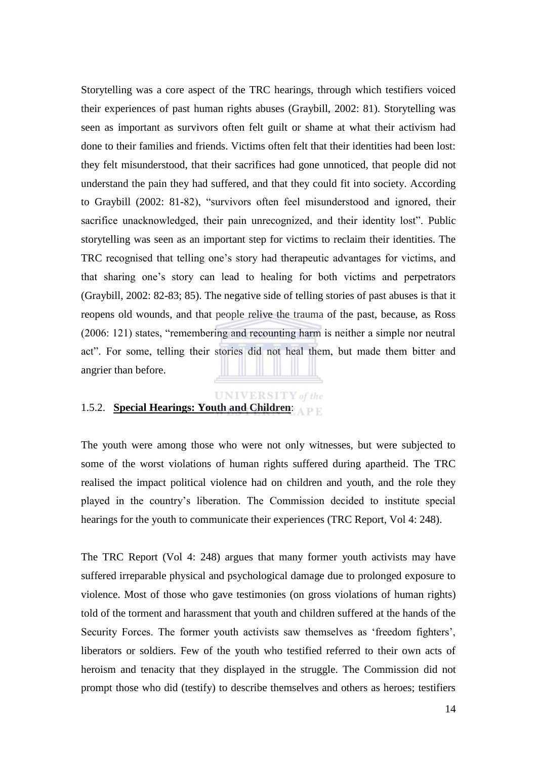Storytelling was a core aspect of the TRC hearings, through which testifiers voiced their experiences of past human rights abuses (Graybill, 2002: 81). Storytelling was seen as important as survivors often felt guilt or shame at what their activism had done to their families and friends. Victims often felt that their identities had been lost: they felt misunderstood, that their sacrifices had gone unnoticed, that people did not understand the pain they had suffered, and that they could fit into society. According to Graybill (2002: 81-82), "survivors often feel misunderstood and ignored, their sacrifice unacknowledged, their pain unrecognized, and their identity lost". Public storytelling was seen as an important step for victims to reclaim their identities. The TRC recognised that telling one's story had therapeutic advantages for victims, and that sharing one's story can lead to healing for both victims and perpetrators (Graybill, 2002: 82-83; 85). The negative side of telling stories of past abuses is that it reopens old wounds, and that people relive the trauma of the past, because, as Ross (2006: 121) states, "remembering and recounting harm is neither a simple nor neutral act‖. For some, telling their stories did not heal them, but made them bitter and angrier than before.

# **UNIVERSITY** of the

# <span id="page-22-0"></span>1.5.2. **Special Hearings: Youth and Children**:

The youth were among those who were not only witnesses, but were subjected to some of the worst violations of human rights suffered during apartheid. The TRC realised the impact political violence had on children and youth, and the role they played in the country's liberation. The Commission decided to institute special hearings for the youth to communicate their experiences (TRC Report, Vol 4: 248).

The TRC Report (Vol 4: 248) argues that many former youth activists may have suffered irreparable physical and psychological damage due to prolonged exposure to violence. Most of those who gave testimonies (on gross violations of human rights) told of the torment and harassment that youth and children suffered at the hands of the Security Forces. The former youth activists saw themselves as 'freedom fighters', liberators or soldiers. Few of the youth who testified referred to their own acts of heroism and tenacity that they displayed in the struggle. The Commission did not prompt those who did (testify) to describe themselves and others as heroes; testifiers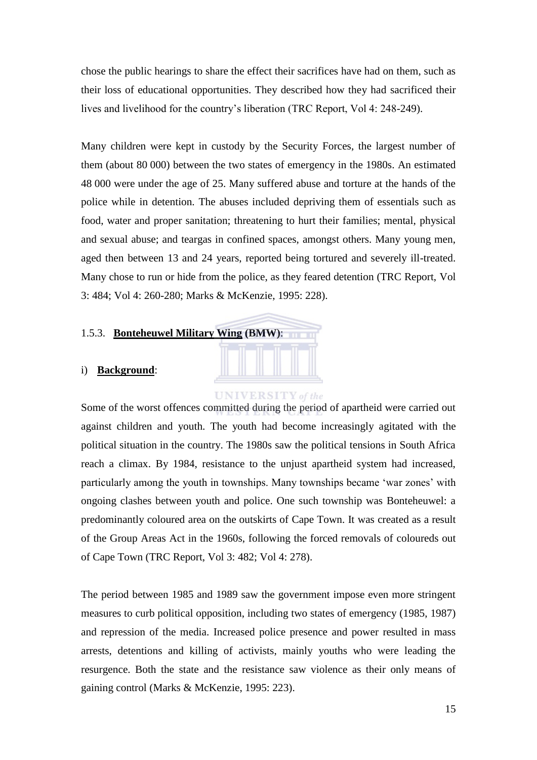chose the public hearings to share the effect their sacrifices have had on them, such as their loss of educational opportunities. They described how they had sacrificed their lives and livelihood for the country's liberation (TRC Report, Vol 4: 248-249).

Many children were kept in custody by the Security Forces, the largest number of them (about 80 000) between the two states of emergency in the 1980s. An estimated 48 000 were under the age of 25. Many suffered abuse and torture at the hands of the police while in detention. The abuses included depriving them of essentials such as food, water and proper sanitation; threatening to hurt their families; mental, physical and sexual abuse; and teargas in confined spaces, amongst others. Many young men, aged then between 13 and 24 years, reported being tortured and severely ill-treated. Many chose to run or hide from the police, as they feared detention (TRC Report, Vol 3: 484; Vol 4: 260-280; Marks & McKenzie, 1995: 228).

## <span id="page-23-0"></span>1.5.3. **Bonteheuwel Military Wing (BMW)**:

#### <span id="page-23-1"></span>i) **Background**:

#### **UNIVERSITY** of the

Some of the worst offences committed during the period of apartheid were carried out against children and youth. The youth had become increasingly agitated with the political situation in the country. The 1980s saw the political tensions in South Africa reach a climax. By 1984, resistance to the unjust apartheid system had increased, particularly among the youth in townships. Many townships became 'war zones' with ongoing clashes between youth and police. One such township was Bonteheuwel: a predominantly coloured area on the outskirts of Cape Town. It was created as a result of the Group Areas Act in the 1960s, following the forced removals of coloureds out of Cape Town (TRC Report, Vol 3: 482; Vol 4: 278).

The period between 1985 and 1989 saw the government impose even more stringent measures to curb political opposition, including two states of emergency (1985, 1987) and repression of the media. Increased police presence and power resulted in mass arrests, detentions and killing of activists, mainly youths who were leading the resurgence. Both the state and the resistance saw violence as their only means of gaining control (Marks & McKenzie, 1995: 223).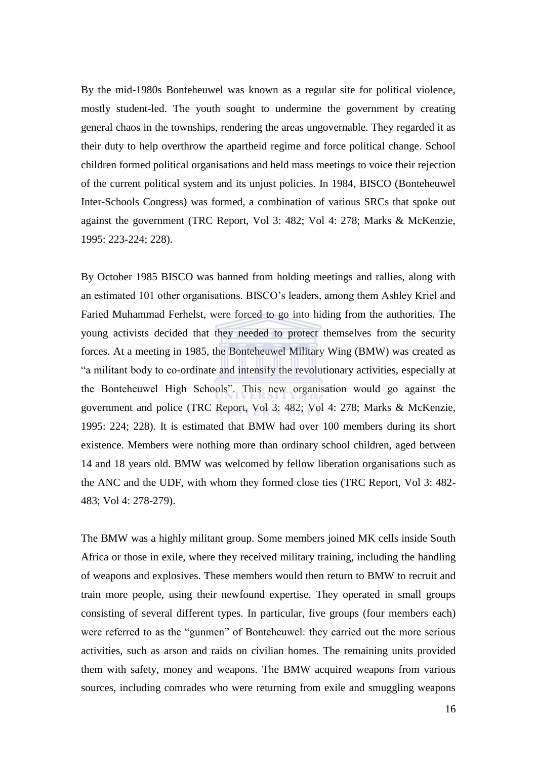By the mid-1980s Bonteheuwel was known as a regular site for political violence, mostly student-led. The youth sought to undermine the government by creating general chaos in the townships, rendering the areas ungovernable. They regarded it as their duty to help overthrow the apartheid regime and force political change. School children formed political organisations and held mass meetings to voice their rejection of the current political system and its unjust policies. In 1984, BISCO (Bonteheuwel Inter-Schools Congress) was formed, a combination of various SRCs that spoke out against the government (TRC Report, Vol 3: 482; Vol 4: 278; Marks & McKenzie, 1995: 223-224; 228).

By October 1985 BISCO was banned from holding meetings and rallies, along with an estimated 101 other organisations. BISCO's leaders, among them Ashley Kriel and Faried Muhammad Ferhelst, were forced to go into hiding from the authorities. The young activists decided that they needed to protect themselves from the security forces. At a meeting in 1985, the Bonteheuwel Military Wing (BMW) was created as ―a militant body to co-ordinate and intensify the revolutionary activities, especially at the Bonteheuwel High Schools". This new organisation would go against the government and police (TRC Report, Vol 3: 482; Vol 4: 278; Marks & McKenzie, 1995: 224; 228). It is estimated that BMW had over 100 members during its short existence. Members were nothing more than ordinary school children, aged between 14 and 18 years old. BMW was welcomed by fellow liberation organisations such as the ANC and the UDF, with whom they formed close ties (TRC Report, Vol 3: 482- 483; Vol 4: 278-279).

The BMW was a highly militant group. Some members joined MK cells inside South Africa or those in exile, where they received military training, including the handling of weapons and explosives. These members would then return to BMW to recruit and train more people, using their newfound expertise. They operated in small groups consisting of several different types. In particular, five groups (four members each) were referred to as the "gunmen" of Bonteheuwel: they carried out the more serious activities, such as arson and raids on civilian homes. The remaining units provided them with safety, money and weapons. The BMW acquired weapons from various sources, including comrades who were returning from exile and smuggling weapons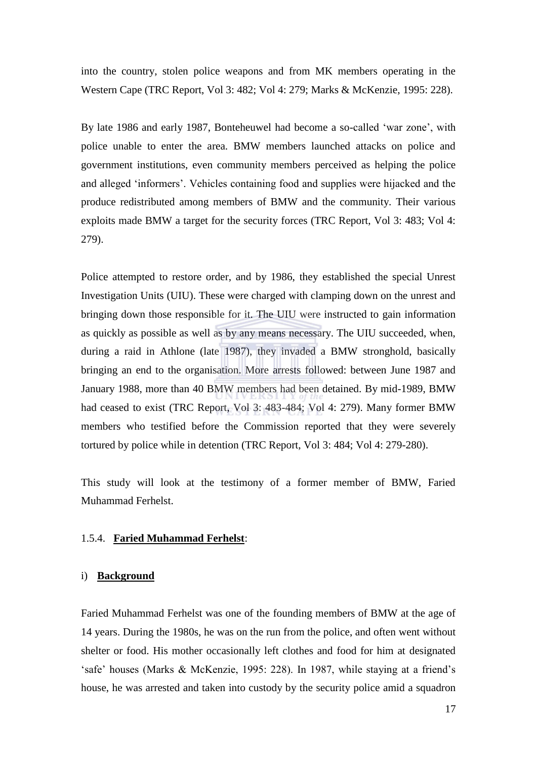into the country, stolen police weapons and from MK members operating in the Western Cape (TRC Report, Vol 3: 482; Vol 4: 279; Marks & McKenzie, 1995: 228).

By late 1986 and early 1987, Bonteheuwel had become a so-called 'war zone', with police unable to enter the area. BMW members launched attacks on police and government institutions, even community members perceived as helping the police and alleged ‗informers'. Vehicles containing food and supplies were hijacked and the produce redistributed among members of BMW and the community. Their various exploits made BMW a target for the security forces (TRC Report, Vol 3: 483; Vol 4: 279).

Police attempted to restore order, and by 1986, they established the special Unrest Investigation Units (UIU). These were charged with clamping down on the unrest and bringing down those responsible for it. The UIU were instructed to gain information as quickly as possible as well as by any means necessary. The UIU succeeded, when, during a raid in Athlone (late 1987), they invaded a BMW stronghold, basically bringing an end to the organisation. More arrests followed: between June 1987 and January 1988, more than 40 BMW members had been detained. By mid-1989, BMW had ceased to exist (TRC Report, Vol 3: 483-484; Vol 4: 279). Many former BMW members who testified before the Commission reported that they were severely tortured by police while in detention (TRC Report, Vol 3: 484; Vol 4: 279-280).

This study will look at the testimony of a former member of BMW, Faried Muhammad Ferhelst.

# <span id="page-25-0"></span>1.5.4. **Faried Muhammad Ferhelst**:

#### <span id="page-25-1"></span>i) **Background**

Faried Muhammad Ferhelst was one of the founding members of BMW at the age of 14 years. During the 1980s, he was on the run from the police, and often went without shelter or food. His mother occasionally left clothes and food for him at designated ‗safe' houses (Marks & McKenzie, 1995: 228). In 1987, while staying at a friend's house, he was arrested and taken into custody by the security police amid a squadron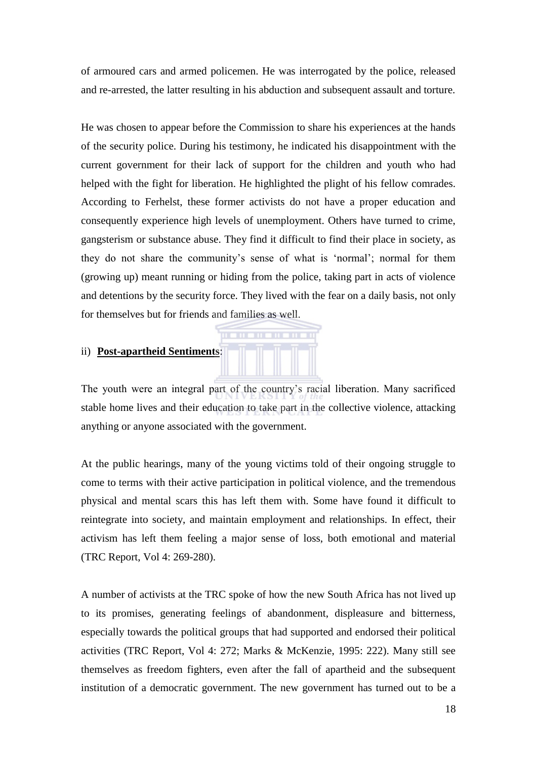of armoured cars and armed policemen. He was interrogated by the police, released and re-arrested, the latter resulting in his abduction and subsequent assault and torture.

He was chosen to appear before the Commission to share his experiences at the hands of the security police. During his testimony, he indicated his disappointment with the current government for their lack of support for the children and youth who had helped with the fight for liberation. He highlighted the plight of his fellow comrades. According to Ferhelst, these former activists do not have a proper education and consequently experience high levels of unemployment. Others have turned to crime, gangsterism or substance abuse. They find it difficult to find their place in society, as they do not share the community's sense of what is 'normal'; normal for them (growing up) meant running or hiding from the police, taking part in acts of violence and detentions by the security force. They lived with the fear on a daily basis, not only for themselves but for friends and families as well.

# <span id="page-26-0"></span>ii) **Post-apartheid Sentiments**:

The youth were an integral part of the country's racial liberation. Many sacrificed stable home lives and their education to take part in the collective violence, attacking anything or anyone associated with the government.

At the public hearings, many of the young victims told of their ongoing struggle to come to terms with their active participation in political violence, and the tremendous physical and mental scars this has left them with. Some have found it difficult to reintegrate into society, and maintain employment and relationships. In effect, their activism has left them feeling a major sense of loss, both emotional and material (TRC Report, Vol 4: 269-280).

A number of activists at the TRC spoke of how the new South Africa has not lived up to its promises, generating feelings of abandonment, displeasure and bitterness, especially towards the political groups that had supported and endorsed their political activities (TRC Report, Vol 4: 272; Marks & McKenzie, 1995: 222). Many still see themselves as freedom fighters, even after the fall of apartheid and the subsequent institution of a democratic government. The new government has turned out to be a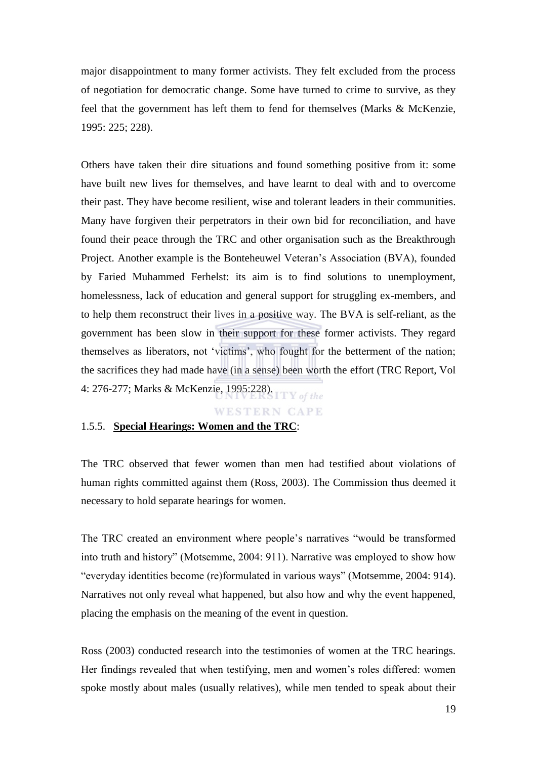major disappointment to many former activists. They felt excluded from the process of negotiation for democratic change. Some have turned to crime to survive, as they feel that the government has left them to fend for themselves (Marks & McKenzie, 1995: 225; 228).

Others have taken their dire situations and found something positive from it: some have built new lives for themselves, and have learnt to deal with and to overcome their past. They have become resilient, wise and tolerant leaders in their communities. Many have forgiven their perpetrators in their own bid for reconciliation, and have found their peace through the TRC and other organisation such as the Breakthrough Project. Another example is the Bonteheuwel Veteran's Association (BVA), founded by Faried Muhammed Ferhelst: its aim is to find solutions to unemployment, homelessness, lack of education and general support for struggling ex-members, and to help them reconstruct their lives in a positive way. The BVA is self-reliant, as the government has been slow in their support for these former activists. They regard themselves as liberators, not 'victims', who fought for the betterment of the nation; the sacrifices they had made have (in a sense) been worth the effort (TRC Report, Vol 4: 276-277; Marks & McKenzie, 1995:228).

#### **WESTERN CAPE**

#### <span id="page-27-0"></span>1.5.5. **Special Hearings: Women and the TRC**:

The TRC observed that fewer women than men had testified about violations of human rights committed against them (Ross, 2003). The Commission thus deemed it necessary to hold separate hearings for women.

The TRC created an environment where people's narratives "would be transformed into truth and history" (Motsemme, 2004: 911). Narrative was employed to show how "everyday identities become (re)formulated in various ways" (Motsemme, 2004: 914). Narratives not only reveal what happened, but also how and why the event happened, placing the emphasis on the meaning of the event in question.

Ross (2003) conducted research into the testimonies of women at the TRC hearings. Her findings revealed that when testifying, men and women's roles differed: women spoke mostly about males (usually relatives), while men tended to speak about their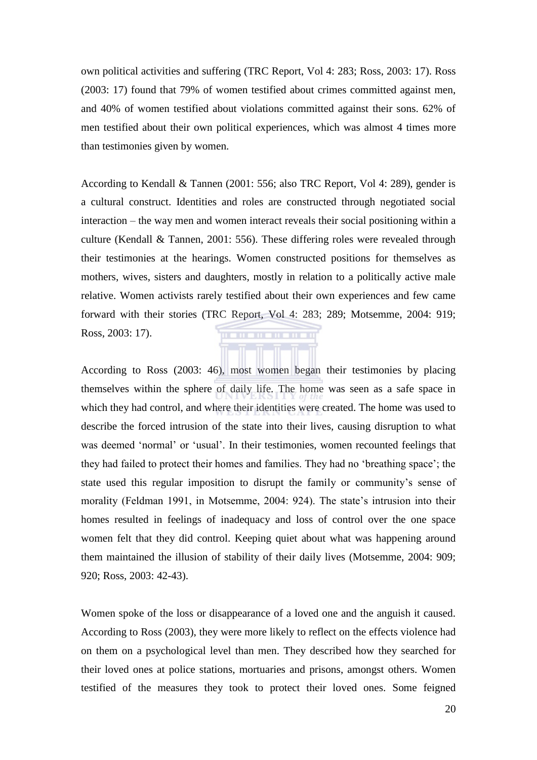own political activities and suffering (TRC Report, Vol 4: 283; Ross, 2003: 17). Ross (2003: 17) found that 79% of women testified about crimes committed against men, and 40% of women testified about violations committed against their sons. 62% of men testified about their own political experiences, which was almost 4 times more than testimonies given by women.

According to Kendall & Tannen (2001: 556; also TRC Report, Vol 4: 289), gender is a cultural construct. Identities and roles are constructed through negotiated social interaction – the way men and women interact reveals their social positioning within a culture (Kendall & Tannen, 2001: 556). These differing roles were revealed through their testimonies at the hearings. Women constructed positions for themselves as mothers, wives, sisters and daughters, mostly in relation to a politically active male relative. Women activists rarely testified about their own experiences and few came forward with their stories (TRC Report, Vol 4: 283; 289; Motsemme, 2004: 919; Ross, 2003: 17). **TITLE** 

According to Ross (2003: 46), most women began their testimonies by placing themselves within the sphere of daily life. The home was seen as a safe space in which they had control, and where their identities were created. The home was used to describe the forced intrusion of the state into their lives, causing disruption to what was deemed 'normal' or 'usual'. In their testimonies, women recounted feelings that they had failed to protect their homes and families. They had no 'breathing space'; the state used this regular imposition to disrupt the family or community's sense of morality (Feldman 1991, in Motsemme, 2004: 924). The state's intrusion into their homes resulted in feelings of inadequacy and loss of control over the one space women felt that they did control. Keeping quiet about what was happening around them maintained the illusion of stability of their daily lives (Motsemme, 2004: 909; 920; Ross, 2003: 42-43).

Women spoke of the loss or disappearance of a loved one and the anguish it caused. According to Ross (2003), they were more likely to reflect on the effects violence had on them on a psychological level than men. They described how they searched for their loved ones at police stations, mortuaries and prisons, amongst others. Women testified of the measures they took to protect their loved ones. Some feigned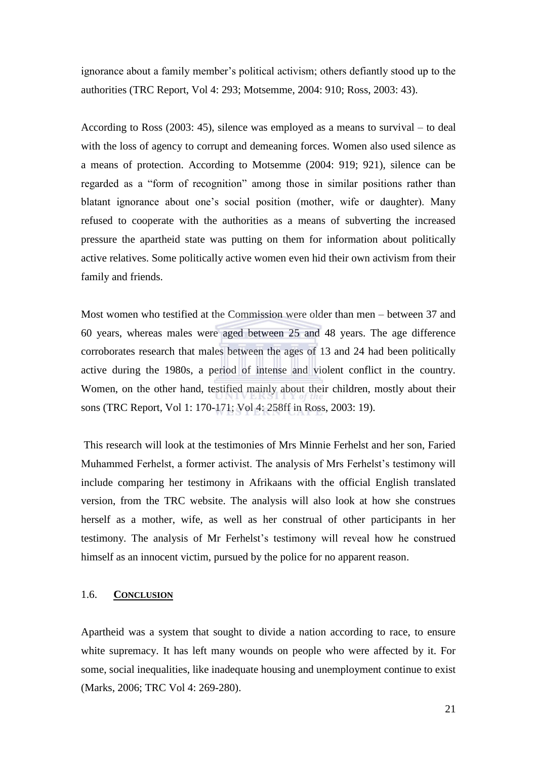ignorance about a family member's political activism; others defiantly stood up to the authorities (TRC Report, Vol 4: 293; Motsemme, 2004: 910; Ross, 2003: 43).

According to Ross (2003: 45), silence was employed as a means to survival – to deal with the loss of agency to corrupt and demeaning forces. Women also used silence as a means of protection. According to Motsemme (2004: 919; 921), silence can be regarded as a "form of recognition" among those in similar positions rather than blatant ignorance about one's social position (mother, wife or daughter). Many refused to cooperate with the authorities as a means of subverting the increased pressure the apartheid state was putting on them for information about politically active relatives. Some politically active women even hid their own activism from their family and friends.

Most women who testified at the Commission were older than men – between 37 and 60 years, whereas males were aged between 25 and 48 years. The age difference corroborates research that males between the ages of 13 and 24 had been politically active during the 1980s, a period of intense and violent conflict in the country. Women, on the other hand, testified mainly about their children, mostly about their sons (TRC Report, Vol 1: 170-171; Vol 4: 258ff in Ross, 2003: 19).

This research will look at the testimonies of Mrs Minnie Ferhelst and her son, Faried Muhammed Ferhelst, a former activist. The analysis of Mrs Ferhelst's testimony will include comparing her testimony in Afrikaans with the official English translated version, from the TRC website. The analysis will also look at how she construes herself as a mother, wife, as well as her construal of other participants in her testimony. The analysis of Mr Ferhelst's testimony will reveal how he construed himself as an innocent victim, pursued by the police for no apparent reason.

# <span id="page-29-0"></span>1.6. **CONCLUSION**

Apartheid was a system that sought to divide a nation according to race, to ensure white supremacy. It has left many wounds on people who were affected by it. For some, social inequalities, like inadequate housing and unemployment continue to exist (Marks, 2006; TRC Vol 4: 269-280).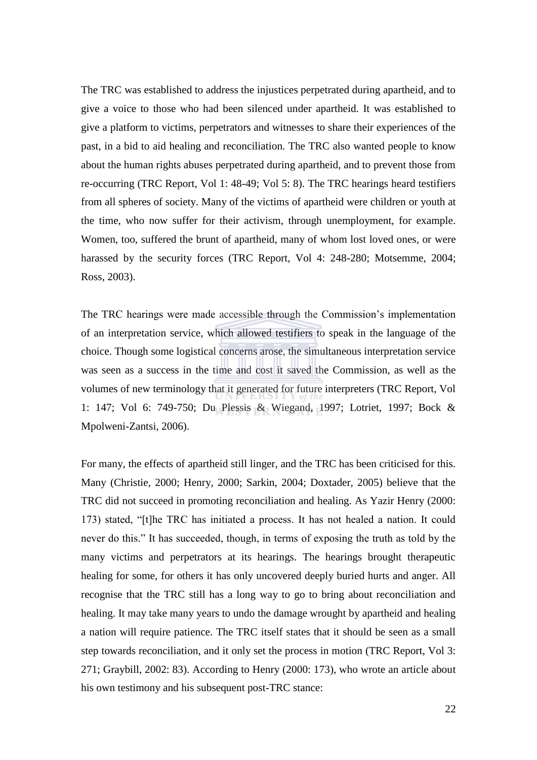The TRC was established to address the injustices perpetrated during apartheid, and to give a voice to those who had been silenced under apartheid. It was established to give a platform to victims, perpetrators and witnesses to share their experiences of the past, in a bid to aid healing and reconciliation. The TRC also wanted people to know about the human rights abuses perpetrated during apartheid, and to prevent those from re-occurring (TRC Report, Vol 1: 48-49; Vol 5: 8). The TRC hearings heard testifiers from all spheres of society. Many of the victims of apartheid were children or youth at the time, who now suffer for their activism, through unemployment, for example. Women, too, suffered the brunt of apartheid, many of whom lost loved ones, or were harassed by the security forces (TRC Report, Vol 4: 248-280; Motsemme, 2004; Ross, 2003).

The TRC hearings were made accessible through the Commission's implementation of an interpretation service, which allowed testifiers to speak in the language of the choice. Though some logistical concerns arose, the simultaneous interpretation service was seen as a success in the time and cost it saved the Commission, as well as the volumes of new terminology that it generated for future interpreters (TRC Report, Vol 1: 147; Vol 6: 749-750; Du Plessis & Wiegand, 1997; Lotriet, 1997; Bock & Mpolweni-Zantsi, 2006).

For many, the effects of apartheid still linger, and the TRC has been criticised for this. Many (Christie, 2000; Henry, 2000; Sarkin, 2004; Doxtader, 2005) believe that the TRC did not succeed in promoting reconciliation and healing. As Yazir Henry (2000: 173) stated, "[t]he TRC has initiated a process. It has not healed a nation. It could never do this." It has succeeded, though, in terms of exposing the truth as told by the many victims and perpetrators at its hearings. The hearings brought therapeutic healing for some, for others it has only uncovered deeply buried hurts and anger. All recognise that the TRC still has a long way to go to bring about reconciliation and healing. It may take many years to undo the damage wrought by apartheid and healing a nation will require patience. The TRC itself states that it should be seen as a small step towards reconciliation, and it only set the process in motion (TRC Report, Vol 3: 271; Graybill, 2002: 83). According to Henry (2000: 173), who wrote an article about his own testimony and his subsequent post-TRC stance: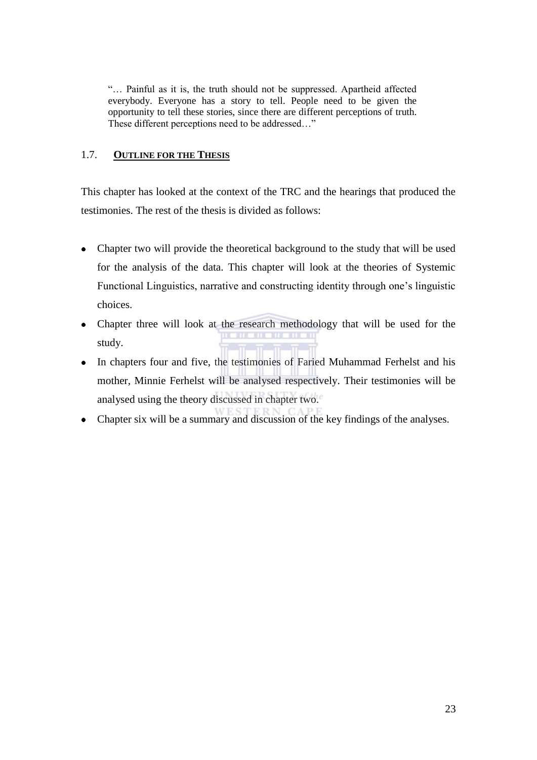―… Painful as it is, the truth should not be suppressed. Apartheid affected everybody. Everyone has a story to tell. People need to be given the opportunity to tell these stories, since there are different perceptions of truth. These different perceptions need to be addressed..."

# <span id="page-31-0"></span>1.7. **OUTLINE FOR THE THESIS**

This chapter has looked at the context of the TRC and the hearings that produced the testimonies. The rest of the thesis is divided as follows:

- Chapter two will provide the theoretical background to the study that will be used for the analysis of the data. This chapter will look at the theories of Systemic Functional Linguistics, narrative and constructing identity through one's linguistic choices.
- Chapter three will look at the research methodology that will be used for the **T 11** study.
- $\bullet$ In chapters four and five, the testimonies of Faried Muhammad Ferhelst and his mother, Minnie Ferhelst will be analysed respectively. Their testimonies will be analysed using the theory discussed in chapter two.
- Chapter six will be a summary and discussion of the key findings of the analyses.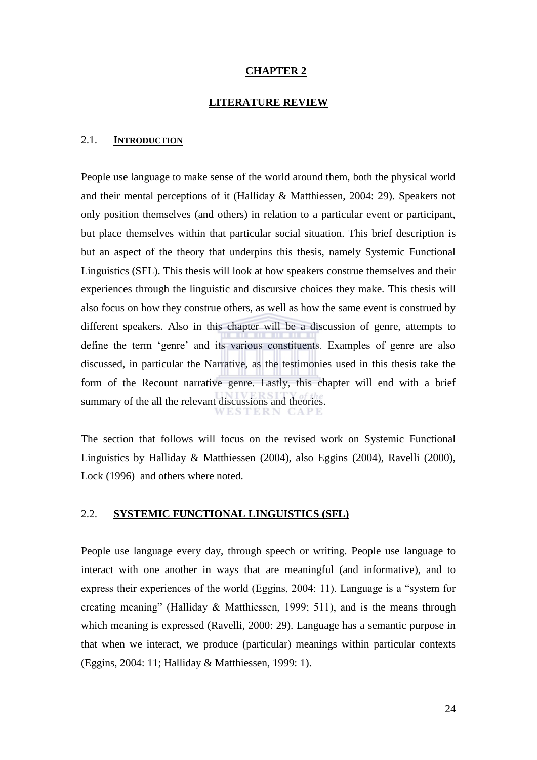#### **CHAPTER 2**

#### **LITERATURE REVIEW**

#### <span id="page-32-1"></span><span id="page-32-0"></span>2.1. **INTRODUCTION**

People use language to make sense of the world around them, both the physical world and their mental perceptions of it (Halliday & Matthiessen, 2004: 29). Speakers not only position themselves (and others) in relation to a particular event or participant, but place themselves within that particular social situation. This brief description is but an aspect of the theory that underpins this thesis, namely Systemic Functional Linguistics (SFL). This thesis will look at how speakers construe themselves and their experiences through the linguistic and discursive choices they make. This thesis will also focus on how they construe others, as well as how the same event is construed by different speakers. Also in this chapter will be a discussion of genre, attempts to define the term 'genre' and its various constituents. Examples of genre are also discussed, in particular the Narrative, as the testimonies used in this thesis take the form of the Recount narrative genre. Lastly, this chapter will end with a brief summary of the all the relevant discussions and theories.

The section that follows will focus on the revised work on Systemic Functional Linguistics by Halliday & Matthiessen (2004), also Eggins (2004), Ravelli (2000), Lock (1996) and others where noted.

# <span id="page-32-2"></span>2.2. **SYSTEMIC FUNCTIONAL LINGUISTICS (SFL)**

People use language every day, through speech or writing. People use language to interact with one another in ways that are meaningful (and informative), and to express their experiences of the world (Eggins,  $2004$ : 11). Language is a "system for creating meaning" (Halliday & Matthiessen, 1999; 511), and is the means through which meaning is expressed (Ravelli, 2000: 29). Language has a semantic purpose in that when we interact, we produce (particular) meanings within particular contexts (Eggins, 2004: 11; Halliday & Matthiessen, 1999: 1).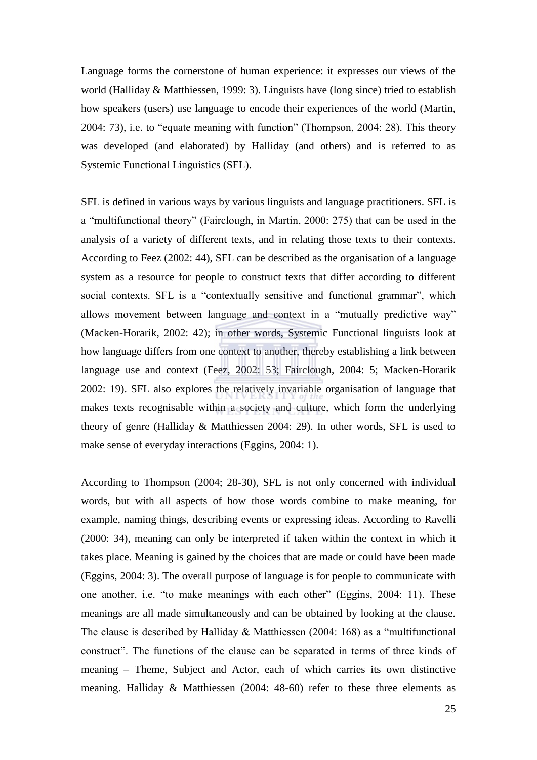Language forms the cornerstone of human experience: it expresses our views of the world (Halliday & Matthiessen, 1999: 3). Linguists have (long since) tried to establish how speakers (users) use language to encode their experiences of the world (Martin,  $2004: 73$ ), i.e. to "equate meaning with function" (Thompson,  $2004: 28$ ). This theory was developed (and elaborated) by Halliday (and others) and is referred to as Systemic Functional Linguistics (SFL).

SFL is defined in various ways by various linguists and language practitioners. SFL is a "multifunctional theory" (Fairclough, in Martin, 2000: 275) that can be used in the analysis of a variety of different texts, and in relating those texts to their contexts. According to Feez (2002: 44), SFL can be described as the organisation of a language system as a resource for people to construct texts that differ according to different social contexts. SFL is a "contextually sensitive and functional grammar", which allows movement between language and context in a "mutually predictive way" (Macken-Horarik, 2002: 42); in other words, Systemic Functional linguists look at how language differs from one context to another, thereby establishing a link between language use and context (Feez, 2002: 53; Fairclough, 2004: 5; Macken-Horarik 2002: 19). SFL also explores the relatively invariable organisation of language that makes texts recognisable within a society and culture, which form the underlying theory of genre (Halliday & Matthiessen 2004: 29). In other words, SFL is used to make sense of everyday interactions (Eggins, 2004: 1).

According to Thompson (2004; 28-30), SFL is not only concerned with individual words, but with all aspects of how those words combine to make meaning, for example, naming things, describing events or expressing ideas. According to Ravelli (2000: 34), meaning can only be interpreted if taken within the context in which it takes place. Meaning is gained by the choices that are made or could have been made (Eggins, 2004: 3). The overall purpose of language is for people to communicate with one another, i.e. "to make meanings with each other" (Eggins, 2004: 11). These meanings are all made simultaneously and can be obtained by looking at the clause. The clause is described by Halliday  $& \text{Mathiessen (2004: 168)}$  as a "multifunctional" construct‖. The functions of the clause can be separated in terms of three kinds of meaning – Theme, Subject and Actor, each of which carries its own distinctive meaning. Halliday & Matthiessen (2004: 48-60) refer to these three elements as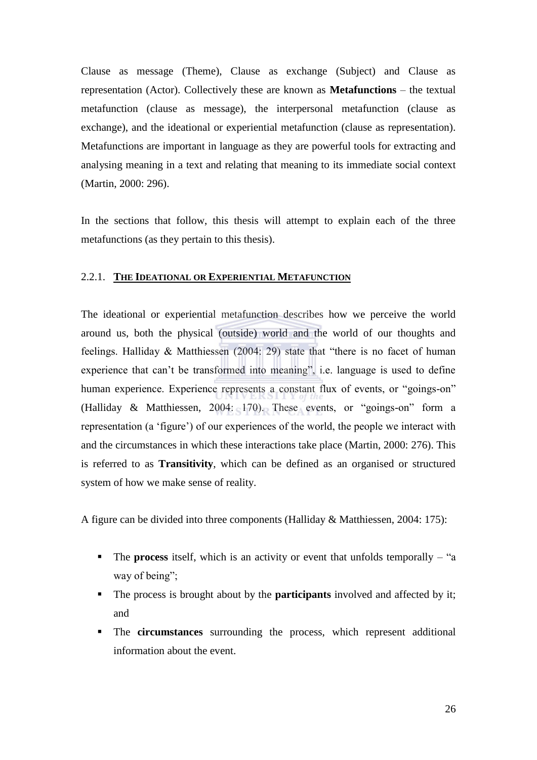Clause as message (Theme), Clause as exchange (Subject) and Clause as representation (Actor). Collectively these are known as **Metafunctions** – the textual metafunction (clause as message), the interpersonal metafunction (clause as exchange), and the ideational or experiential metafunction (clause as representation). Metafunctions are important in language as they are powerful tools for extracting and analysing meaning in a text and relating that meaning to its immediate social context (Martin, 2000: 296).

In the sections that follow, this thesis will attempt to explain each of the three metafunctions (as they pertain to this thesis).

#### <span id="page-34-0"></span>2.2.1. **THE IDEATIONAL OR EXPERIENTIAL METAFUNCTION**

The ideational or experiential metafunction describes how we perceive the world around us, both the physical (outside) world and the world of our thoughts and feelings. Halliday  $& \text{Mathiessen (2004: 29)}$  state that "there is no facet of human experience that can't be transformed into meaning", i.e. language is used to define human experience. Experience represents a constant flux of events, or "goings-on" (Halliday & Matthiessen, 2004: 170). These events, or "goings-on" form a representation (a 'figure') of our experiences of the world, the people we interact with and the circumstances in which these interactions take place (Martin, 2000: 276). This is referred to as **Transitivity**, which can be defined as an organised or structured system of how we make sense of reality.

A figure can be divided into three components (Halliday & Matthiessen, 2004: 175):

- The **process** itself, which is an activity or event that unfolds temporally "a way of being";
- The process is brought about by the **participants** involved and affected by it; and
- The **circumstances** surrounding the process, which represent additional information about the event.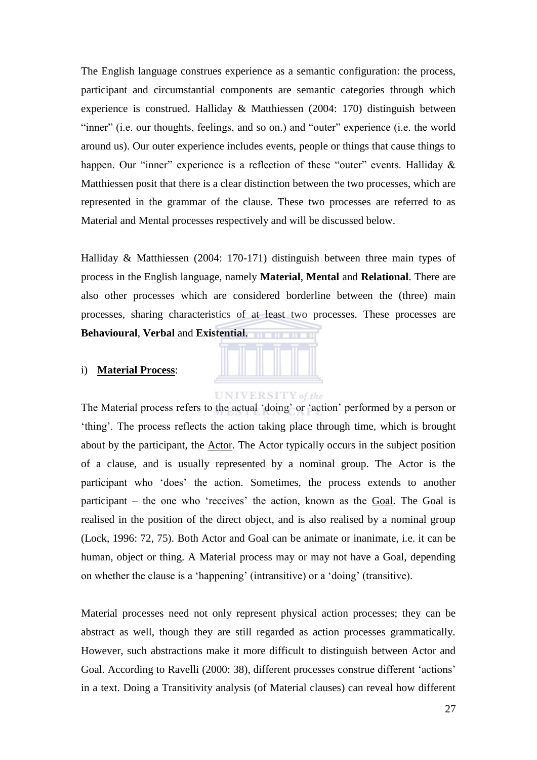The English language construes experience as a semantic configuration: the process, participant and circumstantial components are semantic categories through which experience is construed. Halliday & Matthiessen (2004: 170) distinguish between "inner" (i.e. our thoughts, feelings, and so on.) and "outer" experience (i.e. the world around us). Our outer experience includes events, people or things that cause things to happen. Our "inner" experience is a reflection of these "outer" events. Halliday  $\&$ Matthiessen posit that there is a clear distinction between the two processes, which are represented in the grammar of the clause. These two processes are referred to as Material and Mental processes respectively and will be discussed below.

Halliday & Matthiessen (2004: 170-171) distinguish between three main types of process in the English language, namely **Material**, **Mental** and **Relational**. There are also other processes which are considered borderline between the (three) main processes, sharing characteristics of at least two processes. These processes are **Behavioural**, **Verbal** and **Existential**.

#### <span id="page-35-0"></span>i) **Material Process**:



# **UNIVERSITY** of the

The Material process refers to the actual 'doing' or 'action' performed by a person or ‗thing'. The process reflects the action taking place through time, which is brought about by the participant, the Actor. The Actor typically occurs in the subject position of a clause, and is usually represented by a nominal group. The Actor is the participant who 'does' the action. Sometimes, the process extends to another participant – the one who 'receives' the action, known as the Goal. The Goal is realised in the position of the direct object, and is also realised by a nominal group (Lock, 1996: 72, 75). Both Actor and Goal can be animate or inanimate, i.e. it can be human, object or thing. A Material process may or may not have a Goal, depending on whether the clause is a ‗happening' (intransitive) or a ‗doing' (transitive).

Material processes need not only represent physical action processes; they can be abstract as well, though they are still regarded as action processes grammatically. However, such abstractions make it more difficult to distinguish between Actor and Goal. According to Ravelli (2000: 38), different processes construe different ‗actions' in a text. Doing a Transitivity analysis (of Material clauses) can reveal how different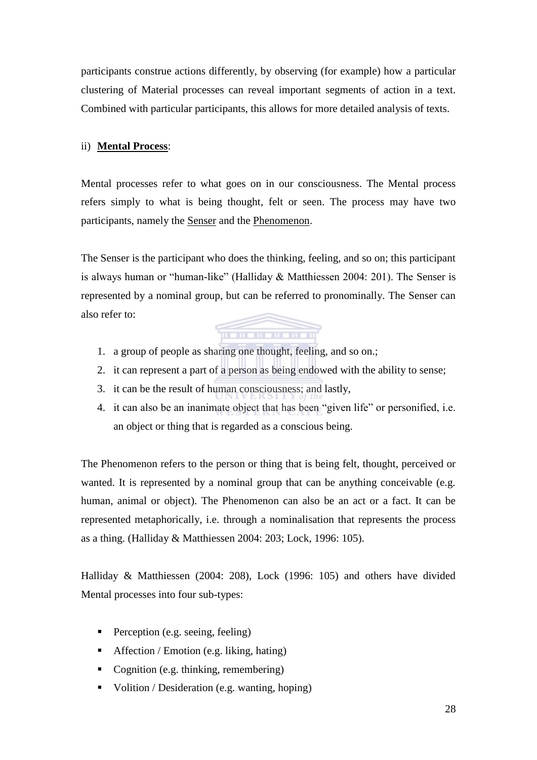participants construe actions differently, by observing (for example) how a particular clustering of Material processes can reveal important segments of action in a text. Combined with particular participants, this allows for more detailed analysis of texts.

## ii) **Mental Process**:

Mental processes refer to what goes on in our consciousness. The Mental process refers simply to what is being thought, felt or seen. The process may have two participants, namely the Senser and the Phenomenon.

The Senser is the participant who does the thinking, feeling, and so on; this participant is always human or "human-like" (Halliday  $&$  Matthiessen 2004: 201). The Senser is represented by a nominal group, but can be referred to pronominally. The Senser can also refer to:

<u> Alban Maria III a Ba</u>

- 1. a group of people as sharing one thought, feeling, and so on.;
- 2. it can represent a part of a person as being endowed with the ability to sense;
- 3. it can be the result of human consciousness; and lastly,
- 4. it can also be an inanimate object that has been "given life" or personified, i.e. an object or thing that is regarded as a conscious being.

The Phenomenon refers to the person or thing that is being felt, thought, perceived or wanted. It is represented by a nominal group that can be anything conceivable (e.g. human, animal or object). The Phenomenon can also be an act or a fact. It can be represented metaphorically, i.e. through a nominalisation that represents the process as a thing. (Halliday & Matthiessen 2004: 203; Lock, 1996: 105).

Halliday & Matthiessen (2004: 208), Lock (1996: 105) and others have divided Mental processes into four sub-types:

- Perception (e.g. seeing, feeling)
- Affection / Emotion (e.g. liking, hating)
- Cognition (e.g. thinking, remembering)
- Volition / Desideration (e.g. wanting, hoping)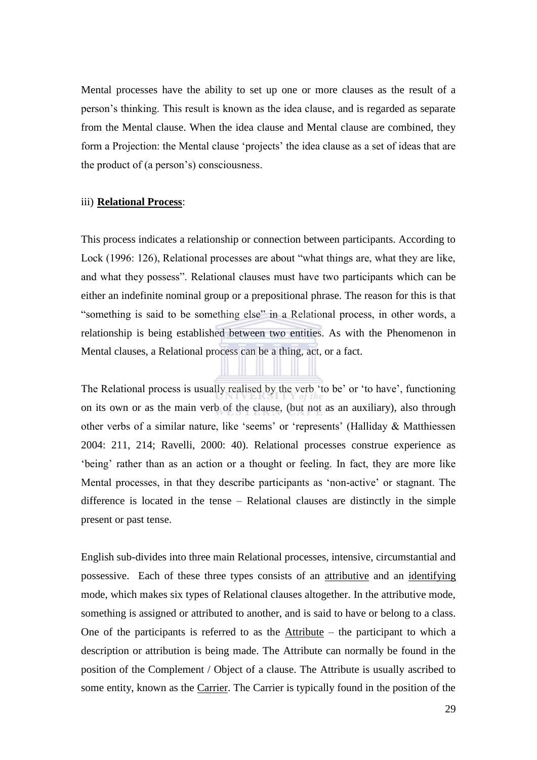Mental processes have the ability to set up one or more clauses as the result of a person's thinking. This result is known as the idea clause, and is regarded as separate from the Mental clause. When the idea clause and Mental clause are combined, they form a Projection: the Mental clause 'projects' the idea clause as a set of ideas that are the product of (a person's) consciousness.

#### iii) **Relational Process**:

This process indicates a relationship or connection between participants. According to Lock (1996: 126), Relational processes are about "what things are, what they are like, and what they possess". Relational clauses must have two participants which can be either an indefinite nominal group or a prepositional phrase. The reason for this is that "something is said to be something else" in a Relational process, in other words, a relationship is being established between two entities. As with the Phenomenon in Mental clauses, a Relational process can be a thing, act, or a fact.

The Relational process is usually realised by the verb 'to be' or 'to have', functioning on its own or as the main verb of the clause, (but not as an auxiliary), also through other verbs of a similar nature, like 'seems' or 'represents' (Halliday & Matthiessen 2004: 211, 214; Ravelli, 2000: 40). Relational processes construe experience as ‗being' rather than as an action or a thought or feeling. In fact, they are more like Mental processes, in that they describe participants as 'non-active' or stagnant. The difference is located in the tense – Relational clauses are distinctly in the simple present or past tense.

English sub-divides into three main Relational processes, intensive, circumstantial and possessive. Each of these three types consists of an attributive and an identifying mode, which makes six types of Relational clauses altogether. In the attributive mode, something is assigned or attributed to another, and is said to have or belong to a class. One of the participants is referred to as the  $\Delta$ ttribute – the participant to which a description or attribution is being made. The Attribute can normally be found in the position of the Complement / Object of a clause. The Attribute is usually ascribed to some entity, known as the Carrier. The Carrier is typically found in the position of the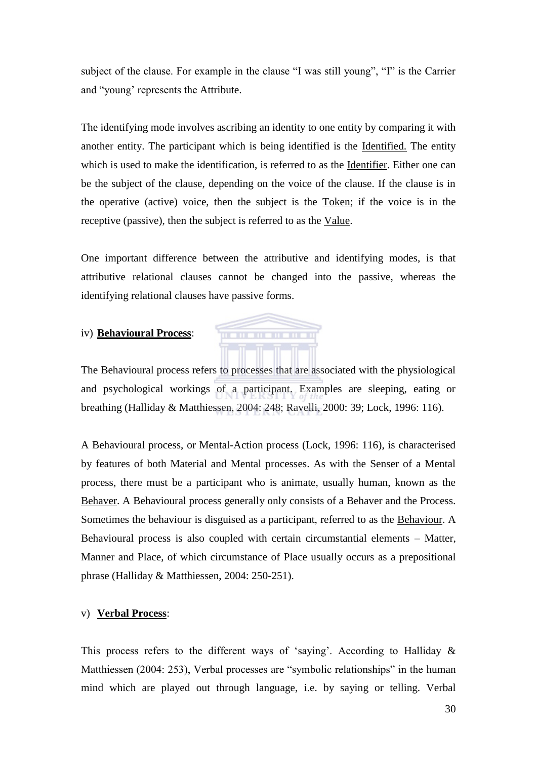subject of the clause. For example in the clause "I was still young", "I" is the Carrier and "young" represents the Attribute.

The identifying mode involves ascribing an identity to one entity by comparing it with another entity. The participant which is being identified is the Identified. The entity which is used to make the identification, is referred to as the Identifier. Either one can be the subject of the clause, depending on the voice of the clause. If the clause is in the operative (active) voice, then the subject is the Token; if the voice is in the receptive (passive), then the subject is referred to as the Value.

One important difference between the attributive and identifying modes, is that attributive relational clauses cannot be changed into the passive, whereas the identifying relational clauses have passive forms.

#### iv) **Behavioural Process**:

The Behavioural process refers to processes that are associated with the physiological and psychological workings of a participant. Examples are sleeping, eating or breathing (Halliday & Matthiessen, 2004: 248; Ravelli, 2000: 39; Lock, 1996: 116).

A Behavioural process, or Mental-Action process (Lock, 1996: 116), is characterised by features of both Material and Mental processes. As with the Senser of a Mental process, there must be a participant who is animate, usually human, known as the Behaver. A Behavioural process generally only consists of a Behaver and the Process. Sometimes the behaviour is disguised as a participant, referred to as the Behaviour. A Behavioural process is also coupled with certain circumstantial elements – Matter, Manner and Place, of which circumstance of Place usually occurs as a prepositional phrase (Halliday & Matthiessen, 2004: 250-251).

#### v) **Verbal Process**:

This process refers to the different ways of 'saying'. According to Halliday  $\&$ Matthiessen (2004: 253), Verbal processes are "symbolic relationships" in the human mind which are played out through language, i.e. by saying or telling. Verbal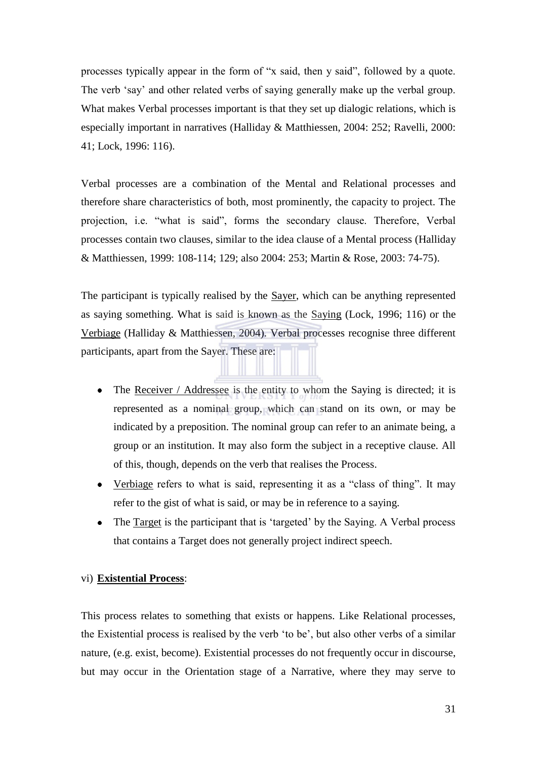processes typically appear in the form of "x said, then y said", followed by a quote. The verb 'say' and other related verbs of saying generally make up the verbal group. What makes Verbal processes important is that they set up dialogic relations, which is especially important in narratives (Halliday & Matthiessen, 2004: 252; Ravelli, 2000: 41; Lock, 1996: 116).

Verbal processes are a combination of the Mental and Relational processes and therefore share characteristics of both, most prominently, the capacity to project. The projection, i.e. "what is said", forms the secondary clause. Therefore, Verbal processes contain two clauses, similar to the idea clause of a Mental process (Halliday & Matthiessen, 1999: 108-114; 129; also 2004: 253; Martin & Rose, 2003: 74-75).

The participant is typically realised by the Sayer, which can be anything represented as saying something. What is said is known as the Saying (Lock, 1996; 116) or the Verbiage (Halliday & Matthiessen, 2004). Verbal processes recognise three different participants, apart from the Sayer. These are:

- The Receiver / Addressee is the entity to whom the Saying is directed; it is  $\bullet$ represented as a nominal group, which can stand on its own, or may be indicated by a preposition. The nominal group can refer to an animate being, a group or an institution. It may also form the subject in a receptive clause. All of this, though, depends on the verb that realises the Process.
- Verbiage refers to what is said, representing it as a "class of thing". It may  $\bullet$ refer to the gist of what is said, or may be in reference to a saying.
- $\bullet$ The Target is the participant that is 'targeted' by the Saying. A Verbal process that contains a Target does not generally project indirect speech.

## vi) **Existential Process**:

This process relates to something that exists or happens. Like Relational processes, the Existential process is realised by the verb 'to be', but also other verbs of a similar nature, (e.g. exist, become). Existential processes do not frequently occur in discourse, but may occur in the Orientation stage of a Narrative, where they may serve to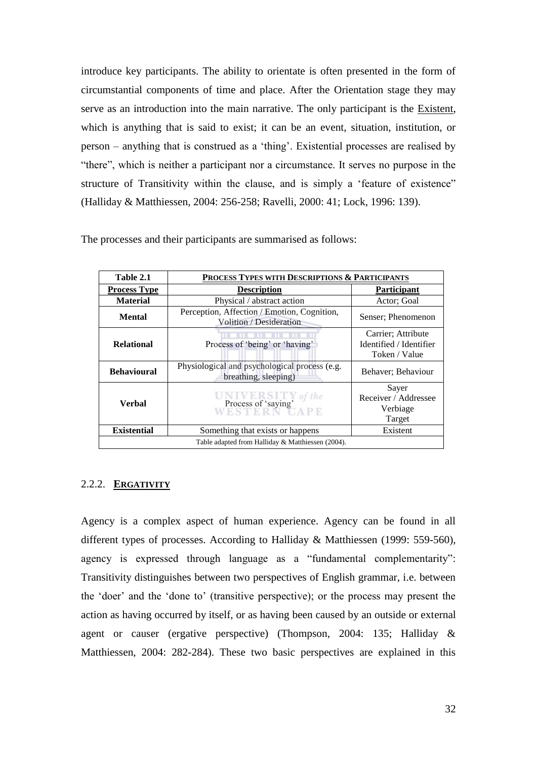introduce key participants. The ability to orientate is often presented in the form of circumstantial components of time and place. After the Orientation stage they may serve as an introduction into the main narrative. The only participant is the Existent, which is anything that is said to exist; it can be an event, situation, institution, or  $person - anything that is constructed as a 'thing'. Existential processes are realised by$ "there", which is neither a participant nor a circumstance. It serves no purpose in the structure of Transitivity within the clause, and is simply a 'feature of existence" (Halliday & Matthiessen, 2004: 256-258; Ravelli, 2000: 41; Lock, 1996: 139).

The processes and their participants are summarised as follows:

| Table 2.1                                                          | PROCESS TYPES WITH DESCRIPTIONS & PARTICIPANTS                         |                                                                |  |  |  |  |
|--------------------------------------------------------------------|------------------------------------------------------------------------|----------------------------------------------------------------|--|--|--|--|
| <b>Process Type</b>                                                | <b>Description</b><br><b>Participant</b>                               |                                                                |  |  |  |  |
| <b>Material</b>                                                    | Physical / abstract action                                             | Actor: Goal                                                    |  |  |  |  |
| <b>Mental</b>                                                      | Perception, Affection / Emotion, Cognition,<br>Volition / Desideration | Senser: Phenomenon                                             |  |  |  |  |
| <b>Relational</b>                                                  | Process of 'being' or 'having'                                         | Carrier; Attribute<br>Identified / Identifier<br>Token / Value |  |  |  |  |
| <b>Behavioural</b>                                                 | Physiological and psychological process (e.g.<br>breathing, sleeping)  | Behaver; Behaviour                                             |  |  |  |  |
| Verbal                                                             | Process of 'saying'                                                    | Sayer<br>Receiver / Addressee<br>Verbiage<br>Target            |  |  |  |  |
| <b>Existential</b><br>Something that exists or happens<br>Existent |                                                                        |                                                                |  |  |  |  |
| Table adapted from Halliday & Matthiessen (2004).                  |                                                                        |                                                                |  |  |  |  |

## 2.2.2. **ERGATIVITY**

Agency is a complex aspect of human experience. Agency can be found in all different types of processes. According to Halliday & Matthiessen (1999: 559-560), agency is expressed through language as a "fundamental complementarity": Transitivity distinguishes between two perspectives of English grammar, i.e. between the 'doer' and the 'done to' (transitive perspective); or the process may present the action as having occurred by itself, or as having been caused by an outside or external agent or causer (ergative perspective) (Thompson, 2004: 135; Halliday & Matthiessen, 2004: 282-284). These two basic perspectives are explained in this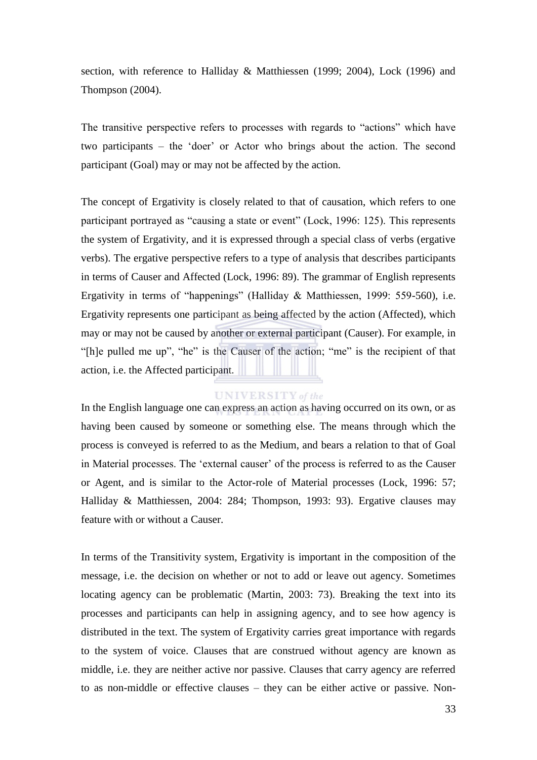section, with reference to Halliday & Matthiessen (1999; 2004), Lock (1996) and Thompson (2004).

The transitive perspective refers to processes with regards to "actions" which have two participants – the 'doer' or Actor who brings about the action. The second participant (Goal) may or may not be affected by the action.

The concept of Ergativity is closely related to that of causation, which refers to one participant portrayed as "causing a state or event" (Lock, 1996: 125). This represents the system of Ergativity, and it is expressed through a special class of verbs (ergative verbs). The ergative perspective refers to a type of analysis that describes participants in terms of Causer and Affected (Lock, 1996: 89). The grammar of English represents Ergativity in terms of "happenings" (Halliday & Matthiessen, 1999: 559-560), i.e. Ergativity represents one participant as being affected by the action (Affected), which may or may not be caused by another or external participant (Causer). For example, in "The pulled me up", "he" is the Causer of the action; "me" is the recipient of that action, i.e. the Affected participant.

## **UNIVERSITY** of the

In the English language one can express an action as having occurred on its own, or as having been caused by someone or something else. The means through which the process is conveyed is referred to as the Medium, and bears a relation to that of Goal in Material processes. The 'external causer' of the process is referred to as the Causer or Agent, and is similar to the Actor-role of Material processes (Lock, 1996: 57; Halliday & Matthiessen, 2004: 284; Thompson, 1993: 93). Ergative clauses may feature with or without a Causer.

In terms of the Transitivity system, Ergativity is important in the composition of the message, i.e. the decision on whether or not to add or leave out agency. Sometimes locating agency can be problematic (Martin, 2003: 73). Breaking the text into its processes and participants can help in assigning agency, and to see how agency is distributed in the text. The system of Ergativity carries great importance with regards to the system of voice. Clauses that are construed without agency are known as middle, i.e. they are neither active nor passive. Clauses that carry agency are referred to as non-middle or effective clauses – they can be either active or passive. Non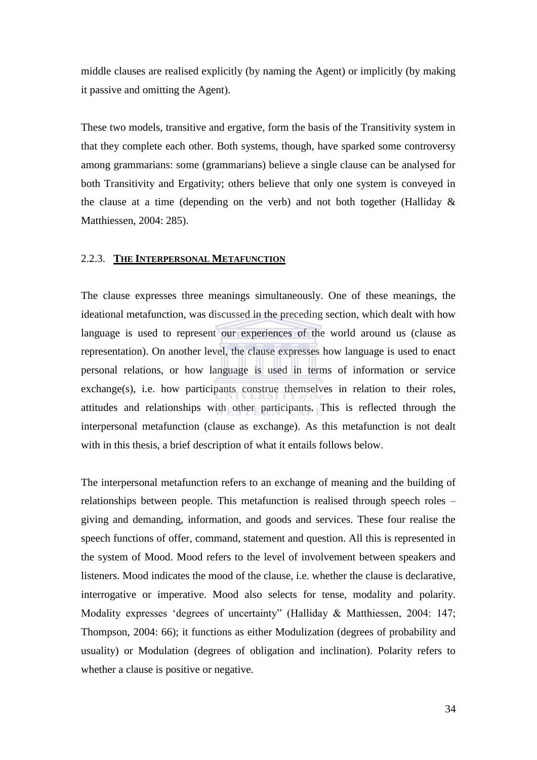middle clauses are realised explicitly (by naming the Agent) or implicitly (by making it passive and omitting the Agent).

These two models, transitive and ergative, form the basis of the Transitivity system in that they complete each other. Both systems, though, have sparked some controversy among grammarians: some (grammarians) believe a single clause can be analysed for both Transitivity and Ergativity; others believe that only one system is conveyed in the clause at a time (depending on the verb) and not both together (Halliday  $\&$ Matthiessen, 2004: 285).

#### 2.2.3. **THE INTERPERSONAL METAFUNCTION**

The clause expresses three meanings simultaneously. One of these meanings, the ideational metafunction, was discussed in the preceding section, which dealt with how language is used to represent our experiences of the world around us (clause as representation). On another level, the clause expresses how language is used to enact personal relations, or how language is used in terms of information or service exchange(s), i.e. how participants construe themselves in relation to their roles, attitudes and relationships with other participants. This is reflected through the interpersonal metafunction (clause as exchange). As this metafunction is not dealt with in this thesis, a brief description of what it entails follows below.

The interpersonal metafunction refers to an exchange of meaning and the building of relationships between people. This metafunction is realised through speech roles – giving and demanding, information, and goods and services. These four realise the speech functions of offer, command, statement and question. All this is represented in the system of Mood. Mood refers to the level of involvement between speakers and listeners. Mood indicates the mood of the clause, i.e. whether the clause is declarative, interrogative or imperative. Mood also selects for tense, modality and polarity. Modality expresses 'degrees of uncertainty' (Halliday & Matthiessen, 2004: 147; Thompson, 2004: 66); it functions as either Modulization (degrees of probability and usuality) or Modulation (degrees of obligation and inclination). Polarity refers to whether a clause is positive or negative.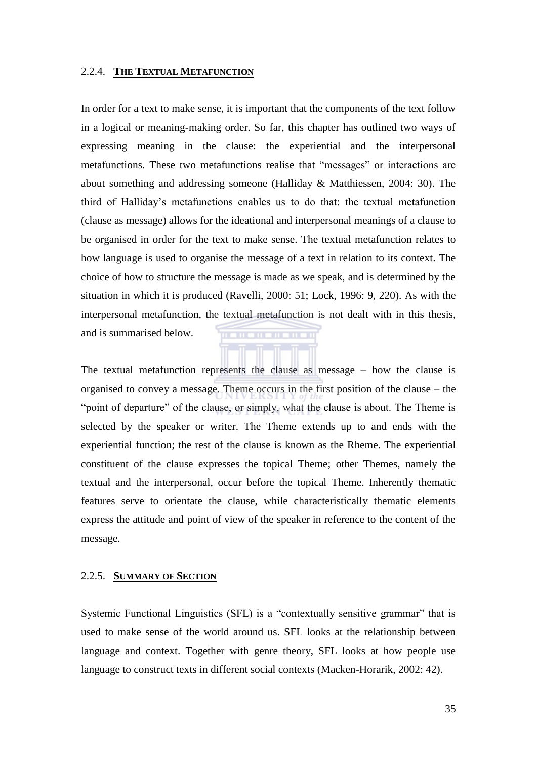#### 2.2.4. **THE TEXTUAL METAFUNCTION**

In order for a text to make sense, it is important that the components of the text follow in a logical or meaning-making order. So far, this chapter has outlined two ways of expressing meaning in the clause: the experiential and the interpersonal metafunctions. These two metafunctions realise that "messages" or interactions are about something and addressing someone (Halliday & Matthiessen, 2004: 30). The third of Halliday's metafunctions enables us to do that: the textual metafunction (clause as message) allows for the ideational and interpersonal meanings of a clause to be organised in order for the text to make sense. The textual metafunction relates to how language is used to organise the message of a text in relation to its context. The choice of how to structure the message is made as we speak, and is determined by the situation in which it is produced (Ravelli, 2000: 51; Lock, 1996: 9, 220). As with the interpersonal metafunction, the textual metafunction is not dealt with in this thesis, and is summarised below. . . . . . . . . . . .

The textual metafunction represents the clause as message – how the clause is organised to convey a message. Theme occurs in the first position of the clause – the "point of departure" of the clause, or simply, what the clause is about. The Theme is selected by the speaker or writer. The Theme extends up to and ends with the experiential function; the rest of the clause is known as the Rheme. The experiential constituent of the clause expresses the topical Theme; other Themes, namely the textual and the interpersonal, occur before the topical Theme. Inherently thematic features serve to orientate the clause, while characteristically thematic elements express the attitude and point of view of the speaker in reference to the content of the message.

#### 2.2.5. **SUMMARY OF SECTION**

Systemic Functional Linguistics (SFL) is a "contextually sensitive grammar" that is used to make sense of the world around us. SFL looks at the relationship between language and context. Together with genre theory, SFL looks at how people use language to construct texts in different social contexts (Macken-Horarik, 2002: 42).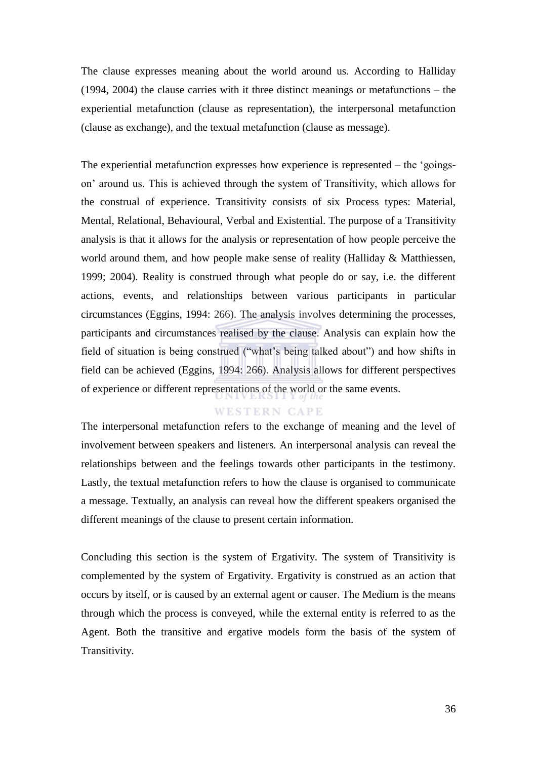The clause expresses meaning about the world around us. According to Halliday (1994, 2004) the clause carries with it three distinct meanings or metafunctions – the experiential metafunction (clause as representation), the interpersonal metafunction (clause as exchange), and the textual metafunction (clause as message).

The experiential metafunction expresses how experience is represented  $-$  the  $^{\circ}$ goingson' around us. This is achieved through the system of Transitivity, which allows for the construal of experience. Transitivity consists of six Process types: Material, Mental, Relational, Behavioural, Verbal and Existential. The purpose of a Transitivity analysis is that it allows for the analysis or representation of how people perceive the world around them, and how people make sense of reality (Halliday & Matthiessen, 1999; 2004). Reality is construed through what people do or say, i.e. the different actions, events, and relationships between various participants in particular circumstances (Eggins, 1994: 266). The analysis involves determining the processes, participants and circumstances realised by the clause. Analysis can explain how the field of situation is being construed ("what's being talked about") and how shifts in field can be achieved (Eggins, 1994: 266). Analysis allows for different perspectives of experience or different representations of the world or the same events.

#### **WESTERN CAPE**

The interpersonal metafunction refers to the exchange of meaning and the level of involvement between speakers and listeners. An interpersonal analysis can reveal the relationships between and the feelings towards other participants in the testimony. Lastly, the textual metafunction refers to how the clause is organised to communicate a message. Textually, an analysis can reveal how the different speakers organised the different meanings of the clause to present certain information.

Concluding this section is the system of Ergativity. The system of Transitivity is complemented by the system of Ergativity. Ergativity is construed as an action that occurs by itself, or is caused by an external agent or causer. The Medium is the means through which the process is conveyed, while the external entity is referred to as the Agent. Both the transitive and ergative models form the basis of the system of Transitivity.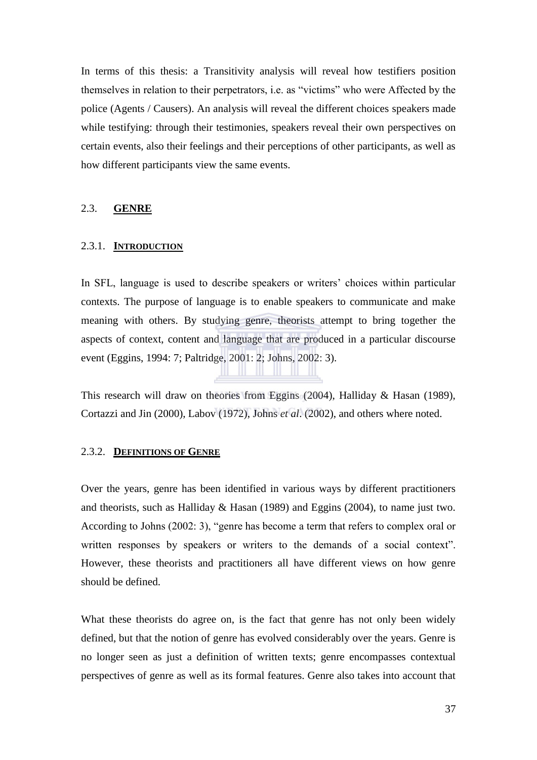In terms of this thesis: a Transitivity analysis will reveal how testifiers position themselves in relation to their perpetrators, *i.e.* as "victims" who were Affected by the police (Agents / Causers). An analysis will reveal the different choices speakers made while testifying: through their testimonies, speakers reveal their own perspectives on certain events, also their feelings and their perceptions of other participants, as well as how different participants view the same events.

#### 2.3. **GENRE**

#### 2.3.1. **INTRODUCTION**

In SFL, language is used to describe speakers or writers' choices within particular contexts. The purpose of language is to enable speakers to communicate and make meaning with others. By studying genre, theorists attempt to bring together the aspects of context, content and language that are produced in a particular discourse event (Eggins, 1994: 7; Paltridge, 2001: 2; Johns, 2002: 3).

This research will draw on theories from Eggins (2004), Halliday & Hasan (1989), Cortazzi and Jin (2000), Labov (1972), Johns *et al*. (2002), and others where noted.

#### 2.3.2. **DEFINITIONS OF GENRE**

Over the years, genre has been identified in various ways by different practitioners and theorists, such as Halliday & Hasan (1989) and Eggins (2004), to name just two. According to Johns (2002: 3), "genre has become a term that refers to complex oral or written responses by speakers or writers to the demands of a social context". However, these theorists and practitioners all have different views on how genre should be defined.

What these theorists do agree on, is the fact that genre has not only been widely defined, but that the notion of genre has evolved considerably over the years. Genre is no longer seen as just a definition of written texts; genre encompasses contextual perspectives of genre as well as its formal features. Genre also takes into account that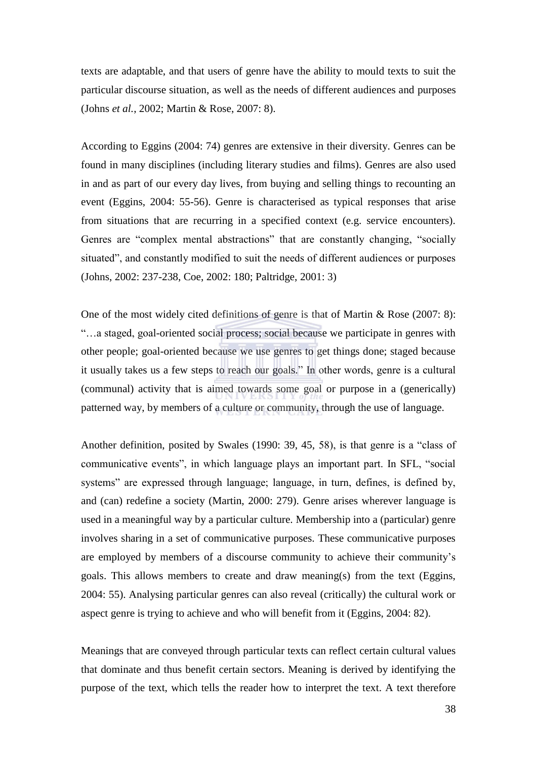texts are adaptable, and that users of genre have the ability to mould texts to suit the particular discourse situation, as well as the needs of different audiences and purposes (Johns *et al.*, 2002; Martin & Rose, 2007: 8).

According to Eggins (2004: 74) genres are extensive in their diversity. Genres can be found in many disciplines (including literary studies and films). Genres are also used in and as part of our every day lives, from buying and selling things to recounting an event (Eggins, 2004: 55-56). Genre is characterised as typical responses that arise from situations that are recurring in a specified context (e.g. service encounters). Genres are "complex mental abstractions" that are constantly changing, "socially situated", and constantly modified to suit the needs of different audiences or purposes (Johns, 2002: 237-238, Coe, 2002: 180; Paltridge, 2001: 3)

One of the most widely cited definitions of genre is that of Martin & Rose  $(2007: 8)$ : ―…a staged, goal-oriented social process; social because we participate in genres with other people; goal-oriented because we use genres to get things done; staged because it usually takes us a few steps to reach our goals." In other words, genre is a cultural (communal) activity that is aimed towards some goal or purpose in a (generically) patterned way, by members of a culture or community, through the use of language.

Another definition, posited by Swales  $(1990: 39, 45, 58)$ , is that genre is a "class of communicative events", in which language plays an important part. In SFL, "social systems" are expressed through language; language, in turn, defines, is defined by, and (can) redefine a society (Martin, 2000: 279). Genre arises wherever language is used in a meaningful way by a particular culture. Membership into a (particular) genre involves sharing in a set of communicative purposes. These communicative purposes are employed by members of a discourse community to achieve their community's goals. This allows members to create and draw meaning(s) from the text (Eggins, 2004: 55). Analysing particular genres can also reveal (critically) the cultural work or aspect genre is trying to achieve and who will benefit from it (Eggins, 2004: 82).

Meanings that are conveyed through particular texts can reflect certain cultural values that dominate and thus benefit certain sectors. Meaning is derived by identifying the purpose of the text, which tells the reader how to interpret the text. A text therefore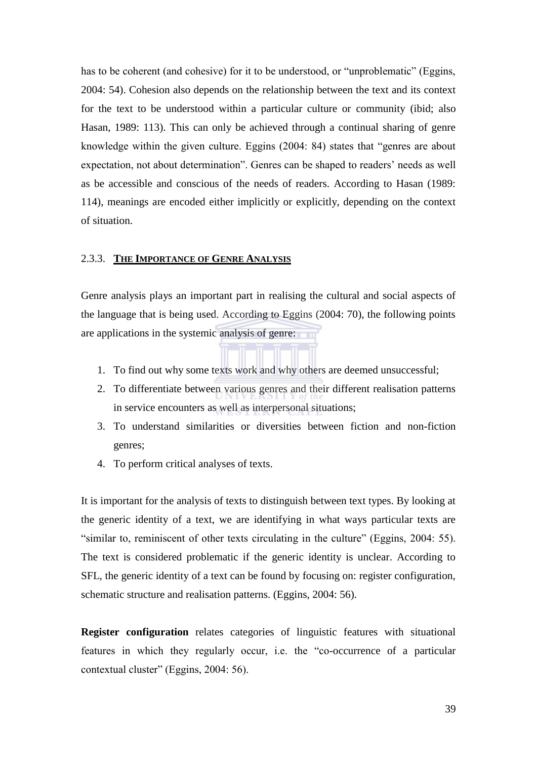has to be coherent (and cohesive) for it to be understood, or "unproblematic" (Eggins, 2004: 54). Cohesion also depends on the relationship between the text and its context for the text to be understood within a particular culture or community (ibid; also Hasan, 1989: 113). This can only be achieved through a continual sharing of genre knowledge within the given culture. Eggins (2004: 84) states that "genres are about expectation, not about determination". Genres can be shaped to readers' needs as well as be accessible and conscious of the needs of readers. According to Hasan (1989: 114), meanings are encoded either implicitly or explicitly, depending on the context of situation.

#### 2.3.3. **THE IMPORTANCE OF GENRE ANALYSIS**

Genre analysis plays an important part in realising the cultural and social aspects of the language that is being used. According to Eggins (2004: 70), the following points are applications in the systemic analysis of genre:

- 1. To find out why some texts work and why others are deemed unsuccessful;
- 2. To differentiate between various genres and their different realisation patterns in service encounters as well as interpersonal situations;
- 3. To understand similarities or diversities between fiction and non-fiction genres;
- 4. To perform critical analyses of texts.

It is important for the analysis of texts to distinguish between text types. By looking at the generic identity of a text, we are identifying in what ways particular texts are "similar to, reminiscent of other texts circulating in the culture" (Eggins, 2004: 55). The text is considered problematic if the generic identity is unclear. According to SFL, the generic identity of a text can be found by focusing on: register configuration, schematic structure and realisation patterns. (Eggins, 2004: 56).

**Register configuration** relates categories of linguistic features with situational features in which they regularly occur, i.e. the "co-occurrence of a particular contextual cluster" (Eggins, 2004: 56).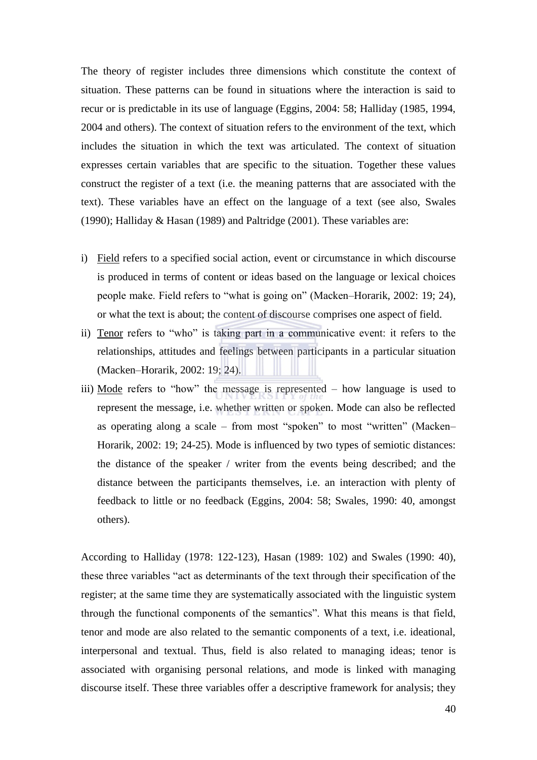The theory of register includes three dimensions which constitute the context of situation. These patterns can be found in situations where the interaction is said to recur or is predictable in its use of language (Eggins, 2004: 58; Halliday (1985, 1994, 2004 and others). The context of situation refers to the environment of the text, which includes the situation in which the text was articulated. The context of situation expresses certain variables that are specific to the situation. Together these values construct the register of a text (i.e. the meaning patterns that are associated with the text). These variables have an effect on the language of a text (see also, Swales (1990); Halliday & Hasan (1989) and Paltridge (2001). These variables are:

- i) Field refers to a specified social action, event or circumstance in which discourse is produced in terms of content or ideas based on the language or lexical choices people make. Field refers to "what is going on" (Macken–Horarik, 2002: 19; 24), or what the text is about; the content of discourse comprises one aspect of field.
- ii) Tenor refers to "who" is taking part in a communicative event: it refers to the relationships, attitudes and feelings between participants in a particular situation (Macken–Horarik, 2002: 19; 24).
- iii) Mode refers to "how" the message is represented  $-$  how language is used to represent the message, i.e. whether written or spoken. Mode can also be reflected as operating along a scale – from most "spoken" to most "written" (Macken– Horarik, 2002: 19; 24-25). Mode is influenced by two types of semiotic distances: the distance of the speaker / writer from the events being described; and the distance between the participants themselves, i.e. an interaction with plenty of feedback to little or no feedback (Eggins, 2004: 58; Swales, 1990: 40, amongst others).

According to Halliday (1978: 122-123), Hasan (1989: 102) and Swales (1990: 40), these three variables "act as determinants of the text through their specification of the register; at the same time they are systematically associated with the linguistic system through the functional components of the semantics". What this means is that field, tenor and mode are also related to the semantic components of a text, i.e. ideational, interpersonal and textual. Thus, field is also related to managing ideas; tenor is associated with organising personal relations, and mode is linked with managing discourse itself. These three variables offer a descriptive framework for analysis; they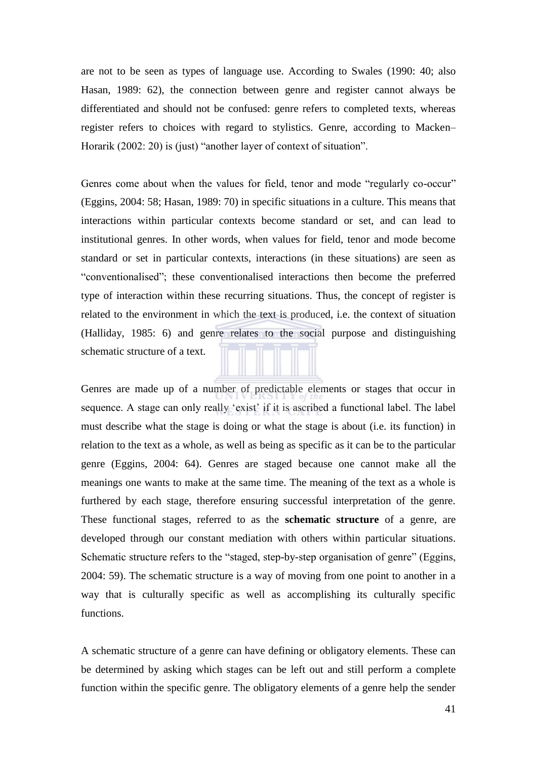are not to be seen as types of language use. According to Swales (1990: 40; also Hasan, 1989: 62), the connection between genre and register cannot always be differentiated and should not be confused: genre refers to completed texts, whereas register refers to choices with regard to stylistics. Genre, according to Macken– Horarik  $(2002: 20)$  is (just) "another layer of context of situation".

Genres come about when the values for field, tenor and mode "regularly co-occur" (Eggins, 2004: 58; Hasan, 1989: 70) in specific situations in a culture. This means that interactions within particular contexts become standard or set, and can lead to institutional genres. In other words, when values for field, tenor and mode become standard or set in particular contexts, interactions (in these situations) are seen as ―conventionalised‖; these conventionalised interactions then become the preferred type of interaction within these recurring situations. Thus, the concept of register is related to the environment in which the text is produced, i.e. the context of situation (Halliday, 1985: 6) and genre relates to the social purpose and distinguishing schematic structure of a text.

Genres are made up of a number of predictable elements or stages that occur in sequence. A stage can only really 'exist' if it is ascribed a functional label. The label must describe what the stage is doing or what the stage is about (i.e. its function) in relation to the text as a whole, as well as being as specific as it can be to the particular genre (Eggins, 2004: 64). Genres are staged because one cannot make all the meanings one wants to make at the same time. The meaning of the text as a whole is furthered by each stage, therefore ensuring successful interpretation of the genre. These functional stages, referred to as the **schematic structure** of a genre, are developed through our constant mediation with others within particular situations. Schematic structure refers to the "staged, step-by-step organisation of genre" (Eggins, 2004: 59). The schematic structure is a way of moving from one point to another in a way that is culturally specific as well as accomplishing its culturally specific functions.

A schematic structure of a genre can have defining or obligatory elements. These can be determined by asking which stages can be left out and still perform a complete function within the specific genre. The obligatory elements of a genre help the sender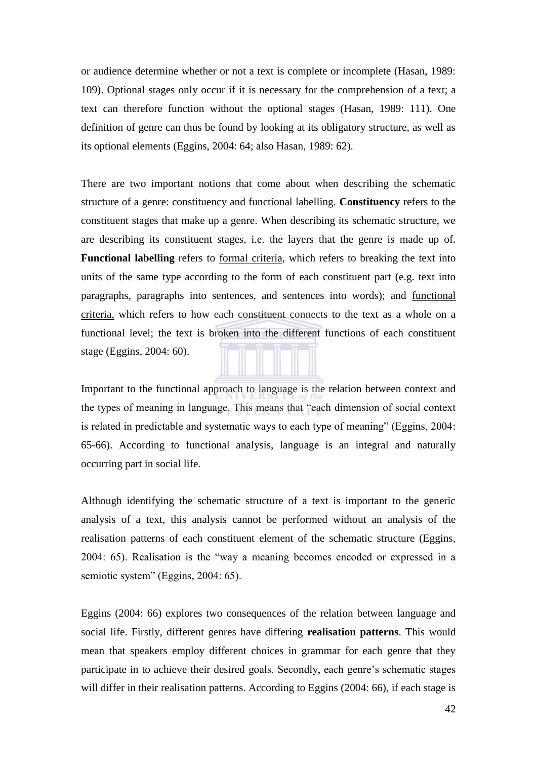or audience determine whether or not a text is complete or incomplete (Hasan, 1989: 109). Optional stages only occur if it is necessary for the comprehension of a text; a text can therefore function without the optional stages (Hasan, 1989: 111). One definition of genre can thus be found by looking at its obligatory structure, as well as its optional elements (Eggins, 2004: 64; also Hasan, 1989: 62).

There are two important notions that come about when describing the schematic structure of a genre: constituency and functional labelling. **Constituency** refers to the constituent stages that make up a genre. When describing its schematic structure, we are describing its constituent stages, i.e. the layers that the genre is made up of. **Functional labelling** refers to formal criteria, which refers to breaking the text into units of the same type according to the form of each constituent part (e.g. text into paragraphs, paragraphs into sentences, and sentences into words); and functional criteria, which refers to how each constituent connects to the text as a whole on a functional level; the text is broken into the different functions of each constituent stage (Eggins, 2004: 60).

Important to the functional approach to language is the relation between context and the types of meaning in language. This means that "each dimension of social context" is related in predictable and systematic ways to each type of meaning" (Eggins, 2004: 65-66). According to functional analysis, language is an integral and naturally occurring part in social life.

Although identifying the schematic structure of a text is important to the generic analysis of a text, this analysis cannot be performed without an analysis of the realisation patterns of each constituent element of the schematic structure (Eggins, 2004: 65). Realisation is the "way a meaning becomes encoded or expressed in a semiotic system" (Eggins, 2004: 65).

Eggins (2004: 66) explores two consequences of the relation between language and social life. Firstly, different genres have differing **realisation patterns**. This would mean that speakers employ different choices in grammar for each genre that they participate in to achieve their desired goals. Secondly, each genre's schematic stages will differ in their realisation patterns. According to Eggins (2004: 66), if each stage is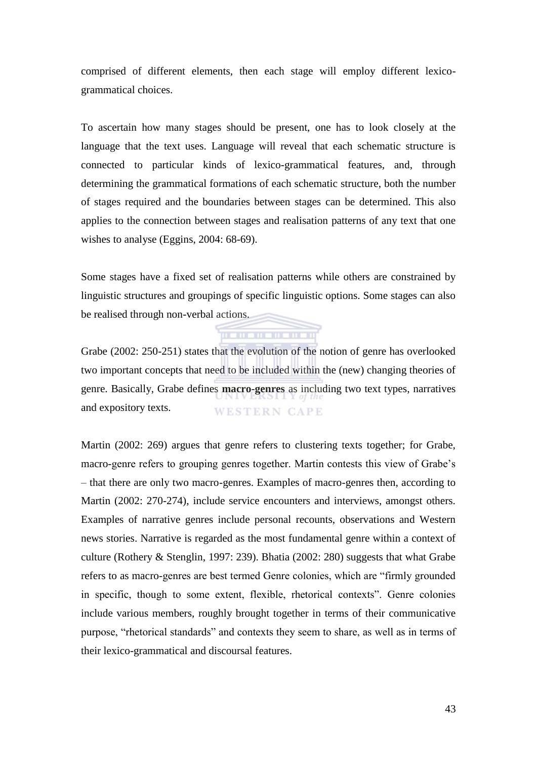comprised of different elements, then each stage will employ different lexicogrammatical choices.

To ascertain how many stages should be present, one has to look closely at the language that the text uses. Language will reveal that each schematic structure is connected to particular kinds of lexico-grammatical features, and, through determining the grammatical formations of each schematic structure, both the number of stages required and the boundaries between stages can be determined. This also applies to the connection between stages and realisation patterns of any text that one wishes to analyse (Eggins, 2004: 68-69).

Some stages have a fixed set of realisation patterns while others are constrained by linguistic structures and groupings of specific linguistic options. Some stages can also be realised through non-verbal actions.

**THE REPORT OF A 49 YO F RD RD** 

Grabe (2002: 250-251) states that the evolution of the notion of genre has overlooked two important concepts that need to be included within the (new) changing theories of genre. Basically, Grabe defines **macro-genres** as including two text types, narratives and expository texts. **WESTERN CAPE** 

Martin (2002: 269) argues that genre refers to clustering texts together; for Grabe, macro-genre refers to grouping genres together. Martin contests this view of Grabe's – that there are only two macro-genres. Examples of macro-genres then, according to Martin (2002: 270-274), include service encounters and interviews, amongst others. Examples of narrative genres include personal recounts, observations and Western news stories. Narrative is regarded as the most fundamental genre within a context of culture (Rothery & Stenglin, 1997: 239). Bhatia (2002: 280) suggests that what Grabe refers to as macro-genres are best termed Genre colonies, which are "firmly grounded in specific, though to some extent, flexible, rhetorical contexts". Genre colonies include various members, roughly brought together in terms of their communicative purpose, "rhetorical standards" and contexts they seem to share, as well as in terms of their lexico-grammatical and discoursal features.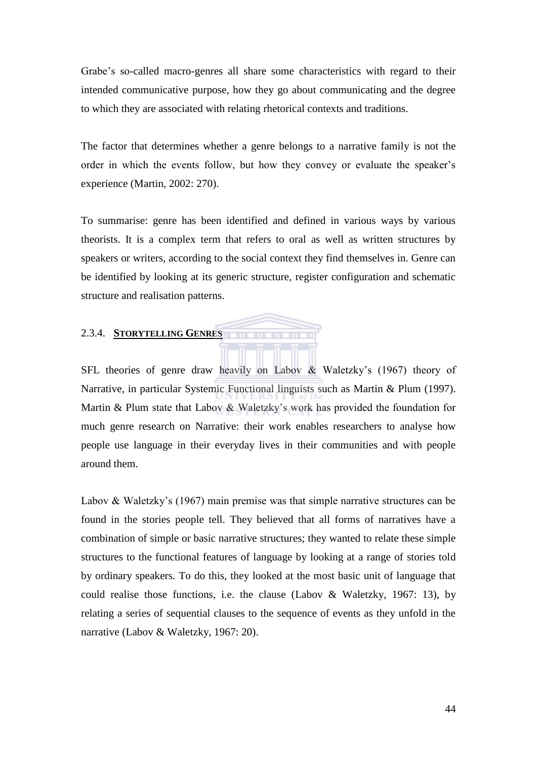Grabe's so-called macro-genres all share some characteristics with regard to their intended communicative purpose, how they go about communicating and the degree to which they are associated with relating rhetorical contexts and traditions.

The factor that determines whether a genre belongs to a narrative family is not the order in which the events follow, but how they convey or evaluate the speaker's experience (Martin, 2002: 270).

To summarise: genre has been identified and defined in various ways by various theorists. It is a complex term that refers to oral as well as written structures by speakers or writers, according to the social context they find themselves in. Genre can be identified by looking at its generic structure, register configuration and schematic structure and realisation patterns.

#### 2.3.4. **STORYTELLING GENRES**

SFL theories of genre draw heavily on Labov & Waletzky's (1967) theory of Narrative, in particular Systemic Functional linguists such as Martin & Plum (1997). Martin & Plum state that Labov & Waletzky's work has provided the foundation for much genre research on Narrative: their work enables researchers to analyse how people use language in their everyday lives in their communities and with people around them.

Labov & Waletzky's (1967) main premise was that simple narrative structures can be found in the stories people tell. They believed that all forms of narratives have a combination of simple or basic narrative structures; they wanted to relate these simple structures to the functional features of language by looking at a range of stories told by ordinary speakers. To do this, they looked at the most basic unit of language that could realise those functions, i.e. the clause (Labov & Waletzky, 1967: 13), by relating a series of sequential clauses to the sequence of events as they unfold in the narrative (Labov & Waletzky, 1967: 20).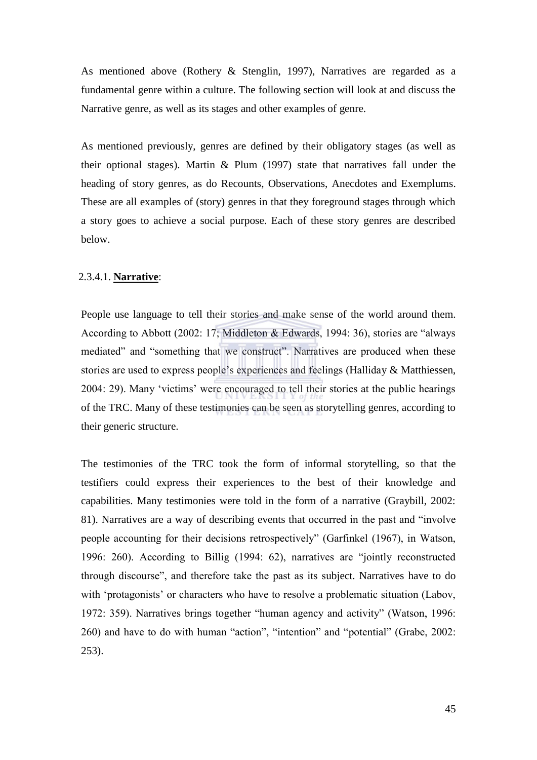As mentioned above (Rothery & Stenglin, 1997), Narratives are regarded as a fundamental genre within a culture. The following section will look at and discuss the Narrative genre, as well as its stages and other examples of genre.

As mentioned previously, genres are defined by their obligatory stages (as well as their optional stages). Martin  $&$  Plum (1997) state that narratives fall under the heading of story genres, as do Recounts, Observations, Anecdotes and Exemplums. These are all examples of (story) genres in that they foreground stages through which a story goes to achieve a social purpose. Each of these story genres are described below.

#### 2.3.4.1. **Narrative**:

People use language to tell their stories and make sense of the world around them. According to Abbott (2002: 17; Middleton & Edwards, 1994: 36), stories are "always mediated" and "something that we construct". Narratives are produced when these stories are used to express people's experiences and feelings (Halliday & Matthiessen, 2004: 29). Many 'victims' were encouraged to tell their stories at the public hearings of the TRC. Many of these testimonies can be seen as storytelling genres, according to their generic structure.

The testimonies of the TRC took the form of informal storytelling, so that the testifiers could express their experiences to the best of their knowledge and capabilities. Many testimonies were told in the form of a narrative (Graybill, 2002: 81). Narratives are a way of describing events that occurred in the past and "involve" people accounting for their decisions retrospectively" (Garfinkel (1967), in Watson, 1996: 260). According to Billig (1994: 62), narratives are "jointly reconstructed through discourse", and therefore take the past as its subject. Narratives have to do with 'protagonists' or characters who have to resolve a problematic situation (Labov, 1972: 359). Narratives brings together "human agency and activity" (Watson, 1996: 260) and have to do with human "action", "intention" and "potential" (Grabe, 2002: 253).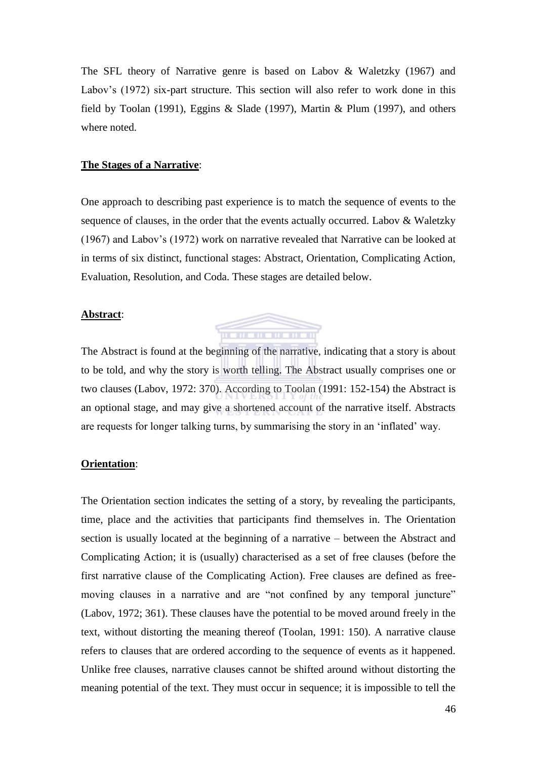The SFL theory of Narrative genre is based on Labov & Waletzky (1967) and Labov's (1972) six-part structure. This section will also refer to work done in this field by Toolan (1991), Eggins & Slade (1997), Martin & Plum (1997), and others where noted.

#### **The Stages of a Narrative**:

One approach to describing past experience is to match the sequence of events to the sequence of clauses, in the order that the events actually occurred. Labov & Waletzky (1967) and Labov's (1972) work on narrative revealed that Narrative can be looked at in terms of six distinct, functional stages: Abstract, Orientation, Complicating Action, Evaluation, Resolution, and Coda. These stages are detailed below.

#### **Abstract**:



The Abstract is found at the beginning of the narrative, indicating that a story is about to be told, and why the story is worth telling. The Abstract usually comprises one or two clauses (Labov, 1972: 370). According to Toolan (1991: 152-154) the Abstract is an optional stage, and may give a shortened account of the narrative itself. Abstracts are requests for longer talking turns, by summarising the story in an ‗inflated' way.

#### **Orientation**:

The Orientation section indicates the setting of a story, by revealing the participants, time, place and the activities that participants find themselves in. The Orientation section is usually located at the beginning of a narrative – between the Abstract and Complicating Action; it is (usually) characterised as a set of free clauses (before the first narrative clause of the Complicating Action). Free clauses are defined as freemoving clauses in a narrative and are "not confined by any temporal juncture" (Labov, 1972; 361). These clauses have the potential to be moved around freely in the text, without distorting the meaning thereof (Toolan, 1991: 150). A narrative clause refers to clauses that are ordered according to the sequence of events as it happened. Unlike free clauses, narrative clauses cannot be shifted around without distorting the meaning potential of the text. They must occur in sequence; it is impossible to tell the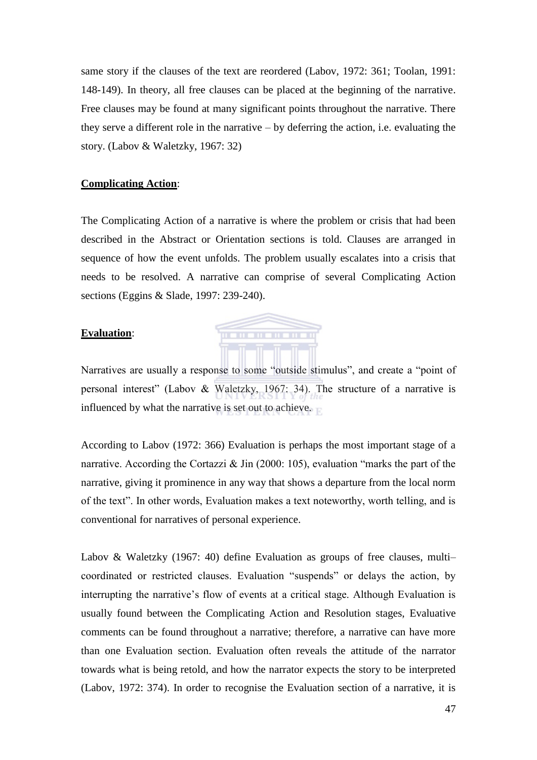same story if the clauses of the text are reordered (Labov, 1972: 361; Toolan, 1991: 148-149). In theory, all free clauses can be placed at the beginning of the narrative. Free clauses may be found at many significant points throughout the narrative. There they serve a different role in the narrative – by deferring the action, i.e. evaluating the story. (Labov & Waletzky, 1967: 32)

## **Complicating Action**:

The Complicating Action of a narrative is where the problem or crisis that had been described in the Abstract or Orientation sections is told. Clauses are arranged in sequence of how the event unfolds. The problem usually escalates into a crisis that needs to be resolved. A narrative can comprise of several Complicating Action sections (Eggins & Slade, 1997: 239-240).

#### **Evaluation**:



Narratives are usually a response to some "outside stimulus", and create a "point of personal interest" (Labov & Waletzky, 1967: 34). The structure of a narrative is influenced by what the narrative is set out to achieve.

According to Labov (1972: 366) Evaluation is perhaps the most important stage of a narrative. According the Cortazzi  $\&$  Jin (2000: 105), evaluation "marks the part of the narrative, giving it prominence in any way that shows a departure from the local norm of the text". In other words, Evaluation makes a text noteworthy, worth telling, and is conventional for narratives of personal experience.

Labov & Waletzky (1967: 40) define Evaluation as groups of free clauses, multi– coordinated or restricted clauses. Evaluation "suspends" or delays the action, by interrupting the narrative's flow of events at a critical stage. Although Evaluation is usually found between the Complicating Action and Resolution stages, Evaluative comments can be found throughout a narrative; therefore, a narrative can have more than one Evaluation section. Evaluation often reveals the attitude of the narrator towards what is being retold, and how the narrator expects the story to be interpreted (Labov, 1972: 374). In order to recognise the Evaluation section of a narrative, it is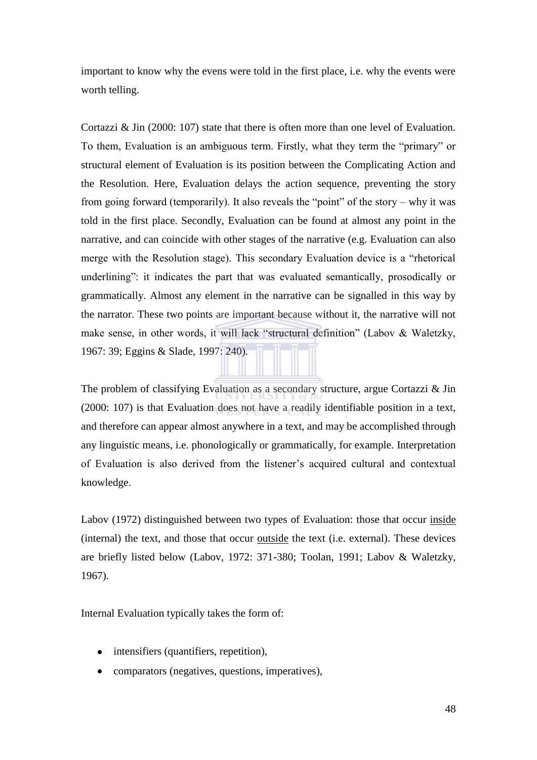important to know why the evens were told in the first place, i.e. why the events were worth telling.

Cortazzi & Jin (2000: 107) state that there is often more than one level of Evaluation. To them, Evaluation is an ambiguous term. Firstly, what they term the "primary" or structural element of Evaluation is its position between the Complicating Action and the Resolution. Here, Evaluation delays the action sequence, preventing the story from going forward (temporarily). It also reveals the "point" of the story – why it was told in the first place. Secondly, Evaluation can be found at almost any point in the narrative, and can coincide with other stages of the narrative (e.g. Evaluation can also merge with the Resolution stage). This secondary Evaluation device is a "rhetorical underlining": it indicates the part that was evaluated semantically, prosodically or grammatically. Almost any element in the narrative can be signalled in this way by the narrator. These two points are important because without it, the narrative will not make sense, in other words, it will lack "structural definition" (Labov & Waletzky, 1967: 39; Eggins & Slade, 1997: 240).

The problem of classifying Evaluation as a secondary structure, argue Cortazzi & Jin (2000: 107) is that Evaluation does not have a readily identifiable position in a text, and therefore can appear almost anywhere in a text, and may be accomplished through any linguistic means, i.e. phonologically or grammatically, for example. Interpretation of Evaluation is also derived from the listener's acquired cultural and contextual knowledge.

Labov (1972) distinguished between two types of Evaluation: those that occur inside (internal) the text, and those that occur outside the text (i.e. external). These devices are briefly listed below (Labov, 1972: 371-380; Toolan, 1991; Labov & Waletzky, 1967).

Internal Evaluation typically takes the form of:

- intensifiers (quantifiers, repetition),
- comparators (negatives, questions, imperatives),  $\bullet$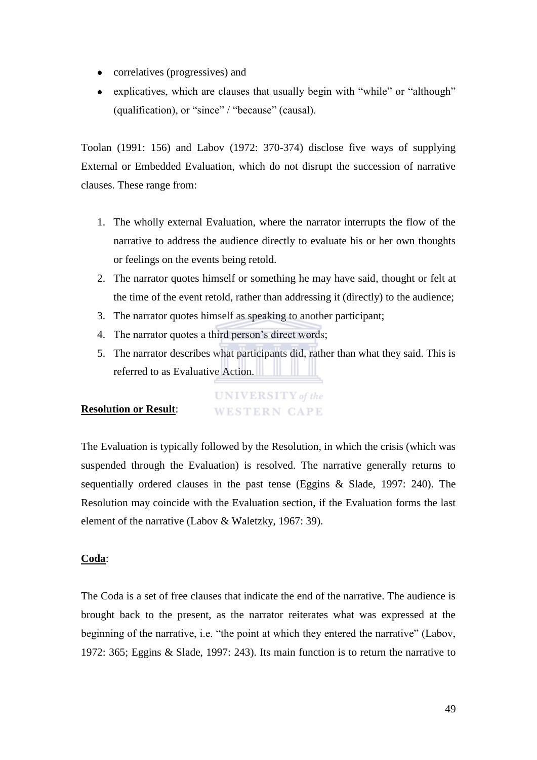- correlatives (progressives) and  $\bullet$
- explicatives, which are clauses that usually begin with "while" or "although" (qualification), or "since" / "because" (causal).

Toolan (1991: 156) and Labov (1972: 370-374) disclose five ways of supplying External or Embedded Evaluation, which do not disrupt the succession of narrative clauses. These range from:

- 1. The wholly external Evaluation, where the narrator interrupts the flow of the narrative to address the audience directly to evaluate his or her own thoughts or feelings on the events being retold.
- 2. The narrator quotes himself or something he may have said, thought or felt at the time of the event retold, rather than addressing it (directly) to the audience;
- 3. The narrator quotes himself as speaking to another participant;
- 4. The narrator quotes a third person's direct words;
- 5. The narrator describes what participants did, rather than what they said. This is referred to as Evaluative Action.

#### **UNIVERSITY** of the **Resolution or Result**: **WESTERN CAPE**

The Evaluation is typically followed by the Resolution, in which the crisis (which was suspended through the Evaluation) is resolved. The narrative generally returns to sequentially ordered clauses in the past tense (Eggins & Slade, 1997: 240). The Resolution may coincide with the Evaluation section, if the Evaluation forms the last element of the narrative (Labov & Waletzky, 1967: 39).

## **Coda**:

The Coda is a set of free clauses that indicate the end of the narrative. The audience is brought back to the present, as the narrator reiterates what was expressed at the beginning of the narrative, i.e. "the point at which they entered the narrative" (Labov, 1972: 365; Eggins & Slade, 1997: 243). Its main function is to return the narrative to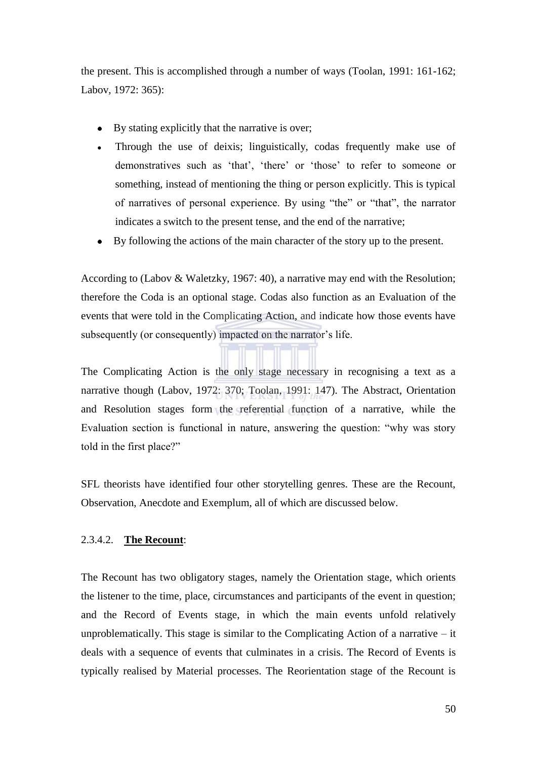the present. This is accomplished through a number of ways (Toolan, 1991: 161-162; Labov, 1972: 365):

- By stating explicitly that the narrative is over;  $\bullet$
- Through the use of deixis; linguistically, codas frequently make use of demonstratives such as 'that', 'there' or 'those' to refer to someone or something, instead of mentioning the thing or person explicitly. This is typical of narratives of personal experience. By using "the" or "that", the narrator indicates a switch to the present tense, and the end of the narrative;
- $\bullet$ By following the actions of the main character of the story up to the present.

According to (Labov & Waletzky, 1967: 40), a narrative may end with the Resolution; therefore the Coda is an optional stage. Codas also function as an Evaluation of the events that were told in the Complicating Action, and indicate how those events have subsequently (or consequently) impacted on the narrator's life.

The Complicating Action is the only stage necessary in recognising a text as a narrative though (Labov, 1972: 370; Toolan, 1991: 147). The Abstract, Orientation and Resolution stages form the referential function of a narrative, while the Evaluation section is functional in nature, answering the question: "why was story told in the first place?"

SFL theorists have identified four other storytelling genres. These are the Recount, Observation, Anecdote and Exemplum, all of which are discussed below.

#### 2.3.4.2. **The Recount**:

The Recount has two obligatory stages, namely the Orientation stage, which orients the listener to the time, place, circumstances and participants of the event in question; and the Record of Events stage, in which the main events unfold relatively unproblematically. This stage is similar to the Complicating Action of a narrative  $-$  it deals with a sequence of events that culminates in a crisis. The Record of Events is typically realised by Material processes. The Reorientation stage of the Recount is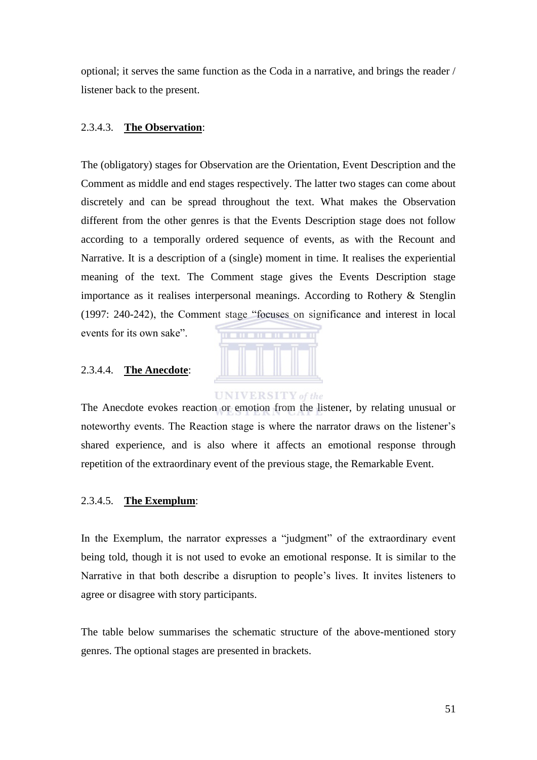optional; it serves the same function as the Coda in a narrative, and brings the reader / listener back to the present.

#### 2.3.4.3. **The Observation**:

The (obligatory) stages for Observation are the Orientation, Event Description and the Comment as middle and end stages respectively. The latter two stages can come about discretely and can be spread throughout the text. What makes the Observation different from the other genres is that the Events Description stage does not follow according to a temporally ordered sequence of events, as with the Recount and Narrative. It is a description of a (single) moment in time. It realises the experiential meaning of the text. The Comment stage gives the Events Description stage importance as it realises interpersonal meanings. According to Rothery & Stenglin (1997: 240-242), the Comment stage "focuses on significance and interest in local

events for its own sake".



#### 2.3.4.4. **The Anecdote**:

The Anecdote evokes reaction or emotion from the listener, by relating unusual or noteworthy events. The Reaction stage is where the narrator draws on the listener's shared experience, and is also where it affects an emotional response through repetition of the extraordinary event of the previous stage, the Remarkable Event.

#### 2.3.4.5. **The Exemplum**:

In the Exemplum, the narrator expresses a "judgment" of the extraordinary event being told, though it is not used to evoke an emotional response. It is similar to the Narrative in that both describe a disruption to people's lives. It invites listeners to agree or disagree with story participants.

The table below summarises the schematic structure of the above-mentioned story genres. The optional stages are presented in brackets.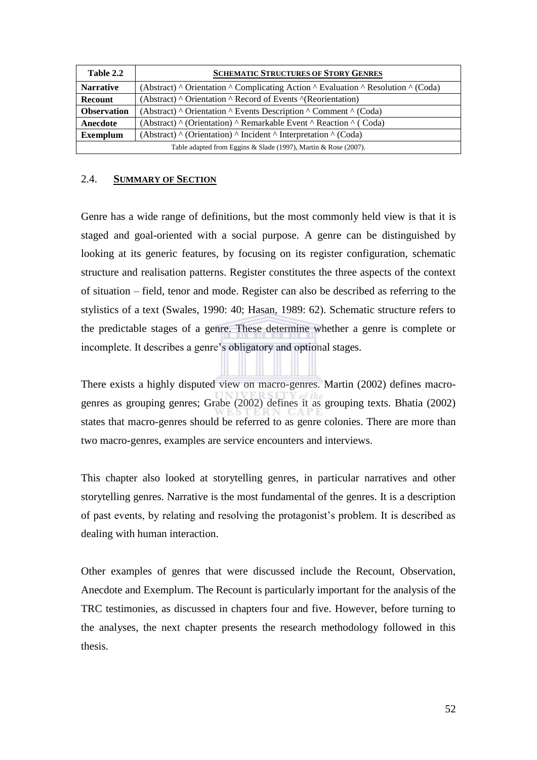| Table 2.2          | <b>SCHEMATIC STRUCTURES OF STORY GENRES</b>                                                                     |  |  |  |  |
|--------------------|-----------------------------------------------------------------------------------------------------------------|--|--|--|--|
| <b>Narrative</b>   | (Abstract) $\land$ Orientation $\land$ Complicating Action $\land$ Evaluation $\land$ Resolution $\land$ (Coda) |  |  |  |  |
| <b>Recount</b>     | (Abstract) ^ Orientation ^ Record of Events ^(Reorientation)                                                    |  |  |  |  |
| <b>Observation</b> | (Abstract) $\land$ Orientation $\land$ Events Description $\land$ Comment $\land$ (Coda)                        |  |  |  |  |
| Anecdote           | (Abstract) ^ (Orientation) ^ Remarkable Event ^ Reaction ^ (Coda)                                               |  |  |  |  |
| <b>Exemplum</b>    | (Abstract) $\land$ (Orientation) $\land$ Incident $\land$ Interpretation $\land$ (Coda)                         |  |  |  |  |
|                    | Table adapted from Eggins & Slade (1997), Martin & Rose (2007).                                                 |  |  |  |  |

## 2.4. **SUMMARY OF SECTION**

Genre has a wide range of definitions, but the most commonly held view is that it is staged and goal-oriented with a social purpose. A genre can be distinguished by looking at its generic features, by focusing on its register configuration, schematic structure and realisation patterns. Register constitutes the three aspects of the context of situation – field, tenor and mode. Register can also be described as referring to the stylistics of a text (Swales, 1990: 40; Hasan, 1989: 62). Schematic structure refers to the predictable stages of a genre. These determine whether a genre is complete or incomplete. It describes a genre's obligatory and optional stages.

There exists a highly disputed view on macro-genres. Martin (2002) defines macrogenres as grouping genres; Grabe (2002) defines it as grouping texts. Bhatia (2002) states that macro-genres should be referred to as genre colonies. There are more than two macro-genres, examples are service encounters and interviews.

This chapter also looked at storytelling genres, in particular narratives and other storytelling genres. Narrative is the most fundamental of the genres. It is a description of past events, by relating and resolving the protagonist's problem. It is described as dealing with human interaction.

Other examples of genres that were discussed include the Recount, Observation, Anecdote and Exemplum. The Recount is particularly important for the analysis of the TRC testimonies, as discussed in chapters four and five. However, before turning to the analyses, the next chapter presents the research methodology followed in this thesis.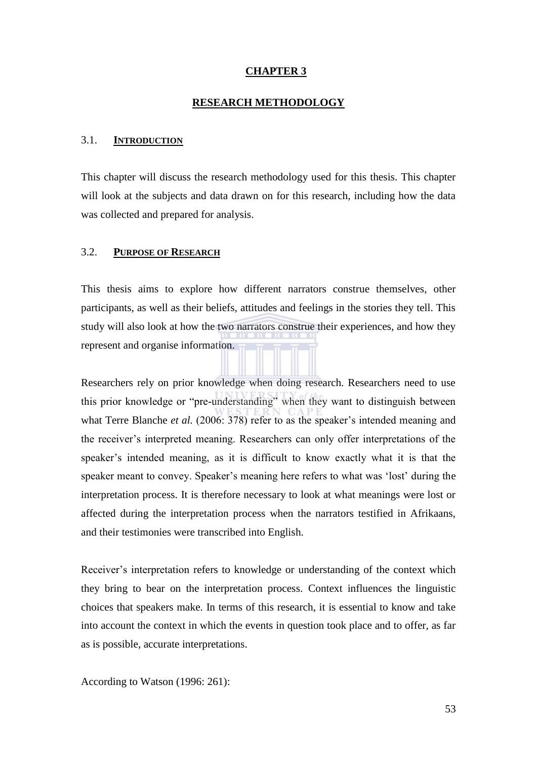### **CHAPTER 3**

#### **RESEARCH METHODOLOGY**

#### 3.1. **INTRODUCTION**

This chapter will discuss the research methodology used for this thesis. This chapter will look at the subjects and data drawn on for this research, including how the data was collected and prepared for analysis.

## 3.2. **PURPOSE OF RESEARCH**

This thesis aims to explore how different narrators construe themselves, other participants, as well as their beliefs, attitudes and feelings in the stories they tell. This study will also look at how the two narrators construe their experiences, and how they represent and organise information.

Researchers rely on prior knowledge when doing research. Researchers need to use this prior knowledge or "pre-understanding" when they want to distinguish between what Terre Blanche *et al.* (2006: 378) refer to as the speaker's intended meaning and the receiver's interpreted meaning. Researchers can only offer interpretations of the speaker's intended meaning, as it is difficult to know exactly what it is that the speaker meant to convey. Speaker's meaning here refers to what was 'lost' during the interpretation process. It is therefore necessary to look at what meanings were lost or affected during the interpretation process when the narrators testified in Afrikaans, and their testimonies were transcribed into English.

Receiver's interpretation refers to knowledge or understanding of the context which they bring to bear on the interpretation process. Context influences the linguistic choices that speakers make. In terms of this research, it is essential to know and take into account the context in which the events in question took place and to offer, as far as is possible, accurate interpretations.

According to Watson (1996: 261):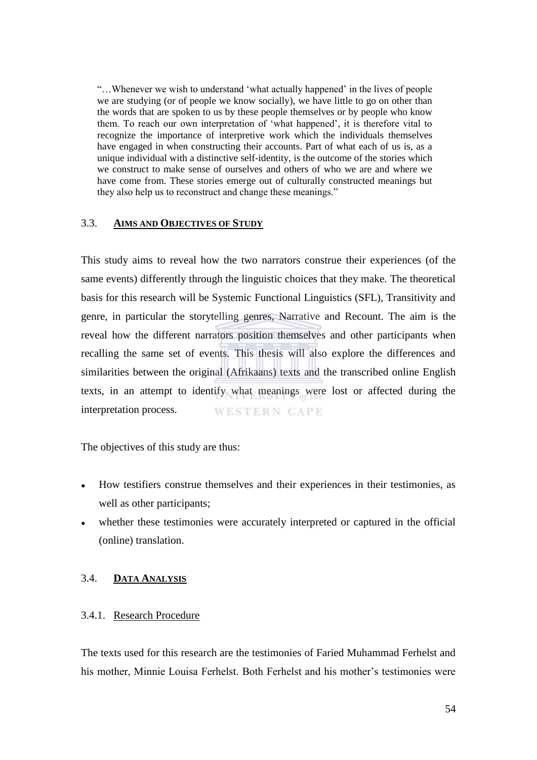"...Whenever we wish to understand 'what actually happened' in the lives of people we are studying (or of people we know socially), we have little to go on other than the words that are spoken to us by these people themselves or by people who know them. To reach our own interpretation of 'what happened', it is therefore vital to recognize the importance of interpretive work which the individuals themselves have engaged in when constructing their accounts. Part of what each of us is, as a unique individual with a distinctive self-identity, is the outcome of the stories which we construct to make sense of ourselves and others of who we are and where we have come from. These stories emerge out of culturally constructed meanings but they also help us to reconstruct and change these meanings."

#### 3.3. **AIMS AND OBJECTIVES OF STUDY**

This study aims to reveal how the two narrators construe their experiences (of the same events) differently through the linguistic choices that they make. The theoretical basis for this research will be Systemic Functional Linguistics (SFL), Transitivity and genre, in particular the storytelling genres, Narrative and Recount. The aim is the reveal how the different narrators position themselves and other participants when recalling the same set of events. This thesis will also explore the differences and similarities between the original (Afrikaans) texts and the transcribed online English texts, in an attempt to identify what meanings were lost or affected during the interpretation process. **WESTERN CAPE** 

The objectives of this study are thus:

- How testifiers construe themselves and their experiences in their testimonies, as well as other participants;
- whether these testimonies were accurately interpreted or captured in the official (online) translation.

## 3.4. **DATA ANALYSIS**

#### 3.4.1. Research Procedure

The texts used for this research are the testimonies of Faried Muhammad Ferhelst and his mother, Minnie Louisa Ferhelst. Both Ferhelst and his mother's testimonies were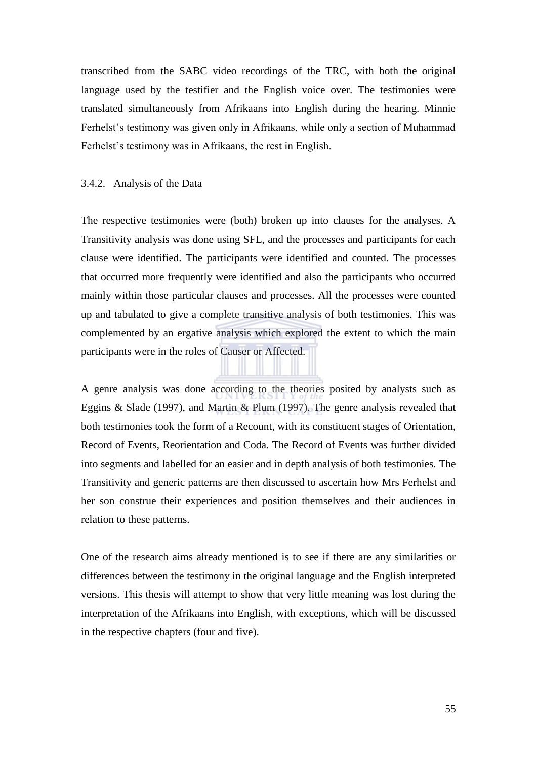transcribed from the SABC video recordings of the TRC, with both the original language used by the testifier and the English voice over. The testimonies were translated simultaneously from Afrikaans into English during the hearing. Minnie Ferhelst's testimony was given only in Afrikaans, while only a section of Muhammad Ferhelst's testimony was in Afrikaans, the rest in English.

#### 3.4.2. Analysis of the Data

The respective testimonies were (both) broken up into clauses for the analyses. A Transitivity analysis was done using SFL, and the processes and participants for each clause were identified. The participants were identified and counted. The processes that occurred more frequently were identified and also the participants who occurred mainly within those particular clauses and processes. All the processes were counted up and tabulated to give a complete transitive analysis of both testimonies. This was complemented by an ergative analysis which explored the extent to which the main participants were in the roles of Causer or Affected.

A genre analysis was done according to the theories posited by analysts such as Eggins & Slade (1997), and Martin & Plum (1997). The genre analysis revealed that both testimonies took the form of a Recount, with its constituent stages of Orientation, Record of Events, Reorientation and Coda. The Record of Events was further divided into segments and labelled for an easier and in depth analysis of both testimonies. The Transitivity and generic patterns are then discussed to ascertain how Mrs Ferhelst and her son construe their experiences and position themselves and their audiences in relation to these patterns.

One of the research aims already mentioned is to see if there are any similarities or differences between the testimony in the original language and the English interpreted versions. This thesis will attempt to show that very little meaning was lost during the interpretation of the Afrikaans into English, with exceptions, which will be discussed in the respective chapters (four and five).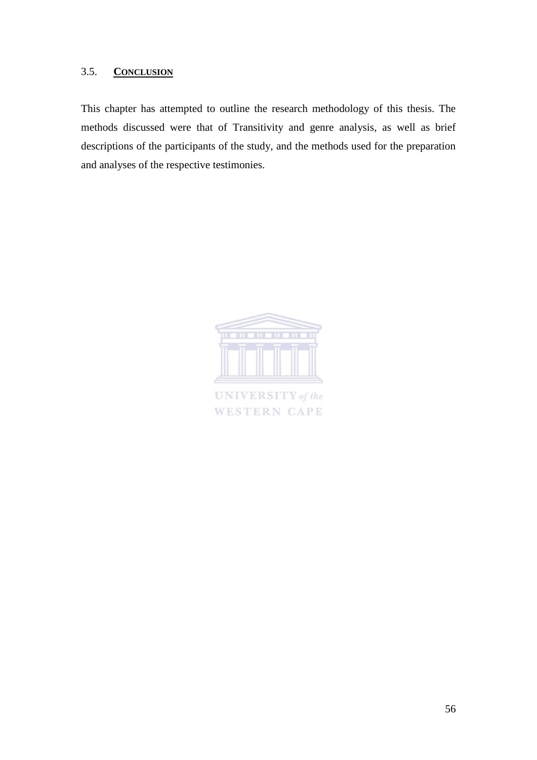## 3.5. **CONCLUSION**

This chapter has attempted to outline the research methodology of this thesis. The methods discussed were that of Transitivity and genre analysis, as well as brief descriptions of the participants of the study, and the methods used for the preparation and analyses of the respective testimonies.



**UNIVERSITY** of the **WESTERN CAPE**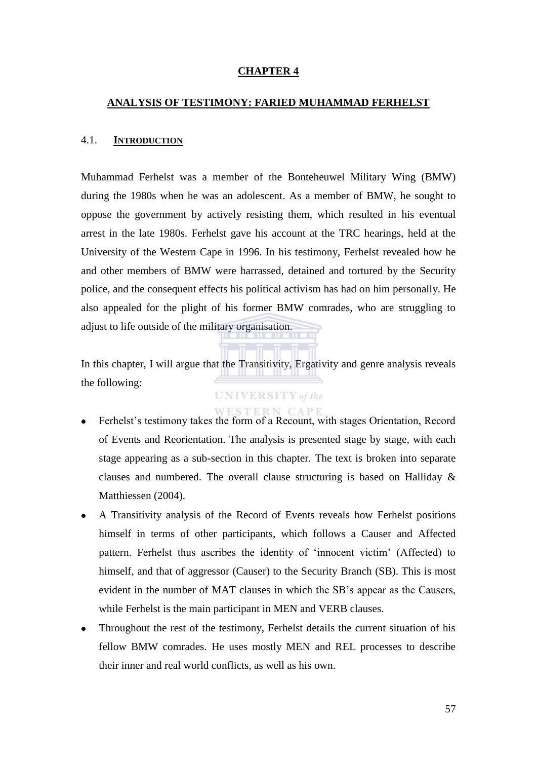#### **CHAPTER 4**

#### **ANALYSIS OF TESTIMONY: FARIED MUHAMMAD FERHELST**

#### 4.1. **INTRODUCTION**

Muhammad Ferhelst was a member of the Bonteheuwel Military Wing (BMW) during the 1980s when he was an adolescent. As a member of BMW, he sought to oppose the government by actively resisting them, which resulted in his eventual arrest in the late 1980s. Ferhelst gave his account at the TRC hearings, held at the University of the Western Cape in 1996. In his testimony, Ferhelst revealed how he and other members of BMW were harrassed, detained and tortured by the Security police, and the consequent effects his political activism has had on him personally. He also appealed for the plight of his former BMW comrades, who are struggling to adjust to life outside of the military organisation.

In this chapter, I will argue that the Transitivity, Ergativity and genre analysis reveals the following:

# **UNIVERSITY** of the

#### WESTERN CAPE

- Ferhelst's testimony takes the form of a Recount, with stages Orientation, Record  $\bullet$ of Events and Reorientation. The analysis is presented stage by stage, with each stage appearing as a sub-section in this chapter. The text is broken into separate clauses and numbered. The overall clause structuring is based on Halliday & Matthiessen (2004).
- A Transitivity analysis of the Record of Events reveals how Ferhelst positions  $\bullet$ himself in terms of other participants, which follows a Causer and Affected pattern. Ferhelst thus ascribes the identity of 'innocent victim' (Affected) to himself, and that of aggressor (Causer) to the Security Branch (SB). This is most evident in the number of MAT clauses in which the SB's appear as the Causers, while Ferhelst is the main participant in MEN and VERB clauses.
- Throughout the rest of the testimony, Ferhelst details the current situation of his  $\bullet$ fellow BMW comrades. He uses mostly MEN and REL processes to describe their inner and real world conflicts, as well as his own.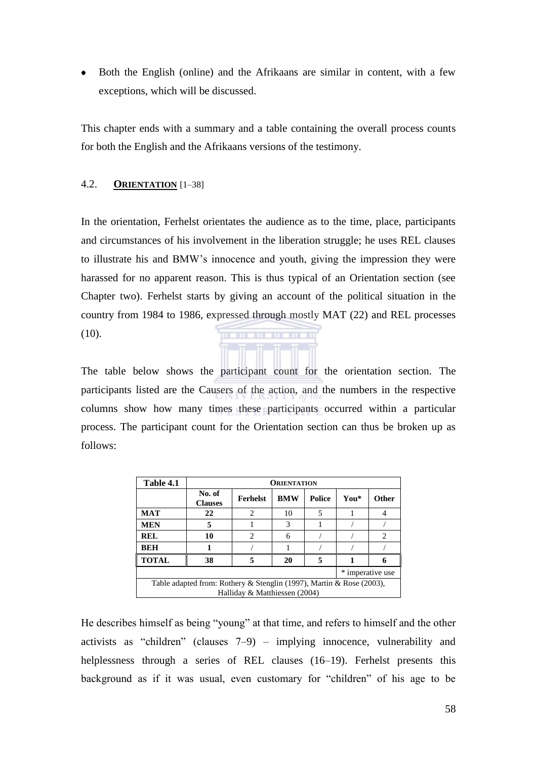$\bullet$ Both the English (online) and the Afrikaans are similar in content, with a few exceptions, which will be discussed.

This chapter ends with a summary and a table containing the overall process counts for both the English and the Afrikaans versions of the testimony.

#### 4.2. **ORIENTATION** [1–38]

In the orientation, Ferhelst orientates the audience as to the time, place, participants and circumstances of his involvement in the liberation struggle; he uses REL clauses to illustrate his and BMW's innocence and youth, giving the impression they were harassed for no apparent reason. This is thus typical of an Orientation section (see Chapter two). Ferhelst starts by giving an account of the political situation in the country from 1984 to 1986, expressed through mostly MAT (22) and REL processes  $(10).$ . . . . . . . . . . .

The table below shows the participant count for the orientation section. The participants listed are the Causers of the action, and the numbers in the respective columns show how many times these participants occurred within a particular process. The participant count for the Orientation section can thus be broken up as follows:

| Table 4.1                                                                                             | <b>ORIENTATION</b>       |                 |            |        |      |       |
|-------------------------------------------------------------------------------------------------------|--------------------------|-----------------|------------|--------|------|-------|
|                                                                                                       | No. of<br><b>Clauses</b> | <b>Ferhelst</b> | <b>BMW</b> | Police | You* | Other |
| <b>MAT</b>                                                                                            | 22                       | 2               | 10         | 5      |      |       |
| <b>MEN</b>                                                                                            | 5                        |                 | 3          |        |      |       |
| <b>REL</b>                                                                                            | 10                       | $\mathfrak{D}$  | 6          |        |      | 2     |
| <b>BEH</b>                                                                                            |                          |                 |            |        |      |       |
| <b>TOTAL</b>                                                                                          | 38                       |                 | 20         | 5      |      |       |
| * imperative use                                                                                      |                          |                 |            |        |      |       |
| Table adapted from: Rothery & Stenglin (1997), Martin & Rose (2003),<br>Halliday & Matthiessen (2004) |                          |                 |            |        |      |       |

He describes himself as being "young" at that time, and refers to himself and the other activists as "children" (clauses  $7-9$ ) – implying innocence, vulnerability and helplessness through a series of REL clauses (16–19). Ferhelst presents this background as if it was usual, even customary for "children" of his age to be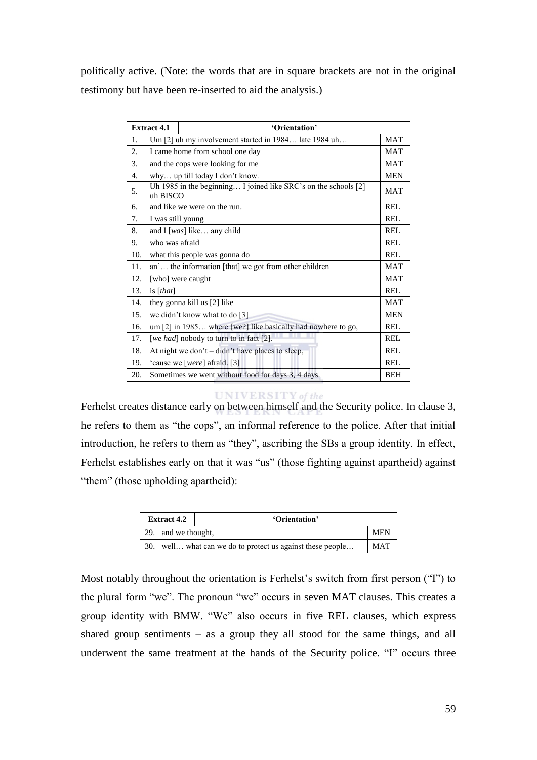politically active. (Note: the words that are in square brackets are not in the original testimony but have been re-inserted to aid the analysis.)

|                  | <b>Extract 4.1</b><br>'Orientation'              |                                                                 |            |  |  |
|------------------|--------------------------------------------------|-----------------------------------------------------------------|------------|--|--|
| 1.               |                                                  | Um [2] uh my involvement started in 1984 late 1984 uh           | <b>MAT</b> |  |  |
| 2.               | I came home from school one day                  |                                                                 |            |  |  |
| 3.               | and the cops were looking for me                 |                                                                 |            |  |  |
| $\overline{4}$ . |                                                  | why up till today I don't know.                                 | <b>MEN</b> |  |  |
| 5.               | uh BISCO                                         | Uh 1985 in the beginning I joined like SRC's on the schools [2] | <b>MAT</b> |  |  |
| 6.               |                                                  | and like we were on the run.                                    | <b>REL</b> |  |  |
| 7.               | I was still young                                |                                                                 | REL        |  |  |
| 8.               |                                                  | and I [was] like any child                                      | REL        |  |  |
| 9.               | who was afraid                                   |                                                                 | REL        |  |  |
| 10.              |                                                  | what this people was gonna do                                   | <b>REL</b> |  |  |
| 11.              |                                                  | an' the information [that] we got from other children           | <b>MAT</b> |  |  |
| 12.              |                                                  | [who] were caught                                               | <b>MAT</b> |  |  |
| 13.              | is $[that]$                                      |                                                                 | REL        |  |  |
| 14.              |                                                  | they gonna kill us [2] like                                     | <b>MAT</b> |  |  |
| 15.              |                                                  | we didn't know what to do [3]                                   | <b>MEN</b> |  |  |
| 16.              |                                                  | um [2] in 1985 where [we?] like basically had nowhere to go,    | REL        |  |  |
| 17.              |                                                  | [we had] nobody to turn to in fact [2].                         | <b>REL</b> |  |  |
| 18.              | At night we don't – didn't have places to sleep, |                                                                 | REL        |  |  |
| 19.              | 'cause we [were] afraid. [3]                     |                                                                 | <b>REL</b> |  |  |
| 20.              |                                                  | Sometimes we went without food for days 3, 4 days.              | <b>BEH</b> |  |  |

Ferhelst creates distance early on between himself and the Security police. In clause 3, he refers to them as "the cops", an informal reference to the police. After that initial introduction, he refers to them as "they", ascribing the SBs a group identity. In effect, Ferhelst establishes early on that it was "us" (those fighting against apartheid) against "them" (those upholding apartheid):

| <b>Extract 4.2</b><br>'Orientation' |                     |                                                        |            |
|-------------------------------------|---------------------|--------------------------------------------------------|------------|
|                                     | 29. and we thought, |                                                        | <b>MEN</b> |
| 30.1                                |                     | well what can we do to protect us against these people | <b>MAT</b> |

Most notably throughout the orientation is Ferhelst's switch from first person ("I") to the plural form "we". The pronoun "we" occurs in seven MAT clauses. This creates a group identity with BMW. "We" also occurs in five REL clauses, which express shared group sentiments – as a group they all stood for the same things, and all underwent the same treatment at the hands of the Security police. "I" occurs three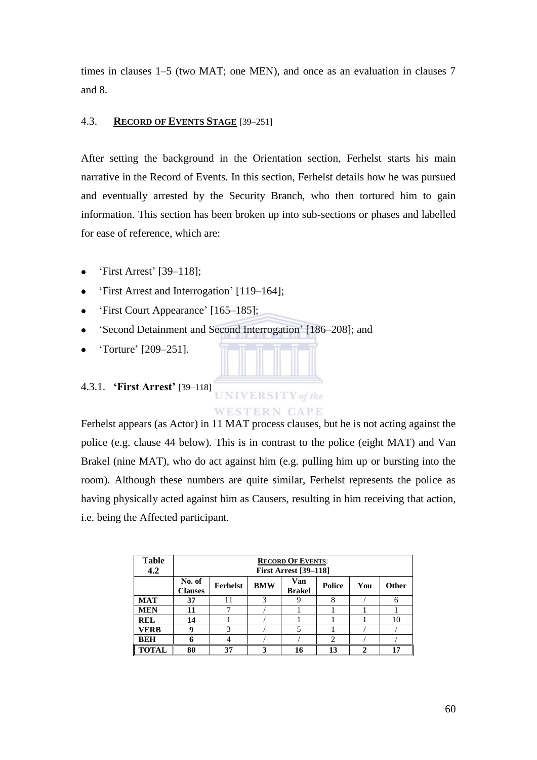times in clauses 1–5 (two MAT; one MEN), and once as an evaluation in clauses 7 and 8.

## 4.3. **RECORD OF EVENTS STAGE** [39–251]

After setting the background in the Orientation section, Ferhelst starts his main narrative in the Record of Events. In this section, Ferhelst details how he was pursued and eventually arrested by the Security Branch, who then tortured him to gain information. This section has been broken up into sub-sections or phases and labelled for ease of reference, which are:

- ‗First Arrest' [39–118];  $\bullet$
- ‗First Arrest and Interrogation' [119–164];  $\bullet$
- $\bullet$ ‗First Court Appearance' [165–185];
- ‗Second Detainment and Second Interrogation' [186–208]; and  $\bullet$
- ‗Torture' [209–251].

# 4.3.1. **'First Arrest'** [39–118]



Ferhelst appears (as Actor) in 11 MAT process clauses, but he is not acting against the police (e.g. clause 44 below). This is in contrast to the police (eight MAT) and Van Brakel (nine MAT), who do act against him (e.g. pulling him up or bursting into the room). Although these numbers are quite similar, Ferhelst represents the police as having physically acted against him as Causers, resulting in him receiving that action, i.e. being the Affected participant.

| <b>Table</b><br>4.2 | <b>RECORD OF EVENTS:</b><br><b>First Arrest [39-118]</b> |                 |            |                      |        |     |              |
|---------------------|----------------------------------------------------------|-----------------|------------|----------------------|--------|-----|--------------|
|                     | No. of<br><b>Clauses</b>                                 | <b>Ferhelst</b> | <b>BMW</b> | Van<br><b>Brakel</b> | Police | You | <b>Other</b> |
| <b>MAT</b>          | 37                                                       | 11              | 3          |                      | 8      |     | 6            |
| <b>MEN</b>          | 11                                                       | 7               |            |                      |        |     |              |
| <b>REL</b>          | 14                                                       |                 |            |                      |        |     | 10           |
| <b>VERB</b>         | 9                                                        | 3               |            | 5                    |        |     |              |
| <b>BEH</b>          |                                                          |                 |            |                      | ↑      |     |              |
| <b>TOTAL</b>        | 80                                                       | 37              |            |                      | 13     | ∍   |              |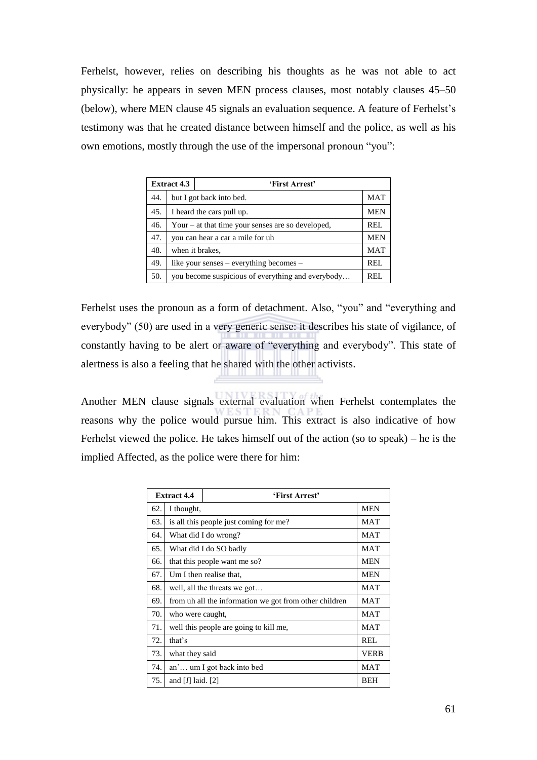Ferhelst, however, relies on describing his thoughts as he was not able to act physically: he appears in seven MEN process clauses, most notably clauses 45–50 (below), where MEN clause 45 signals an evaluation sequence. A feature of Ferhelst's testimony was that he created distance between himself and the police, as well as his own emotions, mostly through the use of the impersonal pronoun "you":

|     | <b>Extract 4.3</b><br>'First Arrest'              |                                         |            |
|-----|---------------------------------------------------|-----------------------------------------|------------|
| 44. |                                                   | but I got back into bed.                | <b>MAT</b> |
| 45. |                                                   | I heard the cars pull up.               | <b>MEN</b> |
| 46. | Your – at that time your senses are so developed, |                                         |            |
| 47. | you can hear a car a mile for uh                  |                                         | <b>MEN</b> |
| 48. |                                                   | when it brakes.                         | <b>MAT</b> |
| 49. |                                                   | like your senses – everything becomes – | REL        |
| 50. | you become suspicious of everything and everybody |                                         | REL.       |

Ferhelst uses the pronoun as a form of detachment. Also, "you" and "everything and everybody" (50) are used in a very generic sense: it describes his state of vigilance, of constantly having to be alert or aware of "everything and everybody". This state of alertness is also a feeling that he shared with the other activists.

Another MEN clause signals external evaluation when Ferhelst contemplates the reasons why the police would pursue him. This extract is also indicative of how Ferhelst viewed the police. He takes himself out of the action (so to speak) – he is the implied Affected, as the police were there for him:

|     | <b>Extract 4.4</b>                                     | 'First Arrest'                         |             |
|-----|--------------------------------------------------------|----------------------------------------|-------------|
| 62. | I thought,                                             | <b>MEN</b>                             |             |
| 63. |                                                        | is all this people just coming for me? | MAT         |
| 64. |                                                        | What did I do wrong?                   | <b>MAT</b>  |
| 65. |                                                        | What did I do SO badly                 | <b>MAT</b>  |
| 66. |                                                        | that this people want me so?           | <b>MEN</b>  |
| 67. | Um I then realise that.                                |                                        |             |
| 68. | well, all the threats we got                           |                                        | <b>MAT</b>  |
| 69. | from uh all the information we got from other children |                                        | MAT         |
| 70. | who were caught,                                       |                                        | MAT         |
| 71. |                                                        | well this people are going to kill me, | <b>MAT</b>  |
| 72. | that's                                                 |                                        | REL         |
| 73. | what they said                                         |                                        | <b>VERB</b> |
| 74. | an' um I got back into bed                             |                                        | <b>MAT</b>  |
| 75. | and [ $I$ ] laid. [2]                                  |                                        | <b>BEH</b>  |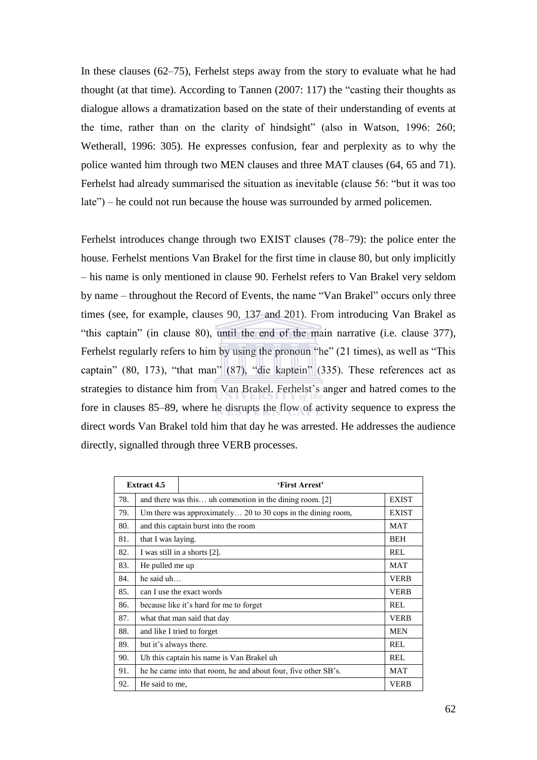In these clauses (62–75), Ferhelst steps away from the story to evaluate what he had thought (at that time). According to Tannen  $(2007: 117)$  the "casting their thoughts as dialogue allows a dramatization based on the state of their understanding of events at the time, rather than on the clarity of hindsight" (also in Watson,  $1996$ :  $260$ ; Wetherall, 1996: 305). He expresses confusion, fear and perplexity as to why the police wanted him through two MEN clauses and three MAT clauses (64, 65 and 71). Ferhelst had already summarised the situation as inevitable (clause 56: "but it was too  $late$ ) – he could not run because the house was surrounded by armed policemen.

Ferhelst introduces change through two EXIST clauses (78–79): the police enter the house. Ferhelst mentions Van Brakel for the first time in clause 80, but only implicitly – his name is only mentioned in clause 90. Ferhelst refers to Van Brakel very seldom by name – throughout the Record of Events, the name "Van Brakel" occurs only three times (see, for example, clauses 90, 137 and 201). From introducing Van Brakel as "this captain" (in clause 80), until the end of the main narrative (i.e. clause 377), Ferhelst regularly refers to him by using the pronoun "he"  $(21 \text{ times})$ , as well as "This captain"  $(80, 173)$ , "that man"  $(87)$ , "die kaptein"  $(335)$ . These references act as strategies to distance him from Van Brakel. Ferhelst's anger and hatred comes to the fore in clauses 85–89, where he disrupts the flow of activity sequence to express the direct words Van Brakel told him that day he was arrested. He addresses the audience directly, signalled through three VERB processes.

| <b>Extract 4.5</b><br>'First Arrest' |                                                                |                                                              |              |  |  |
|--------------------------------------|----------------------------------------------------------------|--------------------------------------------------------------|--------------|--|--|
| 78.                                  |                                                                | and there was this uh commotion in the dining room. [2]      |              |  |  |
| 79.                                  |                                                                | Um there was approximately 20 to 30 cops in the dining room, | <b>EXIST</b> |  |  |
| 80.                                  |                                                                | and this captain burst into the room                         | MAT          |  |  |
| 81.                                  | that I was laying.                                             |                                                              | <b>BEH</b>   |  |  |
| 82.                                  |                                                                | I was still in a shorts [2].                                 | <b>REL</b>   |  |  |
| 83.                                  | He pulled me up                                                |                                                              |              |  |  |
| 84.                                  | he said $uh$                                                   |                                                              |              |  |  |
| 85.                                  | can I use the exact words                                      |                                                              |              |  |  |
| 86.                                  |                                                                | because like it's hard for me to forget                      | REL          |  |  |
| 87.                                  |                                                                | what that man said that day                                  | <b>VERB</b>  |  |  |
| 88.                                  |                                                                | and like I tried to forget                                   | <b>MEN</b>   |  |  |
| 89.                                  | but it's always there.                                         |                                                              |              |  |  |
| 90.                                  | Uh this captain his name is Van Brakel uh                      |                                                              |              |  |  |
| 91.                                  | he he came into that room, he and about four, five other SB's. |                                                              |              |  |  |
| 92.                                  | He said to me,                                                 |                                                              |              |  |  |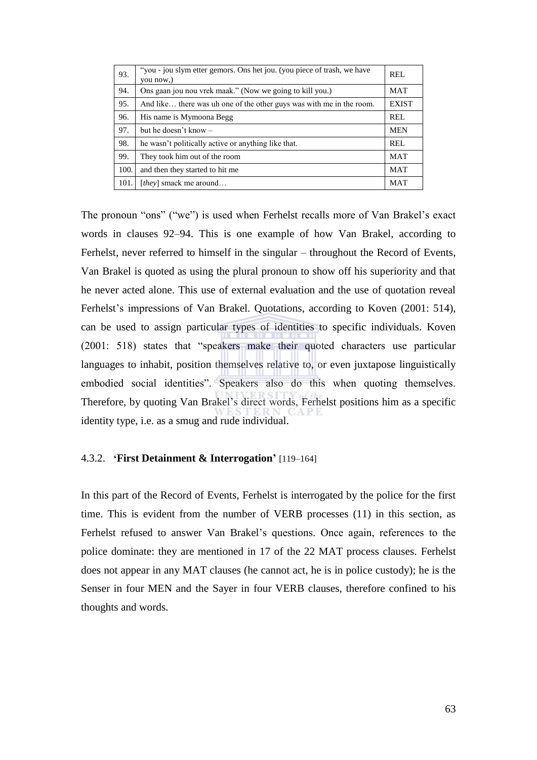| 93.  | "you - jou slym etter gemors. Ons het jou. (you piece of trash, we have<br>vou now.) | REL          |
|------|--------------------------------------------------------------------------------------|--------------|
| 94.  | Ons gaan jou nou vrek maak." (Now we going to kill you.)                             | <b>MAT</b>   |
| 95.  | And like there was uh one of the other guys was with me in the room.                 | <b>EXIST</b> |
| 96.  | His name is Mymoona Begg                                                             | REL          |
| 97.  | but he doesn't know $-$                                                              | <b>MEN</b>   |
| 98.  | he wasn't politically active or anything like that.                                  | REL          |
| 99.  | They took him out of the room                                                        | <b>MAT</b>   |
| 100. | and then they started to hit me                                                      | <b>MAT</b>   |
| 101. | [they] smack me around                                                               | <b>MAT</b>   |

The pronoun "ons" ("we") is used when Ferhelst recalls more of Van Brakel's exact words in clauses 92–94. This is one example of how Van Brakel, according to Ferhelst, never referred to himself in the singular – throughout the Record of Events, Van Brakel is quoted as using the plural pronoun to show off his superiority and that he never acted alone. This use of external evaluation and the use of quotation reveal Ferhelst's impressions of Van Brakel. Quotations, according to Koven (2001: 514), can be used to assign particular types of identities to specific individuals. Koven  $(2001: 518)$  states that "speakers make their quoted characters use particular languages to inhabit, position themselves relative to, or even juxtapose linguistically embodied social identities". Speakers also do this when quoting themselves. Therefore, by quoting Van Brakel's direct words, Ferhelst positions him as a specific identity type, i.e. as a smug and rude individual.

#### 4.3.2. **'First Detainment & Interrogation'** [119–164]

In this part of the Record of Events, Ferhelst is interrogated by the police for the first time. This is evident from the number of VERB processes (11) in this section, as Ferhelst refused to answer Van Brakel's questions. Once again, references to the police dominate: they are mentioned in 17 of the 22 MAT process clauses. Ferhelst does not appear in any MAT clauses (he cannot act, he is in police custody); he is the Senser in four MEN and the Sayer in four VERB clauses, therefore confined to his thoughts and words.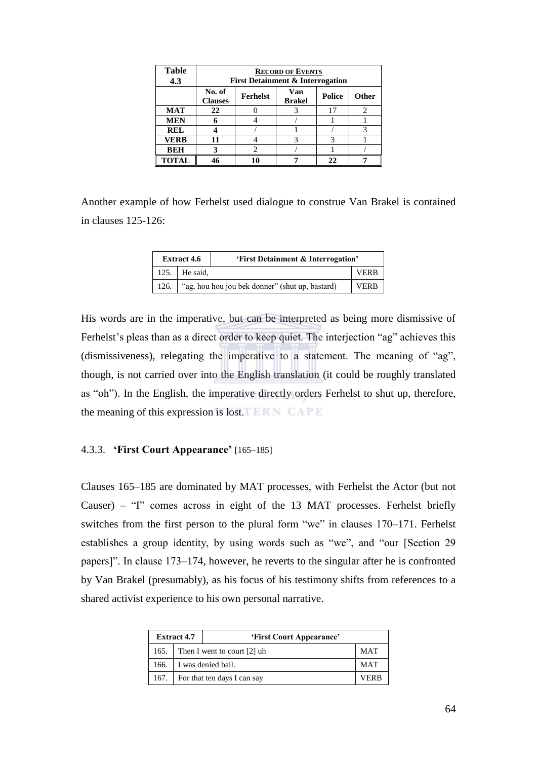| <b>Table</b><br>4.3 | <b>RECORD OF EVENTS</b><br><b>First Detainment &amp; Interrogation</b>                        |  |  |    |  |  |  |  |
|---------------------|-----------------------------------------------------------------------------------------------|--|--|----|--|--|--|--|
|                     | Van<br>No. of<br>Ferhelst<br><b>Police</b><br><b>Other</b><br><b>Brakel</b><br><b>Clauses</b> |  |  |    |  |  |  |  |
| <b>MAT</b>          | 22                                                                                            |  |  | 17 |  |  |  |  |
| <b>MEN</b>          | 6                                                                                             |  |  |    |  |  |  |  |
| <b>REL</b>          |                                                                                               |  |  |    |  |  |  |  |
| <b>VERB</b>         | 11                                                                                            |  |  |    |  |  |  |  |
| <b>BEH</b>          | 3                                                                                             |  |  |    |  |  |  |  |
| <b>TOTAL</b>        | 46                                                                                            |  |  | 22 |  |  |  |  |

Another example of how Ferhelst used dialogue to construe Van Brakel is contained in clauses 125-126:

| <b>Extract 4.6</b> |                       | 'First Detainment & Interrogation'                     |             |
|--------------------|-----------------------|--------------------------------------------------------|-------------|
|                    | 125. $\vert$ He said, |                                                        | <b>VERB</b> |
|                    |                       | 126.   "ag, hou hou jou bek donner" (shut up, bastard) | <b>VERB</b> |

His words are in the imperative, but can be interpreted as being more dismissive of Ferhelst's pleas than as a direct order to keep quiet. The interjection "ag" achieves this (dismissiveness), relegating the imperative to a statement. The meaning of " $ag$ ", though, is not carried over into the English translation (it could be roughly translated as "oh"). In the English, the imperative directly orders Ferhelst to shut up, therefore, the meaning of this expression is lost.  $E \to N$  CAPE

## 4.3.3. **'First Court Appearance'** [165–185]

Clauses 165–185 are dominated by MAT processes, with Ferhelst the Actor (but not Causer) – "I" comes across in eight of the 13 MAT processes. Ferhelst briefly switches from the first person to the plural form "we" in clauses  $170-171$ . Ferhelst establishes a group identity, by using words such as "we", and "our [Section 29 papers]‖. In clause 173–174, however, he reverts to the singular after he is confronted by Van Brakel (presumably), as his focus of his testimony shifts from references to a shared activist experience to his own personal narrative.

| <b>Extract 4.7</b> |                             | 'First Court Appearance' |            |
|--------------------|-----------------------------|--------------------------|------------|
| 165.               | Then I went to court [2] uh |                          | <b>MAT</b> |
| 166.               | I was denied bail.          |                          | <b>MAT</b> |
| 167.               | For that ten days I can say |                          | VFRR       |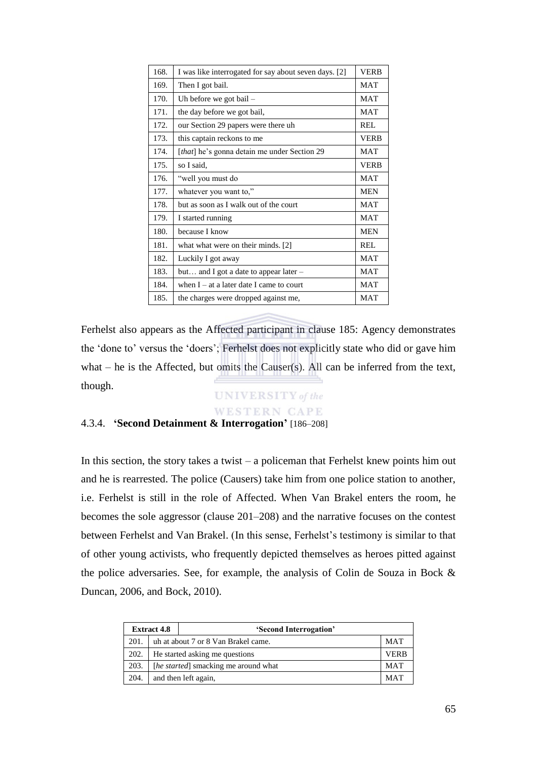| 168. | I was like interrogated for say about seven days. [2] | <b>VERB</b> |
|------|-------------------------------------------------------|-------------|
| 169. | Then I got bail.                                      | <b>MAT</b>  |
| 170. | Uh before we got bail $-$                             | <b>MAT</b>  |
| 171. | the day before we got bail,                           | <b>MAT</b>  |
| 172. | our Section 29 papers were there uh                   | REL.        |
| 173. | this captain reckons to me                            | <b>VERB</b> |
| 174. | [that] he's gonna detain me under Section 29          | <b>MAT</b>  |
| 175. | so I said.                                            | <b>VERB</b> |
| 176. | "well you must do                                     | <b>MAT</b>  |
| 177. | whatever you want to,"                                | <b>MEN</b>  |
| 178. | but as soon as I walk out of the court                | <b>MAT</b>  |
| 179. | I started running                                     | <b>MAT</b>  |
| 180. | because I know                                        | <b>MEN</b>  |
| 181. | what what were on their minds. [2]                    | REL.        |
| 182. | Luckily I got away                                    | <b>MAT</b>  |
| 183. | but and I got a date to appear later $-$              | <b>MAT</b>  |
| 184. | when $I - at a$ later date I came to court            | <b>MAT</b>  |
| 185. | the charges were dropped against me,                  | <b>MAT</b>  |

Ferhelst also appears as the Affected participant in clause 185: Agency demonstrates the ‗done to' versus the ‗doers'; Ferhelst does not explicitly state who did or gave him what – he is the Affected, but omits the Causer(s). All can be inferred from the text, though.

# **UNIVERSITY** of the **WESTERN CAPE**

## 4.3.4. **'Second Detainment & Interrogation'** [186–208]

In this section, the story takes a twist  $-$  a policeman that Ferhelst knew points him out and he is rearrested. The police (Causers) take him from one police station to another, i.e. Ferhelst is still in the role of Affected. When Van Brakel enters the room, he becomes the sole aggressor (clause 201–208) and the narrative focuses on the contest between Ferhelst and Van Brakel. (In this sense, Ferhelst's testimony is similar to that of other young activists, who frequently depicted themselves as heroes pitted against the police adversaries. See, for example, the analysis of Colin de Souza in Bock & Duncan, 2006, and Bock, 2010).

|      | <b>Extract 4.8</b><br>'Second Interrogation' |                                               |            |  |
|------|----------------------------------------------|-----------------------------------------------|------------|--|
| 201. | uh at about 7 or 8 Van Brakel came.<br>MAT   |                                               |            |  |
| 202. |                                              | He started asking me questions<br><b>VERB</b> |            |  |
| 203. | [he started] smacking me around what         |                                               | <b>MAT</b> |  |
| 204. |                                              | and then left again,                          | <b>MAT</b> |  |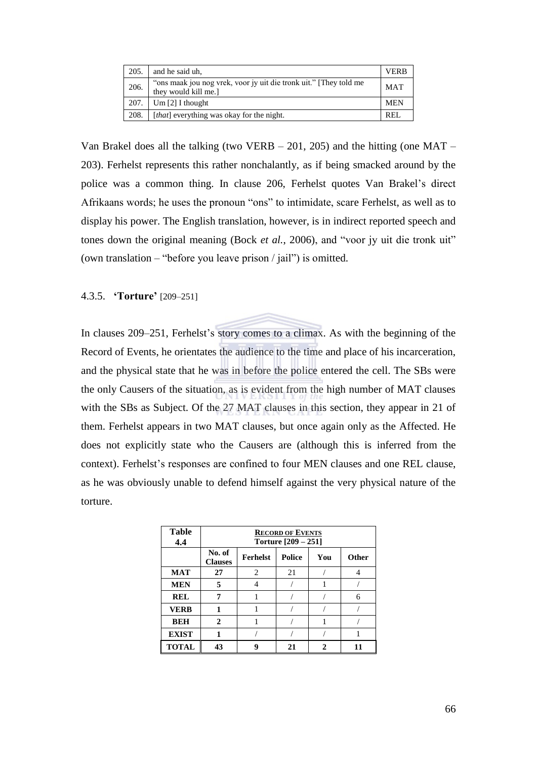| 205. | and he said uh,                                                                          | <b>VERB</b> |
|------|------------------------------------------------------------------------------------------|-------------|
| 206. | "ons maak jou nog vrek, voor jy uit die tronk uit." They told me<br>they would kill me.] | <b>MAT</b>  |
| 207. | Um [2] I thought                                                                         | <b>MEN</b>  |
| 208. | [that] everything was okay for the night.                                                | <b>REI</b>  |

Van Brakel does all the talking (two VERB  $-$  201, 205) and the hitting (one MAT – 203). Ferhelst represents this rather nonchalantly, as if being smacked around by the police was a common thing. In clause 206, Ferhelst quotes Van Brakel's direct Afrikaans words; he uses the pronoun "ons" to intimidate, scare Ferhelst, as well as to display his power. The English translation, however, is in indirect reported speech and tones down the original meaning (Bock *et al.*, 2006), and "voor jy uit die tronk uit" (own translation – "before you leave prison / jail") is omitted.

## 4.3.5. **'Torture'** [209–251]

In clauses 209–251, Ferhelst's story comes to a climax. As with the beginning of the Record of Events, he orientates the audience to the time and place of his incarceration, and the physical state that he was in before the police entered the cell. The SBs were the only Causers of the situation, as is evident from the high number of MAT clauses with the SBs as Subject. Of the 27 MAT clauses in this section, they appear in 21 of them. Ferhelst appears in two MAT clauses, but once again only as the Affected. He does not explicitly state who the Causers are (although this is inferred from the context). Ferhelst's responses are confined to four MEN clauses and one REL clause, as he was obviously unable to defend himself against the very physical nature of the torture.

| <b>Table</b><br>4.4 | <b>RECORD OF EVENTS</b><br>Torture [209 - 251] |                                                  |    |  |   |  |  |  |  |
|---------------------|------------------------------------------------|--------------------------------------------------|----|--|---|--|--|--|--|
|                     | No. of<br><b>Clauses</b>                       | <b>Police</b><br><b>Ferhelst</b><br>You<br>Other |    |  |   |  |  |  |  |
| <b>MAT</b>          | 27                                             | $\overline{c}$                                   | 21 |  |   |  |  |  |  |
| <b>MEN</b>          | 5                                              |                                                  |    |  |   |  |  |  |  |
| <b>REL</b>          | 7                                              |                                                  |    |  | 6 |  |  |  |  |
| <b>VERB</b>         | 1                                              |                                                  |    |  |   |  |  |  |  |
| <b>BEH</b>          | $\mathbf 2$                                    |                                                  |    |  |   |  |  |  |  |
| <b>EXIST</b>        |                                                |                                                  |    |  |   |  |  |  |  |
| <b>TOTAL</b>        | 43                                             | o                                                | 21 |  |   |  |  |  |  |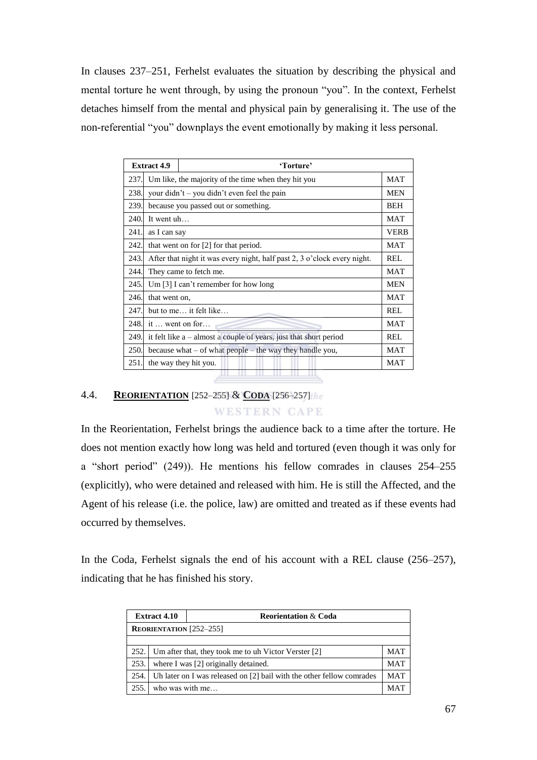In clauses 237–251, Ferhelst evaluates the situation by describing the physical and mental torture he went through, by using the pronoun "you". In the context, Ferhelst detaches himself from the mental and physical pain by generalising it. The use of the non-referential "you" downplays the event emotionally by making it less personal.

|      | <b>Extract 4.9</b>                                                                     | 'Torture'                            |             |  |
|------|----------------------------------------------------------------------------------------|--------------------------------------|-------------|--|
| 237. | Um like, the majority of the time when they hit you                                    |                                      |             |  |
| 238. | your didn't - you didn't even feel the pain<br><b>MEN</b>                              |                                      |             |  |
| 239. |                                                                                        | because you passed out or something. | <b>BEH</b>  |  |
| 240. | It went uh                                                                             |                                      | MAT         |  |
| 241. | as I can say                                                                           |                                      | <b>VERB</b> |  |
| 242. | <b>MAT</b><br>that went on for [2] for that period.                                    |                                      |             |  |
| 243. | After that night it was every night, half past 2, 3 o'clock every night.<br><b>REL</b> |                                      |             |  |
| 244. | <b>MAT</b><br>They came to fetch me.                                                   |                                      |             |  |
| 245. |                                                                                        | Um [3] I can't remember for how long | <b>MEN</b>  |  |
| 246. | that went on.                                                                          |                                      | <b>MAT</b>  |  |
| 247. |                                                                                        | but to me it felt like               | <b>REL</b>  |  |
| 248. |                                                                                        | it $\ldots$ went on for $\ldots$     | <b>MAT</b>  |  |
| 249. | it felt like $a -$ almost a couple of years, just that short period<br><b>REL</b>      |                                      |             |  |
| 250. | because what $-$ of what people $-$ the way they handle you,<br><b>MAT</b>             |                                      |             |  |
| 251. |                                                                                        | the way they hit you.                | MAT         |  |
|      |                                                                                        |                                      |             |  |

# 4.4. **REORIENTATION** [252–255] & **CODA** [256–257]

**WESTERN CAPE** 

In the Reorientation, Ferhelst brings the audience back to a time after the torture. He does not mention exactly how long was held and tortured (even though it was only for a "short period" (249)). He mentions his fellow comrades in clauses 254–255 (explicitly), who were detained and released with him. He is still the Affected, and the Agent of his release (i.e. the police, law) are omitted and treated as if these events had occurred by themselves.

In the Coda, Ferhelst signals the end of his account with a REL clause (256–257), indicating that he has finished his story.

|      | <b>Extract 4.10</b>                                                     | <b>Reorientation &amp; Coda</b>                                       |            |  |  |  |  |
|------|-------------------------------------------------------------------------|-----------------------------------------------------------------------|------------|--|--|--|--|
|      | <b>REORIENTATION</b> [252-255]                                          |                                                                       |            |  |  |  |  |
|      |                                                                         |                                                                       |            |  |  |  |  |
|      | 252. Um after that, they took me to uh Victor Verster [2]<br><b>MAT</b> |                                                                       |            |  |  |  |  |
| 253. |                                                                         | where I was [2] originally detained.                                  | <b>MAT</b> |  |  |  |  |
| 254. |                                                                         | Uh later on I was released on [2] bail with the other fellow comrades | <b>MAT</b> |  |  |  |  |
| 255. | who was with me                                                         |                                                                       | MAT        |  |  |  |  |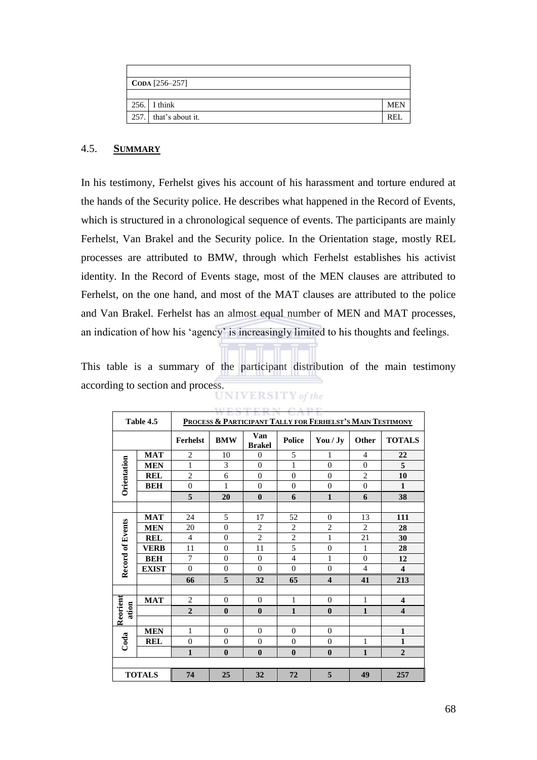| $\text{CODA}$ [256–257] |                       |            |  |  |  |
|-------------------------|-----------------------|------------|--|--|--|
|                         |                       |            |  |  |  |
|                         | $256.$ I think        | <b>MEN</b> |  |  |  |
|                         | 257. that's about it. | REI        |  |  |  |

## 4.5. **SUMMARY**

In his testimony, Ferhelst gives his account of his harassment and torture endured at the hands of the Security police. He describes what happened in the Record of Events, which is structured in a chronological sequence of events. The participants are mainly Ferhelst, Van Brakel and the Security police. In the Orientation stage, mostly REL processes are attributed to BMW, through which Ferhelst establishes his activist identity. In the Record of Events stage, most of the MEN clauses are attributed to Ferhelst, on the one hand, and most of the MAT clauses are attributed to the police and Van Brakel. Ferhelst has an almost equal number of MEN and MAT processes, an indication of how his 'agency' is increasingly limited to his thoughts and feelings.

This table is a summary of the participant distribution of the main testimony according to section and process.<br>UNIVERSITY of the

|                         | <b>DO L DAVIT</b><br><b>CONTRACTO</b><br>PROCESS & PARTICIPANT TALLY FOR FERHELST'S MAIN TESTIMONY<br>Table 4.5 |                 |                |                      |                |                         |                |                         |
|-------------------------|-----------------------------------------------------------------------------------------------------------------|-----------------|----------------|----------------------|----------------|-------------------------|----------------|-------------------------|
|                         |                                                                                                                 | <b>Ferhelst</b> | <b>BMW</b>     | Van<br><b>Brakel</b> | <b>Police</b>  | You / Jy                | <b>Other</b>   | <b>TOTALS</b>           |
|                         | <b>MAT</b>                                                                                                      | $\overline{2}$  | 10             | $\overline{0}$       | 5              | 1                       | $\overline{4}$ | 22                      |
| Orientation             | <b>MEN</b>                                                                                                      | $\mathbf{1}$    | 3              | $\theta$             | 1              | $\overline{0}$          | $\overline{0}$ | 5                       |
|                         | <b>REL</b>                                                                                                      | $\overline{2}$  | 6              | $\theta$             | $\theta$       | $\Omega$                | $\overline{c}$ | 10                      |
|                         | <b>BEH</b>                                                                                                      | $\theta$        | 1              | $\theta$             | $\theta$       | $\theta$                | $\theta$       | $\mathbf{1}$            |
|                         |                                                                                                                 | 5               | 20             | $\bf{0}$             | 6              | $\mathbf{1}$            | 6              | 38                      |
|                         |                                                                                                                 |                 |                |                      |                |                         |                |                         |
|                         | <b>MAT</b>                                                                                                      | 24              | 5              | 17                   | 52             | $\mathbf{0}$            | 13             | 111                     |
|                         | <b>MEN</b>                                                                                                      | 20              | $\overline{0}$ | $\overline{2}$       | $\overline{2}$ | $\overline{2}$          | $\overline{c}$ | 28                      |
|                         | <b>REL</b>                                                                                                      | $\overline{4}$  | $\theta$       | $\overline{c}$       | $\overline{2}$ | 1                       | 21             | 30                      |
|                         | <b>VERB</b>                                                                                                     | 11              | $\overline{0}$ | 11                   | 5              | $\overline{0}$          | 1              | 28                      |
|                         | <b>BEH</b>                                                                                                      | 7               | $\theta$       | $\theta$             | $\overline{4}$ | $\mathbf{1}$            | $\overline{0}$ | 12                      |
| <b>Record of Events</b> | <b>EXIST</b>                                                                                                    | $\Omega$        | $\Omega$       | $\theta$             | $\theta$       | $\theta$                | $\overline{4}$ | $\overline{\mathbf{4}}$ |
|                         |                                                                                                                 | 66              | 5              | 32                   | 65             | $\overline{\mathbf{4}}$ | 41             | 213                     |
|                         |                                                                                                                 |                 |                |                      |                |                         |                |                         |
|                         | <b>MAT</b>                                                                                                      | $\overline{2}$  | $\theta$       | $\mathbf{0}$         | $\mathbf{1}$   | $\theta$                | $\mathbf{1}$   | $\overline{\mathbf{4}}$ |
| Reorient<br>ation       |                                                                                                                 | $\overline{2}$  | $\mathbf{0}$   | $\bf{0}$             | $\mathbf{1}$   | $\bf{0}$                | $\mathbf{1}$   | $\overline{\mathbf{4}}$ |
|                         |                                                                                                                 |                 |                |                      |                |                         |                |                         |
|                         | <b>MEN</b>                                                                                                      | 1               | $\Omega$       | $\theta$             | $\Omega$       | $\mathbf{0}$            |                | $\mathbf{1}$            |
| Coda                    | <b>REL</b>                                                                                                      | $\mathbf{0}$    | $\theta$       | $\theta$             | $\theta$       | $\theta$                | $\mathbf{1}$   | $\mathbf{1}$            |
|                         |                                                                                                                 | $\mathbf{1}$    | $\bf{0}$       | $\bf{0}$             | $\bf{0}$       | $\bf{0}$                | $\mathbf{1}$   | $\overline{2}$          |
|                         |                                                                                                                 |                 |                |                      |                |                         |                |                         |
| <b>TOTALS</b>           |                                                                                                                 | 74              | 25             | 32                   | 72             | 5                       | 49             | 257                     |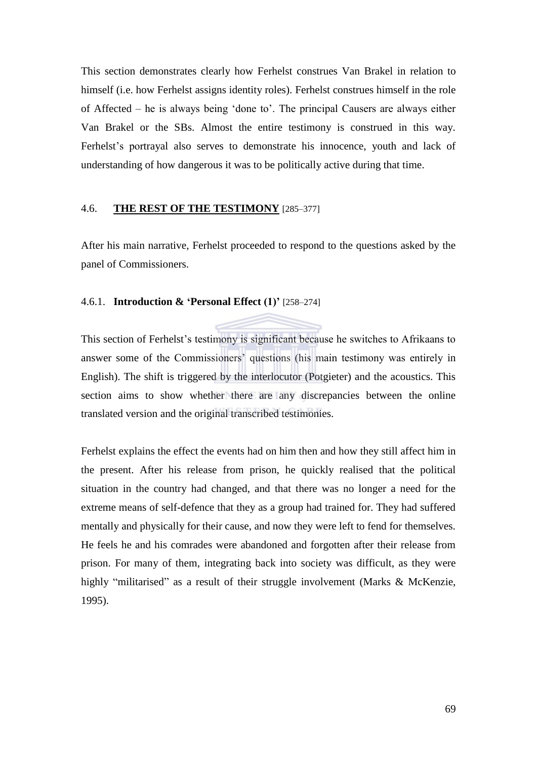This section demonstrates clearly how Ferhelst construes Van Brakel in relation to himself (i.e. how Ferhelst assigns identity roles). Ferhelst construes himself in the role of Affected – he is always being ‗done to'. The principal Causers are always either Van Brakel or the SBs. Almost the entire testimony is construed in this way. Ferhelst's portrayal also serves to demonstrate his innocence, youth and lack of understanding of how dangerous it was to be politically active during that time.

## 4.6. **THE REST OF THE TESTIMONY** [285–377]

After his main narrative, Ferhelst proceeded to respond to the questions asked by the panel of Commissioners.

## 4.6.1. **Introduction & 'Personal Effect (1)'** [258–274]

This section of Ferhelst's testimony is significant because he switches to Afrikaans to answer some of the Commissioners' questions (his main testimony was entirely in English). The shift is triggered by the interlocutor (Potgieter) and the acoustics. This section aims to show whether there are any discrepancies between the online translated version and the original transcribed testimonies.

Ferhelst explains the effect the events had on him then and how they still affect him in the present. After his release from prison, he quickly realised that the political situation in the country had changed, and that there was no longer a need for the extreme means of self-defence that they as a group had trained for. They had suffered mentally and physically for their cause, and now they were left to fend for themselves. He feels he and his comrades were abandoned and forgotten after their release from prison. For many of them, integrating back into society was difficult, as they were highly "militarised" as a result of their struggle involvement (Marks & McKenzie, 1995).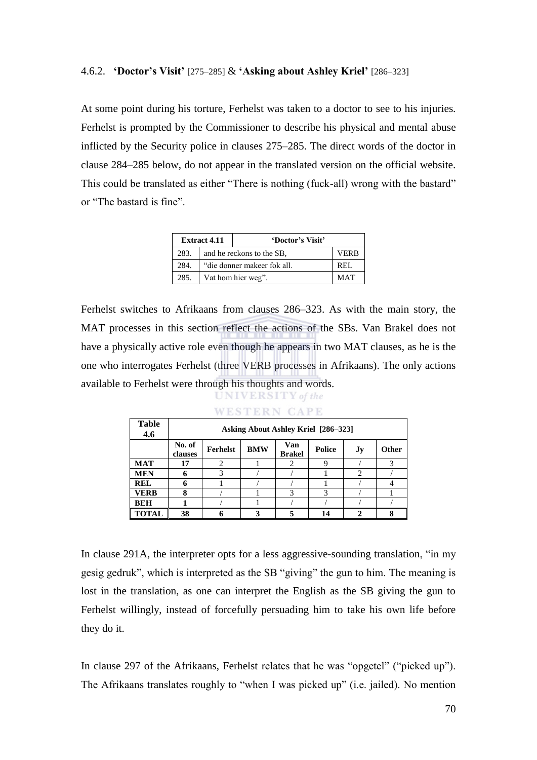#### 4.6.2. **'Doctor's Visit'** [275–285] & **'Asking about Ashley Kriel'** [286–323]

At some point during his torture, Ferhelst was taken to a doctor to see to his injuries. Ferhelst is prompted by the Commissioner to describe his physical and mental abuse inflicted by the Security police in clauses 275–285. The direct words of the doctor in clause 284–285 below, do not appear in the translated version on the official website. This could be translated as either "There is nothing (fuck-all) wrong with the bastard" or "The bastard is fine".

| <b>Extract 4.11</b> |                             | 'Doctor's Visit' |  |
|---------------------|-----------------------------|------------------|--|
| 283.                | and he reckons to the SB,   | VERB             |  |
| 284.                | "die donner makeer fok all. | REL              |  |
| 285.                | Vat hom hier weg".          | <b>MAT</b>       |  |

Ferhelst switches to Afrikaans from clauses 286–323. As with the main story, the MAT processes in this section reflect the actions of the SBs. Van Brakel does not have a physically active role even though he appears in two MAT clauses, as he is the one who interrogates Ferhelst (three VERB processes in Afrikaans). The only actions available to Ferhelst were through his thoughts and words. UNIVERSITY of the

| <b>Table</b><br>4.6 |                   | Asking About Ashley Kriel [286–323] |            |                      |               |               |              |  |  |  |  |  |  |
|---------------------|-------------------|-------------------------------------|------------|----------------------|---------------|---------------|--------------|--|--|--|--|--|--|
|                     | No. of<br>clauses | <b>Ferhelst</b>                     | <b>BMW</b> | Van<br><b>Brakel</b> | <b>Police</b> | Jy            | <b>Other</b> |  |  |  |  |  |  |
| <b>MAT</b>          | 17                |                                     |            |                      |               |               |              |  |  |  |  |  |  |
| <b>MEN</b>          |                   |                                     |            |                      |               | $\mathcal{D}$ |              |  |  |  |  |  |  |
| <b>REL</b>          |                   |                                     |            |                      |               |               |              |  |  |  |  |  |  |
| <b>VERB</b>         |                   |                                     |            |                      |               |               |              |  |  |  |  |  |  |
| <b>BEH</b>          |                   |                                     |            |                      |               |               |              |  |  |  |  |  |  |
| <b>TOTAL</b>        | 38                |                                     |            |                      |               |               |              |  |  |  |  |  |  |

#### **WESTERN CAPE**

In clause 291A, the interpreter opts for a less aggressive-sounding translation, "in my gesig gedruk", which is interpreted as the SB "giving" the gun to him. The meaning is lost in the translation, as one can interpret the English as the SB giving the gun to Ferhelst willingly, instead of forcefully persuading him to take his own life before they do it.

In clause 297 of the Afrikaans, Ferhelst relates that he was "opgetel" ("picked up"). The Afrikaans translates roughly to "when I was picked up" (i.e. jailed). No mention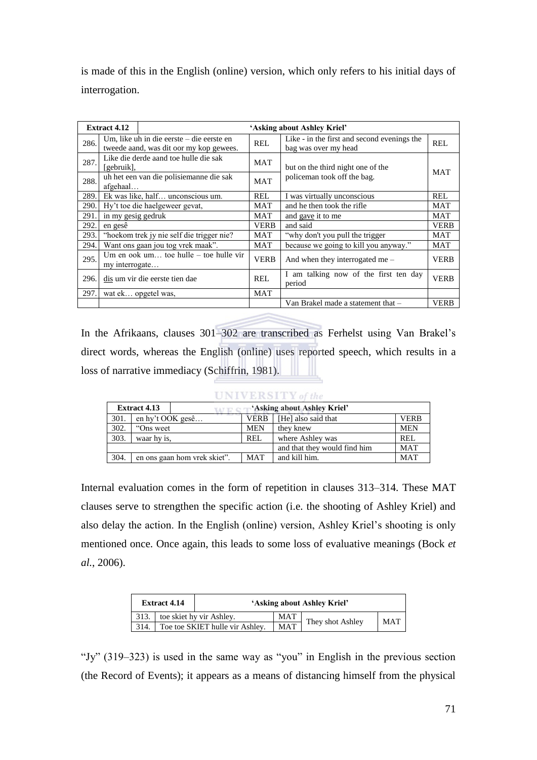is made of this in the English (online) version, which only refers to his initial days of interrogation.

|      | <b>Extract 4.12</b>                                 |                                                                                      |             | 'Asking about Ashley Kriel'                                         |             |
|------|-----------------------------------------------------|--------------------------------------------------------------------------------------|-------------|---------------------------------------------------------------------|-------------|
| 286. |                                                     | Um, like uh in die eerste – die eerste en<br>tweede aand, was dit oor my kop gewees. | REL         | Like - in the first and second evenings the<br>bag was over my head | REL         |
| 287. | [gebruik],                                          | Like die derde aand toe hulle die sak                                                | MAT         | but on the third night one of the                                   |             |
| 288. | uh het een van die polisiemanne die sak<br>afgehaal |                                                                                      |             | policeman took off the bag.                                         | <b>MAT</b>  |
| 289. |                                                     | Ek was like, half unconscious um.                                                    | <b>REL</b>  | I was virtually unconscious                                         | <b>REL</b>  |
| 290. |                                                     | Hy't toe die haelgeweer gevat,                                                       | MAT         | and he then took the rifle                                          | MAT         |
| 291. | in my gesig gedruk                                  |                                                                                      | MAT         | and gave it to me                                                   | <b>MAT</b>  |
| 292. | en gesê                                             |                                                                                      | <b>VERB</b> | and said                                                            | <b>VERB</b> |
| 293. |                                                     | "hoekom trek jy nie self die trigger nie?                                            | <b>MAT</b>  | "why don't you pull the trigger"                                    | <b>MAT</b>  |
| 294. |                                                     | Want ons gaan jou tog vrek maak".                                                    | <b>MAT</b>  | because we going to kill you anyway."                               | MAT         |
| 295. | my interrogate                                      | Um en ook um toe hulle – toe hulle vir                                               | <b>VERB</b> | And when they interrogated me $-$                                   | <b>VERB</b> |
| 296. |                                                     | dis um vir die eerste tien dae                                                       | REL         | I am talking now of the first ten day<br>period                     | <b>VERB</b> |
| 297. |                                                     | wat ek opgetel was,                                                                  | MAT         |                                                                     |             |
|      |                                                     |                                                                                      |             | Van Brakel made a statement that -                                  | VERB        |

In the Afrikaans, clauses 301–302 are transcribed as Ferhelst using Van Brakel's direct words, whereas the English (online) uses reported speech, which results in a loss of narrative immediacy (Schiffrin, 1981).

|      | $\cup$ N I V E K S $\cup$ Y of the |                                 |             |                              |             |  |  |  |  |  |
|------|------------------------------------|---------------------------------|-------------|------------------------------|-------------|--|--|--|--|--|
|      | <b>Extract 4.13</b>                | $N$ $\mathbb{F}$ $\mathbb{C}$ . |             | 'Asking about Ashley Kriel'  |             |  |  |  |  |  |
| 301. | en hy't OOK gesê                   |                                 | <b>VERB</b> | [He] also said that          | <b>VERB</b> |  |  |  |  |  |
| 302. | "Ons weet                          |                                 | <b>MEN</b>  | they knew                    | <b>MEN</b>  |  |  |  |  |  |
| 303. | waar hy is,                        |                                 | <b>REL</b>  | where Ashley was             | <b>REL</b>  |  |  |  |  |  |
|      |                                    |                                 |             | and that they would find him | <b>MAT</b>  |  |  |  |  |  |
| 304. |                                    | en ons gaan hom vrek skiet".    | <b>MAT</b>  | and kill him.                | <b>MAT</b>  |  |  |  |  |  |

Internal evaluation comes in the form of repetition in clauses 313–314. These MAT clauses serve to strengthen the specific action (i.e. the shooting of Ashley Kriel) and also delay the action. In the English (online) version, Ashley Kriel's shooting is only mentioned once. Once again, this leads to some loss of evaluative meanings (Bock *et al.*, 2006).

|      | <b>Extract 4.14</b> |                                 | 'Asking about Ashley Kriel' |                  |            |  |  |  |
|------|---------------------|---------------------------------|-----------------------------|------------------|------------|--|--|--|
| 313. |                     | toe skiet hy vir Ashley.        | MAT                         | They shot Ashley | <b>MAT</b> |  |  |  |
| 314. |                     | Toe toe SKIET hulle vir Ashley. | <b>MAT</b>                  |                  |            |  |  |  |

"Jy" (319–323) is used in the same way as "you" in English in the previous section (the Record of Events); it appears as a means of distancing himself from the physical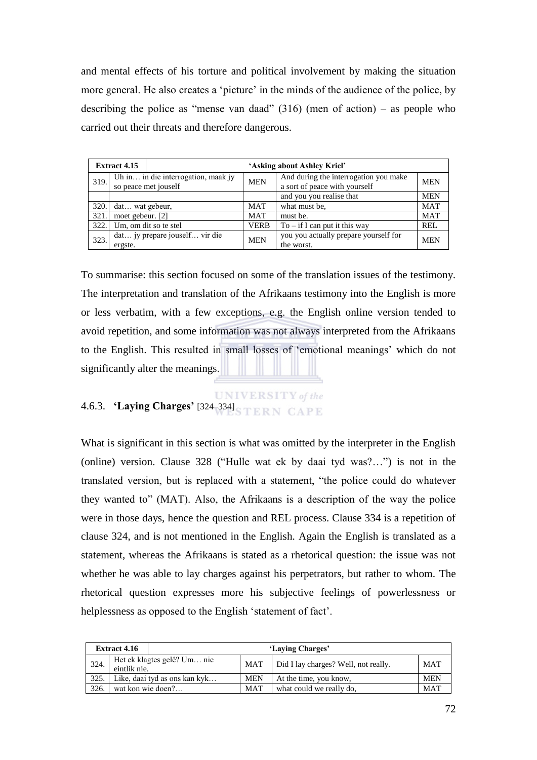and mental effects of his torture and political involvement by making the situation more general. He also creates a 'picture' in the minds of the audience of the police, by describing the police as "mense van daad"  $(316)$  (men of action) – as people who carried out their threats and therefore dangerous.

|       | <b>Extract 4.15</b>                                         |                                | 'Asking about Ashley Kriel' |                                                                        |            |  |  |  |
|-------|-------------------------------------------------------------|--------------------------------|-----------------------------|------------------------------------------------------------------------|------------|--|--|--|
| 319.  | Uh in in die interrogation, maak jy<br>so peace met jouself |                                | <b>MEN</b>                  | And during the interrogation you make<br>a sort of peace with yourself | <b>MEN</b> |  |  |  |
|       |                                                             |                                |                             | and you you realise that                                               | <b>MEN</b> |  |  |  |
| 320.  | dat wat gebeur,                                             |                                | MAT                         | what must be.                                                          | <b>MAT</b> |  |  |  |
| 321   | moet gebeur. [2]                                            |                                | MAT                         | must be.                                                               | <b>MAT</b> |  |  |  |
| 322.1 |                                                             | Um, om dit so te stel          | <b>VERB</b>                 | $To - if I can put it this way$                                        | <b>REL</b> |  |  |  |
| 323   | ergste.                                                     | dat jy prepare jouself vir die | <b>MEN</b>                  | you you actually prepare yourself for<br>the worst.                    | <b>MEN</b> |  |  |  |

To summarise: this section focused on some of the translation issues of the testimony. The interpretation and translation of the Afrikaans testimony into the English is more or less verbatim, with a few exceptions, e.g. the English online version tended to avoid repetition, and some information was not always interpreted from the Afrikaans to the English. This resulted in small losses of ‗emotional meanings' which do not significantly alter the meanings.

# **UNIVERSITY** of the 4.6.3. **'Laying Charges'** [324–334]

What is significant in this section is what was omitted by the interpreter in the English (online) version. Clause  $328$  ("Hulle wat ek by daai tyd was?...") is not in the translated version, but is replaced with a statement, "the police could do whatever they wanted to‖ (MAT). Also, the Afrikaans is a description of the way the police were in those days, hence the question and REL process. Clause 334 is a repetition of clause 324, and is not mentioned in the English. Again the English is translated as a statement, whereas the Afrikaans is stated as a rhetorical question: the issue was not whether he was able to lay charges against his perpetrators, but rather to whom. The rhetorical question expresses more his subjective feelings of powerlessness or helplessness as opposed to the English 'statement of fact'.

|      | <b>Extract 4.16</b> |                               |            | 'Laving Charges'                     |            |
|------|---------------------|-------------------------------|------------|--------------------------------------|------------|
| 324. | eintlik nie.        | Het ek klagtes gelê? Um nie   | <b>MAT</b> | Did I lay charges? Well, not really. | <b>MAT</b> |
| 325. |                     | Like, daai tyd as ons kan kyk | <b>MEN</b> | At the time, you know,               | <b>MEN</b> |
| 326  | wat kon wie doen?   |                               | <b>MAT</b> | what could we really do.             | <b>MAT</b> |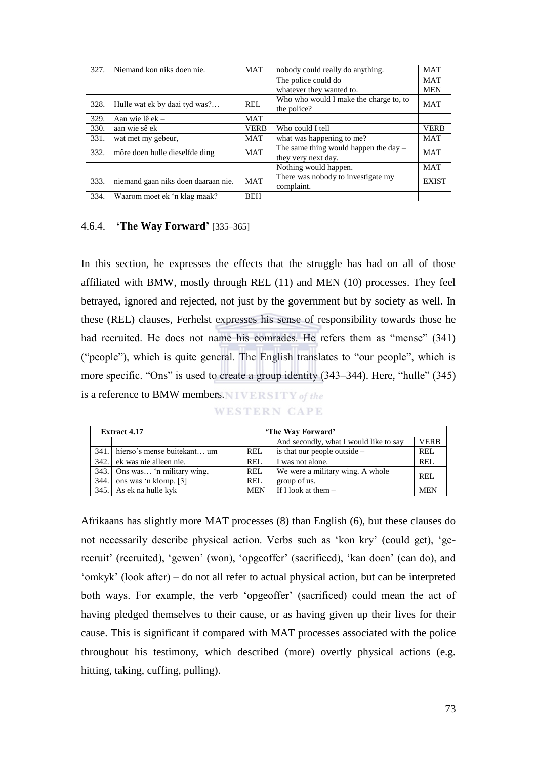| 327. | Niemand kon niks doen nie.          | <b>MAT</b>               | nobody could really do anything.                               | <b>MAT</b>   |
|------|-------------------------------------|--------------------------|----------------------------------------------------------------|--------------|
|      |                                     |                          | The police could do                                            | <b>MAT</b>   |
|      |                                     | whatever they wanted to. | <b>MEN</b>                                                     |              |
| 328. | Hulle wat ek by daai tyd was?       | <b>REL</b>               | Who who would I make the charge to, to<br>the police?          | <b>MAT</b>   |
| 329. | Aan wie lê ek –                     | <b>MAT</b>               |                                                                |              |
| 330. | aan wie sê ek                       | <b>VERB</b>              | Who could I tell                                               | <b>VERB</b>  |
| 331. | wat met my gebeur,                  | MAT                      | what was happening to me?                                      | <b>MAT</b>   |
| 332. | môre doen hulle dieselfde ding      | <b>MAT</b>               | The same thing would happen the day $-$<br>they very next day. | <b>MAT</b>   |
|      |                                     |                          | Nothing would happen.                                          | <b>MAT</b>   |
| 333. | niemand gaan niks doen daaraan nie. | <b>MAT</b>               | There was nobody to investigate my<br>complaint.               | <b>EXIST</b> |
| 334. | Waarom moet ek 'n klag maak?        | <b>BEH</b>               |                                                                |              |

## 4.6.4. **'The Way Forward'** [335–365]

In this section, he expresses the effects that the struggle has had on all of those affiliated with BMW, mostly through REL (11) and MEN (10) processes. They feel betrayed, ignored and rejected, not just by the government but by society as well. In these (REL) clauses, Ferhelst expresses his sense of responsibility towards those he had recruited. He does not name his comrades. He refers them as "mense" (341) ("people"), which is quite general. The English translates to "our people", which is more specific. "Ons" is used to create a group identity (343–344). Here, "hulle" (345) is a reference to BMW members. WERSITY of the

|  | .<br> |  |
|--|-------|--|
|  |       |  |

|       | <b>Extract 4.17</b>    |                                  |            | 'The Way Forward'                      |             |  |  |  |
|-------|------------------------|----------------------------------|------------|----------------------------------------|-------------|--|--|--|
|       |                        |                                  |            | And secondly, what I would like to say | <b>VERB</b> |  |  |  |
|       |                        | 341. hierso's mense buitekant um | REL        | is that our people outside $-$         | REL.        |  |  |  |
| 342.1 | ek was nie alleen nie. |                                  | REL        | I was not alone.                       | REL         |  |  |  |
|       |                        | 343. Ons was 'n military wing,   | <b>REL</b> | We were a military wing. A whole       | REI.        |  |  |  |
| 344.  | ons was 'n klomp. [3]  |                                  | <b>REL</b> | group of us.                           |             |  |  |  |
| 345.  | As ek na hulle kyk     |                                  | <b>MEN</b> | If I look at them $-$                  | <b>MEN</b>  |  |  |  |

Afrikaans has slightly more MAT processes (8) than English (6), but these clauses do not necessarily describe physical action. Verbs such as 'kon kry' (could get), 'gerecruit' (recruited), 'gewen' (won), 'opgeoffer' (sacrificed), 'kan doen' (can do), and ‗omkyk' (look after) – do not all refer to actual physical action, but can be interpreted both ways. For example, the verb 'opgeoffer' (sacrificed) could mean the act of having pledged themselves to their cause, or as having given up their lives for their cause. This is significant if compared with MAT processes associated with the police throughout his testimony, which described (more) overtly physical actions (e.g. hitting, taking, cuffing, pulling).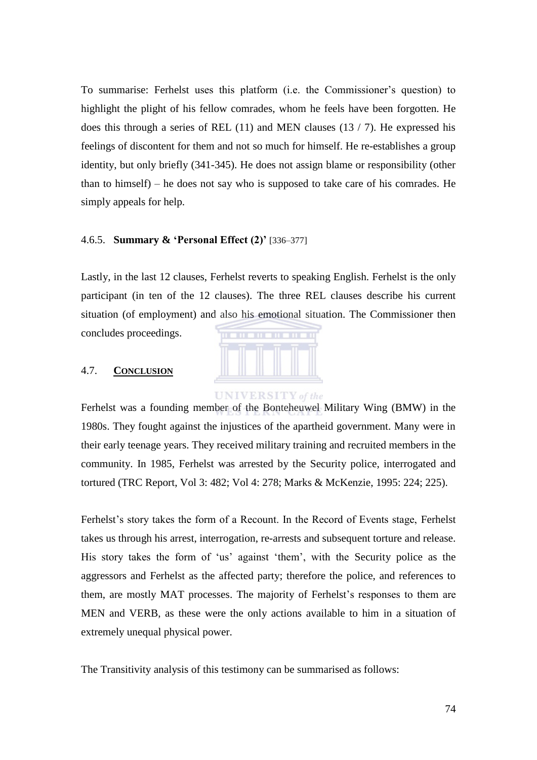To summarise: Ferhelst uses this platform (i.e. the Commissioner's question) to highlight the plight of his fellow comrades, whom he feels have been forgotten. He does this through a series of REL  $(11)$  and MEN clauses  $(13 / 7)$ . He expressed his feelings of discontent for them and not so much for himself. He re-establishes a group identity, but only briefly (341-345). He does not assign blame or responsibility (other than to himself) – he does not say who is supposed to take care of his comrades. He simply appeals for help.

### 4.6.5. **Summary & 'Personal Effect (2)'** [336–377]

Lastly, in the last 12 clauses, Ferhelst reverts to speaking English. Ferhelst is the only participant (in ten of the 12 clauses). The three REL clauses describe his current situation (of employment) and also his emotional situation. The Commissioner then concludes proceedings.



**UNIVERSITY** of the

## 4.7. **CONCLUSION**

Ferhelst was a founding member of the Bonteheuwel Military Wing (BMW) in the 1980s. They fought against the injustices of the apartheid government. Many were in their early teenage years. They received military training and recruited members in the community. In 1985, Ferhelst was arrested by the Security police, interrogated and tortured (TRC Report, Vol 3: 482; Vol 4: 278; Marks & McKenzie, 1995: 224; 225).

Ferhelst's story takes the form of a Recount. In the Record of Events stage, Ferhelst takes us through his arrest, interrogation, re-arrests and subsequent torture and release. His story takes the form of 'us' against 'them', with the Security police as the aggressors and Ferhelst as the affected party; therefore the police, and references to them, are mostly MAT processes. The majority of Ferhelst's responses to them are MEN and VERB, as these were the only actions available to him in a situation of extremely unequal physical power.

The Transitivity analysis of this testimony can be summarised as follows: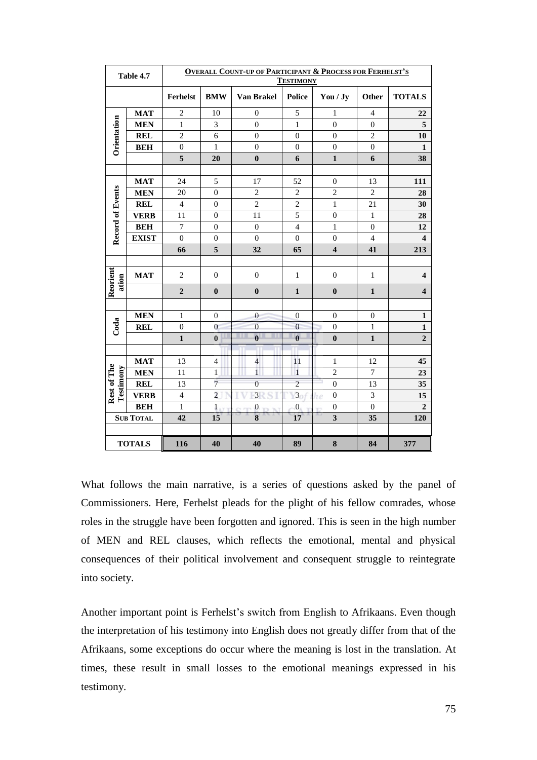|                          | Table 4.7        | <b>OVERALL COUNT-UP OF PARTICIPANT &amp; PROCESS FOR FERHELST'S</b><br><b>TESTIMONY</b> |                  |                         |                          |                         |                  |                         |  |  |
|--------------------------|------------------|-----------------------------------------------------------------------------------------|------------------|-------------------------|--------------------------|-------------------------|------------------|-------------------------|--|--|
|                          |                  | <b>Ferhelst</b>                                                                         | <b>BMW</b>       | Van Brakel              | <b>Police</b>            | You / Jy                | Other            | <b>TOTALS</b>           |  |  |
|                          | <b>MAT</b>       | $\overline{2}$                                                                          | 10               | $\overline{0}$          | 5                        | $\mathbf{1}$            | $\overline{4}$   | 22                      |  |  |
|                          | <b>MEN</b>       | $\mathbf{1}$                                                                            | 3                | $\mathbf{0}$            | $\mathbf{1}$             | $\boldsymbol{0}$        | $\overline{0}$   | $\sqrt{5}$              |  |  |
|                          | <b>REL</b>       | $\overline{2}$                                                                          | 6                | $\mathbf{0}$            | $\overline{0}$           | $\overline{0}$          | $\overline{2}$   | 10                      |  |  |
| Orientation              | <b>BEH</b>       | $\boldsymbol{0}$                                                                        | $\mathbf{1}$     | $\boldsymbol{0}$        | $\boldsymbol{0}$         | $\boldsymbol{0}$        | $\boldsymbol{0}$ | $\mathbf{1}$            |  |  |
|                          |                  | 5                                                                                       | 20               | $\boldsymbol{0}$        | 6                        | $\mathbf{1}$            | 6                | 38                      |  |  |
|                          |                  |                                                                                         |                  |                         |                          |                         |                  |                         |  |  |
|                          | <b>MAT</b>       | 24                                                                                      | 5                | 17                      | 52                       | $\boldsymbol{0}$        | 13               | 111                     |  |  |
|                          | <b>MEN</b>       | 20                                                                                      | $\boldsymbol{0}$ | $\overline{2}$          | $\overline{c}$           | $\overline{c}$          | $\overline{c}$   | 28                      |  |  |
|                          | <b>REL</b>       | $\overline{4}$                                                                          | $\mathbf{0}$     | $\overline{2}$          | $\overline{c}$           | $\mathbf{1}$            | 21               | 30                      |  |  |
|                          | <b>VERB</b>      | 11                                                                                      | $\boldsymbol{0}$ | 11                      | 5                        | $\boldsymbol{0}$        | $\mathbf{1}$     | 28                      |  |  |
|                          | <b>BEH</b>       | $\boldsymbol{7}$                                                                        | $\boldsymbol{0}$ | $\boldsymbol{0}$        | $\overline{\mathcal{L}}$ | $\mathbf{1}$            | $\boldsymbol{0}$ | 12                      |  |  |
| <b>Record of Events</b>  | <b>EXIST</b>     | $\mathbf{0}$                                                                            | $\boldsymbol{0}$ | $\mathbf{0}$            | $\overline{0}$           | $\boldsymbol{0}$        | $\overline{4}$   | $\overline{\mathbf{4}}$ |  |  |
|                          |                  | 66                                                                                      | 5                | 32                      | 65                       | $\overline{\mathbf{4}}$ | 41               | 213                     |  |  |
|                          |                  |                                                                                         |                  |                         |                          |                         |                  |                         |  |  |
| Reorient<br>ation        | <b>MAT</b>       | $\overline{c}$                                                                          | $\boldsymbol{0}$ | $\boldsymbol{0}$        | $\mathbf{1}$             | $\boldsymbol{0}$        | $\mathbf{1}$     | $\overline{\mathbf{4}}$ |  |  |
|                          |                  | $\overline{2}$                                                                          | $\boldsymbol{0}$ | $\bf{0}$                | $\mathbf 1$              | $\bf{0}$                | $\mathbf{1}$     | $\overline{\mathbf{4}}$ |  |  |
|                          | <b>MEN</b>       | $\mathbf{1}$                                                                            | $\overline{0}$   | $\overline{0}$          | $\boldsymbol{0}$         | $\boldsymbol{0}$        | $\boldsymbol{0}$ | $\mathbf{1}$            |  |  |
| Coda                     | <b>REL</b>       | $\boldsymbol{0}$                                                                        | $\mathbf{0}$     | $\overline{0}$          | $\overline{0}$           | $\boldsymbol{0}$        | $\mathbf{1}$     | $\mathbf{1}$            |  |  |
|                          |                  | $\mathbf{1}$                                                                            | $\bf{0}$         | $\overline{\mathbf{0}}$ | $\bf{0}$                 | $\bf{0}$                | $\mathbf{1}$     | $\overline{2}$          |  |  |
|                          |                  |                                                                                         |                  |                         |                          |                         |                  |                         |  |  |
|                          | <b>MAT</b>       | 13                                                                                      | $\overline{4}$   | $\overline{\mathbf{4}}$ | 11                       | $\mathbf{1}$            | 12               | 45                      |  |  |
|                          | <b>MEN</b>       | 11                                                                                      | 1                | $\mathbf{1}$            | $\mathbf{1}$             | $\overline{c}$          | $\tau$           | 23                      |  |  |
| Rest of The<br>Testimony | <b>REL</b>       | 13                                                                                      | $\overline{7}$   | $\boldsymbol{0}$        | $\overline{c}$           | $\boldsymbol{0}$        | 13               | 35                      |  |  |
|                          | <b>VERB</b>      | $\overline{4}$                                                                          | $\overline{2}$   | $\overline{3}$          | $\overline{3}$           | $\boldsymbol{0}$<br>í.  | 3                | 15                      |  |  |
|                          | <b>BEH</b>       | $\mathbf{1}$                                                                            | $1_{\pm 7}$      | $\boldsymbol{0}$        | $\boldsymbol{0}$         | $\boldsymbol{0}$        | $\mathbf{0}$     | $\overline{2}$          |  |  |
|                          | <b>SUB TOTAL</b> | 42                                                                                      | 15               | 8                       | 17                       | $\mathbf{3}$            | 35               | 120                     |  |  |
|                          |                  |                                                                                         |                  |                         |                          |                         |                  |                         |  |  |
|                          | <b>TOTALS</b>    | 116                                                                                     | 40               | 40                      | 89                       | 8                       | 84               | 377                     |  |  |

What follows the main narrative, is a series of questions asked by the panel of Commissioners. Here, Ferhelst pleads for the plight of his fellow comrades, whose roles in the struggle have been forgotten and ignored. This is seen in the high number of MEN and REL clauses, which reflects the emotional, mental and physical consequences of their political involvement and consequent struggle to reintegrate into society.

Another important point is Ferhelst's switch from English to Afrikaans. Even though the interpretation of his testimony into English does not greatly differ from that of the Afrikaans, some exceptions do occur where the meaning is lost in the translation. At times, these result in small losses to the emotional meanings expressed in his testimony.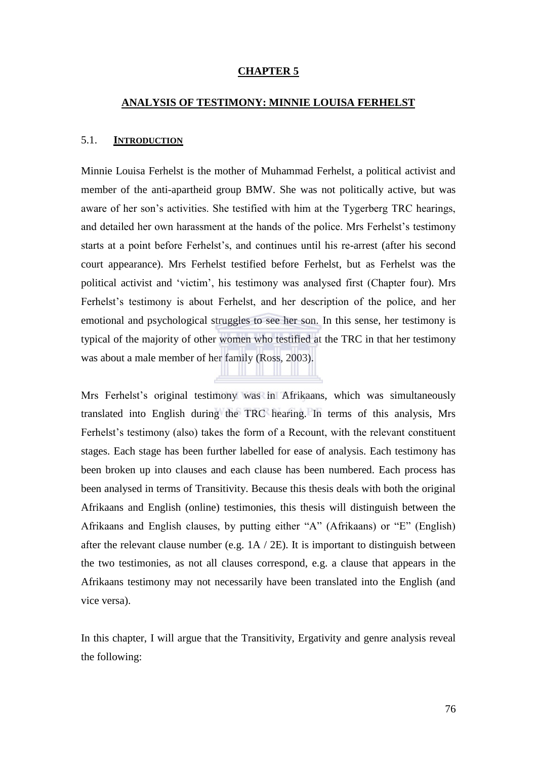#### **CHAPTER 5**

#### **ANALYSIS OF TESTIMONY: MINNIE LOUISA FERHELST**

#### 5.1. **INTRODUCTION**

Minnie Louisa Ferhelst is the mother of Muhammad Ferhelst, a political activist and member of the anti-apartheid group BMW. She was not politically active, but was aware of her son's activities. She testified with him at the Tygerberg TRC hearings, and detailed her own harassment at the hands of the police. Mrs Ferhelst's testimony starts at a point before Ferhelst's, and continues until his re-arrest (after his second court appearance). Mrs Ferhelst testified before Ferhelst, but as Ferhelst was the political activist and ‗victim', his testimony was analysed first (Chapter four). Mrs Ferhelst's testimony is about Ferhelst, and her description of the police, and her emotional and psychological struggles to see her son. In this sense, her testimony is typical of the majority of other women who testified at the TRC in that her testimony was about a male member of her family (Ross, 2003).

Mrs Ferhelst's original testimony was in Afrikaans, which was simultaneously translated into English during the TRC hearing. In terms of this analysis, Mrs Ferhelst's testimony (also) takes the form of a Recount, with the relevant constituent stages. Each stage has been further labelled for ease of analysis. Each testimony has been broken up into clauses and each clause has been numbered. Each process has been analysed in terms of Transitivity. Because this thesis deals with both the original Afrikaans and English (online) testimonies, this thesis will distinguish between the Afrikaans and English clauses, by putting either "A" (Afrikaans) or "E" (English) after the relevant clause number (e.g. 1A / 2E). It is important to distinguish between the two testimonies, as not all clauses correspond, e.g. a clause that appears in the Afrikaans testimony may not necessarily have been translated into the English (and vice versa).

In this chapter, I will argue that the Transitivity, Ergativity and genre analysis reveal the following: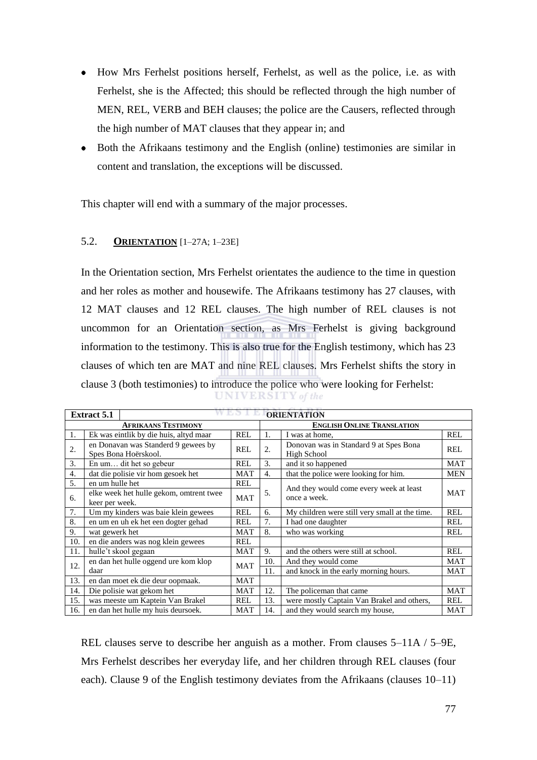- How Mrs Ferhelst positions herself, Ferhelst, as well as the police, i.e. as with Ferhelst, she is the Affected; this should be reflected through the high number of MEN, REL, VERB and BEH clauses; the police are the Causers, reflected through the high number of MAT clauses that they appear in; and
- Both the Afrikaans testimony and the English (online) testimonies are similar in content and translation, the exceptions will be discussed.

This chapter will end with a summary of the major processes.

## 5.2. **ORIENTATION** [1–27A; 1–23E]

In the Orientation section, Mrs Ferhelst orientates the audience to the time in question and her roles as mother and housewife. The Afrikaans testimony has 27 clauses, with 12 MAT clauses and 12 REL clauses. The high number of REL clauses is not uncommon for an Orientation section, as Mrs Ferhelst is giving background information to the testimony. This is also true for the English testimony, which has 23 clauses of which ten are MAT and nine REL clauses. Mrs Ferhelst shifts the story in clause 3 (both testimonies) to introduce the police who were looking for Ferhelst: **UNIVERSITY** of the

|     | <b>Extract 5.1</b>                                        |                                                             |            |                                   | <b>ORIENTATION</b>                                      |            |  |  |  |
|-----|-----------------------------------------------------------|-------------------------------------------------------------|------------|-----------------------------------|---------------------------------------------------------|------------|--|--|--|
|     |                                                           | <b>AFRIKAANS TESTIMONY</b>                                  |            | <b>ENGLISH ONLINE TRANSLATION</b> |                                                         |            |  |  |  |
| 1.  |                                                           | Ek was eintlik by die huis, altyd maar                      | REL        | 1.                                | I was at home.                                          | <b>REL</b> |  |  |  |
| 2.  |                                                           | en Donavan was Standerd 9 gewees by<br>Spes Bona Hoërskool. | REL        | 2.                                | Donovan was in Standard 9 at Spes Bona<br>High School   | <b>REL</b> |  |  |  |
| 3.  |                                                           | En um dit het so gebeur                                     | REL        | 3.                                | and it so happened                                      | <b>MAT</b> |  |  |  |
| 4.  |                                                           | dat die polisie vir hom gesoek het                          | <b>MAT</b> | $\overline{4}$ .                  | that the police were looking for him.                   | <b>MEN</b> |  |  |  |
| 5.  | en um hulle het                                           |                                                             | REL        |                                   |                                                         |            |  |  |  |
| 6.  | elke week het hulle gekom, omtrent twee<br>keer per week. |                                                             | <b>MAT</b> | 5.                                | And they would come every week at least<br>once a week. | <b>MAT</b> |  |  |  |
| 7.  |                                                           | Um my kinders was baie klein gewees                         | <b>REL</b> | 6.                                | My children were still very small at the time.          | <b>REL</b> |  |  |  |
| 8.  |                                                           | en um en uh ek het een dogter gehad                         | REL        | 7.                                | I had one daughter                                      | <b>REL</b> |  |  |  |
| 9.  | wat gewerk het                                            |                                                             | <b>MAT</b> | 8.                                | who was working                                         | <b>REL</b> |  |  |  |
| 10. |                                                           | en die anders was nog klein gewees                          | REL        |                                   |                                                         |            |  |  |  |
| 11. |                                                           | hulle't skool gegaan                                        | <b>MAT</b> | 9.                                | and the others were still at school.                    | <b>REL</b> |  |  |  |
| 12. |                                                           | en dan het hulle oggend ure kom klop                        | <b>MAT</b> | 10.                               | And they would come                                     | <b>MAT</b> |  |  |  |
|     | daar                                                      |                                                             |            | 11.                               | and knock in the early morning hours.                   | <b>MAT</b> |  |  |  |
| 13. |                                                           | en dan moet ek die deur oopmaak.                            | MAT        |                                   |                                                         |            |  |  |  |
| 14. | Die polisie wat gekom het                                 |                                                             | <b>MAT</b> | 12.                               | The policeman that came                                 | <b>MAT</b> |  |  |  |
| 15. | was meeste um Kaptein Van Brakel                          |                                                             | <b>REL</b> | 13.                               | were mostly Captain Van Brakel and others,              | <b>REL</b> |  |  |  |
| 16. |                                                           | en dan het hulle my huis deursoek.                          | <b>MAT</b> | 14.                               | and they would search my house,                         | <b>MAT</b> |  |  |  |

REL clauses serve to describe her anguish as a mother. From clauses 5–11A / 5–9E, Mrs Ferhelst describes her everyday life, and her children through REL clauses (four each). Clause 9 of the English testimony deviates from the Afrikaans (clauses 10–11)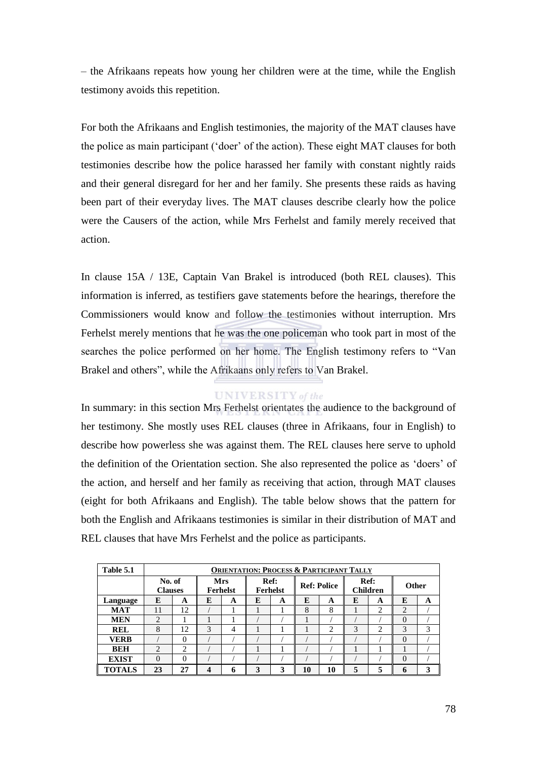– the Afrikaans repeats how young her children were at the time, while the English testimony avoids this repetition.

For both the Afrikaans and English testimonies, the majority of the MAT clauses have the police as main participant ('doer' of the action). These eight MAT clauses for both testimonies describe how the police harassed her family with constant nightly raids and their general disregard for her and her family. She presents these raids as having been part of their everyday lives. The MAT clauses describe clearly how the police were the Causers of the action, while Mrs Ferhelst and family merely received that action.

In clause 15A / 13E, Captain Van Brakel is introduced (both REL clauses). This information is inferred, as testifiers gave statements before the hearings, therefore the Commissioners would know and follow the testimonies without interruption. Mrs Ferhelst merely mentions that he was the one policeman who took part in most of the searches the police performed on her home. The English testimony refers to "Van Brakel and others", while the Afrikaans only refers to Van Brakel.

### **UNIVERSITY** of the

In summary: in this section Mrs Ferhelst orientates the audience to the background of her testimony. She mostly uses REL clauses (three in Afrikaans, four in English) to describe how powerless she was against them. The REL clauses here serve to uphold the definition of the Orientation section. She also represented the police as 'doers' of the action, and herself and her family as receiving that action, through MAT clauses (eight for both Afrikaans and English). The table below shows that the pattern for both the English and Afrikaans testimonies is similar in their distribution of MAT and REL clauses that have Mrs Ferhelst and the police as participants.

| Table 5.1     |                          | <b>ORIENTATION: PROCESS &amp; PARTICIPANT TALLY</b> |   |                                                                                |   |                         |    |       |   |   |          |   |
|---------------|--------------------------|-----------------------------------------------------|---|--------------------------------------------------------------------------------|---|-------------------------|----|-------|---|---|----------|---|
|               | No. of<br><b>Clauses</b> |                                                     |   | <b>Mrs</b><br>Ref:<br><b>Ref: Police</b><br><b>Ferhelst</b><br><b>Ferhelst</b> |   | Ref:<br><b>Children</b> |    | Other |   |   |          |   |
| Language      | E                        | A                                                   | E | A                                                                              | E | A                       | E  | A     | E | A | E        | A |
| <b>MAT</b>    | 11                       | 12                                                  |   |                                                                                |   |                         | 8  | 8     |   | 2 | ◠        |   |
| <b>MEN</b>    | $\overline{2}$           |                                                     |   |                                                                                |   |                         |    |       |   |   | $\Omega$ |   |
| <b>REL</b>    | 8                        | 12                                                  | 3 | 4                                                                              |   |                         |    | ◠     | 3 | 2 | 3        | 3 |
| VERB          |                          | $\Omega$                                            |   |                                                                                |   |                         |    |       |   |   | $\theta$ |   |
| <b>BEH</b>    | 2                        | ↑                                                   |   |                                                                                |   |                         |    |       |   |   |          |   |
| <b>EXIST</b>  | 0                        | $\Omega$                                            |   |                                                                                |   |                         |    |       |   |   | $\Omega$ |   |
| <b>TOTALS</b> | 23                       | 27                                                  | 4 | 6                                                                              | 3 | 3                       | 10 | 10    | 5 | 5 | n        | 3 |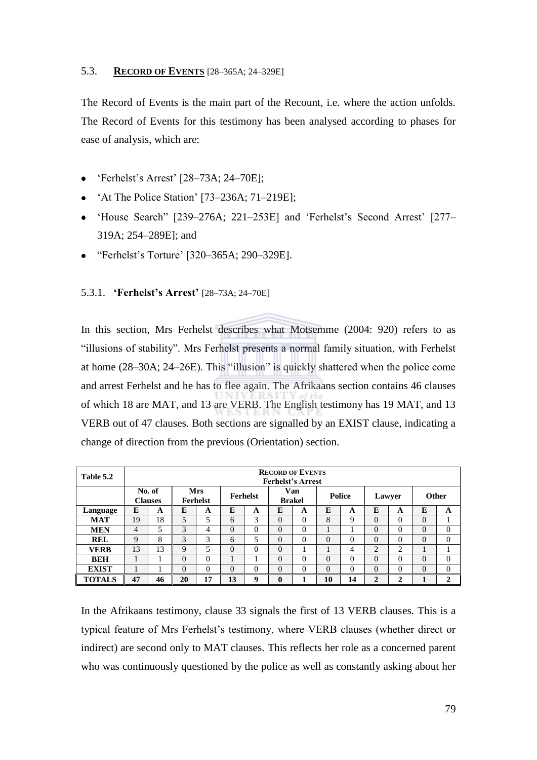## 5.3. **RECORD OF EVENTS** [28–365A; 24–329E]

The Record of Events is the main part of the Recount, i.e. where the action unfolds. The Record of Events for this testimony has been analysed according to phases for ease of analysis, which are:

- ‗Ferhelst's Arrest' [28–73A; 24–70E];  $\bullet$
- ‗At The Police Station' [73–236A; 71–219E];  $\bullet$
- 'House Search'' [239–276A; 221–253E] and 'Ferhelst's Second Arrest' [277– 319A; 254–289E]; and
- ―Ferhelst's Torture' [320–365A; 290–329E].

## 5.3.1. **'Ferhelst's Arrest'** [28–73A; 24–70E]

In this section, Mrs Ferhelst describes what Motsemme (2004: 920) refers to as "illusions of stability". Mrs Ferhelst presents a normal family situation, with Ferhelst at home  $(28-30A; 24-26E)$ . This "illusion" is quickly shattered when the police come and arrest Ferhelst and he has to flee again. The Afrikaans section contains 46 clauses of which 18 are MAT, and 13 are VERB. The English testimony has 19 MAT, and 13 VERB out of 47 clauses. Both sections are signalled by an EXIST clause, indicating a change of direction from the previous (Orientation) section.

| Table 5.2     |    |                          |          |                               |          |                 |                      | <b>RECORD OF EVENTS</b><br><b>Ferhelst's Arrest</b> |               |    |              |        |              |              |
|---------------|----|--------------------------|----------|-------------------------------|----------|-----------------|----------------------|-----------------------------------------------------|---------------|----|--------------|--------|--------------|--------------|
|               |    | No. of<br><b>Clauses</b> |          | <b>Mrs</b><br><b>Ferhelst</b> |          | <b>Ferhelst</b> | Van<br><b>Brakel</b> |                                                     | <b>Police</b> |    | Lawyer       |        | <b>Other</b> |              |
| Language      | E  | A                        | E        | A                             | E        | A               | E                    | A                                                   | E             | A  | E            | A      | E            | A            |
| <b>MAT</b>    | 19 | 18                       | 5        | 5                             | 6        | 3               | $\Omega$             | $\Omega$                                            | 8             | 9  | $\Omega$     | 0      | $\Omega$     | л.           |
| <b>MEN</b>    | 4  | 5                        | 3        | 4                             | $\Omega$ | 0               | $\Omega$             | $\Omega$                                            |               |    | $\Omega$     | 0      | $\Omega$     | $\theta$     |
| <b>REL</b>    | 9  | 8                        | 3        | 3                             | 6        | 5               | $\Omega$             | $\theta$                                            | 0             | 0  | $\Omega$     | 0      | $\Omega$     | $\theta$     |
| <b>VERB</b>   | 13 | 13                       | 9        | 5                             | $\theta$ | $\Omega$        | $\theta$             |                                                     |               | 4  | 2            | 2      |              |              |
| <b>BEH</b>    |    |                          | $\Omega$ | $\Omega$                      |          |                 | $\theta$             | $\Omega$                                            | 0             | 0  | $\Omega$     | 0      | $\Omega$     | $\Omega$     |
| <b>EXIST</b>  |    |                          | $\Omega$ | $\theta$                      | $\Omega$ | 0               | $\theta$             | $\Omega$                                            | 0             | 0  | $\theta$     | 0      | $\theta$     | $\theta$     |
| <b>TOTALS</b> | 47 | 46                       | 20       | 17                            | 13       | q               | $\mathbf{0}$         |                                                     | 10            | 14 | $\mathbf{2}$ | ↑<br>∠ | 1            | $\mathbf{2}$ |

In the Afrikaans testimony, clause 33 signals the first of 13 VERB clauses. This is a typical feature of Mrs Ferhelst's testimony, where VERB clauses (whether direct or indirect) are second only to MAT clauses. This reflects her role as a concerned parent who was continuously questioned by the police as well as constantly asking about her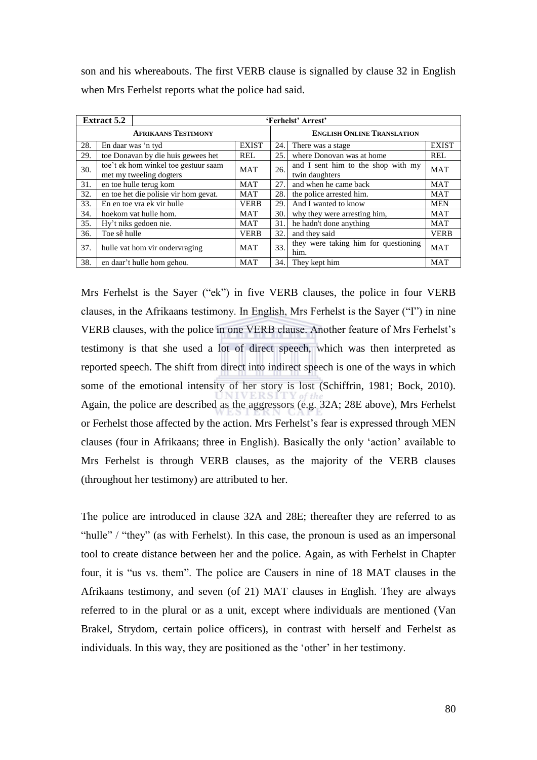son and his whereabouts. The first VERB clause is signalled by clause 32 in English when Mrs Ferhelst reports what the police had said.

|     | <b>Extract 5.2</b>             |                                                                 |              |                       | 'Ferhelst' Arrest'                                   |              |
|-----|--------------------------------|-----------------------------------------------------------------|--------------|-----------------------|------------------------------------------------------|--------------|
|     |                                | <b>AFRIKAANS TESTIMONY</b>                                      |              |                       | <b>ENGLISH ONLINE TRANSLATION</b>                    |              |
| 28. |                                | En daar was 'n tyd                                              | <b>EXIST</b> | 24.                   | There was a stage                                    | <b>EXIST</b> |
| 29. |                                | toe Donavan by die huis gewees het                              | <b>REL</b>   | 25.                   | where Donovan was at home                            | <b>REL</b>   |
| 30. |                                | toe't ek hom winkel toe gestuur saam<br>met my tweeling dogters | <b>MAT</b>   | 26.                   | and I sent him to the shop with my<br>twin daughters | <b>MAT</b>   |
| 31. | en toe hulle terug kom         | MAT                                                             | 27.          | and when he came back | MAT                                                  |              |
| 32. |                                | en toe het die polisie vir hom gevat.                           | <b>MAT</b>   | 28.                   | the police arrested him.                             | MAT          |
| 33. |                                | En en toe vra ek vir hulle                                      | <b>VERB</b>  | 29.                   | And I wanted to know                                 | <b>MEN</b>   |
| 34. |                                | hoekom vat hulle hom.                                           | MAT          | 30.                   | why they were arresting him.                         | MAT          |
| 35. |                                | Hy't niks gedoen nie.                                           | MAT          | 31.                   | he hadn't done anything                              | MAT          |
| 36. | Toe sê hulle                   |                                                                 | <b>VERB</b>  | 32.                   | and they said                                        | <b>VERB</b>  |
| 37. | hulle vat hom vir ondervraging |                                                                 | <b>MAT</b>   | 33.                   | they were taking him for questioning<br>him.         | <b>MAT</b>   |
| 38. |                                | en daar't hulle hom gehou.                                      | <b>MAT</b>   | 34.                   | They kept him                                        | <b>MAT</b>   |

Mrs Ferhelst is the Sayer ("ek") in five VERB clauses, the police in four VERB clauses, in the Afrikaans testimony. In English, Mrs Ferhelst is the Sayer ("I") in nine VERB clauses, with the police in one VERB clause. Another feature of Mrs Ferhelst's testimony is that she used a lot of direct speech, which was then interpreted as reported speech. The shift from direct into indirect speech is one of the ways in which some of the emotional intensity of her story is lost (Schiffrin, 1981; Bock, 2010). Again, the police are described as the aggressors (e.g. 32A; 28E above), Mrs Ferhelst or Ferhelst those affected by the action. Mrs Ferhelst's fear is expressed through MEN clauses (four in Afrikaans; three in English). Basically the only ‗action' available to Mrs Ferhelst is through VERB clauses, as the majority of the VERB clauses (throughout her testimony) are attributed to her.

The police are introduced in clause 32A and 28E; thereafter they are referred to as "hulle" / "they" (as with Ferhelst). In this case, the pronoun is used as an impersonal tool to create distance between her and the police. Again, as with Ferhelst in Chapter four, it is "us vs. them". The police are Causers in nine of 18 MAT clauses in the Afrikaans testimony, and seven (of 21) MAT clauses in English. They are always referred to in the plural or as a unit, except where individuals are mentioned (Van Brakel, Strydom, certain police officers), in contrast with herself and Ferhelst as individuals. In this way, they are positioned as the 'other' in her testimony.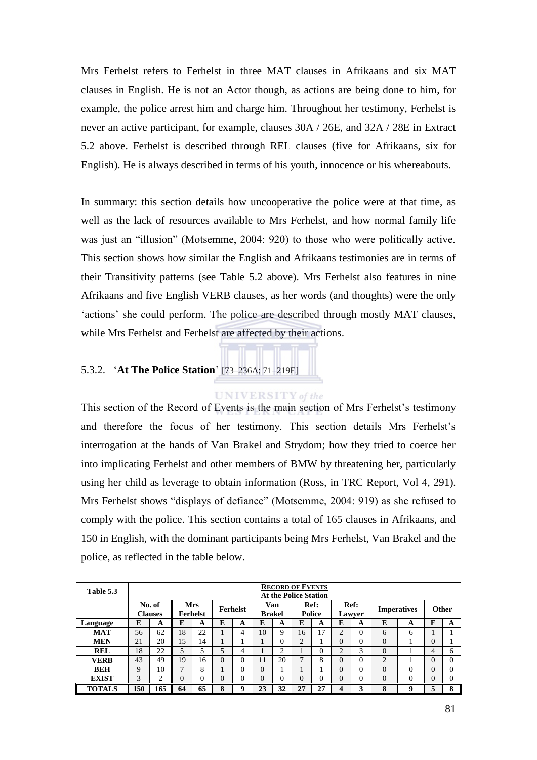Mrs Ferhelst refers to Ferhelst in three MAT clauses in Afrikaans and six MAT clauses in English. He is not an Actor though, as actions are being done to him, for example, the police arrest him and charge him. Throughout her testimony, Ferhelst is never an active participant, for example, clauses 30A / 26E, and 32A / 28E in Extract 5.2 above. Ferhelst is described through REL clauses (five for Afrikaans, six for English). He is always described in terms of his youth, innocence or his whereabouts.

In summary: this section details how uncooperative the police were at that time, as well as the lack of resources available to Mrs Ferhelst, and how normal family life was just an "illusion" (Motsemme, 2004: 920) to those who were politically active. This section shows how similar the English and Afrikaans testimonies are in terms of their Transitivity patterns (see Table 5.2 above). Mrs Ferhelst also features in nine Afrikaans and five English VERB clauses, as her words (and thoughts) were the only 'actions' she could perform. The police are described through mostly MAT clauses, while Mrs Ferhelst and Ferhelst are affected by their actions.

# 5.3.2. ‗**At The Police Station**' [73–236A; 71–219E]

### **UNIVERSITY** of the

This section of the Record of Events is the main section of Mrs Ferhelst's testimony and therefore the focus of her testimony. This section details Mrs Ferhelst's interrogation at the hands of Van Brakel and Strydom; how they tried to coerce her into implicating Ferhelst and other members of BMW by threatening her, particularly using her child as leverage to obtain information (Ross, in TRC Report, Vol 4, 291). Mrs Ferhelst shows "displays of defiance" (Motsemme, 2004: 919) as she refused to comply with the police. This section contains a total of 165 clauses in Afrikaans, and 150 in English, with the dominant participants being Mrs Ferhelst, Van Brakel and the police, as reflected in the table below.

| Table 5.3     |     |                          |          |                                    |          |          |          |                      | <b>RECORD OF EVENTS</b><br><b>At the Police Station</b> |                |          |                |                |                                    |          |              |
|---------------|-----|--------------------------|----------|------------------------------------|----------|----------|----------|----------------------|---------------------------------------------------------|----------------|----------|----------------|----------------|------------------------------------|----------|--------------|
|               |     | No. of<br><b>Clauses</b> |          | <b>Mrs</b><br>Ferhelst<br>Ferhelst |          |          |          | Van<br><b>Brakel</b> |                                                         | Ref:<br>Police |          | Ref:<br>Lawyer |                | <b>Other</b><br><b>Imperatives</b> |          |              |
| Language      | E   | A                        | E        | A                                  | E        | A        | E        | A                    | E                                                       | A              | E        | A              | E              | A                                  | E        | A            |
| <b>MAT</b>    | 56  | 62                       | 18       | 22                                 |          | 4        | 10       | 9                    | 16                                                      | 17             | ↑        | $\Omega$       | 6              | 6                                  |          |              |
| <b>MEN</b>    | 21  | 20                       | 15       | 14                                 |          |          |          | 0                    | $\overline{c}$                                          |                | $\Omega$ | $\Omega$       | $\theta$       |                                    | $\Omega$ |              |
| <b>REL</b>    | 18  | 22                       | 5        | 5                                  | 5        | 4        |          | ◠                    |                                                         | 0              | ↑        | 3              | $\Omega$       |                                    | 4        | 6            |
| <b>VERB</b>   | 43  | 49                       | 19       | 16                                 | $\theta$ | $\theta$ | 11       | 20                   | 7                                                       | 8              | $\Omega$ | $\Omega$       | $\overline{2}$ |                                    | $\Omega$ | $\Omega$     |
| <b>BEH</b>    | 9   | 10                       | ⇁        | 8                                  |          | 0        | $\theta$ |                      |                                                         |                | $\Omega$ | $\Omega$       | $\Omega$       |                                    | $\Omega$ | $\Omega$     |
| <b>EXIST</b>  | 3   | C<br>∠                   | $\theta$ | 0                                  | $\theta$ | 0        | $\theta$ | 0                    | $\Omega$                                                | 0              | $\Omega$ | 0              | 0              |                                    | $\Omega$ | $\Omega$     |
| <b>TOTALS</b> | 150 | 165                      | 64       | 65                                 | 8        | 9        | 23       | 32                   | 27                                                      | 27             | 4        | 3              | 8              | q                                  | 5        | $\mathbf{o}$ |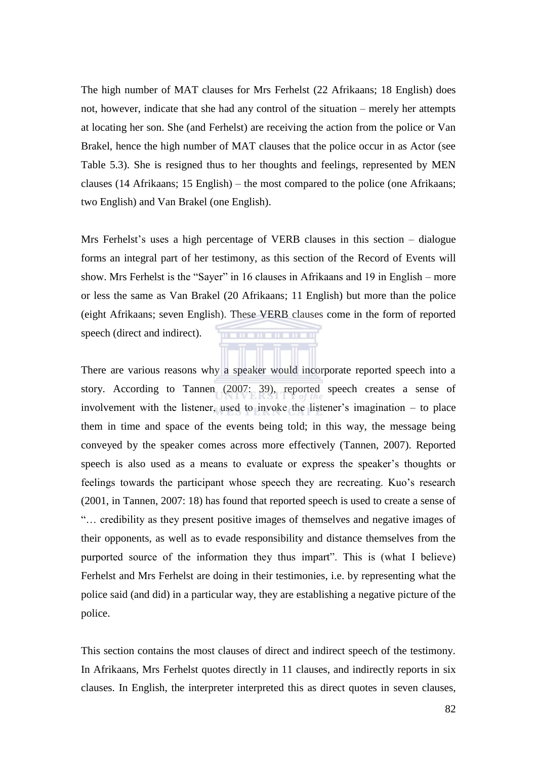The high number of MAT clauses for Mrs Ferhelst (22 Afrikaans; 18 English) does not, however, indicate that she had any control of the situation – merely her attempts at locating her son. She (and Ferhelst) are receiving the action from the police or Van Brakel, hence the high number of MAT clauses that the police occur in as Actor (see Table 5.3). She is resigned thus to her thoughts and feelings, represented by MEN clauses (14 Afrikaans; 15 English) – the most compared to the police (one Afrikaans; two English) and Van Brakel (one English).

Mrs Ferhelst's uses a high percentage of VERB clauses in this section – dialogue forms an integral part of her testimony, as this section of the Record of Events will show. Mrs Ferhelst is the "Sayer" in 16 clauses in Afrikaans and 19 in English – more or less the same as Van Brakel (20 Afrikaans; 11 English) but more than the police (eight Afrikaans; seven English). These VERB clauses come in the form of reported speech (direct and indirect). . . . . . . . . . . .

There are various reasons why a speaker would incorporate reported speech into a story. According to Tannen (2007: 39), reported speech creates a sense of involvement with the listener, used to invoke the listener's imagination – to place them in time and space of the events being told; in this way, the message being conveyed by the speaker comes across more effectively (Tannen, 2007). Reported speech is also used as a means to evaluate or express the speaker's thoughts or feelings towards the participant whose speech they are recreating. Kuo's research (2001, in Tannen, 2007: 18) has found that reported speech is used to create a sense of ―… credibility as they present positive images of themselves and negative images of their opponents, as well as to evade responsibility and distance themselves from the purported source of the information they thus impart". This is (what I believe) Ferhelst and Mrs Ferhelst are doing in their testimonies, i.e. by representing what the police said (and did) in a particular way, they are establishing a negative picture of the police.

This section contains the most clauses of direct and indirect speech of the testimony. In Afrikaans, Mrs Ferhelst quotes directly in 11 clauses, and indirectly reports in six clauses. In English, the interpreter interpreted this as direct quotes in seven clauses,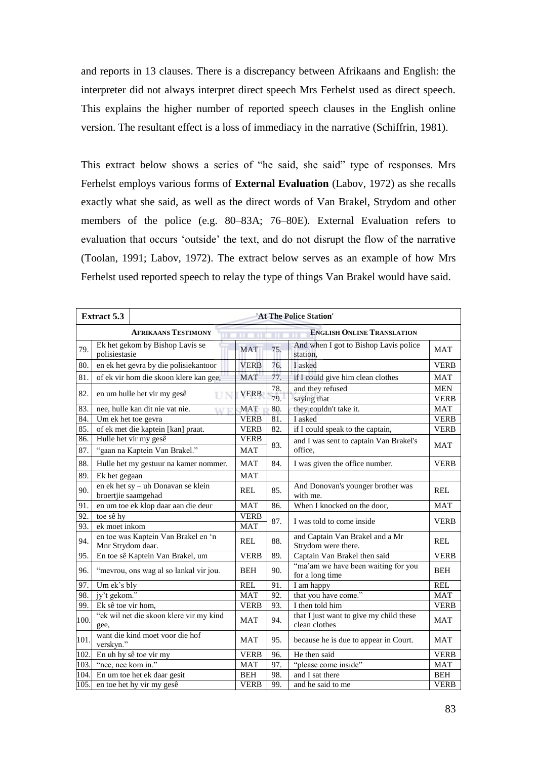and reports in 13 clauses. There is a discrepancy between Afrikaans and English: the interpreter did not always interpret direct speech Mrs Ferhelst used as direct speech. This explains the higher number of reported speech clauses in the English online version. The resultant effect is a loss of immediacy in the narrative (Schiffrin, 1981).

This extract below shows a series of "he said, she said" type of responses. Mrs Ferhelst employs various forms of **External Evaluation** (Labov, 1972) as she recalls exactly what she said, as well as the direct words of Van Brakel, Strydom and other members of the police (e.g. 80–83A; 76–80E). External Evaluation refers to evaluation that occurs 'outside' the text, and do not disrupt the flow of the narrative (Toolan, 1991; Labov, 1972). The extract below serves as an example of how Mrs Ferhelst used reported speech to relay the type of things Van Brakel would have said.

|      | <b>Extract 5.3</b> |                                                           |             |            | 'At The Police Station'                                  |                           |
|------|--------------------|-----------------------------------------------------------|-------------|------------|----------------------------------------------------------|---------------------------|
|      |                    | <b>AFRIKAANS TESTIMONY</b>                                |             |            | <b>ENGLISH ONLINE TRANSLATION</b>                        |                           |
| 79.  | polisiestasie      | Ek het gekom by Bishop Lavis se                           | <b>MAT</b>  | 75.        | And when I got to Bishop Lavis police<br>station.        | <b>MAT</b>                |
| 80.  |                    | en ek het gevra by die polisiekantoor                     | <b>VERB</b> | 76.        | I asked                                                  | <b>VERB</b>               |
| 81.  |                    | of ek vir hom die skoon klere kan gee,                    | <b>MAT</b>  | 77.        | if I could give him clean clothes                        | MAT                       |
| 82.  |                    | en um hulle het vir my gesê<br>UN                         | <b>VERB</b> | 78.<br>79. | and they refused<br>saying that                          | <b>MEN</b><br><b>VERB</b> |
| 83.  |                    | nee, hulle kan dit nie vat nie.<br><b>TAT T</b>           | <b>MAT</b>  | 80.        | they couldn't take it.                                   | MAT                       |
| 84.  |                    | Um ek het toe gevra                                       | <b>VERB</b> | 81.        | I asked                                                  | <b>VERB</b>               |
| 85.  |                    | of ek met die kaptein [kan] praat.                        | <b>VERB</b> | 82.        | if I could speak to the captain,                         | <b>VERB</b>               |
| 86.  |                    | Hulle het vir my gesê                                     | <b>VERB</b> |            | and I was sent to captain Van Brakel's                   |                           |
| 87.  |                    | "gaan na Kaptein Van Brakel."                             | <b>MAT</b>  | 83.        | office.                                                  | <b>MAT</b>                |
| 88.  |                    | Hulle het my gestuur na kamer nommer.                     | <b>MAT</b>  | 84.        | I was given the office number.                           | <b>VERB</b>               |
| 89.  | Ek het gegaan      |                                                           | <b>MAT</b>  |            |                                                          |                           |
| 90.  |                    | en ek het sy - uh Donavan se klein<br>broertjie saamgehad | REL         | 85.        | And Donovan's younger brother was<br>with me.            | REL                       |
| 91.  |                    | en um toe ek klop daar aan die deur                       | <b>MAT</b>  | 86.        | When I knocked on the door,                              | <b>MAT</b>                |
| 92.  | toe sê hy          |                                                           | <b>VERB</b> | 87.        | I was told to come inside                                | <b>VERB</b>               |
| 93.  | ek moet inkom      |                                                           | <b>MAT</b>  |            |                                                          |                           |
| 94.  | Mnr Strydom daar.  | en toe was Kaptein Van Brakel en 'n                       | REL         | 88.        | and Captain Van Brakel and a Mr<br>Strydom were there.   | REL                       |
| 95.  |                    | En toe sê Kaptein Van Brakel, um                          | <b>VERB</b> | 89.        | Captain Van Brakel then said                             | <b>VERB</b>               |
| 96.  |                    | "mevrou, ons wag al so lankal vir jou.                    | <b>BEH</b>  | 90.        | "ma'am we have been waiting for you<br>for a long time   | <b>BEH</b>                |
| 97.  | Um ek's bly        |                                                           | <b>REL</b>  | 91.        | I am happy                                               | <b>REL</b>                |
| 98.  | jy't gekom."       |                                                           | <b>MAT</b>  | 92.        | that you have come."                                     | <b>MAT</b>                |
| 99.  | Ek sê toe vir hom, |                                                           | <b>VERB</b> | 93.        | I then told him                                          | <b>VERB</b>               |
| 100. | gee,               | "ek wil net die skoon klere vir my kind                   | <b>MAT</b>  | 94.        | that I just want to give my child these<br>clean clothes | <b>MAT</b>                |
| 101. | verskyn."          | want die kind moet voor die hof                           | MAT         | 95.        | because he is due to appear in Court.                    | MAT                       |
| 102. |                    | En uh hy sê toe vir my                                    | <b>VERB</b> | 96.        | He then said                                             | <b>VERB</b>               |
| 103. | "nee, nee kom in." |                                                           | <b>MAT</b>  | 97.        | "please come inside"                                     | <b>MAT</b>                |
| 104. |                    | En um toe het ek daar gesit                               | <b>BEH</b>  | 98.        | and I sat there                                          | <b>BEH</b>                |
| 105. |                    | en toe het hy vir my gesê                                 | <b>VERB</b> | 99.        | and he said to me                                        | <b>VERB</b>               |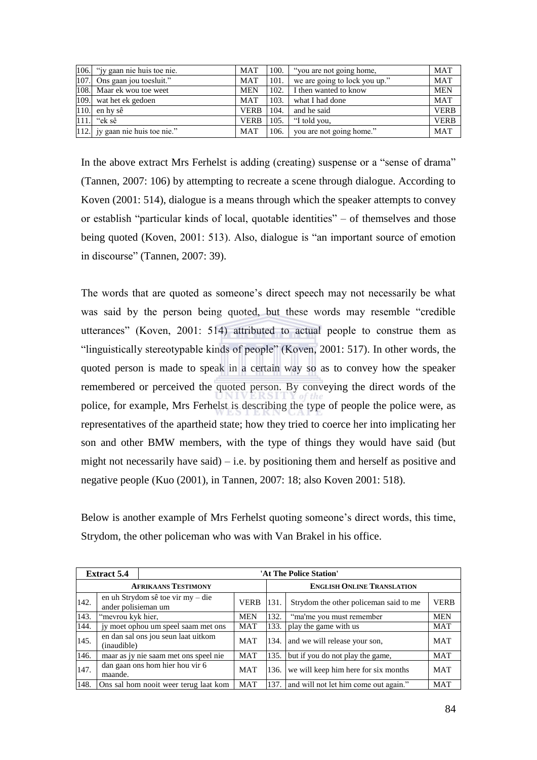| 106. "jy gaan nie huis toe nie. | <b>MAT</b>  | 100. | "you are not going home,      | <b>MAT</b>  |
|---------------------------------|-------------|------|-------------------------------|-------------|
| 107. Ons gaan jou toesluit."    | <b>MAT</b>  | 101. | we are going to lock you up." | <b>MAT</b>  |
| 108. Maar ek wou toe weet       | <b>MEN</b>  |      | 102. I I then wanted to know  | <b>MEN</b>  |
| 109. wat het ek gedoen          | MAT         | 103. | what I had done               | <b>MAT</b>  |
| $110.$ en hy sê                 | <b>VERB</b> | 104. | and he said                   | <b>VERB</b> |
| $111.$ "ek sê                   | <b>VERB</b> | 105. | "I told you,                  | <b>VERB</b> |
| 112. jy gaan nie huis toe nie." | MAT         | 106. | you are not going home."      | <b>MAT</b>  |

In the above extract Mrs Ferhelst is adding (creating) suspense or a "sense of drama" (Tannen, 2007: 106) by attempting to recreate a scene through dialogue. According to Koven (2001: 514), dialogue is a means through which the speaker attempts to convey or establish "particular kinds of local, quotable identities" – of themselves and those being quoted (Koven, 2001: 513). Also, dialogue is "an important source of emotion in discourse" (Tannen, 2007: 39).

The words that are quoted as someone's direct speech may not necessarily be what was said by the person being quoted, but these words may resemble "credible" utterances" (Koven, 2001: 514) attributed to actual people to construe them as "linguistically stereotypable kinds of people" (Koven, 2001: 517). In other words, the quoted person is made to speak in a certain way so as to convey how the speaker remembered or perceived the quoted person. By conveying the direct words of the police, for example, Mrs Ferhelst is describing the type of people the police were, as representatives of the apartheid state; how they tried to coerce her into implicating her son and other BMW members, with the type of things they would have said (but might not necessarily have said) – i.e. by positioning them and herself as positive and negative people (Kuo (2001), in Tannen, 2007: 18; also Koven 2001: 518).

Below is another example of Mrs Ferhelst quoting someone's direct words, this time, Strydom, the other policeman who was with Van Brakel in his office.

|      | <b>Extract 5.4</b>                         |                                       |             |                                   | 'At The Police Station'                |             |  |  |  |
|------|--------------------------------------------|---------------------------------------|-------------|-----------------------------------|----------------------------------------|-------------|--|--|--|
|      |                                            | <b>AFRIKAANS TESTIMONY</b>            |             | <b>ENGLISH ONLINE TRANSLATION</b> |                                        |             |  |  |  |
| 142. | ander polisieman um                        | en uh Strydom sê toe vir my – die     | <b>VERB</b> | 131.                              | Strydom the other policeman said to me | <b>VERB</b> |  |  |  |
| 143. | "mevrou kyk hier,                          | <b>MEN</b>                            | 132.        | "ma'me you must remember          | <b>MEN</b>                             |             |  |  |  |
| 144. | jy moet ophou um speel saam met ons        |                                       | MAT         | 133.                              | play the game with us                  | <b>MAT</b>  |  |  |  |
| 145. | (inaudible)                                | en dan sal ons jou seun laat uitkom   | MAT         | 134.                              | and we will release your son,          | <b>MAT</b>  |  |  |  |
| 146. |                                            | maar as jy nie saam met ons speel nie | MAT         | 135.                              | but if you do not play the game,       | MAT         |  |  |  |
| 147. | dan gaan ons hom hier hou vir 6<br>maande. |                                       | <b>MAT</b>  | 136.                              | we will keep him here for six months   | <b>MAT</b>  |  |  |  |
| 148. |                                            | Ons sal hom nooit weer terug laat kom | <b>MAT</b>  | 137.                              | and will not let him come out again."  | <b>MAT</b>  |  |  |  |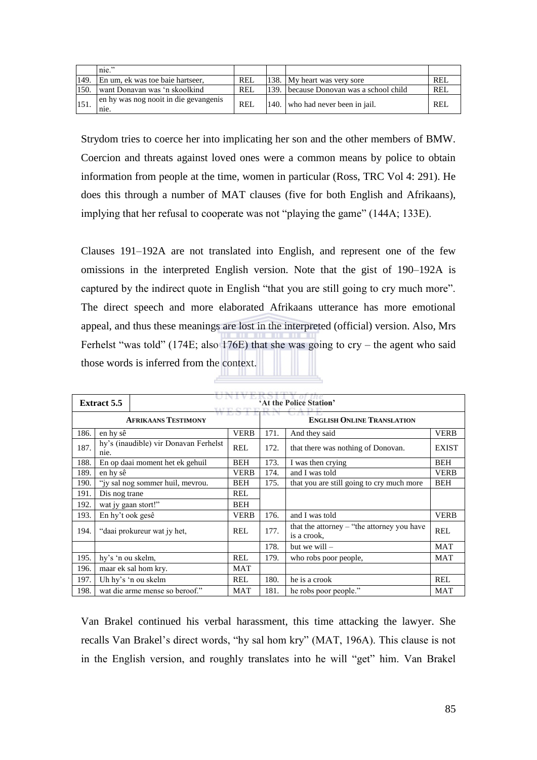|      | $\mathbf{nie}$ "                              |            |      |                                         |     |
|------|-----------------------------------------------|------------|------|-----------------------------------------|-----|
| 149  | En um, ek was toe baie hartseer,              | REL        |      | 138. My heart was very sore             | REL |
| 150. | want Donavan was 'n skoolkind                 | <b>REI</b> |      | 139. because Donovan was a school child | REL |
|      | en hy was nog nooit in die gevangenis<br>nie. | REL        | 140. | who had never been in jail.             | REL |

Strydom tries to coerce her into implicating her son and the other members of BMW. Coercion and threats against loved ones were a common means by police to obtain information from people at the time, women in particular (Ross, TRC Vol 4: 291). He does this through a number of MAT clauses (five for both English and Afrikaans), implying that her refusal to cooperate was not "playing the game" (144A; 133E).

Clauses 191–192A are not translated into English, and represent one of the few omissions in the interpreted English version. Note that the gist of 190–192A is captured by the indirect quote in English "that you are still going to cry much more". The direct speech and more elaborated Afrikaans utterance has more emotional appeal, and thus these meanings are lost in the interpreted (official) version. Also, Mrs Ferhelst "was told" (174E; also  $176E$ ) that she was going to cry – the agent who said those words is inferred from the context.

|      | <b>Extract 5.5</b>  |                                       |             |      | 'At the Police Station'                                     |              |  |  |  |  |  |  |  |
|------|---------------------|---------------------------------------|-------------|------|-------------------------------------------------------------|--------------|--|--|--|--|--|--|--|
|      |                     | <b>AFRIKAANS TESTIMONY</b>            |             |      | <b>ENGLISH ONLINE TRANSLATION</b>                           |              |  |  |  |  |  |  |  |
| 186. | en hy sê            |                                       | <b>VERB</b> | 171. | And they said                                               | <b>VERB</b>  |  |  |  |  |  |  |  |
| 187. | n <sub>1e</sub> .   | hy's (inaudible) vir Donavan Ferhelst | <b>REL</b>  | 172. | that there was nothing of Donovan.                          | <b>EXIST</b> |  |  |  |  |  |  |  |
| 188. |                     | En op daai moment het ek gehuil       | <b>BEH</b>  | 173. | I was then crying                                           | <b>BEH</b>   |  |  |  |  |  |  |  |
| 189. | en hy sê            |                                       | <b>VERB</b> | 174. | and I was told                                              | <b>VERB</b>  |  |  |  |  |  |  |  |
| 190. |                     | "iy sal nog sommer huil, mevrou.      | <b>BEH</b>  | 175. | that you are still going to cry much more                   | <b>BEH</b>   |  |  |  |  |  |  |  |
| 191. | Dis nog trane       |                                       | <b>REL</b>  |      |                                                             |              |  |  |  |  |  |  |  |
| 192. | wat jy gaan stort!" |                                       | <b>BEH</b>  |      |                                                             |              |  |  |  |  |  |  |  |
| 193. | En hy't ook gesê    |                                       | <b>VERB</b> | 176. | and I was told                                              | <b>VERB</b>  |  |  |  |  |  |  |  |
| 194. |                     | "daai prokureur wat jy het,           | <b>REL</b>  | 177. | that the attorney $-$ "the attorney you have<br>is a crook, | <b>REL</b>   |  |  |  |  |  |  |  |
|      |                     |                                       |             | 178. | but we will $-$                                             | <b>MAT</b>   |  |  |  |  |  |  |  |
| 195. | hy's 'n ou skelm,   |                                       | <b>REL</b>  | 179. | who robs poor people,                                       | <b>MAT</b>   |  |  |  |  |  |  |  |
| 196. |                     | maar ek sal hom kry.                  | MAT         |      |                                                             |              |  |  |  |  |  |  |  |
| 197. |                     | Uh hy's 'n ou skelm                   | <b>REL</b>  | 180. | he is a crook                                               | <b>REL</b>   |  |  |  |  |  |  |  |
| 198. |                     | wat die arme mense so beroof."        | <b>MAT</b>  | 181. | he robs poor people."                                       | MAT          |  |  |  |  |  |  |  |

Van Brakel continued his verbal harassment, this time attacking the lawyer. She recalls Van Brakel's direct words, "hy sal hom kry" (MAT, 196A). This clause is not in the English version, and roughly translates into he will "get" him. Van Brakel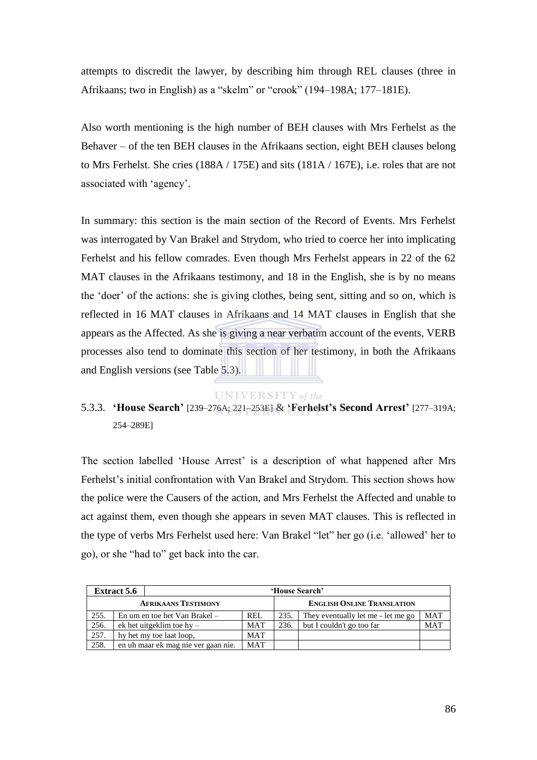attempts to discredit the lawyer, by describing him through REL clauses (three in Afrikaans; two in English) as a "skelm" or "crook" (194–198A; 177–181E).

Also worth mentioning is the high number of BEH clauses with Mrs Ferhelst as the Behaver – of the ten BEH clauses in the Afrikaans section, eight BEH clauses belong to Mrs Ferhelst. She cries (188A / 175E) and sits (181A / 167E), i.e. roles that are not associated with 'agency'.

In summary: this section is the main section of the Record of Events. Mrs Ferhelst was interrogated by Van Brakel and Strydom, who tried to coerce her into implicating Ferhelst and his fellow comrades. Even though Mrs Ferhelst appears in 22 of the 62 MAT clauses in the Afrikaans testimony, and 18 in the English, she is by no means the ‗doer' of the actions: she is giving clothes, being sent, sitting and so on, which is reflected in 16 MAT clauses in Afrikaans and 14 MAT clauses in English that she appears as the Affected. As she is giving a near verbatim account of the events, VERB processes also tend to dominate this section of her testimony, in both the Afrikaans and English versions (see Table 5.3).

## **UNIVERSITY** of the

# 5.3.3. **'House Search'** [239–276A; 221–253E] & **'Ferhelst's Second Arrest'** [277–319A; 254–289E]

The section labelled 'House Arrest' is a description of what happened after Mrs Ferhelst's initial confrontation with Van Brakel and Strydom. This section shows how the police were the Causers of the action, and Mrs Ferhelst the Affected and unable to act against them, even though she appears in seven MAT clauses. This is reflected in the type of verbs Mrs Ferhelst used here: Van Brakel "let" her go (i.e. 'allowed' her to go), or she "had to" get back into the car.

|      | <b>Extract 5.6</b> |                                     |            |      | 'House Search'                     |            |
|------|--------------------|-------------------------------------|------------|------|------------------------------------|------------|
|      |                    | <b>AFRIKAANS TESTIMONY</b>          |            |      | <b>ENGLISH ONLINE TRANSLATION</b>  |            |
| 255. |                    | En um en toe het Van Brakel –       | <b>REL</b> | 235. | They eventually let me - let me go | <b>MAT</b> |
| 256. |                    | ek het uitgeklim toe $hy -$         | <b>MAT</b> | 236. | but I couldn't go too far          | MAT        |
| 257. |                    | hy het my toe laat loop,            |            |      |                                    |            |
| 258. |                    | en uh maar ek mag nie ver gaan nie. | <b>MAT</b> |      |                                    |            |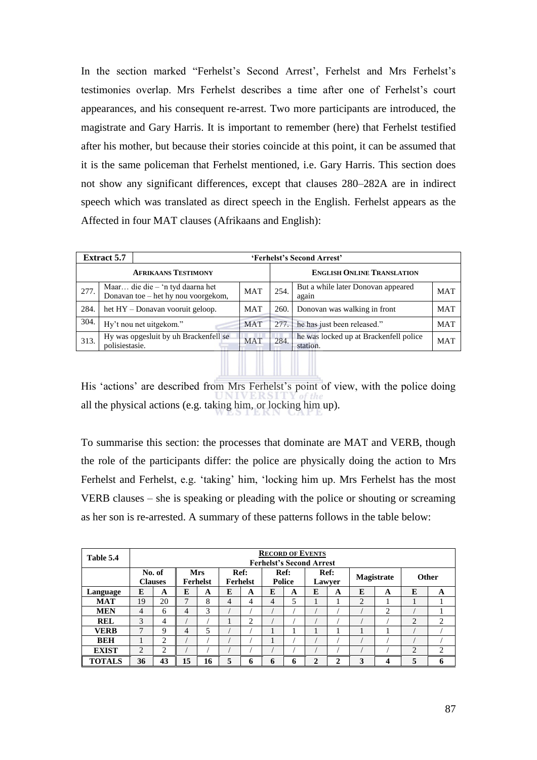In the section marked "Ferhelst's Second Arrest', Ferhelst and Mrs Ferhelst's testimonies overlap. Mrs Ferhelst describes a time after one of Ferhelst's court appearances, and his consequent re-arrest. Two more participants are introduced, the magistrate and Gary Harris. It is important to remember (here) that Ferhelst testified after his mother, but because their stories coincide at this point, it can be assumed that it is the same policeman that Ferhelst mentioned, i.e. Gary Harris. This section does not show any significant differences, except that clauses 280–282A are in indirect speech which was translated as direct speech in the English. Ferhelst appears as the Affected in four MAT clauses (Afrikaans and English):

|      | <b>Extract 5.7</b> |                                                                           |            |                                   | 'Ferhelst's Second Arrest'                         |            |  |  |  |  |
|------|--------------------|---------------------------------------------------------------------------|------------|-----------------------------------|----------------------------------------------------|------------|--|--|--|--|
|      |                    | <b>AFRIKAANS TESTIMONY</b>                                                |            | <b>ENGLISH ONLINE TRANSLATION</b> |                                                    |            |  |  |  |  |
| 277. |                    | Maar die die $-$ 'n tyd daarna het<br>Donavan toe – het hy nou voorgekom, | <b>MAT</b> | 254.                              | But a while later Donovan appeared<br>again        | <b>MAT</b> |  |  |  |  |
| 284. |                    | het HY – Donavan vooruit geloop.                                          | <b>MAT</b> | 260.                              | Donovan was walking in front                       | <b>MAT</b> |  |  |  |  |
| 304. |                    | Hy't nou net uitgekom."                                                   | <b>MAT</b> | 277.                              | he has just been released."                        | <b>MAT</b> |  |  |  |  |
| 313. | polisiestasie.     | Hy was opgesluit by uh Brackenfell se                                     | <b>MAT</b> | 284.                              | he was locked up at Brackenfell police<br>station. | <b>MAT</b> |  |  |  |  |
|      |                    |                                                                           |            |                                   |                                                    |            |  |  |  |  |
|      |                    |                                                                           |            |                                   |                                                    |            |  |  |  |  |

His 'actions' are described from Mrs Ferhelst's point of view, with the police doing all the physical actions (e.g. taking him, or locking him up).

To summarise this section: the processes that dominate are MAT and VERB, though the role of the participants differ: the police are physically doing the action to Mrs Ferhelst and Ferhelst, e.g. 'taking' him, 'locking him up. Mrs Ferhelst has the most VERB clauses – she is speaking or pleading with the police or shouting or screaming as her son is re-arrested. A summary of these patterns follows in the table below:

| Table 5.4     | <b>RECORD OF EVENTS</b><br><b>Ferhelst's Second Arrest</b> |                |                 |                         |   |                       |   |                |        |              |              |                |                |                |
|---------------|------------------------------------------------------------|----------------|-----------------|-------------------------|---|-----------------------|---|----------------|--------|--------------|--------------|----------------|----------------|----------------|
|               | <b>Mrs</b><br>No. of<br><b>Clauses</b><br>Ferhelst         |                |                 | Ref:<br><b>Ferhelst</b> |   | Ref:<br><b>Police</b> |   | Ref:<br>Lawyer |        | Magistrate   | <b>Other</b> |                |                |                |
| Language      | E                                                          | A              | E               | A                       | E | A                     | E | A              | E      | A            | E            | A              | E              | A              |
| <b>MAT</b>    | 19                                                         | 20             | ⇁               | 8                       | 4 | 4                     | 4 | 5              |        |              | 2            |                |                |                |
| <b>MEN</b>    | $\overline{4}$                                             | 6              | 4               | 3                       |   |                       |   |                |        |              |              | $\overline{c}$ |                |                |
| <b>REL</b>    | 3                                                          | 4              |                 |                         |   | 2                     |   |                |        |              |              |                | $\overline{2}$ | 2              |
| <b>VERB</b>   | ⇁                                                          | 9              | 4               | 5                       |   |                       |   |                |        |              |              |                |                |                |
| <b>BEH</b>    |                                                            | $\overline{c}$ |                 |                         |   |                       |   |                |        |              |              |                |                |                |
| <b>EXIST</b>  | 2                                                          | $\overline{c}$ |                 |                         |   |                       |   |                |        |              |              |                | $\overline{c}$ | $\overline{c}$ |
| <b>TOTALS</b> | 36                                                         | 43             | 15 <sup>5</sup> | 16                      | 5 | n                     | 6 | 6              | ↑<br>∠ | $\mathbf{2}$ | 3            | 4              | 5              | 6              |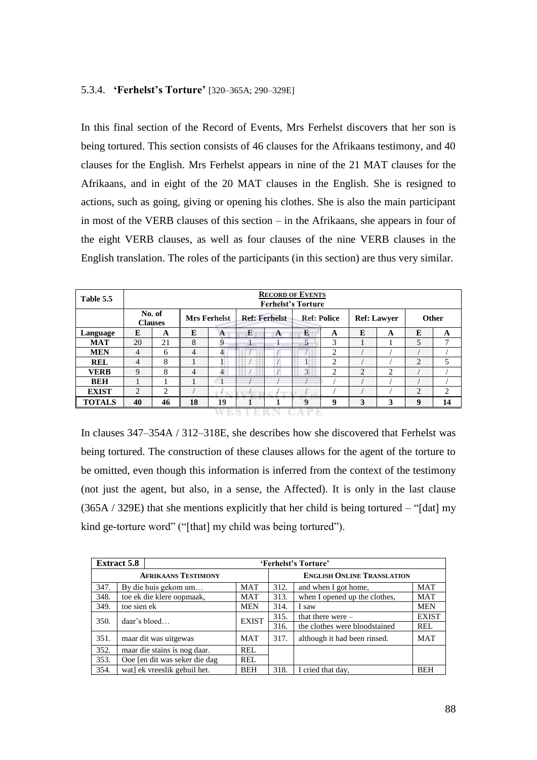### 5.3.4. **'Ferhelst's Torture'** [320–365A; 290–329E]

In this final section of the Record of Events, Mrs Ferhelst discovers that her son is being tortured. This section consists of 46 clauses for the Afrikaans testimony, and 40 clauses for the English. Mrs Ferhelst appears in nine of the 21 MAT clauses for the Afrikaans, and in eight of the 20 MAT clauses in the English. She is resigned to actions, such as going, giving or opening his clothes. She is also the main participant in most of the VERB clauses of this section – in the Afrikaans, she appears in four of the eight VERB clauses, as well as four clauses of the nine VERB clauses in the English translation. The roles of the participants (in this section) are thus very similar.

| Table 5.5     |             | <b>RECORD OF EVENTS</b><br><b>Ferhelst's Torture</b> |                |                                             |                              |            |                    |                |                    |   |                |    |  |
|---------------|-------------|------------------------------------------------------|----------------|---------------------------------------------|------------------------------|------------|--------------------|----------------|--------------------|---|----------------|----|--|
|               |             | No. of<br><b>Clauses</b>                             |                | <b>Ref: Ferhelst</b><br><b>Mrs Ferhelst</b> |                              |            | <b>Ref: Police</b> |                | <b>Ref: Lawyer</b> |   | <b>Other</b>   |    |  |
| Language      | E           | A                                                    | E              | $\mathbf{A}$                                | E                            | A          | E                  | A              | E                  | A | E              | A  |  |
| <b>MAT</b>    | 20          | 21                                                   | 8              | 9                                           |                              |            | 5                  | 3              |                    |   | 5              | 7  |  |
| <b>MEN</b>    | 4           | 6                                                    | $\overline{4}$ | 4                                           |                              |            |                    | $\overline{c}$ |                    |   |                |    |  |
| <b>REL</b>    | 4           | 8                                                    |                |                                             |                              |            |                    | $\overline{c}$ |                    |   | $\overline{2}$ | 5  |  |
| <b>VERB</b>   | $\mathbf Q$ | 8                                                    | $\overline{4}$ | 4                                           |                              |            | 3                  | $\overline{c}$ | $\overline{2}$     | 2 |                |    |  |
| <b>BEH</b>    |             |                                                      |                | $\overline{\phantom{0}}$                    |                              |            |                    |                |                    |   |                |    |  |
| <b>EXIST</b>  | 2           | 2                                                    |                | $\mathcal{L}_{\mathcal{M}}$                 | <b>COL</b><br>$\mathbb{Z}^f$ | <b>FEB</b> |                    |                |                    |   | $\overline{2}$ | 2  |  |
| <b>TOTALS</b> | 40          | 46                                                   | 18             | 19                                          |                              | -          | $\mathbf Q$        | 9              | 3                  | 3 | 9              | 14 |  |

**WESTERN CAPE** 

In clauses 347–354A / 312–318E, she describes how she discovered that Ferhelst was being tortured. The construction of these clauses allows for the agent of the torture to be omitted, even though this information is inferred from the context of the testimony (not just the agent, but also, in a sense, the Affected). It is only in the last clause  $(365A / 329E)$  that she mentions explicitly that her child is being tortured – "[dat] my kind ge-torture word" ("[that] my child was being tortured").

|      | <b>Extract 5.8</b><br>'Ferhelst's Torture' |              |                                   |                               |              |  |  |  |  |  |  |
|------|--------------------------------------------|--------------|-----------------------------------|-------------------------------|--------------|--|--|--|--|--|--|
|      | <b>AFRIKAANS TESTIMONY</b>                 |              | <b>ENGLISH ONLINE TRANSLATION</b> |                               |              |  |  |  |  |  |  |
| 347. | By die huis gekom um                       | MAT          | 312.                              | and when I got home,          | <b>MAT</b>   |  |  |  |  |  |  |
| 348. | toe ek die klere oopmaak,                  | <b>MAT</b>   | 313.                              | when I opened up the clothes, | <b>MAT</b>   |  |  |  |  |  |  |
| 349. | toe sien ek                                | <b>MEN</b>   | 314.                              | I saw                         | <b>MEN</b>   |  |  |  |  |  |  |
| 350. | daar's bloed                               | <b>EXIST</b> | 315.                              | that there were $-$           | <b>EXIST</b> |  |  |  |  |  |  |
|      |                                            |              | 316.                              | the clothes were bloodstained | REL          |  |  |  |  |  |  |
| 351. | maar dit was uitgewas                      | <b>MAT</b>   | 317.                              | although it had been rinsed.  | <b>MAT</b>   |  |  |  |  |  |  |
| 352. | maar die stains is nog daar.               | REL          |                                   |                               |              |  |  |  |  |  |  |
| 353. | Ooe [en dit was seker die dag              | REL          |                                   |                               |              |  |  |  |  |  |  |
| 354. | wat] ek vreeslik gehuil het.               | <b>BEH</b>   | 318.                              | I cried that day,             | <b>BEH</b>   |  |  |  |  |  |  |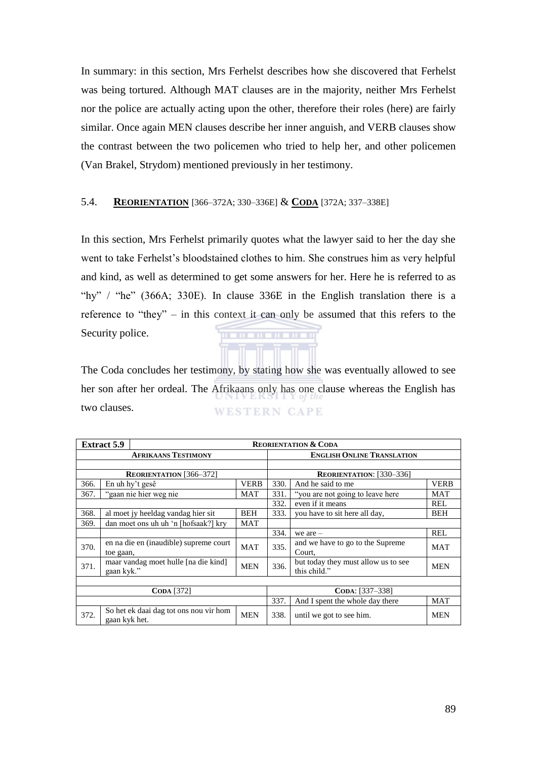In summary: in this section, Mrs Ferhelst describes how she discovered that Ferhelst was being tortured. Although MAT clauses are in the majority, neither Mrs Ferhelst nor the police are actually acting upon the other, therefore their roles (here) are fairly similar. Once again MEN clauses describe her inner anguish, and VERB clauses show the contrast between the two policemen who tried to help her, and other policemen (Van Brakel, Strydom) mentioned previously in her testimony.

## 5.4. **REORIENTATION** [366–372A; 330–336E] & **CODA** [372A; 337–338E]

In this section, Mrs Ferhelst primarily quotes what the lawyer said to her the day she went to take Ferhelst's bloodstained clothes to him. She construes him as very helpful and kind, as well as determined to get some answers for her. Here he is referred to as "hy" / "he" (366A; 330E). In clause 336E in the English translation there is a reference to "they" – in this context it can only be assumed that this refers to the Security police. . . . . . . . . . . .

The Coda concludes her testimony, by stating how she was eventually allowed to see her son after her ordeal. The Afrikaans only has one clause whereas the English has two clauses. **WESTERN CAPE** 

|      | <b>Extract 5.9</b>             |                                        |                                   | <b>REORIENTATION &amp; CODA</b> |                                                     |             |  |  |  |
|------|--------------------------------|----------------------------------------|-----------------------------------|---------------------------------|-----------------------------------------------------|-------------|--|--|--|
|      |                                | <b>AFRIKAANS TESTIMONY</b>             | <b>ENGLISH ONLINE TRANSLATION</b> |                                 |                                                     |             |  |  |  |
|      |                                |                                        |                                   |                                 |                                                     |             |  |  |  |
|      |                                | <b>REORIENTATION</b> [366-372]         | <b>REORIENTATION:</b> [330–336]   |                                 |                                                     |             |  |  |  |
| 366. | En uh hy't gesê<br><b>VERB</b> |                                        |                                   | 330.                            | And he said to me                                   | <b>VERB</b> |  |  |  |
| 367. |                                | "gaan nie hier weg nie                 | MAT                               | 331.                            | "you are not going to leave here"                   | <b>MAT</b>  |  |  |  |
|      |                                |                                        |                                   | 332.                            | even if it means                                    | REL         |  |  |  |
| 368. |                                | al moet jy heeldag vandag hier sit     | BEH                               | 333.                            | you have to sit here all day,                       | BEH         |  |  |  |
| 369. |                                | dan moet ons uh uh 'n [hofsaak?] kry   | MAT                               |                                 |                                                     |             |  |  |  |
|      |                                |                                        |                                   | 334.                            | we are $-$                                          | REL         |  |  |  |
| 370. |                                | en na die en (inaudible) supreme court | <b>MAT</b>                        | 335.                            | and we have to go to the Supreme                    | <b>MAT</b>  |  |  |  |
|      | toe gaan,                      |                                        |                                   |                                 | Court,                                              |             |  |  |  |
| 371. | gaan kyk."                     | maar vandag moet hulle [na die kind]   | <b>MEN</b>                        | 336.                            | but today they must allow us to see<br>this child." | <b>MEN</b>  |  |  |  |
|      |                                |                                        |                                   |                                 |                                                     |             |  |  |  |
|      |                                | <b>CODA</b> [372]                      |                                   | CODA: [337-338]                 |                                                     |             |  |  |  |
|      |                                |                                        | 337.                              | And I spent the whole day there | MAT                                                 |             |  |  |  |
| 372. | gaan kyk het.                  | So het ek daai dag tot ons nou vir hom | <b>MEN</b>                        | 338.                            | until we got to see him.                            | <b>MEN</b>  |  |  |  |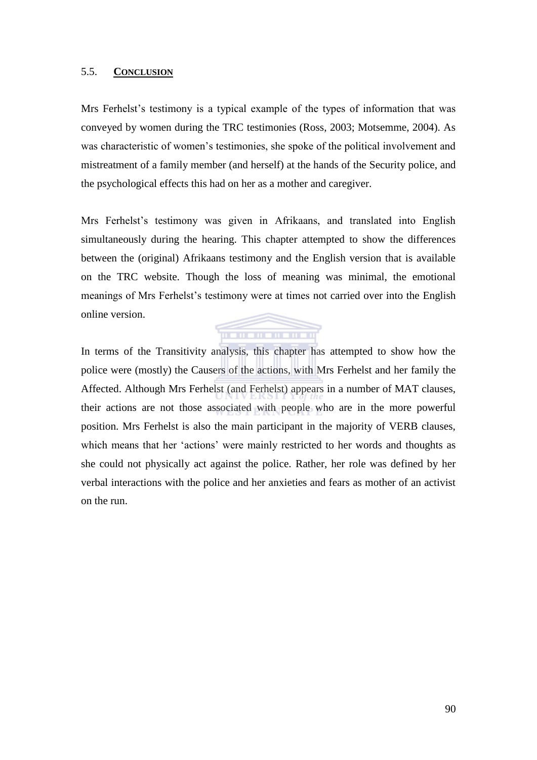## 5.5. **CONCLUSION**

Mrs Ferhelst's testimony is a typical example of the types of information that was conveyed by women during the TRC testimonies (Ross, 2003; Motsemme, 2004). As was characteristic of women's testimonies, she spoke of the political involvement and mistreatment of a family member (and herself) at the hands of the Security police, and the psychological effects this had on her as a mother and caregiver.

Mrs Ferhelst's testimony was given in Afrikaans, and translated into English simultaneously during the hearing. This chapter attempted to show the differences between the (original) Afrikaans testimony and the English version that is available on the TRC website. Though the loss of meaning was minimal, the emotional meanings of Mrs Ferhelst's testimony were at times not carried over into the English online version.



In terms of the Transitivity analysis, this chapter has attempted to show how the police were (mostly) the Causers of the actions, with Mrs Ferhelst and her family the Affected. Although Mrs Ferhelst (and Ferhelst) appears in a number of MAT clauses, their actions are not those associated with people who are in the more powerful position. Mrs Ferhelst is also the main participant in the majority of VERB clauses, which means that her 'actions' were mainly restricted to her words and thoughts as she could not physically act against the police. Rather, her role was defined by her verbal interactions with the police and her anxieties and fears as mother of an activist on the run.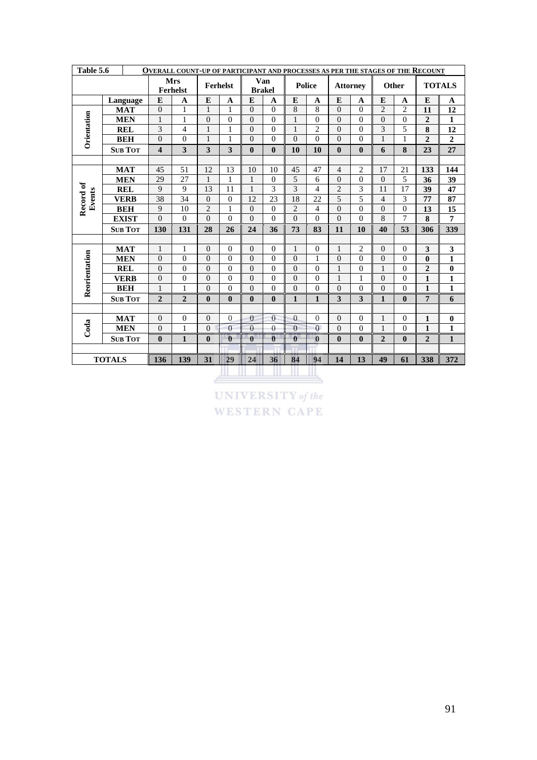| Table 5.6<br>OVERALL COUNT-UP OF PARTICIPANT AND PROCESSES AS PER THE STAGES OF THE RECOUNT |               |                |                         |                               |                  |                |                |                         |                  |                |                 |                |                |                |                         |                |
|---------------------------------------------------------------------------------------------|---------------|----------------|-------------------------|-------------------------------|------------------|----------------|----------------|-------------------------|------------------|----------------|-----------------|----------------|----------------|----------------|-------------------------|----------------|
|                                                                                             |               |                |                         | <b>Mrs</b><br><b>Ferhelst</b> |                  | Ferhelst       |                | Van<br><b>Brakel</b>    |                  | <b>Police</b>  | <b>Attorney</b> |                | Other          |                |                         | <b>TOTALS</b>  |
|                                                                                             |               | Language       | E                       | A                             | E                | A              | E              | A                       | E                | $\mathbf{A}$   | E               | A              | E              | A              | E                       | A              |
|                                                                                             |               | <b>MAT</b>     | $\mathbf{0}$            | 1                             | 1                | 1              | $\mathbf{0}$   | $\theta$                | 8                | 8              | $\Omega$        | $\Omega$       | $\overline{2}$ | $\overline{2}$ | 11                      | 12             |
| Orientation                                                                                 |               | <b>MEN</b>     | $\mathbf{1}$            | $\mathbf{1}$                  | $\theta$         | $\overline{0}$ | $\Omega$       | $\theta$                | 1                | $\Omega$       | $\Omega$        | $\Omega$       | $\theta$       | $\Omega$       | $\overline{2}$          | $\mathbf{1}$   |
|                                                                                             |               | <b>REL</b>     | 3                       | $\overline{4}$                | 1                | $\mathbf{1}$   | $\Omega$       | $\theta$                | 1                | $\overline{2}$ | $\theta$        | $\Omega$       | 3              | 5              | 8                       | 12             |
|                                                                                             |               | <b>BEH</b>     | $\Omega$                | $\theta$                      | 1                | $\mathbf{1}$   | $\theta$       | $\overline{0}$          | $\Omega$         | $\Omega$       | $\Omega$        | $\Omega$       | $\mathbf{1}$   | $\mathbf{1}$   | $\overline{2}$          | $\mathbf{2}$   |
|                                                                                             |               | <b>SUB TOT</b> | $\overline{\mathbf{4}}$ | 3                             | 3                | 3              | $\mathbf{0}$   | $\bf{0}$                | 10               | 10             | $\mathbf{0}$    | $\bf{0}$       | 6              | 8              | 23                      | 27             |
|                                                                                             |               |                |                         |                               |                  |                |                |                         |                  |                |                 |                |                |                |                         |                |
|                                                                                             |               | <b>MAT</b>     | 45                      | 51                            | 12               | 13             | 10             | 10                      | 45               | 47             | $\overline{4}$  | $\overline{2}$ | 17             | 21             | 133                     | 144            |
|                                                                                             |               | <b>MEN</b>     | 29                      | 27                            | $\mathbf{1}$     | $\mathbf{1}$   | $\mathbf{1}$   | $\overline{0}$          | 5                | 6              | $\theta$        | $\theta$       | $\Omega$       | 5              | 36                      | 39             |
| Record of<br>Events                                                                         |               | <b>REL</b>     | 9                       | $\overline{9}$                | 13               | 11             | $\mathbf{1}$   | 3                       | 3                | $\overline{4}$ | $\overline{c}$  | 3              | 11             | 17             | 39                      | 47             |
|                                                                                             |               | <b>VERB</b>    | 38                      | 34                            | $\overline{0}$   | $\theta$       | 12             | 23                      | 18               | 22             | 5               | 5              | $\overline{4}$ | 3              | 77                      | 87             |
|                                                                                             |               | <b>BEH</b>     | 9                       | 10                            | $\overline{2}$   | $\mathbf{1}$   | $\mathbf{0}$   | $\theta$                | $\overline{2}$   | $\overline{4}$ | $\theta$        | $\Omega$       | $\Omega$       | $\Omega$       | 13                      | 15             |
|                                                                                             |               | <b>EXIST</b>   | $\Omega$                | $\theta$                      | $\theta$         | $\overline{0}$ | $\overline{0}$ | $\overline{0}$          | $\mathbf{0}$     | $\theta$       | $\theta$        | $\Omega$       | 8              | $\overline{7}$ | 8                       | $\overline{7}$ |
|                                                                                             |               | <b>SUB TOT</b> | 130                     | 131                           | 28               | 26             | 24             | 36                      | 73               | 83             | 11              | 10             | 40             | 53             | 306                     | 339            |
|                                                                                             |               |                |                         |                               |                  |                |                |                         |                  |                |                 |                |                |                |                         |                |
|                                                                                             |               | <b>MAT</b>     | $\mathbf{1}$            | $\mathbf{1}$                  | $\theta$         | $\mathbf{0}$   | $\mathbf{0}$   | $\mathbf{0}$            | $\mathbf{1}$     | $\Omega$       | $\mathbf{1}$    | $\overline{2}$ | $\Omega$       | $\Omega$       | $\overline{\mathbf{3}}$ | 3              |
|                                                                                             |               | <b>MEN</b>     | $\theta$                | $\theta$                      | $\theta$         | $\overline{0}$ | $\overline{0}$ | $\theta$                | $\overline{0}$   | 1              | $\Omega$        | $\Omega$       | $\overline{0}$ | $\theta$       | $\bf{0}$                | $\mathbf{1}$   |
| Reorientation                                                                               |               | <b>REL</b>     | $\theta$                | $\theta$                      | $\overline{0}$   | $\mathbf{0}$   | $\theta$       | $\overline{0}$          | $\theta$         | $\Omega$       | 1               | $\Omega$       | 1              | $\Omega$       | $\mathbf{2}$            | $\bf{0}$       |
|                                                                                             |               | <b>VERB</b>    | $\overline{0}$          | $\boldsymbol{0}$              | $\overline{0}$   | $\overline{0}$ | $\overline{0}$ | $\overline{0}$          | $\mathbf{0}$     | $\theta$       | $\mathbf{1}$    | 1              | $\overline{0}$ | $\overline{0}$ | $\mathbf{1}$            | $\mathbf{1}$   |
|                                                                                             |               | <b>BEH</b>     | 1                       | 1                             | $\overline{0}$   | $\theta$       | $\theta$       | $\overline{0}$          | $\theta$         | $\theta$       | $\theta$        | $\Omega$       | $\theta$       | $\Omega$       | $\mathbf{1}$            | 1              |
|                                                                                             |               | <b>SUB TOT</b> | $\overline{2}$          | $\overline{2}$                | $\boldsymbol{0}$ | $\bf{0}$       | $\bf{0}$       | $\bf{0}$                | $\mathbf{1}$     | $\mathbf{1}$   | $\mathbf{3}$    | 3              | $\mathbf{1}$   | $\bf{0}$       | 7                       | 6              |
|                                                                                             |               |                |                         |                               |                  |                |                |                         |                  |                |                 |                |                |                |                         |                |
|                                                                                             |               | <b>MAT</b>     | $\Omega$                | $\theta$                      | $\overline{0}$   | $\overline{0}$ | $\mathbf{0}$   | $\overline{0}$          | $\overline{0}$   | $\Omega$       | $\Omega$        | $\theta$       | $\mathbf{1}$   | $\theta$       | $\mathbf{1}$            | $\bf{0}$       |
| Coda                                                                                        |               | <b>MEN</b>     | $\overline{0}$          | 1                             | $\mathbf{0}$     | $\overline{0}$ | $\overline{0}$ | $\theta$                | $\theta$         | $\Omega$       | $\Omega$        | $\Omega$       | 1              | $\Omega$       | $\mathbf{1}$            | 1              |
|                                                                                             |               | <b>SUB TOT</b> | $\mathbf{0}$            | $\mathbf{1}$                  | $\mathbf{0}$     | $\bf{0}$       | $\theta$       | $\overline{\mathbf{0}}$ | $\boldsymbol{0}$ | $\mathbf{0}$   | $\mathbf{0}$    | $\mathbf{0}$   | $\overline{2}$ | $\mathbf{0}$   | $\overline{2}$          | $\mathbf{1}$   |
|                                                                                             |               |                |                         |                               |                  |                |                |                         |                  |                |                 |                |                |                |                         |                |
|                                                                                             | <b>TOTALS</b> |                | 136                     | 139                           | 31               | 29             | 24             | 36                      | 84               | 94             | 14              | 13             | 49             | 61             | 338                     | 372            |
|                                                                                             |               |                |                         |                               |                  |                |                |                         |                  |                |                 |                |                |                |                         |                |

UNIVERSITY of the **WESTERN CAPE**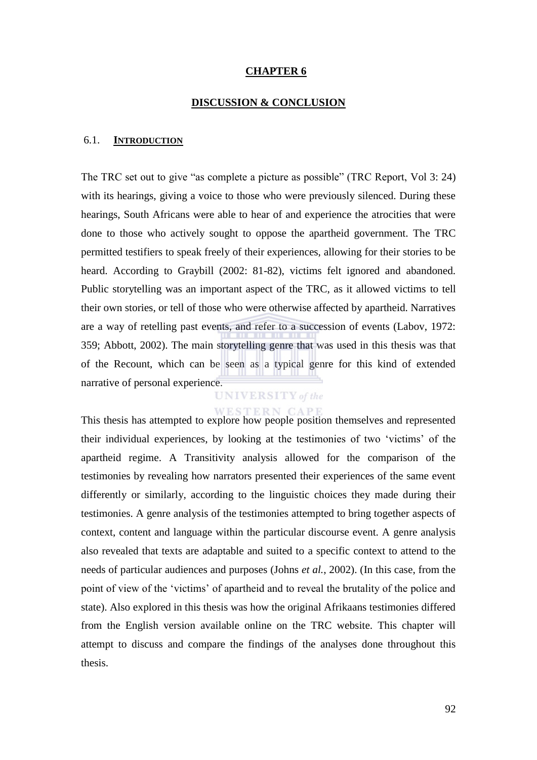#### **CHAPTER 6**

#### **DISCUSSION & CONCLUSION**

#### 6.1. **INTRODUCTION**

The TRC set out to give "as complete a picture as possible" (TRC Report, Vol 3: 24) with its hearings, giving a voice to those who were previously silenced. During these hearings, South Africans were able to hear of and experience the atrocities that were done to those who actively sought to oppose the apartheid government. The TRC permitted testifiers to speak freely of their experiences, allowing for their stories to be heard. According to Graybill (2002: 81-82), victims felt ignored and abandoned. Public storytelling was an important aspect of the TRC, as it allowed victims to tell their own stories, or tell of those who were otherwise affected by apartheid. Narratives are a way of retelling past events, and refer to a succession of events (Labov, 1972: 359; Abbott, 2002). The main storytelling genre that was used in this thesis was that of the Recount, which can be seen as a typical genre for this kind of extended narrative of personal experience.

# **UNIVERSITY** of the

This thesis has attempted to explore how people position themselves and represented their individual experiences, by looking at the testimonies of two ‗victims' of the apartheid regime. A Transitivity analysis allowed for the comparison of the testimonies by revealing how narrators presented their experiences of the same event differently or similarly, according to the linguistic choices they made during their testimonies. A genre analysis of the testimonies attempted to bring together aspects of context, content and language within the particular discourse event. A genre analysis also revealed that texts are adaptable and suited to a specific context to attend to the needs of particular audiences and purposes (Johns *et al.*, 2002). (In this case, from the point of view of the 'victims' of apartheid and to reveal the brutality of the police and state). Also explored in this thesis was how the original Afrikaans testimonies differed from the English version available online on the TRC website. This chapter will attempt to discuss and compare the findings of the analyses done throughout this thesis.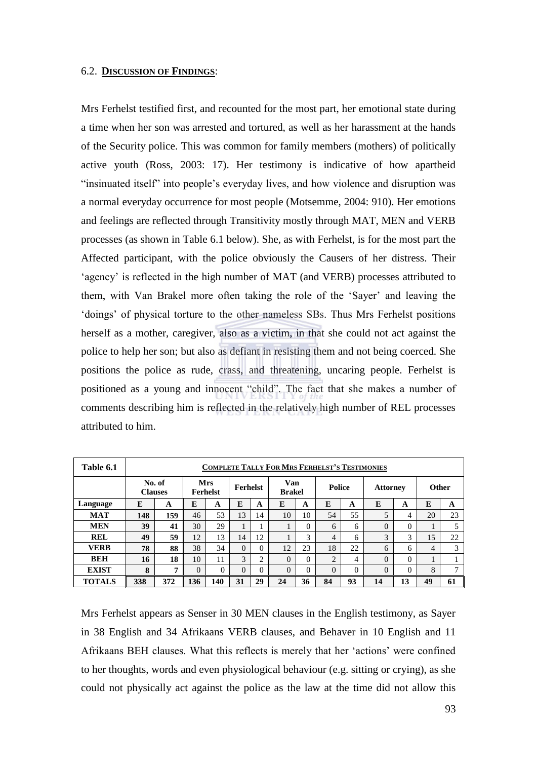### 6.2. **DISCUSSION OF FINDINGS**:

Mrs Ferhelst testified first, and recounted for the most part, her emotional state during a time when her son was arrested and tortured, as well as her harassment at the hands of the Security police. This was common for family members (mothers) of politically active youth (Ross, 2003: 17). Her testimony is indicative of how apartheid "insinuated itself" into people's everyday lives, and how violence and disruption was a normal everyday occurrence for most people (Motsemme, 2004: 910). Her emotions and feelings are reflected through Transitivity mostly through MAT, MEN and VERB processes (as shown in Table 6.1 below). She, as with Ferhelst, is for the most part the Affected participant, with the police obviously the Causers of her distress. Their 'agency' is reflected in the high number of MAT (and VERB) processes attributed to them, with Van Brakel more often taking the role of the 'Sayer' and leaving the ‗doings' of physical torture to the other nameless SBs. Thus Mrs Ferhelst positions herself as a mother, caregiver, also as a victim, in that she could not act against the police to help her son; but also as defiant in resisting them and not being coerced. She positions the police as rude, crass, and threatening, uncaring people. Ferhelst is positioned as a young and innocent "child". The fact that she makes a number of comments describing him is reflected in the relatively high number of REL processes attributed to him.

| Table 6.1     | <b>COMPLETE TALLY FOR MRS FERHELST'S TESTIMONIES</b> |     |                        |          |                 |                |                      |          |                |    |                 |          |              |                |
|---------------|------------------------------------------------------|-----|------------------------|----------|-----------------|----------------|----------------------|----------|----------------|----|-----------------|----------|--------------|----------------|
|               | No. of<br><b>Clauses</b>                             |     | Mrs<br><b>Ferhelst</b> |          | <b>Ferhelst</b> |                | Van<br><b>Brakel</b> |          | <b>Police</b>  |    | <b>Attorney</b> |          | <b>Other</b> |                |
| Language      | E                                                    | A   | E                      | A        | E               | A              | E                    | A        | E              | A  | E               | A        | E            | A              |
| <b>MAT</b>    | 148                                                  | 159 | 46                     | 53       | 13              | 14             | 10                   | 10       | 54             | 55 | 5               | 4        | 20           | 23             |
| <b>MEN</b>    | 39                                                   | 41  | 30                     | 29       | 1<br>л          |                |                      | 0        | 6              | 6  | $\Omega$        | $\Omega$ |              | 5              |
| <b>REL</b>    | 49                                                   | 59  | 12                     | 13       | 14              | 12             |                      | 3        | $\overline{4}$ | 6  | 3               | 3        | 15           | 22             |
| <b>VERB</b>   | 78                                                   | 88  | 38                     | 34       | $\Omega$        | 0              | 12                   | 23       | 18             | 22 | 6               | 6        | 4            | 3              |
| <b>BEH</b>    | 16                                                   | 18  | 10                     | 11       | 3               | $\overline{c}$ | 0                    | $\Omega$ | 2              | 4  | $\Omega$        | $\Omega$ |              |                |
| <b>EXIST</b>  | 8                                                    | -   | $\Omega$               | $\Omega$ | $\Omega$        | 0              | 0                    | 0        | $\theta$       | 0  | $\Omega$        | $\theta$ | 8            | $\overline{ }$ |
| <b>TOTALS</b> | 338                                                  | 372 | 136                    | 140      | 31              | 29             | 24                   | 36       | 84             | 93 | 14              | 13       | 49           | 61             |

Mrs Ferhelst appears as Senser in 30 MEN clauses in the English testimony, as Sayer in 38 English and 34 Afrikaans VERB clauses, and Behaver in 10 English and 11 Afrikaans BEH clauses. What this reflects is merely that her 'actions' were confined to her thoughts, words and even physiological behaviour (e.g. sitting or crying), as she could not physically act against the police as the law at the time did not allow this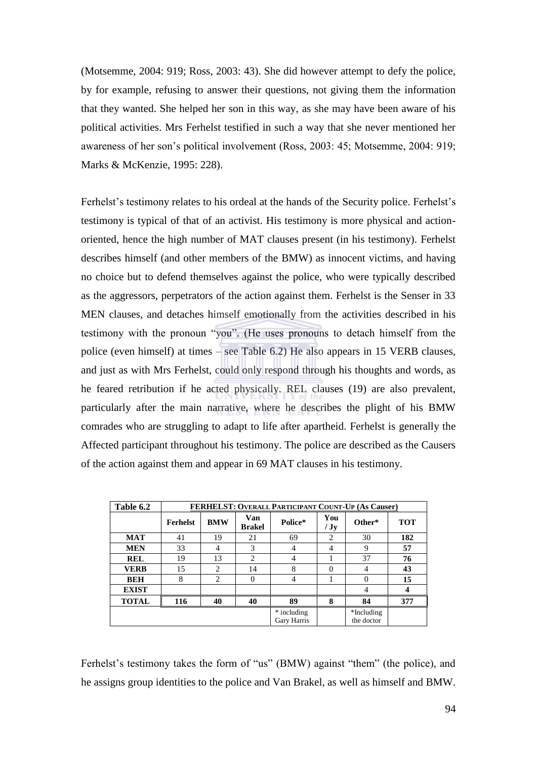(Motsemme, 2004: 919; Ross, 2003: 43). She did however attempt to defy the police, by for example, refusing to answer their questions, not giving them the information that they wanted. She helped her son in this way, as she may have been aware of his political activities. Mrs Ferhelst testified in such a way that she never mentioned her awareness of her son's political involvement (Ross, 2003: 45; Motsemme, 2004: 919; Marks & McKenzie, 1995: 228).

Ferhelst's testimony relates to his ordeal at the hands of the Security police. Ferhelst's testimony is typical of that of an activist. His testimony is more physical and actionoriented, hence the high number of MAT clauses present (in his testimony). Ferhelst describes himself (and other members of the BMW) as innocent victims, and having no choice but to defend themselves against the police, who were typically described as the aggressors, perpetrators of the action against them. Ferhelst is the Senser in 33 MEN clauses, and detaches himself emotionally from the activities described in his testimony with the pronoun "you". (He uses pronouns to detach himself from the police (even himself) at times – see Table 6.2) He also appears in 15 VERB clauses, and just as with Mrs Ferhelst, could only respond through his thoughts and words, as he feared retribution if he acted physically. REL clauses (19) are also prevalent, particularly after the main narrative, where he describes the plight of his BMW comrades who are struggling to adapt to life after apartheid. Ferhelst is generally the Affected participant throughout his testimony. The police are described as the Causers of the action against them and appear in 69 MAT clauses in his testimony.

| Table 6.2    | <b>FERHELST: OVERALL PARTICIPANT COUNT-UP (As Causer)</b> |                |                      |                            |                |                          |            |  |  |  |  |
|--------------|-----------------------------------------------------------|----------------|----------------------|----------------------------|----------------|--------------------------|------------|--|--|--|--|
|              | <b>Ferhelst</b>                                           | <b>BMW</b>     | Van<br><b>Brakel</b> | Police*                    | You<br>/Jy     | Other*                   | <b>TOT</b> |  |  |  |  |
| MAT          | 41                                                        | 19             | 21                   | 69                         | $\overline{2}$ | 30                       | 182        |  |  |  |  |
| <b>MEN</b>   | 33                                                        | 4              | 3                    | 4                          | 4              | 9                        | 57         |  |  |  |  |
| <b>REL</b>   | 19                                                        | 13             | 2                    | 4                          |                | 37                       | 76         |  |  |  |  |
| <b>VERB</b>  | 15                                                        | 2              | 14                   | 8                          | $\Omega$       | 4                        | 43         |  |  |  |  |
| <b>BEH</b>   | 8                                                         | $\overline{c}$ | $\Omega$             | 4                          |                | $\Omega$                 | 15         |  |  |  |  |
| <b>EXIST</b> |                                                           |                |                      |                            |                | 4                        | 4          |  |  |  |  |
| <b>TOTAL</b> | 116                                                       | 40             | 40                   | 89                         | 8              | 84                       | 377        |  |  |  |  |
|              |                                                           |                |                      | * including<br>Gary Harris |                | *Including<br>the doctor |            |  |  |  |  |

Ferhelst's testimony takes the form of "us" (BMW) against "them" (the police), and he assigns group identities to the police and Van Brakel, as well as himself and BMW.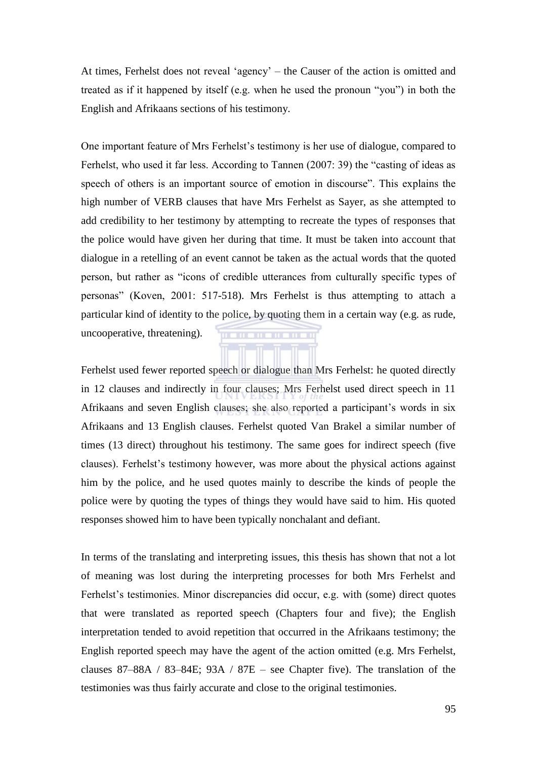At times, Ferhelst does not reveal 'agency' – the Causer of the action is omitted and treated as if it happened by itself (e.g. when he used the pronoun "you") in both the English and Afrikaans sections of his testimony.

One important feature of Mrs Ferhelst's testimony is her use of dialogue, compared to Ferhelst, who used it far less. According to Tannen  $(2007: 39)$  the "casting of ideas as speech of others is an important source of emotion in discourse". This explains the high number of VERB clauses that have Mrs Ferhelst as Sayer, as she attempted to add credibility to her testimony by attempting to recreate the types of responses that the police would have given her during that time. It must be taken into account that dialogue in a retelling of an event cannot be taken as the actual words that the quoted person, but rather as "icons of credible utterances from culturally specific types of personas‖ (Koven, 2001: 517-518). Mrs Ferhelst is thus attempting to attach a particular kind of identity to the police, by quoting them in a certain way (e.g. as rude, uncooperative, threatening). . . . . . . . . . . .

Ferhelst used fewer reported speech or dialogue than Mrs Ferhelst: he quoted directly in 12 clauses and indirectly in four clauses; Mrs Ferhelst used direct speech in 11 Afrikaans and seven English clauses; she also reported a participant's words in six Afrikaans and 13 English clauses. Ferhelst quoted Van Brakel a similar number of times (13 direct) throughout his testimony. The same goes for indirect speech (five clauses). Ferhelst's testimony however, was more about the physical actions against him by the police, and he used quotes mainly to describe the kinds of people the police were by quoting the types of things they would have said to him. His quoted responses showed him to have been typically nonchalant and defiant.

In terms of the translating and interpreting issues, this thesis has shown that not a lot of meaning was lost during the interpreting processes for both Mrs Ferhelst and Ferhelst's testimonies. Minor discrepancies did occur, e.g. with (some) direct quotes that were translated as reported speech (Chapters four and five); the English interpretation tended to avoid repetition that occurred in the Afrikaans testimony; the English reported speech may have the agent of the action omitted (e.g. Mrs Ferhelst, clauses  $87-88A / 83-84E$ ;  $93A / 87E -$  see Chapter five). The translation of the testimonies was thus fairly accurate and close to the original testimonies.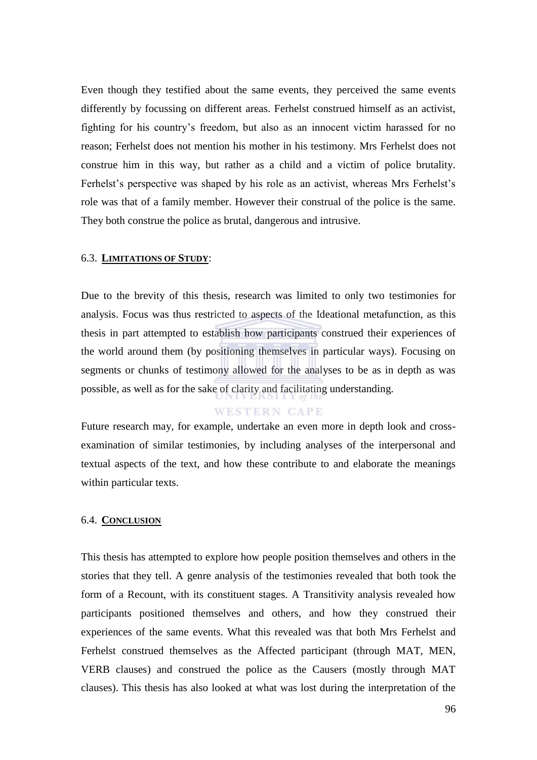Even though they testified about the same events, they perceived the same events differently by focussing on different areas. Ferhelst construed himself as an activist, fighting for his country's freedom, but also as an innocent victim harassed for no reason; Ferhelst does not mention his mother in his testimony. Mrs Ferhelst does not construe him in this way, but rather as a child and a victim of police brutality. Ferhelst's perspective was shaped by his role as an activist, whereas Mrs Ferhelst's role was that of a family member. However their construal of the police is the same. They both construe the police as brutal, dangerous and intrusive.

#### 6.3. **LIMITATIONS OF STUDY**:

Due to the brevity of this thesis, research was limited to only two testimonies for analysis. Focus was thus restricted to aspects of the Ideational metafunction, as this thesis in part attempted to establish how participants construed their experiences of the world around them (by positioning themselves in particular ways). Focusing on segments or chunks of testimony allowed for the analyses to be as in depth as was possible, as well as for the sake of clarity and facilitating understanding.

## **WESTERN CAPE**

Future research may, for example, undertake an even more in depth look and crossexamination of similar testimonies, by including analyses of the interpersonal and textual aspects of the text, and how these contribute to and elaborate the meanings within particular texts.

#### 6.4. **CONCLUSION**

This thesis has attempted to explore how people position themselves and others in the stories that they tell. A genre analysis of the testimonies revealed that both took the form of a Recount, with its constituent stages. A Transitivity analysis revealed how participants positioned themselves and others, and how they construed their experiences of the same events. What this revealed was that both Mrs Ferhelst and Ferhelst construed themselves as the Affected participant (through MAT, MEN, VERB clauses) and construed the police as the Causers (mostly through MAT clauses). This thesis has also looked at what was lost during the interpretation of the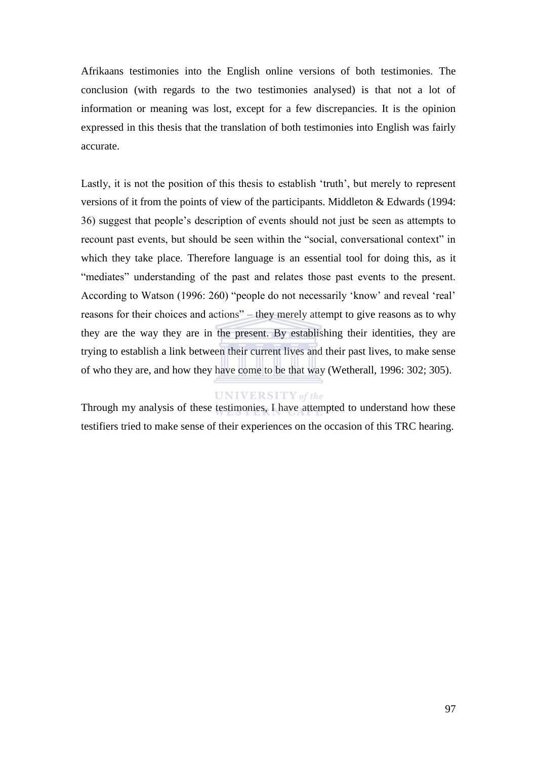Afrikaans testimonies into the English online versions of both testimonies. The conclusion (with regards to the two testimonies analysed) is that not a lot of information or meaning was lost, except for a few discrepancies. It is the opinion expressed in this thesis that the translation of both testimonies into English was fairly accurate.

Lastly, it is not the position of this thesis to establish 'truth', but merely to represent versions of it from the points of view of the participants. Middleton & Edwards (1994: 36) suggest that people's description of events should not just be seen as attempts to recount past events, but should be seen within the "social, conversational context" in which they take place. Therefore language is an essential tool for doing this, as it "mediates" understanding of the past and relates those past events to the present. According to Watson (1996: 260) "people do not necessarily 'know' and reveal 'real' reasons for their choices and actions" – they merely attempt to give reasons as to why they are the way they are in the present. By establishing their identities, they are trying to establish a link between their current lives and their past lives, to make sense of who they are, and how they have come to be that way (Wetherall, 1996: 302; 305).

## **UNIVERSITY** of the

Through my analysis of these testimonies, I have attempted to understand how these testifiers tried to make sense of their experiences on the occasion of this TRC hearing.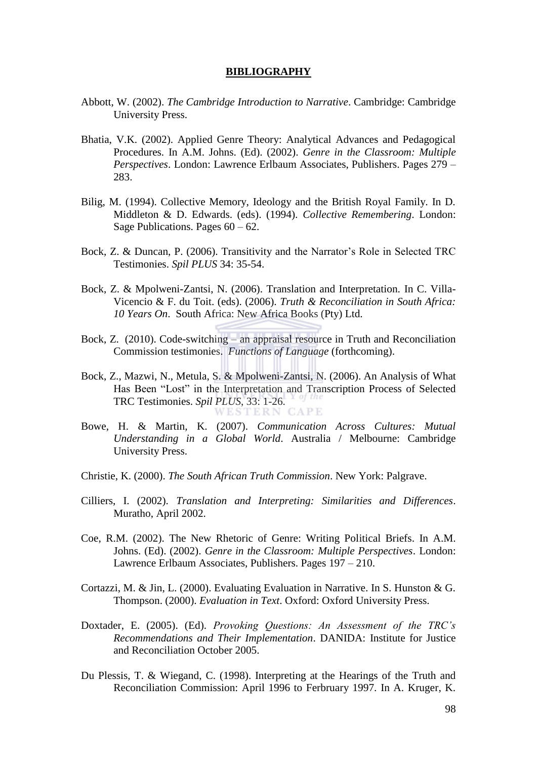#### **BIBLIOGRAPHY**

- Abbott, W. (2002). *The Cambridge Introduction to Narrative*. Cambridge: Cambridge University Press.
- Bhatia, V.K. (2002). Applied Genre Theory: Analytical Advances and Pedagogical Procedures. In A.M. Johns. (Ed). (2002). *Genre in the Classroom: Multiple Perspectives*. London: Lawrence Erlbaum Associates, Publishers. Pages 279 – 283.
- Bilig, M. (1994). Collective Memory, Ideology and the British Royal Family. In D. Middleton & D. Edwards. (eds). (1994). *Collective Remembering*. London: Sage Publications. Pages  $60 - 62$ .
- Bock, Z. & Duncan, P. (2006). Transitivity and the Narrator's Role in Selected TRC Testimonies. *Spil PLUS* 34: 35-54.
- Bock, Z. & Mpolweni-Zantsi, N. (2006). Translation and Interpretation. In C. Villa-Vicencio & F. du Toit. (eds). (2006). *Truth & Reconciliation in South Africa: 10 Years On*. South Africa: New Africa Books (Pty) Ltd.
- Bock, Z. (2010). Code-switching an appraisal resource in Truth and Reconciliation Commission testimonies. *Functions of Language* (forthcoming).
- Bock, Z., Mazwi, N., Metula, S. & Mpolweni-Zantsi, N. (2006). An Analysis of What Has Been "Lost" in the Interpretation and Transcription Process of Selected TRC Testimonies. *Spil PLUS*, 33: 1-26.
- Bowe, H. & Martin, K. (2007). *Communication Across Cultures: Mutual Understanding in a Global World*. Australia / Melbourne: Cambridge University Press.
- Christie, K. (2000). *The South African Truth Commission*. New York: Palgrave.
- Cilliers, I. (2002). *Translation and Interpreting: Similarities and Differences*. Muratho, April 2002.
- Coe, R.M. (2002). The New Rhetoric of Genre: Writing Political Briefs. In A.M. Johns. (Ed). (2002). *Genre in the Classroom: Multiple Perspectives*. London: Lawrence Erlbaum Associates, Publishers. Pages 197 – 210.
- Cortazzi, M. & Jin, L. (2000). Evaluating Evaluation in Narrative. In S. Hunston & G. Thompson. (2000). *Evaluation in Text*. Oxford: Oxford University Press.
- Doxtader, E. (2005). (Ed). *Provoking Questions: An Assessment of the TRC's Recommendations and Their Implementation*. DANIDA: Institute for Justice and Reconciliation October 2005.
- Du Plessis, T. & Wiegand, C. (1998). Interpreting at the Hearings of the Truth and Reconciliation Commission: April 1996 to Ferbruary 1997. In A. Kruger, K.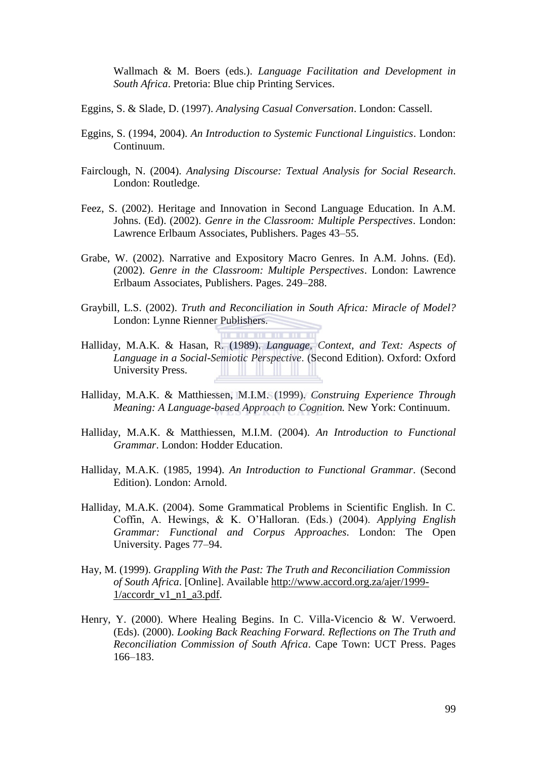Wallmach & M. Boers (eds.). *Language Facilitation and Development in South Africa*. Pretoria: Blue chip Printing Services.

- Eggins, S. & Slade, D. (1997). *Analysing Casual Conversation*. London: Cassell.
- Eggins, S. (1994, 2004). *An Introduction to Systemic Functional Linguistics*. London: Continuum.
- Fairclough, N. (2004). *Analysing Discourse: Textual Analysis for Social Research*. London: Routledge.
- Feez, S. (2002). Heritage and Innovation in Second Language Education. In A.M. Johns. (Ed). (2002). *Genre in the Classroom: Multiple Perspectives*. London: Lawrence Erlbaum Associates, Publishers. Pages 43–55.
- Grabe, W. (2002). Narrative and Expository Macro Genres. In A.M. Johns. (Ed). (2002). *Genre in the Classroom: Multiple Perspectives*. London: Lawrence Erlbaum Associates, Publishers. Pages. 249–288.
- Graybill, L.S. (2002). *Truth and Reconciliation in South Africa: Miracle of Model?* London: Lynne Rienner Publishers.
- Halliday, M.A.K. & Hasan, R. (1989). *Language, Context, and Text: Aspects of Language in a Social-Semiotic Perspective*. (Second Edition). Oxford: Oxford University Press.
- Halliday, M.A.K. & Matthiessen, M.I.M. (1999). *Construing Experience Through Meaning: A Language-based Approach to Cognition.* New York: Continuum.
- Halliday, M.A.K. & Matthiessen, M.I.M. (2004). *An Introduction to Functional Grammar*. London: Hodder Education.
- Halliday, M.A.K. (1985, 1994). *An Introduction to Functional Grammar*. (Second Edition). London: Arnold.
- Halliday, M.A.K. (2004). Some Grammatical Problems in Scientific English. In C. Coffin, A. Hewings, & K. O'Halloran. (Eds.) (2004). *Applying English Grammar: Functional and Corpus Approaches*. London: The Open University. Pages 77–94.
- Hay, M. (1999). *Grappling With the Past: The Truth and Reconciliation Commission of South Africa*. [Online]. Available http://www.accord.org.za/ajer/1999-  $1/accordr$  v1 n1 a3.pdf.
- Henry, Y. (2000). Where Healing Begins. In C. Villa-Vicencio & W. Verwoerd. (Eds). (2000). *Looking Back Reaching Forward. Reflections on The Truth and Reconciliation Commission of South Africa*. Cape Town: UCT Press. Pages 166–183.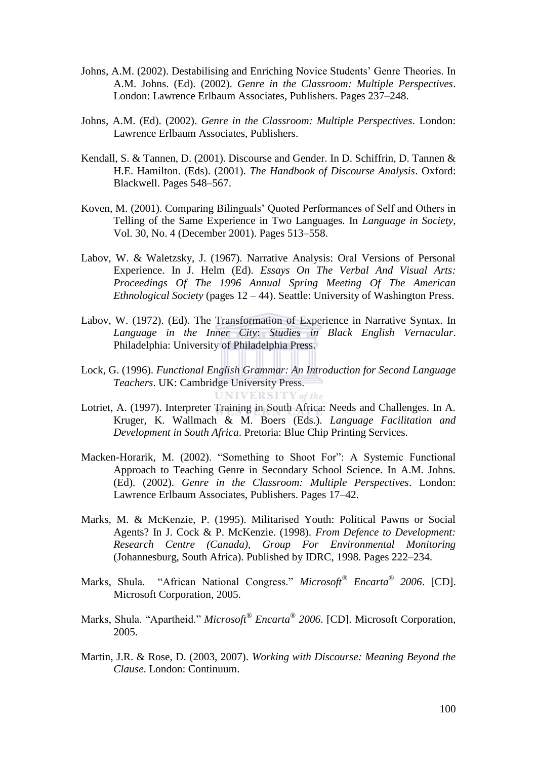- Johns, A.M. (2002). Destabilising and Enriching Novice Students' Genre Theories. In A.M. Johns. (Ed). (2002). *Genre in the Classroom: Multiple Perspectives*. London: Lawrence Erlbaum Associates, Publishers. Pages 237–248.
- Johns, A.M. (Ed). (2002). *Genre in the Classroom: Multiple Perspectives*. London: Lawrence Erlbaum Associates, Publishers.
- Kendall, S. & Tannen, D. (2001). Discourse and Gender. In D. Schiffrin, D. Tannen & H.E. Hamilton. (Eds). (2001). *The Handbook of Discourse Analysis*. Oxford: Blackwell. Pages 548–567.
- Koven, M. (2001). Comparing Bilinguals' Quoted Performances of Self and Others in Telling of the Same Experience in Two Languages. In *Language in Society*, Vol. 30, No. 4 (December 2001). Pages 513–558.
- Labov, W. & Waletzsky, J. (1967). Narrative Analysis: Oral Versions of Personal Experience. In J. Helm (Ed). *Essays On The Verbal And Visual Arts: Proceedings Of The 1996 Annual Spring Meeting Of The American Ethnological Society* (pages 12 – 44). Seattle: University of Washington Press.
- Labov, W. (1972). (Ed). The Transformation of Experience in Narrative Syntax. In *Language in the Inner City*: *Studies in Black English Vernacular*. Philadelphia: University of Philadelphia Press.
- Lock, G. (1996). *Functional English Grammar: An Introduction for Second Language Teachers*. UK: Cambridge University Press.

UNIVERSITY of the

- Lotriet, A. (1997). Interpreter Training in South Africa: Needs and Challenges. In A. Kruger, K. Wallmach & M. Boers (Eds.). *Language Facilitation and Development in South Africa*. Pretoria: Blue Chip Printing Services.
- Macken-Horarik, M. (2002). "Something to Shoot For": A Systemic Functional Approach to Teaching Genre in Secondary School Science. In A.M. Johns. (Ed). (2002). *Genre in the Classroom: Multiple Perspectives*. London: Lawrence Erlbaum Associates, Publishers. Pages 17–42.
- Marks, M. & McKenzie, P. (1995). Militarised Youth: Political Pawns or Social Agents? In J. Cock & P. McKenzie. (1998). *From Defence to Development: Research Centre (Canada), Group For Environmental Monitoring* (Johannesburg, South Africa). Published by IDRC, 1998. Pages 222–234.
- Marks, Shula. "African National Congress." *Microsoft<sup>®</sup> Encarta<sup>®</sup> 2006*. [CD]. Microsoft Corporation, 2005.
- Marks, Shula. "Apartheid." *Microsoft<sup>®</sup> Encarta<sup>®</sup> 2006*. [CD]. Microsoft Corporation, 2005.
- Martin, J.R. & Rose, D. (2003, 2007). *Working with Discourse: Meaning Beyond the Clause*. London: Continuum.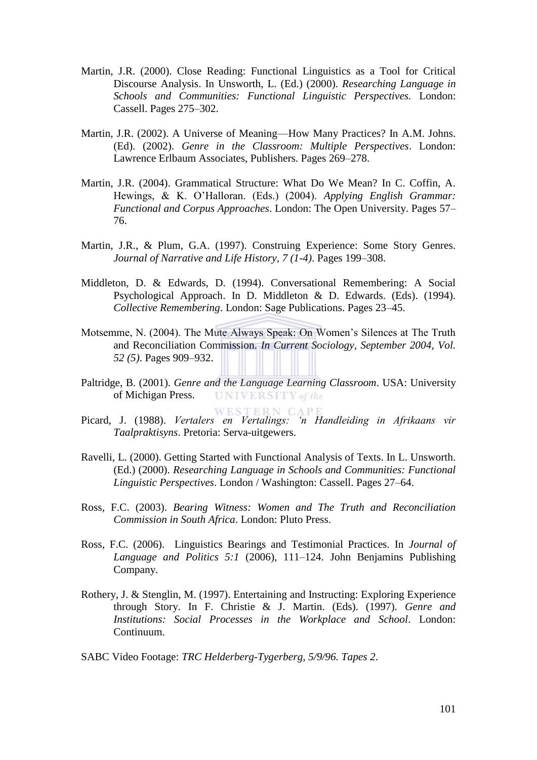- Martin, J.R. (2000). Close Reading: Functional Linguistics as a Tool for Critical Discourse Analysis. In Unsworth, L. (Ed.) (2000). *Researching Language in Schools and Communities: Functional Linguistic Perspectives.* London: Cassell. Pages 275–302.
- Martin, J.R. (2002). A Universe of Meaning—How Many Practices? In A.M. Johns. (Ed). (2002). *Genre in the Classroom: Multiple Perspectives*. London: Lawrence Erlbaum Associates, Publishers. Pages 269–278.
- Martin, J.R. (2004). Grammatical Structure: What Do We Mean? In C. Coffin, A. Hewings, & K. O'Halloran. (Eds.) (2004). *Applying English Grammar: Functional and Corpus Approaches*. London: The Open University. Pages 57– 76.
- Martin, J.R., & Plum, G.A. (1997). Construing Experience: Some Story Genres. *Journal of Narrative and Life History, 7 (1-4)*. Pages 199–308.
- Middleton, D. & Edwards, D. (1994). Conversational Remembering: A Social Psychological Approach. In D. Middleton & D. Edwards. (Eds). (1994). *Collective Remembering*. London: Sage Publications. Pages 23–45.
- Motsemme, N. (2004). The Mute Always Speak: On Women's Silences at The Truth and Reconciliation Commission. *In Current Sociology, September 2004, Vol. 52 (5)*. Pages 909–932.
- Paltridge, B. (2001). *Genre and the Language Learning Classroom*. USA: University of Michigan Press. **UNIVERSITY** of the
- Picard, J. (1988). *Vertalers en Vertalings: 'n Handleiding in Afrikaans vir Taalpraktisyns*. Pretoria: Serva-uitgewers.
- Ravelli, L. (2000). Getting Started with Functional Analysis of Texts. In L. Unsworth. (Ed.) (2000). *Researching Language in Schools and Communities: Functional Linguistic Perspectives*. London / Washington: Cassell. Pages 27–64.
- Ross, F.C. (2003). *Bearing Witness: Women and The Truth and Reconciliation Commission in South Africa*. London: Pluto Press.
- Ross, F.C. (2006). Linguistics Bearings and Testimonial Practices. In *Journal of Language and Politics 5:1* (2006), 111–124. John Benjamins Publishing Company.
- Rothery, J. & Stenglin, M. (1997). Entertaining and Instructing: Exploring Experience through Story. In F. Christie & J. Martin. (Eds). (1997). *Genre and Institutions: Social Processes in the Workplace and School*. London: Continuum.

SABC Video Footage: *TRC Helderberg-Tygerberg, 5/9/96. Tapes 2*.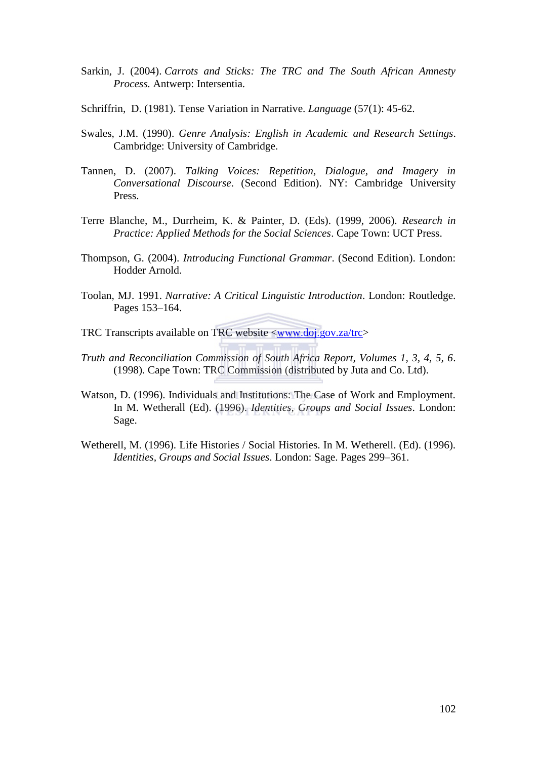- Sarkin, J. (2004). *Carrots and Sticks: The TRC and The South African Amnesty Process.* Antwerp: Intersentia.
- Schriffrin, D. (1981). Tense Variation in Narrative. *Language* (57(1): 45-62.
- Swales, J.M. (1990). *Genre Analysis: English in Academic and Research Settings*. Cambridge: University of Cambridge.
- Tannen, D. (2007). *Talking Voices: Repetition, Dialogue, and Imagery in Conversational Discourse*. (Second Edition). NY: Cambridge University Press.
- Terre Blanche, M., Durrheim, K. & Painter, D. (Eds). (1999, 2006). *Research in Practice: Applied Methods for the Social Sciences*. Cape Town: UCT Press.
- Thompson, G. (2004). *Introducing Functional Grammar*. (Second Edition). London: Hodder Arnold.
- Toolan, MJ. 1991. *Narrative: A Critical Linguistic Introduction*. London: Routledge. Pages 153–164.

TRC Transcripts available on TRC website [<www.doj.gov.za/trc>](http://www.doj.gov.za/trc)

- *Truth and Reconciliation Commission of South Africa Report, Volumes 1, 3, 4, 5, 6*. (1998). Cape Town: TRC Commission (distributed by Juta and Co. Ltd).
- Watson, D. (1996). Individuals and Institutions: The Case of Work and Employment. In M. Wetherall (Ed). (1996). *Identities, Groups and Social Issues*. London: Sage.
- Wetherell, M. (1996). Life Histories / Social Histories. In M. Wetherell. (Ed). (1996). *Identities, Groups and Social Issues*. London: Sage. Pages 299–361.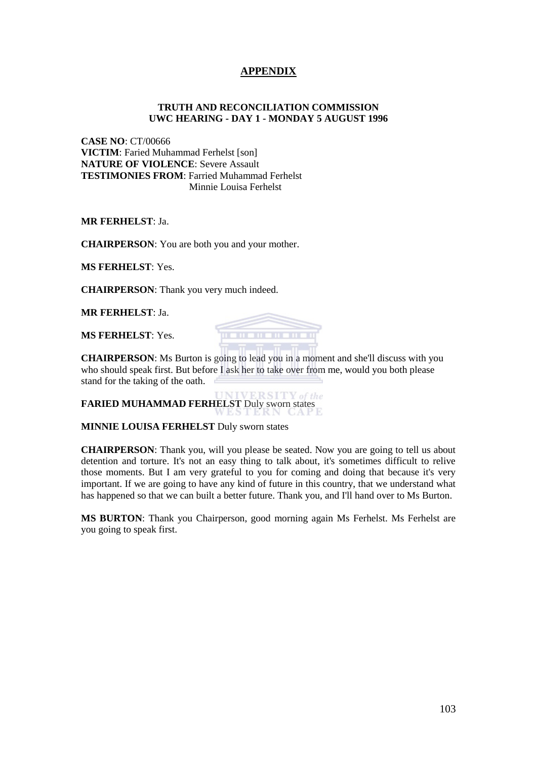### **APPENDIX**

#### **TRUTH AND RECONCILIATION COMMISSION UWC HEARING - DAY 1 - MONDAY 5 AUGUST 1996**

**CASE NO**: CT/00666 **VICTIM**: Faried Muhammad Ferhelst [son] **NATURE OF VIOLENCE**: Severe Assault **TESTIMONIES FROM**: Farried Muhammad Ferhelst Minnie Louisa Ferhelst

**MR FERHELST**: Ja.

**CHAIRPERSON**: You are both you and your mother.

**MS FERHELST**: Yes.

**CHAIRPERSON**: Thank you very much indeed.

**MR FERHELST**: Ja.

**MS FERHELST**: Yes.



**CHAIRPERSON**: Ms Burton is going to lead you in a moment and she'll discuss with you who should speak first. But before I ask her to take over from me, would you both please stand for the taking of the oath.

 $ERSITY$  of the **FARIED MUHAMMAD FERHELST** Duly sworn states

**MINNIE LOUISA FERHELST** Duly sworn states

**CHAIRPERSON**: Thank you, will you please be seated. Now you are going to tell us about detention and torture. It's not an easy thing to talk about, it's sometimes difficult to relive those moments. But I am very grateful to you for coming and doing that because it's very important. If we are going to have any kind of future in this country, that we understand what has happened so that we can built a better future. Thank you, and I'll hand over to Ms Burton.

**MS BURTON**: Thank you Chairperson, good morning again Ms Ferhelst. Ms Ferhelst are you going to speak first.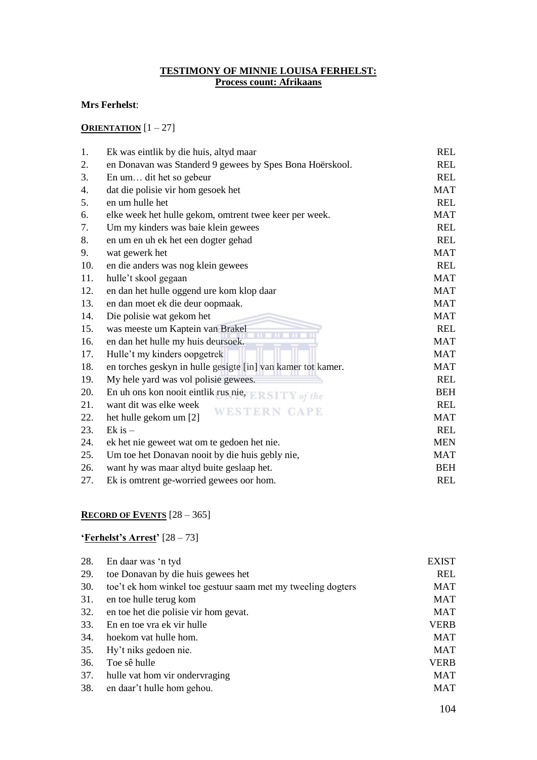#### **TESTIMONY OF MINNIE LOUISA FERHELST: Process count: Afrikaans**

#### **Mrs Ferhelst**:

#### **ORIENTATION** [1 – 27]

| 1.  | Ek was eintlik by die huis, altyd maar                       | <b>REL</b> |
|-----|--------------------------------------------------------------|------------|
| 2.  | en Donavan was Standerd 9 gewees by Spes Bona Hoërskool.     | <b>REL</b> |
| 3.  | En um dit het so gebeur                                      | <b>REL</b> |
| 4.  | dat die polisie vir hom gesoek het                           | <b>MAT</b> |
| 5.  | en um hulle het                                              | <b>REL</b> |
| 6.  | elke week het hulle gekom, omtrent twee keer per week.       | <b>MAT</b> |
| 7.  | Um my kinders was baie klein gewees                          | <b>REL</b> |
| 8.  | en um en uh ek het een dogter gehad                          | <b>REL</b> |
| 9.  | wat gewerk het                                               | <b>MAT</b> |
| 10. | en die anders was nog klein gewees                           | <b>REL</b> |
| 11. | hulle't skool gegaan                                         | <b>MAT</b> |
| 12. | en dan het hulle oggend ure kom klop daar                    | <b>MAT</b> |
| 13. | en dan moet ek die deur oopmaak.                             | <b>MAT</b> |
| 14. | Die polisie wat gekom het                                    | <b>MAT</b> |
| 15. | was meeste um Kaptein van Brakel                             | <b>REL</b> |
| 16. | en dan het hulle my huis deursoek.                           | <b>MAT</b> |
| 17. | Hulle't my kinders oopgetrek                                 | <b>MAT</b> |
| 18. | en torches geskyn in hulle gesigte [in] van kamer tot kamer. | <b>MAT</b> |
| 19. | My hele yard was vol polisie gewees.                         | <b>REL</b> |
| 20. | En uh ons kon nooit eintlik rus nie,<br>Y of the             | <b>BEH</b> |
| 21. | want dit was elke week<br>WESTERN CAPE                       | <b>REL</b> |
| 22. | het hulle gekom um [2]                                       | <b>MAT</b> |
| 23. | $Ek$ is $-$                                                  | <b>REL</b> |
| 24. | ek het nie geweet wat om te gedoen het nie.                  | <b>MEN</b> |
| 25. | Um toe het Donavan nooit by die huis gebly nie,              | <b>MAT</b> |
| 26. | want hy was maar altyd buite geslaap het.                    | <b>BEH</b> |
| 27. | Ek is omtrent ge-worried gewees oor hom.                     | <b>REL</b> |
|     |                                                              |            |

# **RECORD OF EVENTS** [28 – 365]

#### **'Ferhelst's Arrest'** [28 – 73]

| 28. | En daar was 'n tyd                                           | <b>EXIST</b> |
|-----|--------------------------------------------------------------|--------------|
| 29. | toe Donavan by die huis gewees het                           | <b>REL</b>   |
| 30. | toe't ek hom winkel toe gestuur saam met my tweeling dogters | MAT          |
| 31. | en toe hulle terug kom                                       | MAT          |
| 32. | en toe het die polisie vir hom gevat.                        | MAT          |
| 33. | En en toe vra ek vir hulle                                   | <b>VERB</b>  |
| 34. | hoekom vat hulle hom.                                        | <b>MAT</b>   |
| 35. | Hy't niks gedoen nie.                                        | MAT          |
| 36. | Toe sê hulle                                                 | <b>VERB</b>  |
| 37. | hulle vat hom vir ondervraging                               | <b>MAT</b>   |
| 38. | en daar't hulle hom gehou.                                   | MAT          |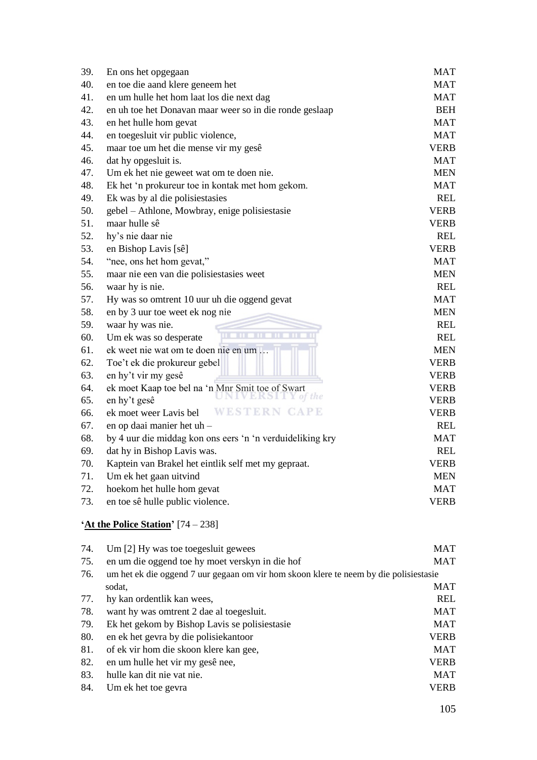| En ons het opgegaan                                       | <b>MAT</b>                 |
|-----------------------------------------------------------|----------------------------|
| en toe die aand klere geneem het                          | <b>MAT</b>                 |
| en um hulle het hom laat los die next dag                 | <b>MAT</b>                 |
| en uh toe het Donavan maar weer so in die ronde geslaap   | <b>BEH</b>                 |
| en het hulle hom gevat                                    | <b>MAT</b>                 |
| en toegesluit vir public violence,                        | <b>MAT</b>                 |
| maar toe um het die mense vir my gesê                     | <b>VERB</b>                |
| dat hy opgesluit is.                                      | <b>MAT</b>                 |
| Um ek het nie geweet wat om te doen nie.                  | <b>MEN</b>                 |
| Ek het 'n prokureur toe in kontak met hom gekom.          | <b>MAT</b>                 |
| Ek was by al die polisiestasies                           | <b>REL</b>                 |
| gebel – Athlone, Mowbray, enige polisiestasie             | <b>VERB</b>                |
| maar hulle sê                                             | <b>VERB</b>                |
| hy's nie daar nie                                         | <b>REL</b>                 |
| en Bishop Lavis [sê]                                      | <b>VERB</b>                |
| "nee, ons het hom gevat,"                                 | <b>MAT</b>                 |
| maar nie een van die polisiestasies weet                  | <b>MEN</b>                 |
| waar hy is nie.                                           | <b>REL</b>                 |
| Hy was so omtrent 10 uur uh die oggend gevat              | <b>MAT</b>                 |
| en by 3 uur toe weet ek nog nie                           | <b>MEN</b>                 |
| waar hy was nie.                                          | <b>REL</b>                 |
| Um ek was so desperate                                    | <b>REL</b>                 |
| ek weet nie wat om te doen nie en um                      | <b>MEN</b>                 |
| Toe't ek die prokureur gebel                              | <b>VERB</b>                |
| en hy't vir my gesê                                       | <b>VERB</b>                |
| ek moet Kaap toe bel na 'n Mnr Smit toe of Swart          | <b>VERB</b>                |
| en hy't gesê                                              | <b>VERB</b>                |
| ek moet weer Lavis bel                                    | <b>VERB</b>                |
| en op daai manier het uh-                                 | <b>REL</b>                 |
| by 4 uur die middag kon ons eers 'n 'n verduideliking kry | <b>MAT</b>                 |
| dat hy in Bishop Lavis was.                               | <b>REL</b>                 |
| Kaptein van Brakel het eintlik self met my gepraat.       | <b>VERB</b>                |
| Um ek het gaan uitvind                                    | <b>MEN</b>                 |
| hoekom het hulle hom gevat                                | <b>MAT</b>                 |
| en toe sê hulle public violence.                          | <b>VERB</b>                |
|                                                           | the<br><b>WESTERN CAPE</b> |

# **'At the Police Station'** [74 – 238]

| 74. | Um [2] Hy was toe toeges luit gewees                                                  | MAT         |
|-----|---------------------------------------------------------------------------------------|-------------|
| 75. | en um die oggend toe hy moet verskyn in die hof                                       | MAT         |
| 76. | um het ek die oggend 7 uur gegaan om vir hom skoon klere te neem by die polisiestasie |             |
|     | sodat.                                                                                | MAT         |
| 77. | hy kan ordentlik kan wees,                                                            | REL         |
| 78. | want hy was omtrent 2 dae al toeges luit.                                             | <b>MAT</b>  |
| 79. | Ek het gekom by Bishop Lavis se polisiestasie                                         | MAT         |
| 80. | en ek het gevra by die polisiekantoor                                                 | <b>VERB</b> |
| 81. | of ek vir hom die skoon klere kan gee,                                                | <b>MAT</b>  |
| 82. | en um hulle het vir my gesê nee,                                                      | <b>VERB</b> |
| 83. | hulle kan dit nie vat nie.                                                            | MAT         |
| 84. | Um ek het toe gevra                                                                   | VERB        |
|     |                                                                                       |             |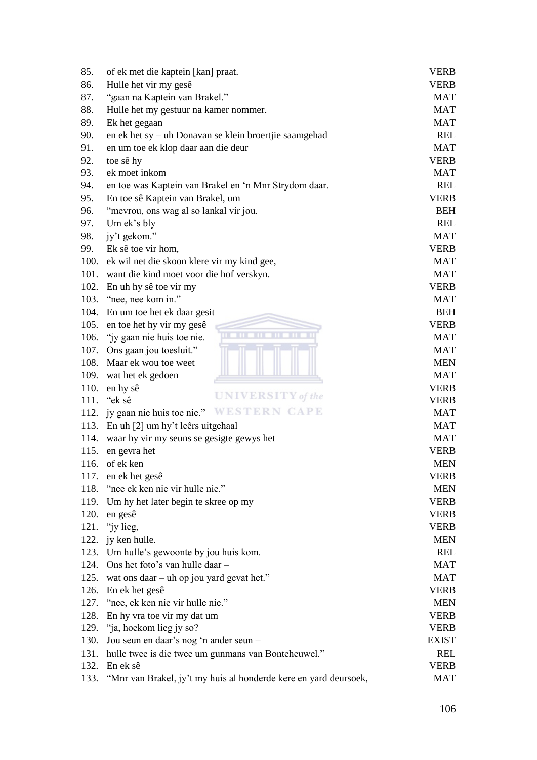| 85.  | of ek met die kaptein [kan] praat.                               | <b>VERB</b>  |
|------|------------------------------------------------------------------|--------------|
| 86.  | Hulle het vir my gesê                                            | <b>VERB</b>  |
| 87.  | "gaan na Kaptein van Brakel."                                    | <b>MAT</b>   |
| 88.  | Hulle het my gestuur na kamer nommer.                            | <b>MAT</b>   |
| 89.  | Ek het gegaan                                                    | <b>MAT</b>   |
| 90.  | en ek het sy - uh Donavan se klein broertjie saamgehad           | <b>REL</b>   |
| 91.  | en um toe ek klop daar aan die deur                              | <b>MAT</b>   |
| 92.  | toe sê hy                                                        | <b>VERB</b>  |
| 93.  | ek moet inkom                                                    | <b>MAT</b>   |
| 94.  | en toe was Kaptein van Brakel en 'n Mnr Strydom daar.            | <b>REL</b>   |
| 95.  | En toe sê Kaptein van Brakel, um                                 | <b>VERB</b>  |
| 96.  | "mevrou, ons wag al so lankal vir jou.                           | <b>BEH</b>   |
| 97.  | Um ek's bly                                                      | <b>REL</b>   |
| 98.  | jy't gekom."                                                     | <b>MAT</b>   |
| 99.  | Ek sê toe vir hom,                                               | <b>VERB</b>  |
| 100. | ek wil net die skoon klere vir my kind gee,                      | <b>MAT</b>   |
| 101. | want die kind moet voor die hof verskyn.                         | <b>MAT</b>   |
|      | 102. En uh hy sê toe vir my                                      | <b>VERB</b>  |
|      | 103. "nee, nee kom in."                                          | <b>MAT</b>   |
|      | 104. En um toe het ek daar gesit                                 | <b>BEH</b>   |
| 105. | en toe het hy vir my gesê                                        | <b>VERB</b>  |
| 106. | m<br>m<br>m<br><b>TITLE</b><br>"jy gaan nie huis toe nie.        | <b>MAT</b>   |
| 107. | Ons gaan jou toesluit."                                          | <b>MAT</b>   |
|      | 108. Maar ek wou toe weet                                        | <b>MEN</b>   |
| 109. | wat het ek gedoen                                                | <b>MAT</b>   |
| 110. | en hy sê                                                         | <b>VERB</b>  |
|      | <b>UNIVERSITY</b> of the<br>111. "ek sê                          | <b>VERB</b>  |
|      | 112. jy gaan nie huis toe nie." WESTERN CAPE                     | <b>MAT</b>   |
| 113. | En uh [2] um hy't leêrs uitgehaal                                | <b>MAT</b>   |
| 114. | waar hy vir my seuns se gesigte gewys het                        | <b>MAT</b>   |
| 115. | en gevra het                                                     | <b>VERB</b>  |
| 116. | of ek ken                                                        | <b>MEN</b>   |
| 117. | en ek het gesê                                                   | <b>VERB</b>  |
| 118. | "nee ek ken nie vir hulle nie."                                  | <b>MEN</b>   |
| 119. | Um hy het later begin te skree op my                             | <b>VERB</b>  |
| 120. | en gesê                                                          | <b>VERB</b>  |
| 121. | "iy lieg,                                                        | <b>VERB</b>  |
|      | 122. jy ken hulle.                                               | <b>MEN</b>   |
|      | 123. Um hulle's gewoonte by jou huis kom.                        | <b>REL</b>   |
| 124. | Ons het foto's van hulle daar -                                  | <b>MAT</b>   |
| 125. | wat ons daar – uh op jou yard gevat het."                        | <b>MAT</b>   |
|      | 126. En ek het gesê                                              | <b>VERB</b>  |
| 127. | "nee, ek ken nie vir hulle nie."                                 | <b>MEN</b>   |
| 128. | En hy vra toe vir my dat um                                      | <b>VERB</b>  |
|      | 129. "ja, hoekom lieg jy so?                                     | <b>VERB</b>  |
| 130. | Jou seun en daar's nog 'n ander seun -                           | <b>EXIST</b> |
| 131. | hulle twee is die twee um gunmans van Bonteheuwel."              | <b>REL</b>   |
|      | 132. En ek sê                                                    | <b>VERB</b>  |
| 133. | "Mnr van Brakel, jy't my huis al honderde kere en yard deursoek, | <b>MAT</b>   |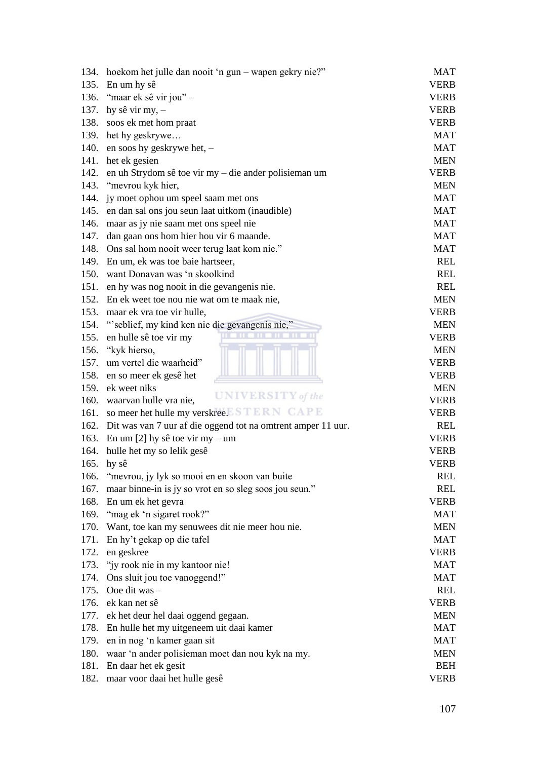| 134. | hoekom het julle dan nooit 'n gun – wapen gekry nie?"             | <b>MAT</b>  |
|------|-------------------------------------------------------------------|-------------|
|      | 135. En um hy sê                                                  | <b>VERB</b> |
|      | 136. "maar ek sê vir jou" –                                       | <b>VERB</b> |
| 137. | hy sê vir my, -                                                   | <b>VERB</b> |
| 138. | soos ek met hom praat                                             | <b>VERB</b> |
|      | 139. het hy geskrywe                                              | <b>MAT</b>  |
| 140. | en soos hy geskrywe het, -                                        | <b>MAT</b>  |
|      | 141. het ek gesien                                                | <b>MEN</b>  |
| 142. | en uh Strydom sê toe vir my – die ander polisieman um             | <b>VERB</b> |
| 143. | "mevrou kyk hier,                                                 | <b>MEN</b>  |
| 144. | jy moet ophou um speel saam met ons                               | <b>MAT</b>  |
| 145. | en dan sal ons jou seun laat uitkom (inaudible)                   | <b>MAT</b>  |
| 146. | maar as jy nie saam met ons speel nie                             | <b>MAT</b>  |
| 147. | dan gaan ons hom hier hou vir 6 maande.                           | <b>MAT</b>  |
|      | 148. Ons sal hom nooit weer terug laat kom nie."                  | <b>MAT</b>  |
| 149. | En um, ek was toe baie hartseer,                                  | <b>REL</b>  |
| 150. | want Donavan was 'n skoolkind                                     | <b>REL</b>  |
| 151. | en hy was nog nooit in die gevangenis nie.                        | <b>REL</b>  |
| 152. | En ek weet toe nou nie wat om te maak nie,                        | <b>MEN</b>  |
| 153. | maar ek vra toe vir hulle,                                        | <b>VERB</b> |
| 154. | "seblief, my kind ken nie die gevangenis nie,"                    | <b>MEN</b>  |
| 155. | en hulle sê toe vir my                                            | <b>VERB</b> |
|      | 156. "kyk hierso,                                                 | <b>MEN</b>  |
| 157. | um vertel die waarheid"                                           | <b>VERB</b> |
| 158. | en so meer ek gesê het                                            | <b>VERB</b> |
|      | 159. ek weet niks                                                 | <b>MEN</b>  |
|      | <b>UNIVERSITY</b> of the<br>160. waarvan hulle vra nie,           | <b>VERB</b> |
| 161. | so meer het hulle my verskree. STERN CAPE                         | <b>VERB</b> |
|      | 162. Dit was van 7 uur af die oggend tot na omtrent amper 11 uur. | <b>REL</b>  |
|      | 163. En um [2] hy sê toe vir my – um                              | <b>VERB</b> |
| 164. | hulle het my so lelik gesê                                        | <b>VERB</b> |
| 165. | hy sê                                                             | <b>VERB</b> |
| 166. | "mevrou, jy lyk so mooi en en skoon van buite                     | <b>REL</b>  |
| 167. | maar binne-in is jy so vrot en so sleg soos jou seun."            | <b>REL</b>  |
| 168. | En um ek het gevra                                                | <b>VERB</b> |
|      | 169. "mag ek 'n sigaret rook?"                                    | <b>MAT</b>  |
| 170. | Want, toe kan my senuwees dit nie meer hou nie.                   | <b>MEN</b>  |
| 171. | En hy't gekap op die tafel                                        | <b>MAT</b>  |
| 172. | en geskree                                                        | <b>VERB</b> |
| 173. | "jy rook nie in my kantoor nie!                                   | <b>MAT</b>  |
| 174. | Ons sluit jou toe vanoggend!"                                     | <b>MAT</b>  |
| 175. | Ooe dit was -                                                     | <b>REL</b>  |
| 176. | ek kan net sê                                                     | <b>VERB</b> |
| 177. | ek het deur hel daai oggend gegaan.                               | <b>MEN</b>  |
| 178. | En hulle het my uitgeneem uit daai kamer                          | <b>MAT</b>  |
| 179. | en in nog 'n kamer gaan sit                                       | <b>MAT</b>  |
| 180. | waar 'n ander polisieman moet dan nou kyk na my.                  | <b>MEN</b>  |
|      | 181. En daar het ek gesit                                         | <b>BEH</b>  |
| 182. | maar voor daai het hulle gesê                                     | <b>VERB</b> |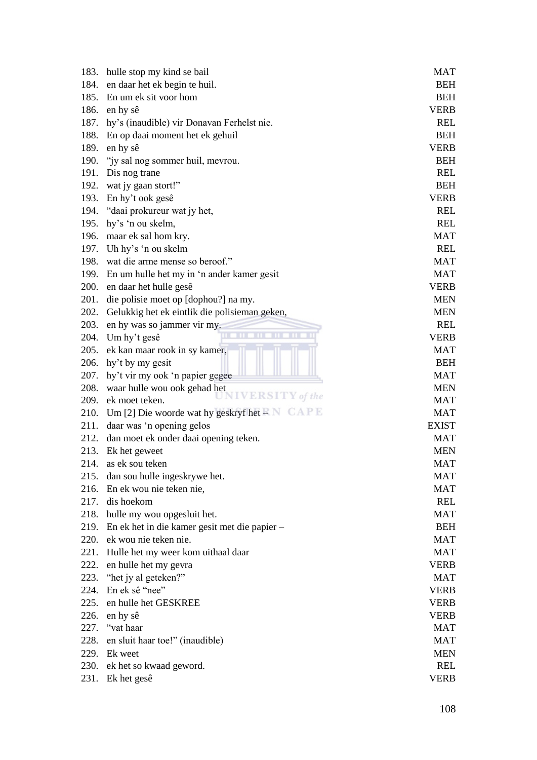| 183. | hulle stop my kind se bail                                   | MAT          |
|------|--------------------------------------------------------------|--------------|
| 184. | en daar het ek begin te huil.                                | <b>BEH</b>   |
|      | 185. En um ek sit voor hom                                   | <b>BEH</b>   |
| 186. | en hy sê                                                     | <b>VERB</b>  |
| 187. | hy's (inaudible) vir Donavan Ferhelst nie.                   | <b>REL</b>   |
|      | 188. En op daai moment het ek gehuil                         | <b>BEH</b>   |
| 189. | en hy sê                                                     | <b>VERB</b>  |
| 190. | "iy sal nog sommer huil, mevrou.                             | <b>BEH</b>   |
|      | 191. Dis nog trane                                           | <b>REL</b>   |
| 192. | wat jy gaan stort!"                                          | <b>BEH</b>   |
| 193. | En hy't ook gesê                                             | <b>VERB</b>  |
|      | 194. "daai prokureur wat jy het,                             | <b>REL</b>   |
| 195. | hy's 'n ou skelm,                                            | <b>REL</b>   |
|      | 196. maar ek sal hom kry.                                    | <b>MAT</b>   |
|      | 197. Uh hy's 'n ou skelm                                     | <b>REL</b>   |
| 198. | wat die arme mense so beroof."                               | <b>MAT</b>   |
| 199. | En um hulle het my in 'n ander kamer gesit                   | <b>MAT</b>   |
| 200. | en daar het hulle gesê                                       | <b>VERB</b>  |
| 201. | die polisie moet op [dophou?] na my.                         | <b>MEN</b>   |
| 202. | Gelukkig het ek eintlik die polisieman geken,                | <b>MEN</b>   |
| 203. | en hy was so jammer vir my.                                  | <b>REL</b>   |
|      | m<br>Ш<br>204. Um hy't gesê                                  | <b>VERB</b>  |
| 205. | ek kan maar rook in sy kamer,                                | <b>MAT</b>   |
|      | 206. hy't by my gesit                                        | <b>BEH</b>   |
| 207. | hy't vir my ook 'n papier gegee                              | <b>MAT</b>   |
| 208. | waar hulle wou ook gehad het                                 | <b>MEN</b>   |
|      | <b>IVERSITY</b> of the<br>209. ek moet teken.                | <b>MAT</b>   |
|      | 210. Um [2] Die woorde wat hy geskryf het $\mathbb{R}N$ CAPE | <b>MAT</b>   |
| 211. | daar was 'n opening gelos                                    | <b>EXIST</b> |
|      | 212. dan moet ek onder daai opening teken.                   | <b>MAT</b>   |
| 213. | Ek het geweet                                                | <b>MEN</b>   |
| 214. | as ek sou teken                                              | <b>MAT</b>   |
| 215. | dan sou hulle ingeskrywe het.                                | MAT          |
| 216. | En ek wou nie teken nie,                                     | <b>MAT</b>   |
| 217. | dis hoekom                                                   | <b>REL</b>   |
|      | 218. hulle my wou opgesluit het.                             | <b>MAT</b>   |
| 219. | En ek het in die kamer gesit met die papier-                 | <b>BEH</b>   |
| 220. | ek wou nie teken nie.                                        | <b>MAT</b>   |
| 221. | Hulle het my weer kom uithaal daar                           | <b>MAT</b>   |
| 222. | en hulle het my gevra                                        | <b>VERB</b>  |
| 223. | "het jy al geteken?"                                         | <b>MAT</b>   |
| 224. | En ek sê "nee"                                               | <b>VERB</b>  |
| 225. | en hulle het GESKREE                                         | <b>VERB</b>  |
| 226. | en hy sê                                                     | <b>VERB</b>  |
| 227. | "vat haar                                                    | <b>MAT</b>   |
| 228. | en sluit haar toe!" (inaudible)                              | <b>MAT</b>   |
|      | 229. Ek weet                                                 | <b>MEN</b>   |
| 230. | ek het so kwaad geword.                                      | <b>REL</b>   |
| 231. | Ek het gesê                                                  | <b>VERB</b>  |
|      |                                                              |              |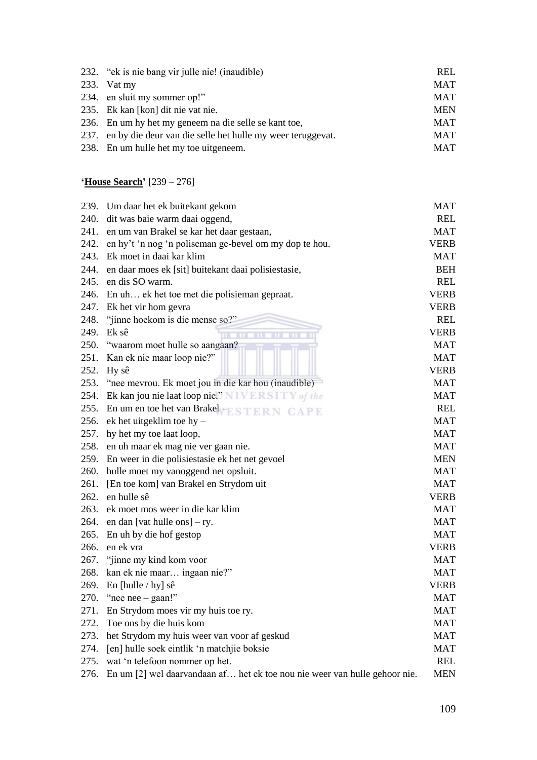| 232. "ek is nie bang vir julle nie! (inaudible)                 | <b>REL</b> |
|-----------------------------------------------------------------|------------|
| 233. Vat my                                                     | <b>MAT</b> |
| 234. en sluit my sommer op!"                                    | <b>MAT</b> |
| 235. Ek kan [kon] dit nie vat nie.                              | <b>MEN</b> |
| 236. En um hy het my geneem na die selle se kant toe,           | MAT        |
| 237. en by die deur van die selle het hulle my weer teruggevat. | <b>MAT</b> |
| 238. En um hulle het my toe uitgeneem.                          | <b>MAT</b> |
|                                                                 |            |

# **'House Search'** [239 – 276]

| 239. | Um daar het ek buitekant gekom                                             | <b>MAT</b>  |
|------|----------------------------------------------------------------------------|-------------|
| 240. | dit was baie warm daai oggend,                                             | <b>REL</b>  |
| 241. | en um van Brakel se kar het daar gestaan,                                  | <b>MAT</b>  |
|      | 242. en hy't 'n nog 'n poliseman ge-bevel om my dop te hou.                | <b>VERB</b> |
| 243. | Ek moet in daai kar klim                                                   | <b>MAT</b>  |
| 244. | en daar moes ek [sit] buitekant daai polisiestasie,                        | <b>BEH</b>  |
|      | 245. en dis SO warm.                                                       | <b>REL</b>  |
|      | 246. En uh ek het toe met die polisieman gepraat.                          | <b>VERB</b> |
|      | 247. Ek het vir hom gevra                                                  | <b>VERB</b> |
|      | 248. "jinne hoekom is die mense so?"                                       | <b>REL</b>  |
| 249. | Ek sê<br><b>HEILEN</b>                                                     | <b>VERB</b> |
| 250. | "waarom moet hulle so aangaan?                                             | <b>MAT</b>  |
|      | 251. Kan ek nie maar loop nie?"                                            | <b>MAT</b>  |
| 252. | Hy sê                                                                      | <b>VERB</b> |
|      | 253. "nee mevrou. Ek moet jou in die kar hou (inaudible)                   | <b>MAT</b>  |
|      | 254. Ek kan jou nie laat loop nie." NIVERSITY of the                       | <b>MAT</b>  |
| 255. | En um en toe het van Brakel – ESTERN CAPE                                  | <b>REL</b>  |
| 256. | $ek$ het uitgeklim toe hy-                                                 | <b>MAT</b>  |
|      | 257. hy het my toe laat loop,                                              | <b>MAT</b>  |
| 258. | en uh maar ek mag nie ver gaan nie.                                        | <b>MAT</b>  |
|      | 259. En weer in die polisiestasie ek het net gevoel                        | <b>MEN</b>  |
|      | 260. hulle moet my vanoggend net opsluit.                                  | <b>MAT</b>  |
| 261. | [En toe kom] van Brakel en Strydom uit                                     | <b>MAT</b>  |
| 262. | en hulle sê                                                                | <b>VERB</b> |
| 263. | ek moet mos weer in die kar klim                                           | <b>MAT</b>  |
| 264. | en dan [vat hulle ons] $- ry$ .                                            | <b>MAT</b>  |
| 265. | En uh by die hof gestop                                                    | <b>MAT</b>  |
|      | 266. en ek vra                                                             | <b>VERB</b> |
| 267. | "jinne my kind kom voor                                                    | <b>MAT</b>  |
|      | 268. kan ek nie maar ingaan nie?"                                          | <b>MAT</b>  |
|      | 269. En [hulle / hy] sê                                                    | <b>VERB</b> |
| 270. | "nee nee $-$ gaan!"                                                        | <b>MAT</b>  |
| 271. | En Strydom moes vir my huis toe ry.                                        | <b>MAT</b>  |
| 272. | Toe ons by die huis kom                                                    | <b>MAT</b>  |
| 273. | het Strydom my huis weer van voor af geskud                                | <b>MAT</b>  |
| 274. | [en] hulle soek eintlik 'n matchjie boksie                                 | <b>MAT</b>  |
| 275. | wat 'n telefoon nommer op het.                                             | <b>REL</b>  |
| 276. | En um [2] wel daarvandaan af het ek toe nou nie weer van hulle gehoor nie. | <b>MEN</b>  |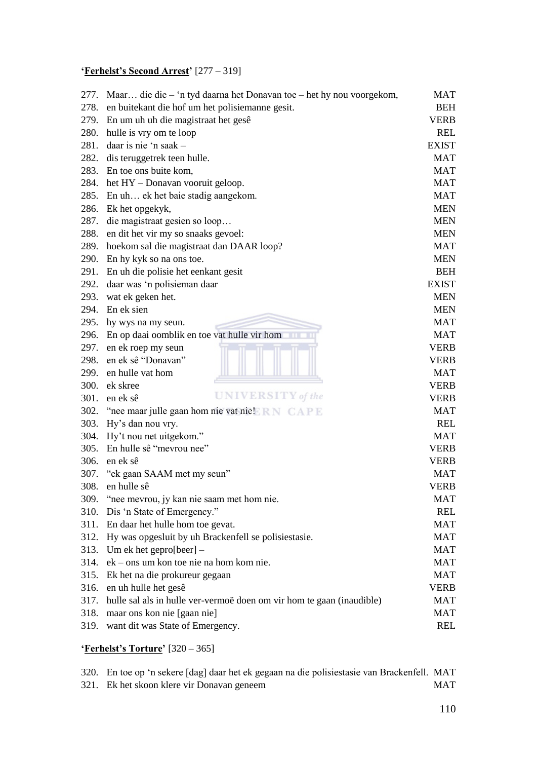# **'Ferhelst's Second Arrest'** [277 – 319]

| 277. | Maar die die - 'n tyd daarna het Donavan toe - het hy nou voorgekom,                                   | MAT          |
|------|--------------------------------------------------------------------------------------------------------|--------------|
| 278. | en buitekant die hof um het polisiemanne gesit.                                                        | <b>BEH</b>   |
|      | 279. En um uh uh die magistraat het gesê                                                               | <b>VERB</b>  |
| 280. | hulle is vry om te loop                                                                                | <b>REL</b>   |
| 281. | daar is nie 'n saak –                                                                                  | <b>EXIST</b> |
| 282. | dis teruggetrek teen hulle.                                                                            | <b>MAT</b>   |
| 283. | En toe ons buite kom,                                                                                  | <b>MAT</b>   |
|      | 284. het HY - Donavan vooruit geloop.                                                                  | <b>MAT</b>   |
|      | 285. En uh ek het baie stadig aangekom.                                                                | <b>MAT</b>   |
| 286. | Ek het opgekyk,                                                                                        | <b>MEN</b>   |
| 287. | die magistraat gesien so loop                                                                          | <b>MEN</b>   |
| 288. | en dit het vir my so snaaks gevoel:                                                                    | <b>MEN</b>   |
| 289. | hoekom sal die magistraat dan DAAR loop?                                                               | <b>MAT</b>   |
|      | 290. En hy kyk so na ons toe.                                                                          | <b>MEN</b>   |
| 291. | En uh die polisie het eenkant gesit                                                                    | <b>BEH</b>   |
| 292. | daar was 'n polisieman daar                                                                            | <b>EXIST</b> |
| 293. | wat ek geken het.                                                                                      | <b>MEN</b>   |
| 294. | En ek sien                                                                                             | <b>MEN</b>   |
|      | 295. hy wys na my seun.                                                                                | <b>MAT</b>   |
|      | 296. En op daai oomblik en toe vat hulle vir hom                                                       | <b>MAT</b>   |
| 297. | en ek roep my seun                                                                                     | <b>VERB</b>  |
| 298. | en ek sê "Donavan"                                                                                     | <b>VERB</b>  |
| 299. | en hulle vat hom                                                                                       | <b>MAT</b>   |
| 300. | ek skree                                                                                               | <b>VERB</b>  |
| 301. | <b>UNIVERSITY</b> of the<br>en ek sê                                                                   | <b>VERB</b>  |
|      | 302. "nee maar julle gaan hom nie vat nie! $\mathbb{R} \times \mathbb{C} \wedge \mathbb{P} \mathbb{E}$ | <b>MAT</b>   |
|      | 303. Hy's dan nou vry.                                                                                 | <b>REL</b>   |
| 304. | Hy't nou net uitgekom."                                                                                | <b>MAT</b>   |
|      | 305. En hulle sê "mevrou nee"                                                                          | <b>VERB</b>  |
| 306. | en ek sê                                                                                               | <b>VERB</b>  |
| 307. | "ek gaan SAAM met my seun"                                                                             | <b>MAT</b>   |
| 308. | en hulle sê                                                                                            | <b>VERB</b>  |
| 309. | "nee mevrou, jy kan nie saam met hom nie.                                                              | <b>MAT</b>   |
| 310. | Dis 'n State of Emergency."                                                                            | <b>REL</b>   |
|      | 311. En daar het hulle hom toe gevat.                                                                  | <b>MAT</b>   |
|      | 312. Hy was opgesluit by uh Brackenfell se polisiestasie.                                              | <b>MAT</b>   |
| 313. | Um ek het gepro $[beer]$ –                                                                             | <b>MAT</b>   |
| 314. | ek – ons um kon toe nie na hom kom nie.                                                                | <b>MAT</b>   |
| 315. | Ek het na die prokureur gegaan                                                                         | <b>MAT</b>   |
| 316. | en uh hulle het gesê                                                                                   | <b>VERB</b>  |
|      | 317. hulle sal als in hulle ver-vermoë doen om vir hom te gaan (inaudible)                             | <b>MAT</b>   |
| 318. | maar ons kon nie [gaan nie]                                                                            | <b>MAT</b>   |
| 319. | want dit was State of Emergency.                                                                       | <b>REL</b>   |

# **'Ferhelst's Torture'** [320 – 365]

320. En toe op ‗n sekere [dag] daar het ek gegaan na die polisiestasie van Brackenfell. MAT 321. Ek het skoon klere vir Donavan geneem MAT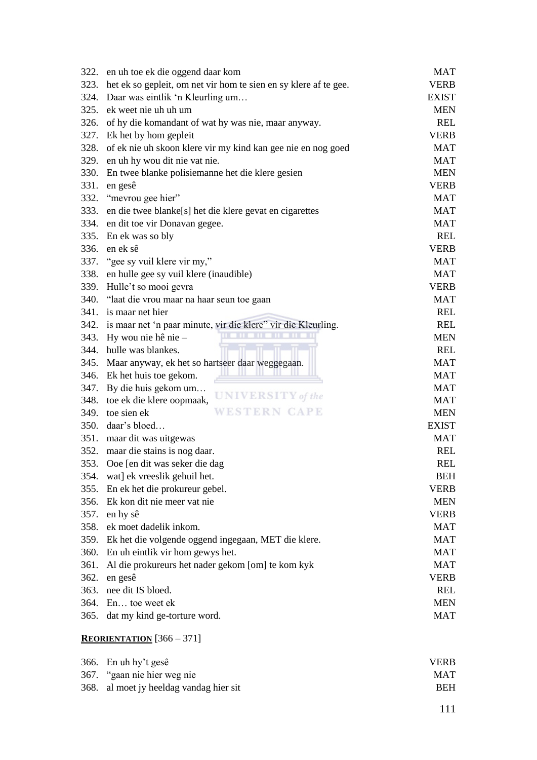|             | 322. en uh toe ek die oggend daar kom                              | MAT          |
|-------------|--------------------------------------------------------------------|--------------|
| 323.        | het ek so gepleit, om net vir hom te sien en sy klere af te gee.   | <b>VERB</b>  |
| 324.        | Daar was eintlik 'n Kleurling um                                   | <b>EXIST</b> |
|             | 325. ek weet nie uh uh um                                          | <b>MEN</b>   |
| 326.        | of hy die komandant of wat hy was nie, maar anyway.                | REL          |
|             | 327. Ek het by hom gepleit                                         | <b>VERB</b>  |
| 328.        | of ek nie uh skoon klere vir my kind kan gee nie en nog goed       | <b>MAT</b>   |
| 329.        | en uh hy wou dit nie vat nie.                                      | <b>MAT</b>   |
| <b>330.</b> | En twee blanke polisiemanne het die klere gesien                   | <b>MEN</b>   |
| 331.        | en gesê                                                            | <b>VERB</b>  |
| 332.        | "mevrou gee hier"                                                  | <b>MAT</b>   |
| 333.        | en die twee blanke[s] het die klere gevat en cigarettes            | <b>MAT</b>   |
|             | 334. en dit toe vir Donavan gegee.                                 | <b>MAT</b>   |
|             | 335. En ek was so bly                                              | <b>REL</b>   |
| 336.        | en ek sê                                                           | <b>VERB</b>  |
|             | 337. "gee sy vuil klere vir my,"                                   | <b>MAT</b>   |
| 338.        | en hulle gee sy vuil klere (inaudible)                             | <b>MAT</b>   |
| 339.        | Hulle't so mooi gevra                                              | <b>VERB</b>  |
|             | 340. "laat die vrou maar na haar seun toe gaan                     | <b>MAT</b>   |
| 341.        | is maar net hier                                                   | <b>REL</b>   |
|             | 342. is maar net 'n paar minute, vir die klere" vir die Kleurling. | <b>REL</b>   |
| 343.        | Hy wou nie hê nie -                                                | <b>MEN</b>   |
|             | 344. hulle was blankes.                                            | <b>REL</b>   |
| 345.        | Maar anyway, ek het so hartseer daar weggegaan.                    | <b>MAT</b>   |
|             | 346. Ek het huis toe gekom.                                        | <b>MAT</b>   |
| 347.        | By die huis gekom um                                               | <b>MAT</b>   |
| 348.        | <b>UNIVERSITY</b> of the<br>toe ek die klere oopmaak,              | <b>MAT</b>   |
|             | WESTERN CAPE<br>349. toe sien ek                                   | <b>MEN</b>   |
| 350.        | daar's bloed                                                       | <b>EXIST</b> |
|             | 351. maar dit was uitgewas                                         | <b>MAT</b>   |
|             | 352. maar die stains is nog daar.                                  | REL          |
| 353.        | Ooe [en dit was seker die dag                                      | <b>REL</b>   |
| 354.        | wat] ek vreeslik gehuil het.                                       | <b>BEH</b>   |
| 355.        | En ek het die prokureur gebel.                                     | <b>VERB</b>  |
| 356.        | Ek kon dit nie meer vat nie                                        | <b>MEN</b>   |
| 357.        | en hy sê                                                           | <b>VERB</b>  |
| 358.        | ek moet dadelik inkom.                                             | <b>MAT</b>   |
| 359.        |                                                                    | <b>MAT</b>   |
| 360.        | Ek het die volgende oggend ingegaan, MET die klere.                | <b>MAT</b>   |
|             | En uh eintlik vir hom gewys het.                                   | <b>MAT</b>   |
| 361.        | Al die prokureurs het nader gekom [om] te kom kyk                  |              |
| 362.        | en gesê                                                            | <b>VERB</b>  |
|             | 363. nee dit IS bloed.                                             | <b>REL</b>   |
|             | 364. En toe weet ek                                                | <b>MEN</b>   |
| 365.        | dat my kind ge-torture word.                                       | <b>MAT</b>   |
|             | <b>REORIENTATION</b> $[366 - 371]$                                 |              |
| 366.        | En uh hy't gesê                                                    | <b>VERB</b>  |
| 367.        | "gaan nie hier weg nie                                             | <b>MAT</b>   |
| 368.        | al moet jy heeldag vandag hier sit                                 | <b>BEH</b>   |

111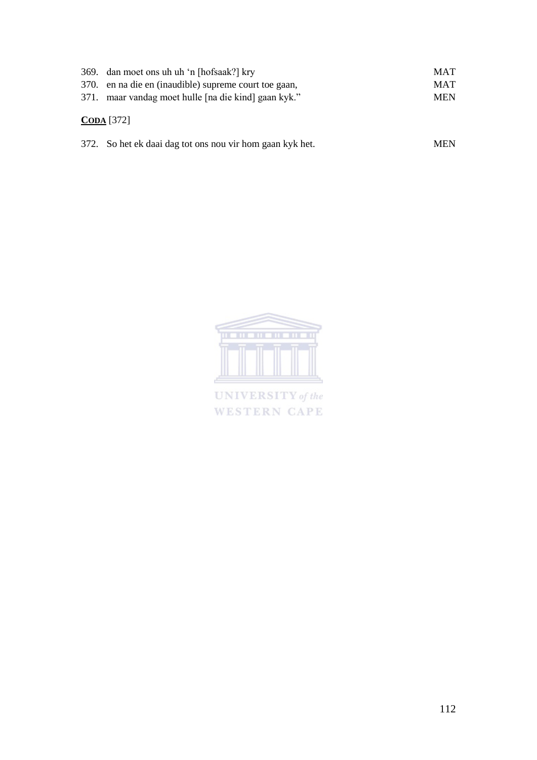| 369. dan moet ons uh uh 'n [hofsaak?] kry<br>370. en na die en (inaudible) supreme court toe gaan,<br>371. maar vandag moet hulle [na die kind] gaan kyk." | <b>MAT</b><br><b>MAT</b><br><b>MEN</b> |
|------------------------------------------------------------------------------------------------------------------------------------------------------------|----------------------------------------|
| CODA [372]                                                                                                                                                 |                                        |
| 372. So het ek daai dag tot ons nou vir hom gaan kyk het.                                                                                                  | <b>MEN</b>                             |



UNIVERSITY of the WESTERN CAPE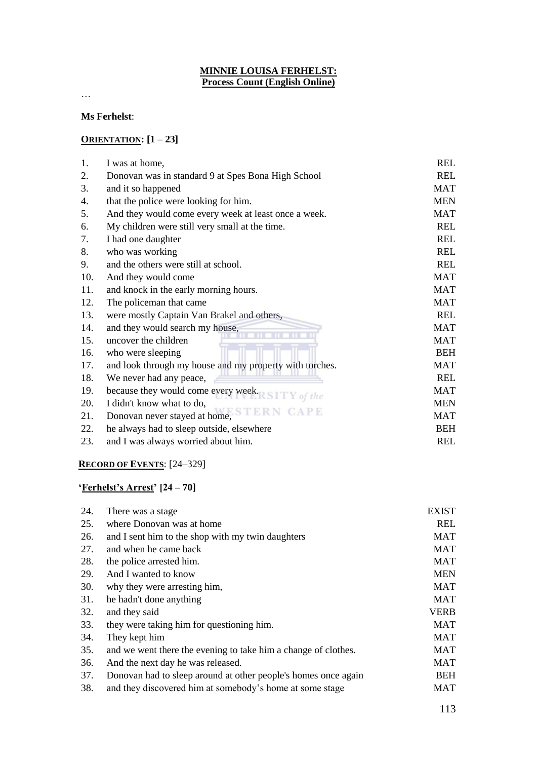#### **MINNIE LOUISA FERHELST: Process Count (English Online)**

…

#### **Ms Ferhelst**:

#### **ORIENTATION: [1 – 23]**

| 1.  | I was at home,                                          | <b>REL</b> |
|-----|---------------------------------------------------------|------------|
| 2.  | Donovan was in standard 9 at Spes Bona High School      | <b>REL</b> |
| 3.  | and it so happened                                      | <b>MAT</b> |
| 4.  | that the police were looking for him.                   | <b>MEN</b> |
| 5.  | And they would come every week at least once a week.    | <b>MAT</b> |
| 6.  | My children were still very small at the time.          | <b>REL</b> |
| 7.  | I had one daughter                                      | <b>REL</b> |
| 8.  | who was working                                         | <b>REL</b> |
| 9.  | and the others were still at school.                    | <b>REL</b> |
| 10. | And they would come                                     | <b>MAT</b> |
| 11. | and knock in the early morning hours.                   | <b>MAT</b> |
| 12. | The policeman that came                                 | <b>MAT</b> |
| 13. | were mostly Captain Van Brakel and others,              | <b>REL</b> |
| 14. | and they would search my house,                         | <b>MAT</b> |
| 15. | uncover the children                                    | <b>MAT</b> |
| 16. | who were sleeping                                       | <b>BEH</b> |
| 17. | and look through my house and my property with torches. | <b>MAT</b> |
| 18. | We never had any peace,                                 | <b>REL</b> |
| 19. | because they would come every week.<br><b>Y</b> of the  | <b>MAT</b> |
| 20. | I didn't know what to do,                               | <b>MEN</b> |
| 21. | CAPE<br>Donovan never stayed at home,                   | <b>MAT</b> |
| 22. | he always had to sleep outside, elsewhere               | <b>BEH</b> |
| 23. | and I was always worried about him.                     | <b>REL</b> |

## **RECORD OF EVENTS**: [24–329]

## **'Ferhelst's Arrest' [24 – 70]**

| 24. | There was a stage.                                             | <b>EXIST</b> |
|-----|----------------------------------------------------------------|--------------|
| 25. | where Donovan was at home                                      | <b>REL</b>   |
| 26. | and I sent him to the shop with my twin daughters              | <b>MAT</b>   |
| 27. | and when he came back                                          | <b>MAT</b>   |
| 28. | the police arrested him.                                       | <b>MAT</b>   |
| 29. | And I wanted to know                                           | <b>MEN</b>   |
| 30. | why they were arresting him,                                   | <b>MAT</b>   |
| 31. | he hadn't done anything                                        | <b>MAT</b>   |
| 32. | and they said                                                  | <b>VERB</b>  |
| 33. | they were taking him for questioning him.                      | <b>MAT</b>   |
| 34. | They kept him                                                  | <b>MAT</b>   |
| 35. | and we went there the evening to take him a change of clothes. | <b>MAT</b>   |
| 36. | And the next day he was released.                              | <b>MAT</b>   |
| 37. | Donovan had to sleep around at other people's homes once again | <b>BEH</b>   |
| 38. | and they discovered him at somebody's home at some stage       | <b>MAT</b>   |
|     |                                                                |              |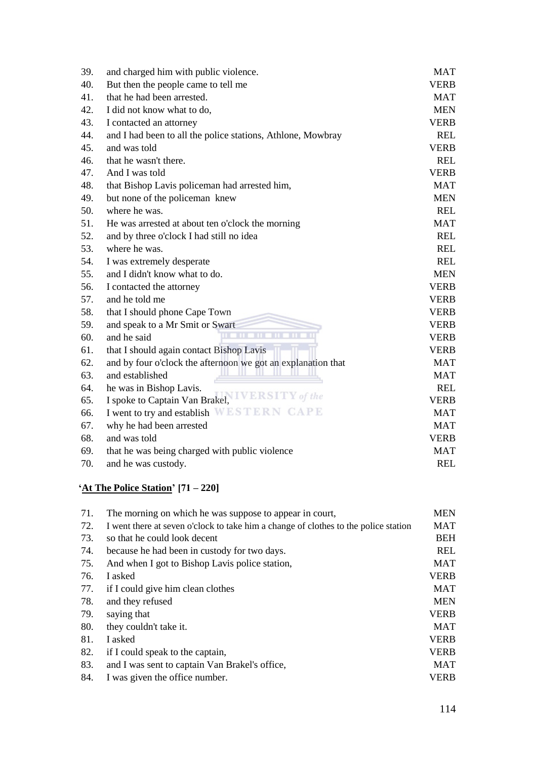| 39. | and charged him with public violence.                        | <b>MAT</b>  |
|-----|--------------------------------------------------------------|-------------|
| 40. | But then the people came to tell me                          | <b>VERB</b> |
| 41. | that he had been arrested.                                   | <b>MAT</b>  |
| 42. | I did not know what to do,                                   | <b>MEN</b>  |
| 43. | I contacted an attorney                                      | <b>VERB</b> |
| 44. | and I had been to all the police stations, Athlone, Mowbray  | <b>REL</b>  |
| 45. | and was told                                                 | <b>VERB</b> |
| 46. | that he wasn't there.                                        | <b>REL</b>  |
| 47. | And I was told                                               | <b>VERB</b> |
| 48. | that Bishop Lavis policeman had arrested him,                | <b>MAT</b>  |
| 49. | but none of the policeman knew                               | <b>MEN</b>  |
| 50. | where he was.                                                | <b>REL</b>  |
| 51. | He was arrested at about ten o'clock the morning             | <b>MAT</b>  |
| 52. | and by three o'clock I had still no idea                     | <b>REL</b>  |
| 53. | where he was.                                                | <b>REL</b>  |
| 54. | I was extremely desperate                                    | <b>REL</b>  |
| 55. | and I didn't know what to do.                                | <b>MEN</b>  |
| 56. | I contacted the attorney                                     | <b>VERB</b> |
| 57. | and he told me                                               | <b>VERB</b> |
| 58. | that I should phone Cape Town                                | <b>VERB</b> |
| 59. | and speak to a Mr Smit or Swart                              | <b>VERB</b> |
| 60. | шī<br>шT<br>and he said                                      | <b>VERB</b> |
| 61. | that I should again contact Bishop Lavis                     | <b>VERB</b> |
| 62. | and by four o'clock the afternoon we got an explanation that | <b>MAT</b>  |
| 63. | and established                                              | <b>MAT</b>  |
| 64. | he was in Bishop Lavis.                                      | <b>REL</b>  |
| 65. | Y of the<br>I spoke to Captain Van Brakel,                   | <b>VERB</b> |
| 66. | I went to try and establish WESTERN CAPE                     | <b>MAT</b>  |
| 67. | why he had been arrested                                     | <b>MAT</b>  |
| 68. | and was told                                                 | <b>VERB</b> |
| 69. | that he was being charged with public violence               | <b>MAT</b>  |
| 70. | and he was custody.                                          | <b>REL</b>  |

# **'At The Police Station' [71 – 220]**

| 71. | The morning on which he was suppose to appear in court,                             | <b>MEN</b>  |
|-----|-------------------------------------------------------------------------------------|-------------|
| 72. | I went there at seven o'clock to take him a change of clothes to the police station | MAT         |
| 73. | so that he could look decent                                                        | <b>BEH</b>  |
| 74. | because he had been in custody for two days.                                        | <b>REL</b>  |
| 75. | And when I got to Bishop Lavis police station,                                      | <b>MAT</b>  |
| 76. | I asked                                                                             | <b>VERB</b> |
| 77. | if I could give him clean clothes                                                   | <b>MAT</b>  |
| 78. | and they refused                                                                    | <b>MEN</b>  |
| 79. | saying that                                                                         | <b>VERB</b> |
| 80. | they couldn't take it.                                                              | MAT         |
| 81. | I asked                                                                             | <b>VERB</b> |
| 82. | if I could speak to the captain,                                                    | <b>VERB</b> |
| 83. | and I was sent to captain Van Brakel's office,                                      | MAT         |
| 84. | I was given the office number.                                                      | <b>VERB</b> |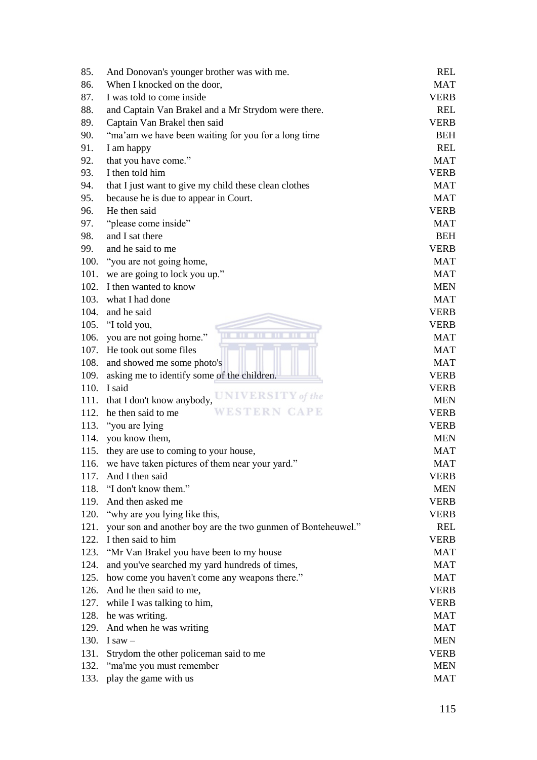| 85.  | And Donovan's younger brother was with me.                   | <b>REL</b>  |
|------|--------------------------------------------------------------|-------------|
| 86.  | When I knocked on the door,                                  | <b>MAT</b>  |
| 87.  | I was told to come inside                                    | <b>VERB</b> |
| 88.  | and Captain Van Brakel and a Mr Strydom were there.          | <b>REL</b>  |
| 89.  | Captain Van Brakel then said                                 | <b>VERB</b> |
| 90.  | "ma'am we have been waiting for you for a long time"         | <b>BEH</b>  |
| 91.  | I am happy                                                   | <b>REL</b>  |
| 92.  | that you have come."                                         | <b>MAT</b>  |
| 93.  | I then told him                                              | <b>VERB</b> |
| 94.  | that I just want to give my child these clean clothes        | <b>MAT</b>  |
| 95.  | because he is due to appear in Court.                        | <b>MAT</b>  |
| 96.  | He then said                                                 | <b>VERB</b> |
| 97.  | "please come inside"                                         | <b>MAT</b>  |
| 98.  | and I sat there                                              | <b>BEH</b>  |
| 99.  | and he said to me                                            | <b>VERB</b> |
| 100. | "you are not going home,                                     | <b>MAT</b>  |
| 101. | we are going to lock you up."                                | <b>MAT</b>  |
|      | 102. I then wanted to know                                   | <b>MEN</b>  |
| 103. | what I had done                                              | <b>MAT</b>  |
| 104. | and he said                                                  | <b>VERB</b> |
|      | 105. "I told you,                                            | <b>VERB</b> |
| 106. | you are not going home."                                     | <b>MAT</b>  |
|      | 107. He took out some files                                  | <b>MAT</b>  |
| 108. | and showed me some photo's                                   | <b>MAT</b>  |
| 109. | asking me to identify some of the children.                  | <b>VERB</b> |
|      | 110. I said                                                  | <b>VERB</b> |
|      | UNIVERSITY of the<br>111. that I don't know anybody,         | <b>MEN</b>  |
| 112. | WESTERN CAPE<br>he then said to me                           | <b>VERB</b> |
|      | 113. "you are lying                                          | <b>VERB</b> |
| 114. | you know them,                                               | <b>MEN</b>  |
| 115. | they are use to coming to your house,                        | <b>MAT</b>  |
| 116. | we have taken pictures of them near your yard."              | <b>MAT</b>  |
| 117. | And I then said                                              | VERB        |
| 118. | "I don't know them."                                         | <b>MEN</b>  |
| 119. | And then asked me                                            | <b>VERB</b> |
| 120. | "why are you lying like this,                                | <b>VERB</b> |
| 121. | your son and another boy are the two gunmen of Bonteheuwel." | <b>REL</b>  |
| 122. | I then said to him                                           | <b>VERB</b> |
| 123. | "Mr Van Brakel you have been to my house                     | <b>MAT</b>  |
| 124. | and you've searched my yard hundreds of times,               | <b>MAT</b>  |
| 125. | how come you haven't come any weapons there."                | <b>MAT</b>  |
| 126. | And he then said to me,                                      | <b>VERB</b> |
| 127. | while I was talking to him,                                  | <b>VERB</b> |
| 128. | he was writing.                                              | <b>MAT</b>  |
| 129. | And when he was writing                                      | <b>MAT</b>  |
| 130. | I saw $-$                                                    | <b>MEN</b>  |
| 131. | Strydom the other policeman said to me                       | <b>VERB</b> |
| 132. | "ma'me you must remember                                     | <b>MEN</b>  |
| 133. | play the game with us                                        | <b>MAT</b>  |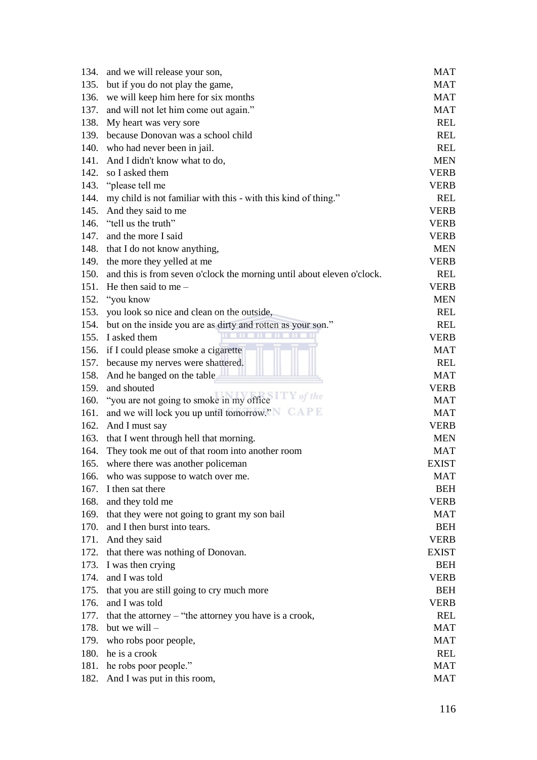| 134. | and we will release your son,                                          | MAT          |
|------|------------------------------------------------------------------------|--------------|
| 135. | but if you do not play the game,                                       | <b>MAT</b>   |
| 136. | we will keep him here for six months                                   | <b>MAT</b>   |
| 137. | and will not let him come out again."                                  | <b>MAT</b>   |
| 138. | My heart was very sore                                                 | <b>REL</b>   |
| 139. | because Donovan was a school child                                     | <b>REL</b>   |
| 140. | who had never been in jail.                                            | <b>REL</b>   |
| 141. | And I didn't know what to do,                                          | <b>MEN</b>   |
| 142. | so I asked them                                                        | <b>VERB</b>  |
| 143. | "please tell me                                                        | <b>VERB</b>  |
| 144. | my child is not familiar with this - with this kind of thing."         | <b>REL</b>   |
| 145. | And they said to me                                                    | <b>VERB</b>  |
| 146. | "tell us the truth"                                                    | <b>VERB</b>  |
| 147. | and the more I said                                                    | <b>VERB</b>  |
| 148. | that I do not know anything,                                           | <b>MEN</b>   |
| 149. | the more they yelled at me                                             | <b>VERB</b>  |
| 150. | and this is from seven o'clock the morning until about eleven o'clock. | <b>REL</b>   |
| 151. | He then said to me $-$                                                 | <b>VERB</b>  |
| 152. | "you know                                                              | <b>MEN</b>   |
| 153. | you look so nice and clean on the outside,                             | <b>REL</b>   |
| 154. | but on the inside you are as dirty and rotten as your son."            | <b>REL</b>   |
| 155. | I asked them                                                           | <b>VERB</b>  |
| 156. | if I could please smoke a cigarette                                    | <b>MAT</b>   |
| 157. | because my nerves were shattered.                                      | <b>REL</b>   |
| 158. | And he banged on the table                                             | <b>MAT</b>   |
| 159. | and shouted                                                            | <b>VERB</b>  |
| 160. | "you are not going to smoke in my office $\mathbb{Z}$ of the           | <b>MAT</b>   |
| 161. | and we will lock you up until tomorrow." NOAPE                         | <b>MAT</b>   |
| 162. | And I must say                                                         | <b>VERB</b>  |
| 163. | that I went through hell that morning.                                 | <b>MEN</b>   |
| 164. | They took me out of that room into another room                        | <b>MAT</b>   |
| 165. | where there was another policeman                                      | <b>EXIST</b> |
| 166. | who was suppose to watch over me.                                      | MAT          |
| 167. | I then sat there                                                       | <b>BEH</b>   |
| 168. | and they told me                                                       | <b>VERB</b>  |
| 169. | that they were not going to grant my son bail                          | <b>MAT</b>   |
| 170. | and I then burst into tears.                                           | <b>BEH</b>   |
| 171. | And they said                                                          | <b>VERB</b>  |
| 172. | that there was nothing of Donovan.                                     | <b>EXIST</b> |
| 173. |                                                                        | <b>BEH</b>   |
| 174. | I was then crying<br>and I was told                                    | <b>VERB</b>  |
|      |                                                                        |              |
| 175. | that you are still going to cry much more                              | <b>BEH</b>   |
| 176. | and I was told                                                         | <b>VERB</b>  |
| 177. | that the attorney $-$ "the attorney you have is a crook,               | <b>REL</b>   |
| 178. | but we will -                                                          | <b>MAT</b>   |
| 179. | who robs poor people,                                                  | <b>MAT</b>   |
| 180. | he is a crook                                                          | <b>REL</b>   |
|      | 181. he robs poor people."                                             | <b>MAT</b>   |
| 182. | And I was put in this room,                                            | <b>MAT</b>   |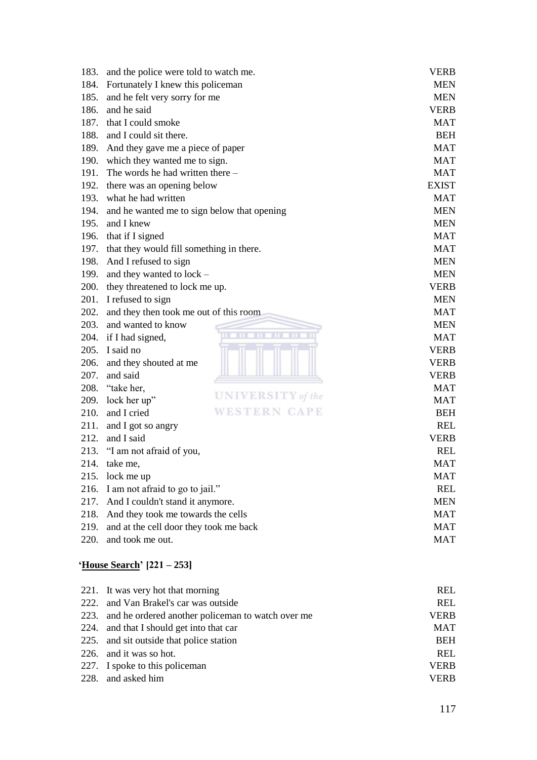| 183. | and the police were told to watch me.         | <b>VERB</b>  |
|------|-----------------------------------------------|--------------|
| 184. | Fortunately I knew this policeman             | <b>MEN</b>   |
| 185. | and he felt very sorry for me                 | <b>MEN</b>   |
| 186. | and he said                                   | <b>VERB</b>  |
| 187. | that I could smoke                            | <b>MAT</b>   |
|      | 188. and I could sit there.                   | <b>BEH</b>   |
| 189. | And they gave me a piece of paper             | <b>MAT</b>   |
| 190. | which they wanted me to sign.                 | <b>MAT</b>   |
| 191. | The words he had written there -              | <b>MAT</b>   |
| 192. | there was an opening below                    | <b>EXIST</b> |
| 193. | what he had written                           | <b>MAT</b>   |
| 194. | and he wanted me to sign below that opening   | <b>MEN</b>   |
| 195. | and I knew                                    | <b>MEN</b>   |
|      | 196. that if I signed                         | <b>MAT</b>   |
|      | 197. that they would fill something in there. | <b>MAT</b>   |
| 198. | And I refused to sign                         | <b>MEN</b>   |
| 199. | and they wanted to lock -                     | <b>MEN</b>   |
|      | 200. they threatened to lock me up.           | <b>VERB</b>  |
| 201. | I refused to sign                             | <b>MEN</b>   |
| 202. | and they then took me out of this room        | <b>MAT</b>   |
| 203. | and wanted to know                            | <b>MEN</b>   |
| 204. | if I had signed,                              | <b>MAT</b>   |
|      | 205. I said no                                | <b>VERB</b>  |
| 206. | and they shouted at me                        | <b>VERB</b>  |
| 207. | and said                                      | <b>VERB</b>  |
|      | 208. "take her,                               | <b>MAT</b>   |
| 209. | <b>UNIVERSITY</b> of the<br>lock her up"      | <b>MAT</b>   |
| 210. | WESTERN CAPE<br>and I cried                   | <b>BEH</b>   |
| 211. | and I got so angry                            | <b>REL</b>   |
| 212. | and I said                                    | <b>VERB</b>  |
| 213. | "I am not afraid of you,                      | <b>REL</b>   |
| 214. | take me,                                      | <b>MAT</b>   |
| 215. | lock me up                                    | MAT          |
| 216. | I am not afraid to go to jail."               | <b>REL</b>   |
| 217. | And I couldn't stand it anymore.              | <b>MEN</b>   |
| 218. | And they took me towards the cells            | <b>MAT</b>   |
| 219. | and at the cell door they took me back        | <b>MAT</b>   |
| 220. | and took me out.                              | <b>MAT</b>   |

# **'House Search' [221 – 253]**

| 221. It was very hot that morning                      | REL         |
|--------------------------------------------------------|-------------|
| 222. and Van Brakel's car was outside                  | REL         |
| 223. and he ordered another policeman to watch over me | <b>VERB</b> |
| 224. and that I should get into that car               | <b>MAT</b>  |
| 225. and sit outside that police station               | <b>BEH</b>  |
| 226. and it was so hot.                                | <b>REL</b>  |
| 227. I spoke to this policeman                         | <b>VERB</b> |
| 228. and asked him                                     | <b>VERB</b> |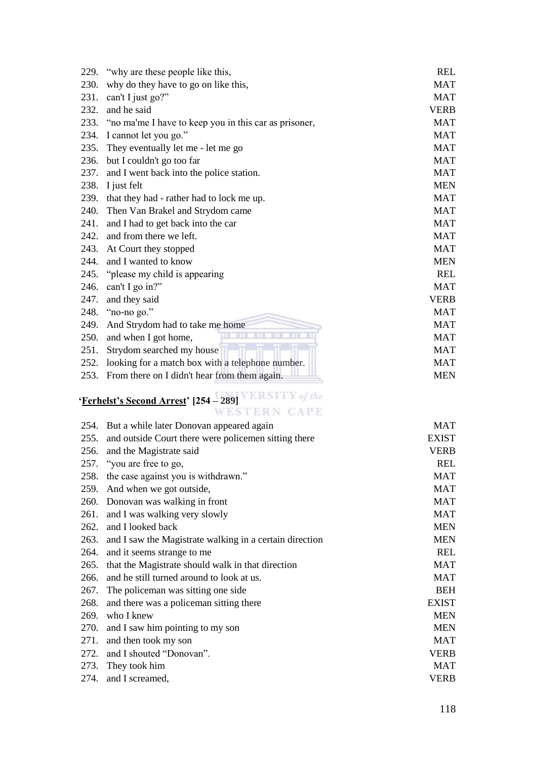| 229. | "why are these people like this,"                     | <b>REL</b>  |
|------|-------------------------------------------------------|-------------|
| 230. | why do they have to go on like this,                  | <b>MAT</b>  |
| 231. | can't I just go?"                                     | <b>MAT</b>  |
| 232. | and he said                                           | <b>VERB</b> |
| 233. | "no ma'me I have to keep you in this car as prisoner, | <b>MAT</b>  |
| 234. | I cannot let you go."                                 | <b>MAT</b>  |
| 235. | They eventually let me - let me go                    | <b>MAT</b>  |
| 236. | but I couldn't go too far                             | <b>MAT</b>  |
| 237. | and I went back into the police station.              | <b>MAT</b>  |
| 238. | I just felt                                           | <b>MEN</b>  |
| 239. | that they had - rather had to lock me up.             | <b>MAT</b>  |
| 240. | Then Van Brakel and Strydom came                      | <b>MAT</b>  |
| 241. | and I had to get back into the car                    | <b>MAT</b>  |
| 242. | and from there we left.                               | <b>MAT</b>  |
| 243. | At Court they stopped                                 | <b>MAT</b>  |
| 244. | and I wanted to know                                  | <b>MEN</b>  |
| 245. | "please my child is appearing"                        | <b>REL</b>  |
| 246. | can't I go in?"                                       | <b>MAT</b>  |
| 247. | and they said                                         | <b>VERB</b> |
| 248. | "no-no go."                                           | <b>MAT</b>  |
| 249. | And Strydom had to take me home                       | <b>MAT</b>  |
| 250. | and when I got home,                                  | <b>MAT</b>  |
| 251. | Strydom searched my house                             | <b>MAT</b>  |
| 252. | looking for a match box with a telephone number.      | <b>MAT</b>  |
| 253. | From there on I didn't hear from them again.          | <b>MEN</b>  |

# **'Ferhelst's Second Arrest' [254 – 289] VERSITY** of the

| WESTERN GAPE                                              |              |
|-----------------------------------------------------------|--------------|
| 254. But a while later Donovan appeared again             | <b>MAT</b>   |
| 255. and outside Court there were policemen sitting there | <b>EXIST</b> |

| 255. | and outside Court there were policemen sitting there    | <b>EXIST</b> |
|------|---------------------------------------------------------|--------------|
| 256. | and the Magistrate said                                 | <b>VERB</b>  |
|      | 257. "you are free to go,                               | <b>REL</b>   |
| 258. | the case against you is withdrawn."                     | <b>MAT</b>   |
| 259. | And when we got outside,                                | <b>MAT</b>   |
| 260. | Donovan was walking in front                            | <b>MAT</b>   |
| 261. | and I was walking very slowly                           | <b>MAT</b>   |
| 262. | and I looked back                                       | <b>MEN</b>   |
| 263. | and I saw the Magistrate walking in a certain direction | <b>MEN</b>   |
| 264. | and it seems strange to me                              | <b>REL</b>   |
| 265. | that the Magistrate should walk in that direction       | <b>MAT</b>   |
| 266. | and he still turned around to look at us.               | <b>MAT</b>   |
| 267. | The policeman was sitting one side.                     | <b>BEH</b>   |
| 268. | and there was a policeman sitting there                 | <b>EXIST</b> |
| 269. | who I knew                                              | <b>MEN</b>   |
| 270. | and I saw him pointing to my son                        | <b>MEN</b>   |
| 271. | and then took my son                                    | <b>MAT</b>   |
| 272. | and I shouted "Donovan".                                | <b>VERB</b>  |
| 273. | They took him                                           | <b>MAT</b>   |
| 274. | and I screamed,                                         | <b>VERB</b>  |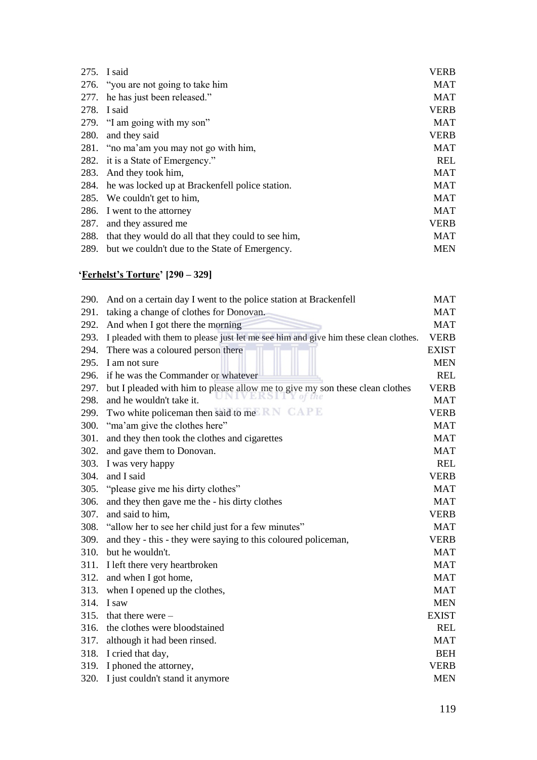|             | 275. I said                                          | <b>VERB</b> |
|-------------|------------------------------------------------------|-------------|
|             | 276. "you are not going to take him                  | <b>MAT</b>  |
| 277.        | he has just been released."                          | <b>MAT</b>  |
| 278.        | I said                                               | <b>VERB</b> |
|             | 279. "I am going with my son"                        | <b>MAT</b>  |
| <b>280.</b> | and they said                                        | <b>VERB</b> |
|             | 281. "no ma'am you may not go with him,              | MAT         |
|             | 282. it is a State of Emergency."                    | <b>REL</b>  |
| 283.        | And they took him,                                   | MAT         |
|             | 284. he was locked up at Brackenfell police station. | <b>MAT</b>  |
| 285.        | We couldn't get to him,                              | <b>MAT</b>  |
| 286.        | I went to the attorney                               | <b>MAT</b>  |
| 287.        | and they assured me                                  | <b>VERB</b> |
| 288.        | that they would do all that they could to see him,   | <b>MAT</b>  |
|             | 289. but we couldn't due to the State of Emergency.  | <b>MEN</b>  |
|             |                                                      |             |

# **'Ferhelst's Torture' [290 – 329]**

| 290. | And on a certain day I went to the police station at Brackenfell                    | <b>MAT</b>   |
|------|-------------------------------------------------------------------------------------|--------------|
| 291. | taking a change of clothes for Donovan.                                             | <b>MAT</b>   |
| 292. | And when I got there the morning                                                    | <b>MAT</b>   |
| 293. | I pleaded with them to please just let me see him and give him these clean clothes. | <b>VERB</b>  |
| 294. | There was a coloured person there                                                   | <b>EXIST</b> |
| 295. | I am not sure                                                                       | <b>MEN</b>   |
| 296. | if he was the Commander or whatever                                                 | <b>REL</b>   |
| 297. | but I pleaded with him to please allow me to give my son these clean clothes        | <b>VERB</b>  |
| 298. | the<br>and he wouldn't take it.                                                     | <b>MAT</b>   |
| 299. | Two white policeman then said to me                                                 | <b>VERB</b>  |
| 300. | "ma'am give the clothes here"                                                       | <b>MAT</b>   |
| 301. | and they then took the clothes and cigarettes                                       | <b>MAT</b>   |
| 302. | and gave them to Donovan.                                                           | <b>MAT</b>   |
| 303. | I was very happy                                                                    | <b>REL</b>   |
| 304. | and I said                                                                          | <b>VERB</b>  |
| 305. | "please give me his dirty clothes"                                                  | <b>MAT</b>   |
| 306. | and they then gave me the - his dirty clothes                                       | <b>MAT</b>   |
| 307. | and said to him.                                                                    | <b>VERB</b>  |
| 308. | "allow her to see her child just for a few minutes"                                 | <b>MAT</b>   |
| 309. | and they - this - they were saying to this coloured policeman,                      | <b>VERB</b>  |
| 310. | but he wouldn't.                                                                    | <b>MAT</b>   |
| 311. | I left there very heartbroken                                                       | <b>MAT</b>   |
| 312. | and when I got home,                                                                | <b>MAT</b>   |
| 313. | when I opened up the clothes,                                                       | <b>MAT</b>   |
| 314. | I saw                                                                               | <b>MEN</b>   |
| 315. | that there were $-$                                                                 | <b>EXIST</b> |
| 316. | the clothes were bloodstained                                                       | <b>REL</b>   |
| 317. | although it had been rinsed.                                                        | <b>MAT</b>   |
|      | 318. I cried that day,                                                              | <b>BEH</b>   |
| 319. | I phoned the attorney,                                                              | <b>VERB</b>  |
| 320. | I just couldn't stand it anymore                                                    | <b>MEN</b>   |
|      |                                                                                     |              |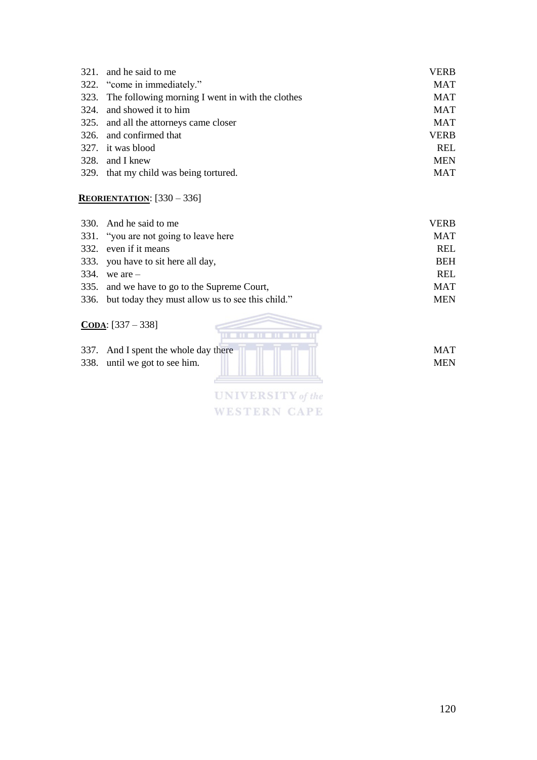| 321. and he said to me                                | <b>VERB</b> |
|-------------------------------------------------------|-------------|
| 322. "come in immediately."                           | <b>MAT</b>  |
| 323. The following morning I went in with the clothes | <b>MAT</b>  |
| 324. and showed it to him                             | <b>MAT</b>  |
| 325. and all the attorneys came closer                | <b>MAT</b>  |
| 326. and confirmed that                               | <b>VERB</b> |
| 327. it was blood                                     | REL         |
| 328. and I knew                                       | <b>MEN</b>  |
| 329. that my child was being tortured.                | <b>MAT</b>  |

## **REORIENTATION**: [330 – 336]

| 330. And he said to me                                | <b>VERB</b> |
|-------------------------------------------------------|-------------|
| 331. "you are not going to leave here                 | <b>MAT</b>  |
| 332. even if it means                                 | <b>REL</b>  |
| 333. you have to sit here all day,                    | <b>BEH</b>  |
| 334. we are $-$                                       | <b>REL</b>  |
| 335. and we have to go to the Supreme Court,          | <b>MAT</b>  |
| 336. but today they must allow us to see this child." | <b>MEN</b>  |

# **CODA**: [337 – 338]

| 337. And I spent the whole day there | <b>MAT</b> |
|--------------------------------------|------------|
| 338. until we got to see him.        | <b>MEN</b> |
|                                      |            |
|                                      |            |

**UNIVERSITY** of the **WESTERN CAPE**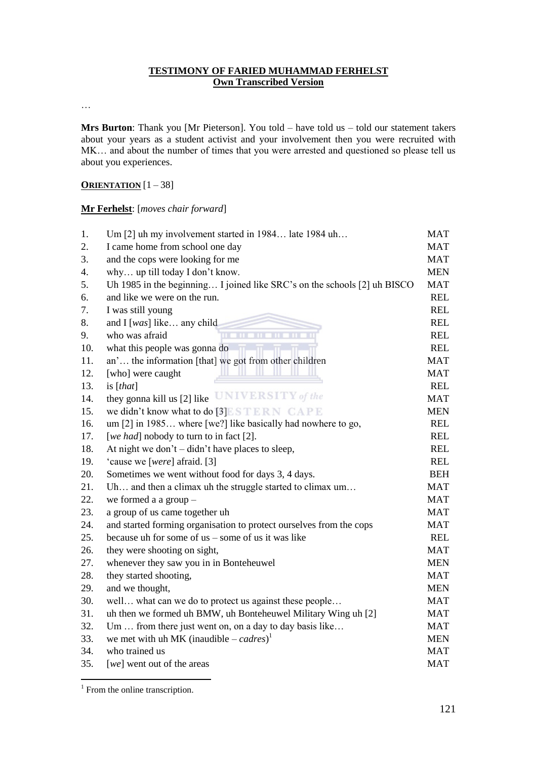#### **TESTIMONY OF FARIED MUHAMMAD FERHELST Own Transcribed Version**

…

**Mrs Burton**: Thank you [Mr Pieterson]. You told – have told us – told our statement takers about your years as a student activist and your involvement then you were recruited with MK… and about the number of times that you were arrested and questioned so please tell us about you experiences.

#### **ORIENTATION** [1 – 38]

#### **Mr Ferhelst**: [*moves chair forward*]

| 1.  | Um [2] uh my involvement started in 1984 late 1984 uh                    | <b>MAT</b> |
|-----|--------------------------------------------------------------------------|------------|
| 2.  | I came home from school one day                                          | MAT        |
| 3.  | and the cops were looking for me                                         | MAT        |
| 4.  | why up till today I don't know.                                          | <b>MEN</b> |
| 5.  | Uh 1985 in the beginning I joined like SRC's on the schools [2] uh BISCO | <b>MAT</b> |
| 6.  | and like we were on the run.                                             | <b>REL</b> |
| 7.  | I was still young                                                        | <b>REL</b> |
| 8.  | and I [was] like any child                                               | <b>REL</b> |
| 9.  | who was afraid                                                           | <b>REL</b> |
| 10. | what this people was gonna do                                            | <b>REL</b> |
| 11. | an' the information [that] we got from other children                    | MAT        |
| 12. | [who] were caught                                                        | <b>MAT</b> |
| 13. | is $[that]$                                                              | <b>REL</b> |
| 14. | they gonna kill us [2] like UNIVERSITY of the                            | <b>MAT</b> |
| 15. | we didn't know what to do [3]E STERN CAPE                                | <b>MEN</b> |
| 16. | um [2] in 1985 where [we?] like basically had nowhere to go,             | <b>REL</b> |
| 17. | [we had] nobody to turn to in fact [2].                                  | <b>REL</b> |
| 18. | At night we don't – didn't have places to sleep,                         | <b>REL</b> |
| 19. | 'cause we [were] afraid. [3]                                             | <b>REL</b> |
| 20. | Sometimes we went without food for days 3, 4 days.                       | <b>BEH</b> |
| 21. | Uh and then a climax uh the struggle started to climax um                | <b>MAT</b> |
| 22. | we formed a a group $-$                                                  | <b>MAT</b> |
| 23. | a group of us came together uh                                           | <b>MAT</b> |
| 24. | and started forming organisation to protect ourselves from the cops      | <b>MAT</b> |
| 25. | because uh for some of $us$ – some of $us$ it was like                   | <b>REL</b> |
| 26. | they were shooting on sight,                                             | <b>MAT</b> |
| 27. | whenever they saw you in in Bonteheuwel                                  | <b>MEN</b> |
| 28. | they started shooting,                                                   | <b>MAT</b> |
| 29. | and we thought,                                                          | <b>MEN</b> |
| 30. | well what can we do to protect us against these people                   | <b>MAT</b> |
| 31. | uh then we formed uh BMW, uh Bonteheuwel Military Wing uh [2]            | <b>MAT</b> |
| 32. | Um  from there just went on, on a day to day basis like                  | <b>MAT</b> |
| 33. | we met with uh MK (inaudible – cadres) <sup>1</sup>                      | <b>MEN</b> |
| 34. | who trained us                                                           | MAT        |
| 35. | [we] went out of the areas                                               | <b>MAT</b> |

<span id="page-129-0"></span> $\overline{a}$ <sup>1</sup> From the online transcription.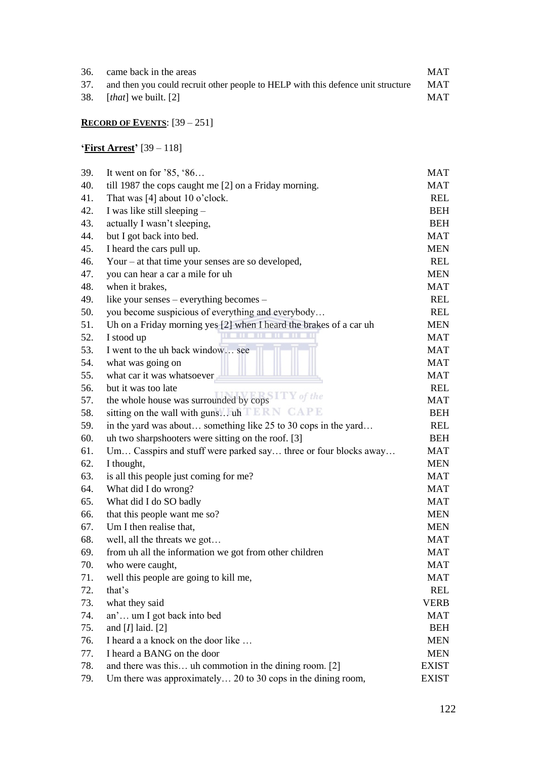| 36. | came back in the areas                                                               | <b>MAT</b> |
|-----|--------------------------------------------------------------------------------------|------------|
|     | 37. and then you could recruit other people to HELP with this defence unit structure | <b>MAT</b> |
|     | 38. $[that]$ we built. [2]                                                           | <b>MAT</b> |

## **RECORD OF EVENTS**: [39 – 251]

# **'First Arrest'** [39 – 118]

| 39. | It went on for $35, 86$                                            | MAT          |
|-----|--------------------------------------------------------------------|--------------|
| 40. | till 1987 the cops caught me [2] on a Friday morning.              | MAT          |
| 41. | That was $[4]$ about 10 o'clock.                                   | <b>REL</b>   |
| 42. | I was like still sleeping -                                        | <b>BEH</b>   |
| 43. | actually I wasn't sleeping,                                        | <b>BEH</b>   |
| 44. | but I got back into bed.                                           | <b>MAT</b>   |
| 45. | I heard the cars pull up.                                          | <b>MEN</b>   |
| 46. | Your $-$ at that time your senses are so developed,                | <b>REL</b>   |
| 47. | you can hear a car a mile for uh                                   | <b>MEN</b>   |
| 48. | when it brakes,                                                    | MAT          |
| 49. | like your senses – everything becomes –                            | <b>REL</b>   |
| 50. | you become suspicious of everything and everybody                  | <b>REL</b>   |
| 51. | Uh on a Friday morning yes [2] when I heard the brakes of a car uh | MEN          |
| 52. | I stood up                                                         | <b>MAT</b>   |
| 53. | I went to the uh back window see                                   | MAT          |
| 54. | what was going on                                                  | MAT          |
| 55. | what car it was whatsoever                                         | MAT          |
| 56. | but it was too late                                                | <b>REL</b>   |
| 57. | the whole house was surrounded by cops W of the                    | MAT          |
| 58. | sitting on the wall with guns uh ERN CAPE                          | <b>BEH</b>   |
| 59. | in the yard was about something like 25 to 30 cops in the yard     | <b>REL</b>   |
| 60. | uh two sharpshooters were sitting on the roof. [3]                 | <b>BEH</b>   |
| 61. | Um Casspirs and stuff were parked say three or four blocks away    | MAT          |
| 62. | I thought,                                                         | <b>MEN</b>   |
| 63. | is all this people just coming for me?                             | MAT          |
| 64. | What did I do wrong?                                               | <b>MAT</b>   |
| 65. | What did I do SO badly                                             | MAT          |
| 66. | that this people want me so?                                       | <b>MEN</b>   |
| 67. | Um I then realise that,                                            | <b>MEN</b>   |
| 68. | well, all the threats we got                                       | <b>MAT</b>   |
| 69. | from uh all the information we got from other children             | MAT          |
| 70. | who were caught,                                                   | MAT          |
| 71. | well this people are going to kill me,                             | MAT          |
| 72. | that's                                                             | <b>REL</b>   |
| 73. | what they said                                                     | <b>VERB</b>  |
| 74. | an' um I got back into bed                                         | MAT          |
| 75. | and $[I]$ laid. $[2]$                                              | <b>BEH</b>   |
| 76. | I heard a a knock on the door like                                 | MEN          |
| 77. | I heard a BANG on the door                                         | <b>MEN</b>   |
| 78. | and there was this uh commotion in the dining room. [2]            | <b>EXIST</b> |
| 79. | Um there was approximately 20 to 30 cops in the dining room,       | <b>EXIST</b> |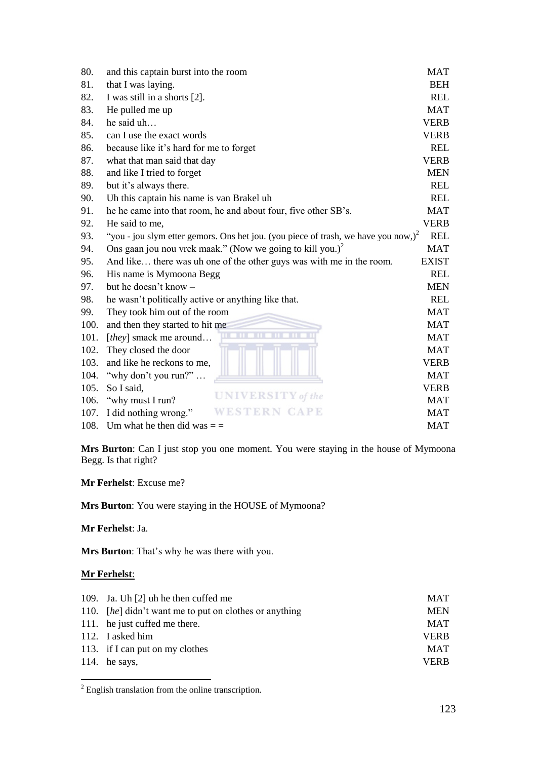<span id="page-131-0"></span>

| 80.  |                                                                                        | <b>MAT</b>   |
|------|----------------------------------------------------------------------------------------|--------------|
|      | and this captain burst into the room                                                   |              |
| 81.  | that I was laying.                                                                     | <b>BEH</b>   |
| 82.  | I was still in a shorts [2].                                                           | <b>REL</b>   |
| 83.  | He pulled me up                                                                        | <b>MAT</b>   |
| 84.  | he said uh                                                                             | <b>VERB</b>  |
| 85.  | can I use the exact words                                                              | <b>VERB</b>  |
| 86.  | because like it's hard for me to forget                                                | <b>REL</b>   |
| 87.  | what that man said that day                                                            | <b>VERB</b>  |
| 88.  | and like I tried to forget                                                             | <b>MEN</b>   |
| 89.  | but it's always there.                                                                 | <b>REL</b>   |
| 90.  | Uh this captain his name is van Brakel uh                                              | <b>REL</b>   |
| 91.  | he he came into that room, he and about four, five other SB's.                         | <b>MAT</b>   |
| 92.  | He said to me,                                                                         | <b>VERB</b>  |
| 93.  | "you - jou slym etter gemors. Ons het jou. (you piece of trash, we have you now,) $^2$ | <b>REL</b>   |
| 94.  | Ons gaan jou nou vrek maak." (Now we going to kill you.) $^2$                          | <b>MAT</b>   |
| 95.  | And like there was uh one of the other guys was with me in the room.                   | <b>EXIST</b> |
| 96.  | His name is Mymoona Begg                                                               | <b>REL</b>   |
| 97.  | but he doesn't know -                                                                  | <b>MEN</b>   |
| 98.  | he wasn't politically active or anything like that.                                    | <b>REL</b>   |
| 99.  | They took him out of the room                                                          | <b>MAT</b>   |
| 100. | and then they started to hit me                                                        | <b>MAT</b>   |
| 101. | [they] smack me around                                                                 | <b>MAT</b>   |
| 102. | They closed the door                                                                   | <b>MAT</b>   |
| 103. | and like he reckons to me,                                                             | <b>VERB</b>  |
| 104. | "why don't you run?"                                                                   | <b>MAT</b>   |
| 105. | So I said,                                                                             | <b>VERB</b>  |
| 106. | UNIVERSITY of the<br>"why must I run?                                                  | <b>MAT</b>   |
| 107. | <b>APE</b><br>ESTERN<br>I did nothing wrong."                                          | <b>MAT</b>   |
| 108. | Um what he then did was $=$ $=$                                                        | <b>MAT</b>   |
|      |                                                                                        |              |

**Mrs Burton**: Can I just stop you one moment. You were staying in the house of Mymoona Begg. Is that right?

**Mr Ferhelst**: Excuse me?

**Mrs Burton**: You were staying in the HOUSE of Mymoona?

**Mr Ferhelst**: Ja.

**Mrs Burton**: That's why he was there with you.

#### **Mr Ferhelst**:

| 109. Ja. Uh [2] uh he then cuffed me                   | <b>MAT</b>  |
|--------------------------------------------------------|-------------|
| 110. [he] didn't want me to put on clothes or anything | <b>MEN</b>  |
| 111. he just cuffed me there.                          | <b>MAT</b>  |
| 112. I asked him                                       | <b>VERB</b> |
| 113. if I can put on my clothes                        | <b>MAT</b>  |
| 114. he says,                                          | <b>VERB</b> |
|                                                        |             |

<sup>&</sup>lt;sup>2</sup> English translation from the online transcription.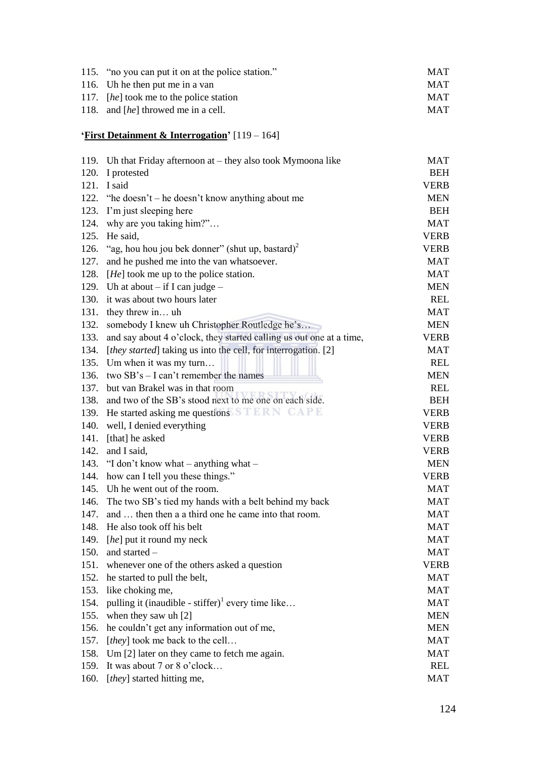| 115. "no you can put it on at the police station." | <b>MAT</b> |
|----------------------------------------------------|------------|
| 116. Uh he then put me in a van                    | <b>MAT</b> |
| 117. <i>[he]</i> took me to the police station     | <b>MAT</b> |
| 118. and [he] throwed me in a cell.                | <b>MAT</b> |

# **'First Detainment & Interrogation'** [119 – 164]

|      | 119. Uh that Friday afternoon at – they also took Mymoona like          | MAT         |
|------|-------------------------------------------------------------------------|-------------|
| 120. | I protested                                                             | <b>BEH</b>  |
|      | 121. I said                                                             | <b>VERB</b> |
|      | 122. "he doesn't – he doesn't know anything about me                    | <b>MEN</b>  |
| 123. | I'm just sleeping here                                                  | <b>BEH</b>  |
| 124. | why are you taking him?"                                                | <b>MAT</b>  |
| 125. | He said,                                                                | <b>VERB</b> |
| 126. | "ag, hou hou jou bek donner" (shut up, bastard) <sup>2</sup>            | <b>VERB</b> |
| 127. | and he pushed me into the van whatsoever.                               | <b>MAT</b>  |
| 128. | $[He]$ took me up to the police station.                                | MAT         |
| 129. | Uh at about $-$ if I can judge $-$                                      | MEN         |
|      | 130. it was about two hours later                                       | <b>REL</b>  |
| 131. | they threw in uh                                                        | MAT         |
| 132. | somebody I knew uh Christopher Routledge he's                           | <b>MEN</b>  |
| 133. | and say about 4 o'clock, they started calling us out one at a time,     | <b>VERB</b> |
| 134. | [ <i>they started</i> ] taking us into the cell, for interrogation. [2] | MAT         |
| 135. | Um when it was my turn                                                  | <b>REL</b>  |
| 136. | two $SB's - I can't remember the names$                                 | <b>MEN</b>  |
| 137. | but van Brakel was in that room                                         | <b>REL</b>  |
| 138. | and two of the SB's stood next to me one on each side.                  | <b>BEH</b>  |
| 139. | He started asking me questions STERN CAPE                               | <b>VERB</b> |
| 140. | well, I denied everything                                               | <b>VERB</b> |
| 141. | [that] he asked                                                         | <b>VERB</b> |
| 142. | and I said,                                                             | <b>VERB</b> |
| 143. | "I don't know what – anything what –                                    | <b>MEN</b>  |
| 144. | how can I tell you these things."                                       | <b>VERB</b> |
|      | 145. Uh he went out of the room.                                        | <b>MAT</b>  |
| 146. | The two SB's tied my hands with a belt behind my back                   | MAT         |
| 147. | and  then then a a third one he came into that room.                    | <b>MAT</b>  |
|      | 148. He also took off his belt                                          | <b>MAT</b>  |
| 149. | [he] put it round my neck                                               | MAT         |
| 150. | and started -                                                           | MAT         |
| 151. | whenever one of the others asked a question                             | VERB        |
| 152. | he started to pull the belt,                                            | MAT         |
| 153. | like choking me,                                                        | MAT         |
| 154. | pulling it (inaudible - stiffer) <sup>1</sup> every time like           | MAT         |
| 155. | when they saw uh [2]                                                    | MEN         |
| 156. | he couldn't get any information out of me,                              | MEN         |
| 157. | [they] took me back to the cell                                         | MAT         |
| 158. | Um [2] later on they came to fetch me again.                            | MAT         |
| 159. | It was about 7 or 8 o'clock                                             | REL         |
| 160. | [they] started hitting me,                                              | <b>MAT</b>  |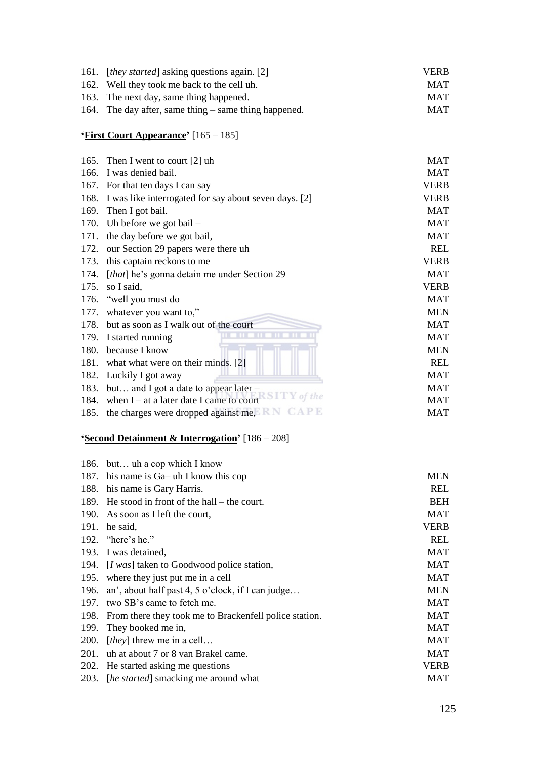| 161. | [ <i>they started</i> ] asking questions again. [2]   | <b>VERB</b> |
|------|-------------------------------------------------------|-------------|
| 162. | Well they took me back to the cell uh.                | <b>MAT</b>  |
| 163. | The next day, same thing happened.                    | <b>MAT</b>  |
| 164. | The day after, same thing $-$ same thing happened.    | <b>MAT</b>  |
|      | 'First Court Appearance' [165 – 185]                  |             |
|      |                                                       |             |
| 165. | Then I went to court $[2]$ uh                         | <b>MAT</b>  |
| 166. | I was denied bail.                                    | <b>MAT</b>  |
|      | 167. For that ten days I can say                      | <b>VERB</b> |
| 168. | I was like interrogated for say about seven days. [2] | <b>VERB</b> |
| 169. | Then I got bail.                                      | <b>MAT</b>  |
|      | 170. Uh before we got bail -                          | MAT         |
| 171. | the day before we got bail,                           | <b>MAT</b>  |
| 172. | our Section 29 papers were there uh                   | <b>REL</b>  |
| 173. | this captain reckons to me                            | <b>VERB</b> |
| 174. | [that] he's gonna detain me under Section 29          | MAT         |
| 175. | so I said,                                            | <b>VERB</b> |
| 176. | "well you must do                                     | <b>MAT</b>  |
| 177. | whatever you want to,"                                | <b>MEN</b>  |
| 178. | but as soon as I walk out of the court                | <b>MAT</b>  |
| 179. | I started running                                     | <b>MAT</b>  |
| 180. | because I know                                        | <b>MEN</b>  |
| 181. | what what were on their minds. [2]                    | <b>REL</b>  |
| 182. | Luckily I got away                                    | <b>MAT</b>  |
| 183. | but and I got a date to appear later –                | <b>MAT</b>  |
| 184. | of the<br>when $I - at a$ later date I came to court  | <b>MAT</b>  |
| 185. | the charges were dropped against me, NAPE             | <b>MAT</b>  |

## **'Second Detainment & Interrogation'** [186 – 208]

|             | 186. but uh a cop which I know                         |             |
|-------------|--------------------------------------------------------|-------------|
| 187.        | his name is Ga– uh I know this cop                     | <b>MEN</b>  |
| 188.        | his name is Gary Harris.                               | <b>REL</b>  |
|             | 189. He stood in front of the hall – the court.        | <b>BEH</b>  |
| 190.        | As soon as I left the court,                           | <b>MAT</b>  |
| 191.        | he said,                                               | <b>VERB</b> |
| 192.        | "here's he."                                           | <b>REL</b>  |
|             | 193. I was detained,                                   | <b>MAT</b>  |
| 194.        | [I was] taken to Goodwood police station,              | <b>MAT</b>  |
| 195.        | where they just put me in a cell                       | <b>MAT</b>  |
| 196.        | an', about half past 4, 5 o'clock, if I can judge      | <b>MEN</b>  |
| 197.        | two SB's came to fetch me.                             | <b>MAT</b>  |
| 198.        | From there they took me to Brackenfell police station. | <b>MAT</b>  |
| 199.        | They booked me in,                                     | <b>MAT</b>  |
| <b>200.</b> | [ <i>they</i> ] threw me in a cell                     | <b>MAT</b>  |
| 201.        | uh at about 7 or 8 van Brakel came.                    | <b>MAT</b>  |
|             | 202. He started asking me questions                    | <b>VERB</b> |
| <b>203.</b> | [he started] smacking me around what                   | <b>MAT</b>  |
|             |                                                        |             |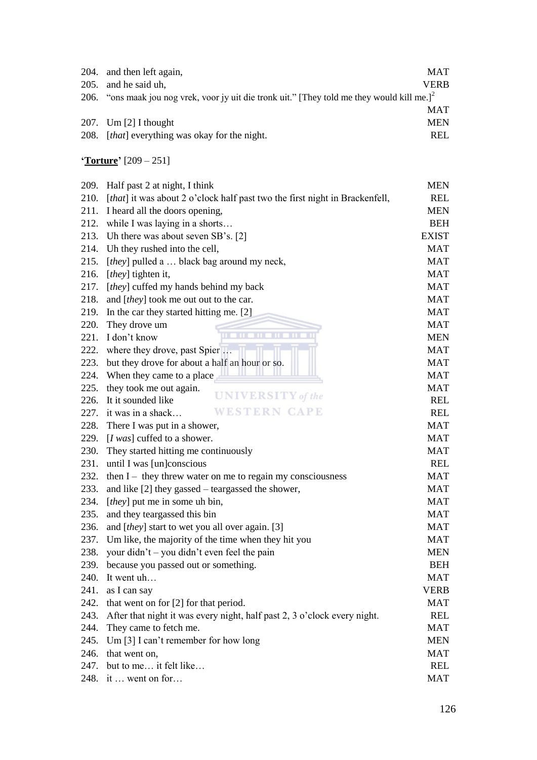| 204. and then left again,                                                                                | <b>MAT</b>  |
|----------------------------------------------------------------------------------------------------------|-------------|
| 205. and he said uh,                                                                                     | <b>VERB</b> |
| 206. "ons maak jou nog vrek, voor jy uit die tronk uit." [They told me they would kill me.] <sup>2</sup> |             |
|                                                                                                          | <b>MAT</b>  |
| 207. Um $[2]$ I thought                                                                                  | <b>MEN</b>  |
| 208. <i>[that]</i> everything was okay for the night.                                                    | <b>REL</b>  |
|                                                                                                          |             |

**'Torture'** [209 – 251]

| 209. | Half past 2 at night, I think                                               | <b>MEN</b>   |
|------|-----------------------------------------------------------------------------|--------------|
| 210. | [that] it was about 2 o'clock half past two the first night in Brackenfell, | <b>REL</b>   |
| 211. | I heard all the doors opening,                                              | MEN          |
|      | 212. while I was laying in a shorts                                         | <b>BEH</b>   |
| 213. | Uh there was about seven SB's. [2]                                          | <b>EXIST</b> |
| 214. | Uh they rushed into the cell,                                               | <b>MAT</b>   |
| 215. | [they] pulled a  black bag around my neck,                                  | <b>MAT</b>   |
| 216. | [they] tighten it,                                                          | MAT          |
| 217. | [they] cuffed my hands behind my back                                       | MAT          |
| 218. | and [they] took me out out to the car.                                      | MAT          |
| 219. | In the car they started hitting me. [2]                                     | MAT          |
| 220. | They drove um                                                               | MAT          |
| 221. | I don't know                                                                | <b>MEN</b>   |
| 222. | where they drove, past Spier                                                | MAT          |
| 223. | but they drove for about a half an hour or so.                              | MAT          |
| 224. | When they came to a place                                                   | MAT          |
| 225. | they took me out again.                                                     | MAT          |
| 226. | UNIVERSITY of the<br>It it sounded like                                     | REL          |
|      | WESTERN CAPE<br>227. it was in a shack                                      | <b>REL</b>   |
| 228. | There I was put in a shower,                                                | MAT          |
| 229. | [ $I was$ ] cuffed to a shower.                                             | <b>MAT</b>   |
| 230. | They started hitting me continuously                                        | MAT          |
| 231. | until I was [un]conscious                                                   | <b>REL</b>   |
| 232. | then $I$ – they threw water on me to regain my consciousness                | MAT          |
| 233. | and like [2] they gassed – teargassed the shower,                           | <b>MAT</b>   |
| 234. | [they] put me in some uh bin,                                               | MAT          |
| 235. | and they teargassed this bin                                                | MAT          |
| 236. | and [ <i>they</i> ] start to wet you all over again. [3]                    | MAT          |
| 237. | Um like, the majority of the time when they hit you                         | MAT          |
| 238. | your didn't – you didn't even feel the pain                                 | MEN          |
| 239. | because you passed out or something.                                        | <b>BEH</b>   |
| 240. | It went uh                                                                  | <b>MAT</b>   |
| 241. | as I can say                                                                | VERB         |
| 242. | that went on for [2] for that period.                                       | MAT          |
| 243. | After that night it was every night, half past 2, 3 o'clock every night.    | <b>REL</b>   |
| 244. | They came to fetch me.                                                      | MAT          |
| 245. | Um [3] I can't remember for how long                                        | <b>MEN</b>   |
| 246. | that went on,                                                               | MAT          |
| 247. | but to me it felt like                                                      | REL          |
|      | 248. it  went on for                                                        | MAT          |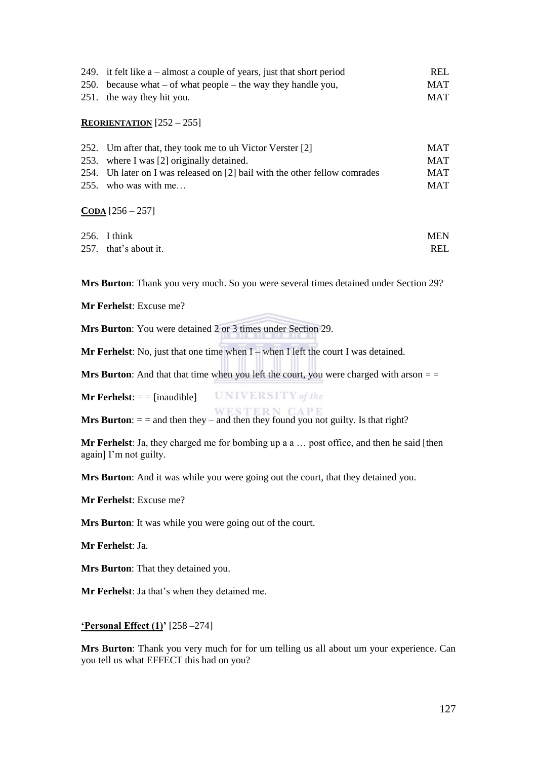| 249. it felt like $a$ – almost a couple of years, just that short period | <b>REL</b> |
|--------------------------------------------------------------------------|------------|
| 250. because what $-$ of what people $-$ the way they handle you,        | <b>MAT</b> |
| 251. the way they hit you.                                               | MAT        |

#### **REORIENTATION** [252 – 255]

| 252. Um after that, they took me to uh Victor Verster [2]                  | <b>MAT</b> |
|----------------------------------------------------------------------------|------------|
| 253. where I was [2] originally detained.                                  | <b>MAT</b> |
| 254. Uh later on I was released on [2] bail with the other fellow comrades | <b>MAT</b> |
| 255. who was with me                                                       | <b>MAT</b> |

#### $\overline{CODA}$  [256 – 257]

| 256. I think          | <b>MEN</b> |
|-----------------------|------------|
| 257. that's about it. | <b>REL</b> |

**Mrs Burton**: Thank you very much. So you were several times detained under Section 29?

**Mr Ferhelst**: Excuse me?

**Mr Ferhelst**: No, just that one time when I – when I left the court I was detained.

**Mrs Burton**: And that that time when you left the court, you were charged with arson  $=$   $=$ 

**UNIVERSITY** of the **Mr Ferhelst:**  $=$   $=$   $[$ inaudible $]$ 

**Mrs Burton**:  $=$  = and then they – and then they found you not guilty. Is that right?

**Mr Ferhelst**: Ja, they charged me for bombing up a a … post office, and then he said [then again] I'm not guilty.

**Mrs Burton**: And it was while you were going out the court, that they detained you.

**Mr Ferhelst**: Excuse me?

**Mrs Burton**: It was while you were going out of the court.

**Mr Ferhelst**: Ja.

**Mrs Burton**: That they detained you.

**Mr Ferhelst**: Ja that's when they detained me.

#### **'Personal Effect (1)'** [258 –274]

**Mrs Burton**: Thank you very much for for um telling us all about um your experience. Can you tell us what EFFECT this had on you?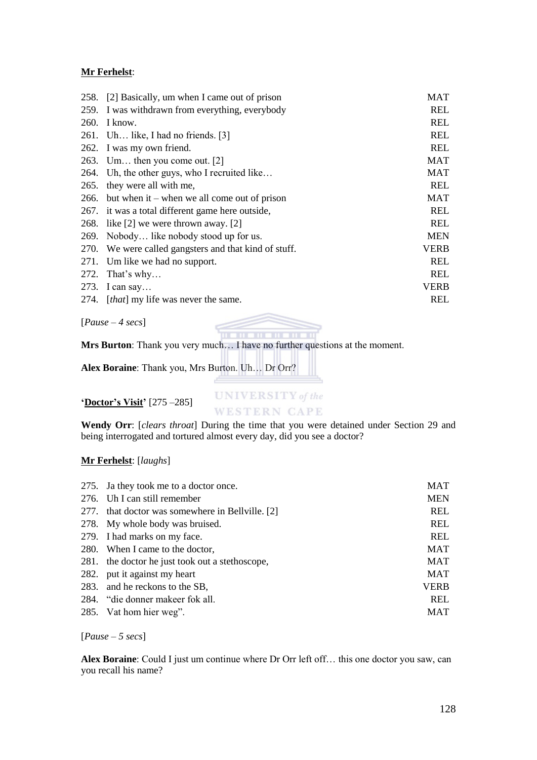#### **Mr Ferhelst**:

|             | 258. [2] Basically, um when I came out of prison      | MAT         |
|-------------|-------------------------------------------------------|-------------|
|             | 259. I was withdrawn from everything, everybody       | <b>REL</b>  |
| <b>260.</b> | I know.                                               | REL         |
|             | 261. Uh like, I had no friends. $[3]$                 | REL         |
|             | 262. I was my own friend.                             | REL         |
|             | 263. Um then you come out. $[2]$                      | MAT         |
|             | 264. Uh, the other guys, who I recruited like         | MAT         |
|             | 265. they were all with me,                           | REL         |
|             | 266. but when it – when we all come out of prison     | <b>MAT</b>  |
|             | 267. it was a total different game here outside,      | <b>REL</b>  |
|             | 268. like [2] we were thrown away. [2]                | <b>REL</b>  |
|             | 269. Nobody like nobody stood up for us.              | <b>MEN</b>  |
|             | 270. We were called gangsters and that kind of stuff. | VERB        |
|             | 271. Um like we had no support.                       | REL         |
| 272.        | That's why                                            | REL         |
|             | 273. I can say                                        | <b>VERB</b> |
|             | 274. <i>[that]</i> my life was never the same.        | <b>REL</b>  |

[*Pause – 4 secs*]

**Mrs Burton**: Thank you very much… I have no further questions at the moment.

**Alex Boraine**: Thank you, Mrs Burton. Uh… Dr Orr?

#### **'Doctor's Visit'** [275 –285]

**UNIVERSITY** of the **WESTERN CAPE** 

. . . . . . . . . . .

**Wendy Orr**: [*clears throat*] During the time that you were detained under Section 29 and being interrogated and tortured almost every day, did you see a doctor?

#### **Mr Ferhelst**: [*laughs*]

| 275. Ja they took me to a doctor once.           | <b>MAT</b> |
|--------------------------------------------------|------------|
| 276. Uh I can still remember                     | <b>MEN</b> |
| 277. that doctor was somewhere in Bellville. [2] | <b>REL</b> |
| 278. My whole body was bruised.                  | <b>REL</b> |
| 279. I had marks on my face.                     | <b>REL</b> |
| 280. When I came to the doctor,                  | <b>MAT</b> |
| 281. the doctor he just took out a stethoscope,  | <b>MAT</b> |
| 282. put it against my heart                     | <b>MAT</b> |
| 283. and he reckons to the SB,                   | VERB       |
| 284. "die donner makeer fok all.                 | <b>REL</b> |
| 285. Vat hom hier weg".                          | <b>MAT</b> |

[*Pause – 5 secs*]

**Alex Boraine**: Could I just um continue where Dr Orr left off… this one doctor you saw, can you recall his name?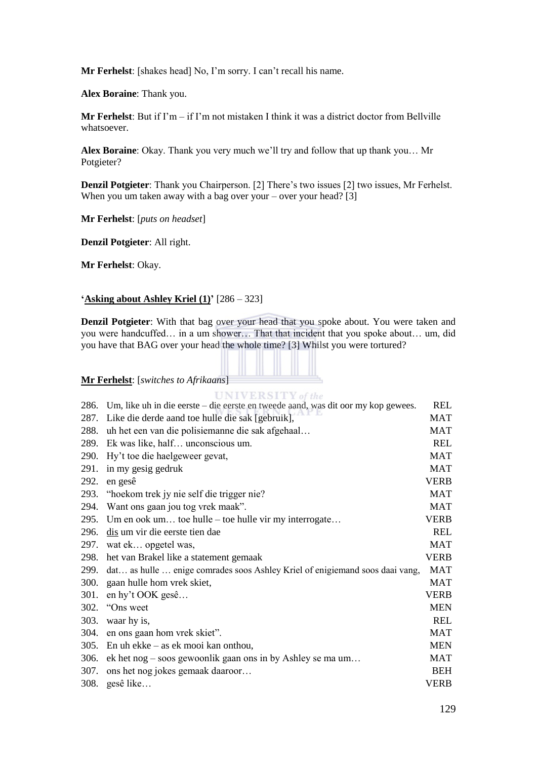**Mr Ferhelst**: [shakes head] No, I'm sorry. I can't recall his name.

**Alex Boraine**: Thank you.

**Mr Ferhelst**: But if I'm – if I'm not mistaken I think it was a district doctor from Bellville whatsoever.

**Alex Boraine**: Okay. Thank you very much we'll try and follow that up thank you… Mr Potgieter?

**Denzil Potgieter**: Thank you Chairperson. [2] There's two issues [2] two issues, Mr Ferhelst. When you um taken away with a bag over your – over your head? [3]

**Mr Ferhelst**: [*puts on headset*]

**Denzil Potgieter**: All right.

**Mr Ferhelst**: Okay.

#### **'Asking about Ashley Kriel (1)'** [286 – 323]

**Denzil Potgieter**: With that bag over your head that you spoke about. You were taken and you were handcuffed… in a um shower… That that incident that you spoke about… um, did you have that BAG over your head the whole time? [3] Whilst you were tortured?

#### **Mr Ferhelst**: [*switches to Afrikaans*]

 $UNIVERSITY of the$ <br>286. Um, like uh in die eerste – die eerste en tweede aand, was dit oor my kop gewees.

| 286. | Um, like un in die eerste $-\text{ die eerste}$ en tweede aand, was dit oor my kop gewees. | KEL         |
|------|--------------------------------------------------------------------------------------------|-------------|
| 287. | Like die derde aand toe hulle die sak [gebruik],                                           | <b>MAT</b>  |
| 288. | uh het een van die polisiemanne die sak afgehaal                                           | <b>MAT</b>  |
| 289. | Ek was like, half unconscious um.                                                          | <b>REL</b>  |
| 290. | Hy't toe die haelgeweer gevat,                                                             | <b>MAT</b>  |
| 291. | in my gesig gedruk                                                                         | <b>MAT</b>  |
| 292. | en gesê                                                                                    | <b>VERB</b> |
| 293. | "hoekom trek jy nie self die trigger nie?                                                  | <b>MAT</b>  |
| 294. | Want ons gaan jou tog vrek maak".                                                          | <b>MAT</b>  |
| 295. | Um en ook um toe hulle – toe hulle vir my interrogate                                      | <b>VERB</b> |
| 296. | dis um vir die eerste tien dae                                                             | <b>REL</b>  |
| 297. | wat ek opgetel was,                                                                        | <b>MAT</b>  |
| 298. | het van Brakel like a statement gemaak                                                     | <b>VERB</b> |
| 299. | dat as hulle  enige comrades soos Ashley Kriel of enigiemand soos daai vang,               | <b>MAT</b>  |
| 300. | gaan hulle hom vrek skiet,                                                                 | <b>MAT</b>  |
| 301. | en hy't OOK gesê                                                                           | <b>VERB</b> |
| 302. | "Ons weet                                                                                  | <b>MEN</b>  |
| 303. | waar hy is,                                                                                | <b>REL</b>  |
| 304. | en ons gaan hom vrek skiet".                                                               | <b>MAT</b>  |
| 305. | En uh ekke $-$ as ek mooi kan onthou,                                                      | <b>MEN</b>  |
| 306. | ek het nog – soos gewoonlik gaan ons in by Ashley se ma um                                 | <b>MAT</b>  |
| 307. | ons het nog jokes gemaak daaroor                                                           | <b>BEH</b>  |
| 308. | gesê like                                                                                  | <b>VERB</b> |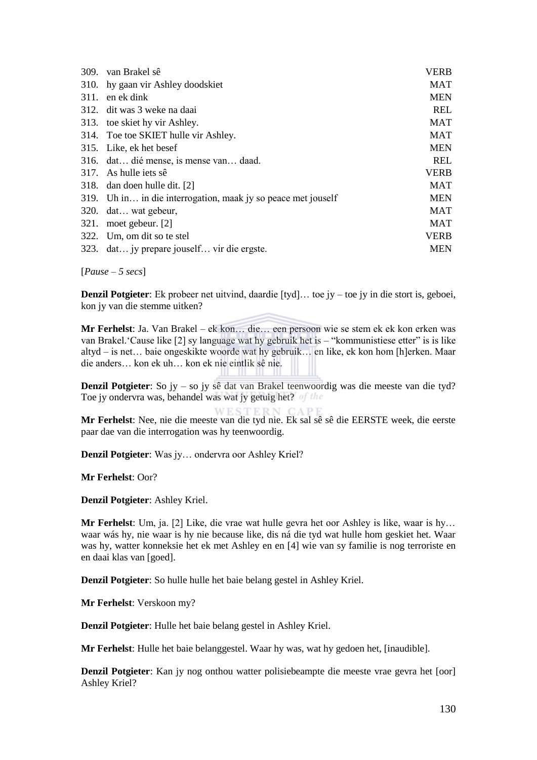| 309. | van Brakel sê                                                 | <b>VERB</b> |
|------|---------------------------------------------------------------|-------------|
| 310. | hy gaan vir Ashley doodskiet                                  | <b>MAT</b>  |
| 311. | en ek dink                                                    | <b>MEN</b>  |
|      | 312. dit was 3 weke na daai                                   | <b>REL</b>  |
|      | 313. toe skiet hy vir Ashley.                                 | <b>MAT</b>  |
|      | 314. Toe toe SKIET hulle vir Ashley.                          | <b>MAT</b>  |
|      | 315. Like, ek het besef                                       | <b>MEN</b>  |
|      | 316. dat dié mense, is mense van daad.                        | <b>REL</b>  |
| 317. | As hulle jets sê                                              | <b>VERB</b> |
|      | 318. dan doen hulle dit. [2]                                  | <b>MAT</b>  |
|      | 319. Uh in in die interrogation, maak jy so peace met jouself | <b>MEN</b>  |
| 320. | dat wat gebeur,                                               | <b>MAT</b>  |
| 321. | moet gebeur. [2]                                              | <b>MAT</b>  |
| 322. | Um, om dit so te stel                                         | <b>VERB</b> |
|      | 323. dat jy prepare jouself vir die ergste.                   | <b>MEN</b>  |

[*Pause – 5 secs*]

**Denzil Potgieter**: Ek probeer net uitvind, daardie [tyd]… toe jy – toe jy in die stort is, geboei, kon jy van die stemme uitken?

**Mr Ferhelst**: Ja. Van Brakel – ek kon… die… een persoon wie se stem ek ek kon erken was van Brakel. 'Cause like [2] sy language wat hy gebruik het is – "kommunistiese etter" is is like altyd – is net… baie ongeskikte woorde wat hy gebruik… en like, ek kon hom [h]erken. Maar die anders… kon ek uh… kon ek nie eintlik sê nie.

**Denzil Potgieter**: So jy – so jy sê dat van Brakel teenwoordig was die meeste van die tyd? Toe jy ondervra was, behandel was wat jy getuig het?

**Mr Ferhelst**: Nee, nie die meeste van die tyd nie. Ek sal sê sê die EERSTE week, die eerste paar dae van die interrogation was hy teenwoordig.

**Denzil Potgieter**: Was jy… ondervra oor Ashley Kriel?

**Mr Ferhelst**: Oor?

**Denzil Potgieter**: Ashley Kriel.

**Mr Ferhelst**: Um, ja. [2] Like, die vrae wat hulle gevra het oor Ashley is like, waar is hy… waar wás hy, nie waar is hy nie because like, dis ná die tyd wat hulle hom geskiet het. Waar was hy, watter konneksie het ek met Ashley en en [4] wie van sy familie is nog terroriste en en daai klas van [goed].

**Denzil Potgieter**: So hulle hulle het baie belang gestel in Ashley Kriel.

**Mr Ferhelst**: Verskoon my?

**Denzil Potgieter**: Hulle het baie belang gestel in Ashley Kriel.

**Mr Ferhelst**: Hulle het baie belanggestel. Waar hy was, wat hy gedoen het, [inaudible].

**Denzil Potgieter**: Kan jy nog onthou watter polisiebeampte die meeste vrae gevra het [oor] Ashley Kriel?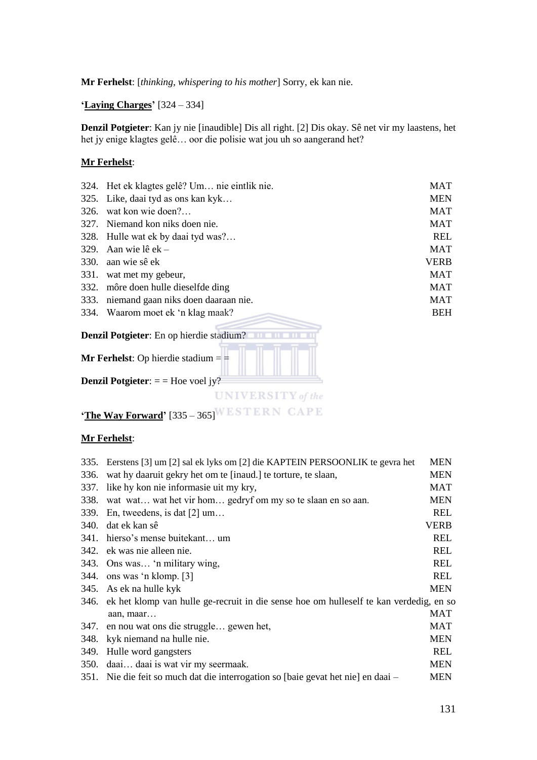**Mr Ferhelst**: [*thinking, whispering to his mother*] Sorry, ek kan nie.

**'Laying Charges'** [324 – 334]

**Denzil Potgieter**: Kan jy nie [inaudible] Dis all right. [2] Dis okay. Sê net vir my laastens, het het jy enige klagtes gelê… oor die polisie wat jou uh so aangerand het?

#### **Mr Ferhelst**:

|      | 324. Het ek klagtes gelê? Um nie eintlik nie.   | MAT         |
|------|-------------------------------------------------|-------------|
|      | 325. Like, daai tyd as ons kan kyk              | <b>MEN</b>  |
| 326. | wat kon wie doen?                               | MAT         |
| 327. | Niemand kon niks doen nie.                      | MAT         |
|      | 328. Hulle wat ek by daai tyd was?              | REL         |
| 329. | Aan wie lê ek –                                 | <b>MAT</b>  |
| 330. | aan wie sê ek                                   | <b>VERB</b> |
| 331. | wat met my gebeur,                              | <b>MAT</b>  |
|      | 332. môre doen hulle dieselfde ding             | <b>MAT</b>  |
| 333. | niemand gaan niks doen daaraan nie.             | MAT         |
|      | 334. Waarom moet ek 'n klag maak?               | <b>BEH</b>  |
|      | <b>Denzil Potgieter:</b> En op hierdie stadium? |             |
|      | <b>Mr Ferhelst:</b> Op hierdie stadium $=$ $=$  |             |
|      | <b>Denzil Potgieter:</b> $=$ = Hoe voel jy?     |             |
|      | nt the                                          |             |

**'The Way Forward'** [335 – 365] WESTERN CAPE

#### **Mr Ferhelst**:

|             | 335. Eerstens [3] um [2] sal ek lyks om [2] die KAPTEIN PERSOONLIK te gevra het        | <b>MEN</b> |
|-------------|----------------------------------------------------------------------------------------|------------|
| 336.        | wat hy daaruit gekry het om te [inaud.] te torture, te slaan,                          |            |
| 337.        | like hy kon nie informasie uit my kry,                                                 | <b>MAT</b> |
| 338.        | <b>MEN</b><br>wat wat wat het vir hom gedryf om my so te slaan en so aan.              |            |
| 339.        | <b>REL</b><br>En, tweedens, is dat $[2]$ um                                            |            |
| 340.        | <b>VERB</b><br>dat ek kan sê                                                           |            |
| 341.        | <b>REL</b><br>hierso's mense buitekant um                                              |            |
| 342.        | ek was nie alleen nie.                                                                 | <b>REL</b> |
| 343.        | Ons was 'n military wing,                                                              | <b>REL</b> |
| 344.        | ons was 'n klomp. [3]                                                                  | <b>REL</b> |
| 345.        | As ek na hulle kyk                                                                     | <b>MEN</b> |
| 346.        | ek het klomp van hulle ge-recruit in die sense hoe om hulleself te kan verdedig, en so |            |
|             | aan, maar                                                                              | <b>MAT</b> |
| 347.        | en nou wat ons die struggle gewen het,                                                 | <b>MAT</b> |
| 348.        | kyk niemand na hulle nie.                                                              | <b>MEN</b> |
| 349.        | Hulle word gangsters                                                                   | <b>REL</b> |
| <b>350.</b> | daai daai is wat vir my seermaak.                                                      | <b>MEN</b> |
|             | 351. Nie die feit so much dat die interrogation so [baie gevat het nie] en daai –      | <b>MEN</b> |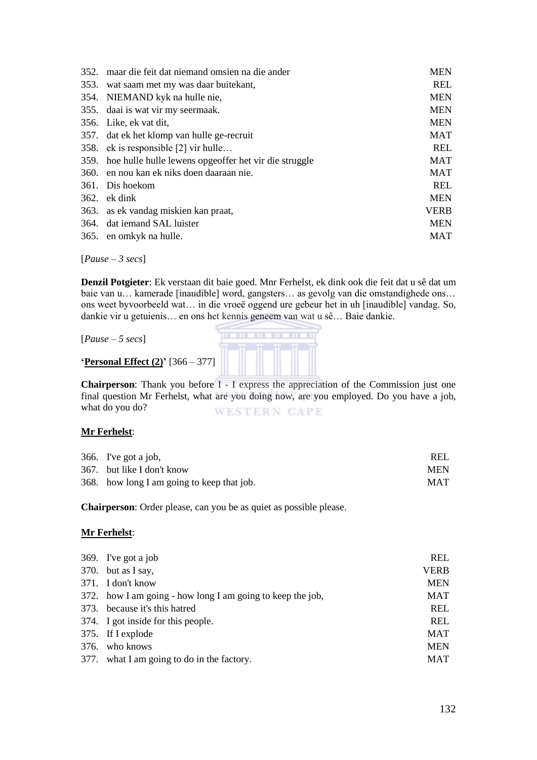| 352. | maar die feit dat niemand omsien na die ander              | <b>MEN</b>  |
|------|------------------------------------------------------------|-------------|
|      | 353. wat saam met my was daar buitekant,                   | <b>REL</b>  |
|      | 354. NIEMAND kyk na hulle nie,                             | <b>MEN</b>  |
|      | 355. daai is wat vir my seermaak.                          | <b>MEN</b>  |
|      | 356. Like, ek vat dit,                                     | <b>MEN</b>  |
|      | 357. dat ek het klomp van hulle ge-recruit                 | MAT         |
|      | 358. ek is responsible [2] vir hulle                       | REL         |
|      | 359. hoe hulle hulle lewens opgeoffer het vir die struggle | <b>MAT</b>  |
|      | 360. en nou kan ek niks doen daaraan nie.                  | MAT         |
|      | 361. Dis hoekom                                            | REL         |
|      | $362.$ ek dink                                             | <b>MEN</b>  |
|      | 363. as ek vandag miskien kan praat,                       | <b>VERB</b> |
|      | 364. dat iemand SAL luister                                | <b>MEN</b>  |
|      | 365. en omkyk na hulle.                                    | <b>MAT</b>  |

[*Pause – 3 secs*]

**Denzil Potgieter**: Ek verstaan dit baie goed. Mnr Ferhelst, ek dink ook die feit dat u sê dat um baie van u… kamerade [inaudible] word, gangsters… as gevolg van die omstandighede ons… ons weet byvoorbeeld wat… in die vroeë oggend ure gebeur het in uh [inaudible] vandag. So, dankie vir u getuienis… en ons het kennis geneem van wat u sê… Baie dankie.

[*Pause – 5 secs*]



**'Personal Effect (2)'** [366 – 377]

**Chairperson**: Thank you before I - I express the appreciation of the Commission just one final question Mr Ferhelst, what are you doing now, are you employed. Do you have a job, what do you do? **WESTERN CAPE** 

#### **Mr Ferhelst**:

| 366. I've got a job,                       | <b>REL</b> |
|--------------------------------------------|------------|
| 367. but like I don't know                 | <b>MEN</b> |
| 368. how long I am going to keep that job. | <b>MAT</b> |

**Chairperson**: Order please, can you be as quiet as possible please.

#### **Mr Ferhelst**:

| 369. I've got a job                                        | <b>REL</b>  |
|------------------------------------------------------------|-------------|
| 370. but as I say,                                         | <b>VERB</b> |
| 371. I don't know                                          | <b>MEN</b>  |
| 372. how I am going - how long I am going to keep the job, | <b>MAT</b>  |
| 373. because it's this hatred                              | <b>REL</b>  |
| 374. I got inside for this people.                         | <b>REL</b>  |
| 375. If I explode                                          | <b>MAT</b>  |
| 376. who knows                                             | <b>MEN</b>  |
| 377. what I am going to do in the factory.                 | <b>MAT</b>  |